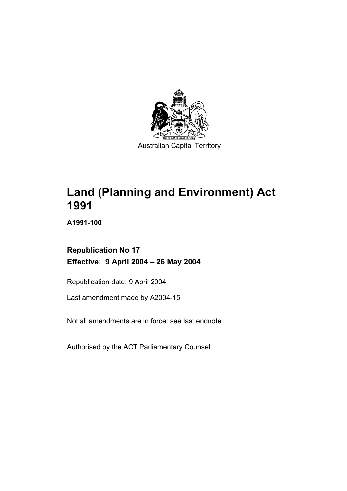

**Land (Planning and Environment) Act 1991** 

**A1991-100** 

# **Republication No 17 Effective: 9 April 2004 – 26 May 2004**

Republication date: 9 April 2004

Last amendment made by A2004-15

Not all amendments are in force: see last endnote

Authorised by the ACT Parliamentary Counsel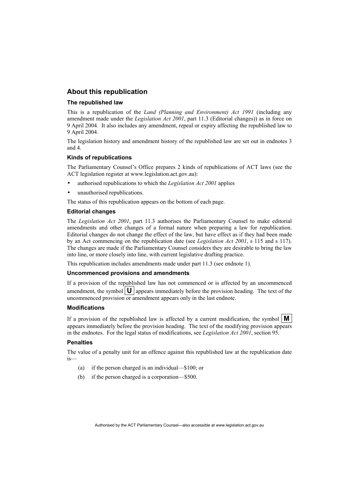#### **About this republication**

#### **The republished law**

This is a republication of the *Land (Planning and Environment) Act 1991* (including any amendment made under the *Legislation Act 2001*, part 11.3 (Editorial changes)) as in force on 9 April 2004*.* It also includes any amendment, repeal or expiry affecting the republished law to 9 April 2004.

The legislation history and amendment history of the republished law are set out in endnotes 3 and 4.

#### **Kinds of republications**

The Parliamentary Counsel's Office prepares 2 kinds of republications of ACT laws (see the ACT legislation register at www.legislation.act.gov.au):

- authorised republications to which the *Legislation Act 2001* applies
- unauthorised republications.

The status of this republication appears on the bottom of each page.

#### **Editorial changes**

The *Legislation Act 2001*, part 11.3 authorises the Parliamentary Counsel to make editorial amendments and other changes of a formal nature when preparing a law for republication. Editorial changes do not change the effect of the law, but have effect as if they had been made by an Act commencing on the republication date (see *Legislation Act 2001*, s 115 and s 117). The changes are made if the Parliamentary Counsel considers they are desirable to bring the law into line, or more closely into line, with current legislative drafting practice.

This republication includes amendments made under part 11.3 (see endnote 1).

#### **Uncommenced provisions and amendments**

If a provision of the republished law has not commenced or is affected by an uncommenced amendment, the symbol  $\mathbf{U}$  appears immediately before the provision heading. The text of the uncommenced provision or amendment appears only in the last endnote.

#### **Modifications**

If a provision of the republished law is affected by a current modification, the symbol  $\mathbf{M}$ appears immediately before the provision heading. The text of the modifying provision appears in the endnotes. For the legal status of modifications, see *Legislation Act 2001*, section 95.

#### **Penalties**

The value of a penalty unit for an offence against this republished law at the republication date is—

- (a) if the person charged is an individual—\$100; or
- (b) if the person charged is a corporation—\$500.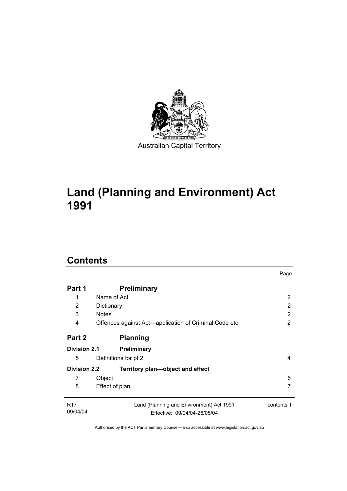

# **Land (Planning and Environment) Act 1991**

# **Contents**

| Part 1                      | <b>Preliminary</b>                                                       |            |
|-----------------------------|--------------------------------------------------------------------------|------------|
| 1                           | Name of Act                                                              | 2          |
| 2                           | Dictionary                                                               | 2          |
| 3                           | <b>Notes</b>                                                             | 2          |
| 4                           | Offences against Act-application of Criminal Code etc                    | 2          |
| Part 2                      | <b>Planning</b>                                                          |            |
| <b>Division 2.1</b>         | <b>Preliminary</b>                                                       |            |
| 5                           | Definitions for pt 2                                                     | 4          |
| <b>Division 2.2</b>         | Territory plan—object and effect                                         |            |
| 7                           | Object                                                                   | 6          |
| 8                           | Effect of plan                                                           |            |
| R <sub>17</sub><br>09/04/04 | Land (Planning and Environment) Act 1991<br>Effective: 09/04/04-26/05/04 | contents 1 |

Page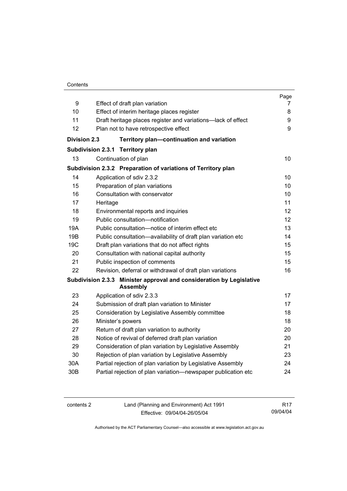#### Contents

|                     |                                                                                         | Page            |  |
|---------------------|-----------------------------------------------------------------------------------------|-----------------|--|
| 9                   | Effect of draft plan variation                                                          | 7<br>8          |  |
| 10                  | Effect of interim heritage places register                                              |                 |  |
| 11                  | Draft heritage places register and variations-lack of effect                            |                 |  |
| 12                  | Plan not to have retrospective effect                                                   | 9               |  |
| <b>Division 2.3</b> | Territory plan-continuation and variation                                               |                 |  |
|                     | <b>Subdivision 2.3.1</b><br><b>Territory plan</b>                                       |                 |  |
| 13                  | Continuation of plan                                                                    | 10              |  |
|                     | Subdivision 2.3.2 Preparation of variations of Territory plan                           |                 |  |
| 14                  | Application of sdiv 2.3.2                                                               | 10 <sup>1</sup> |  |
| 15                  | Preparation of plan variations                                                          | 10              |  |
| 16                  | Consultation with conservator                                                           | 10              |  |
| 17                  | Heritage                                                                                | 11              |  |
| 18                  | Environmental reports and inquiries                                                     | 12              |  |
| 19                  | Public consultation-notification                                                        | 12              |  |
| 19A                 | Public consultation-notice of interim effect etc                                        | 13              |  |
| 19B                 | Public consultation-availability of draft plan variation etc                            | 14              |  |
| 19 <sub>C</sub>     | Draft plan variations that do not affect rights                                         | 15              |  |
| 20                  | Consultation with national capital authority                                            | 15              |  |
| 21                  | Public inspection of comments                                                           | 15              |  |
| 22                  | Revision, deferral or withdrawal of draft plan variations                               | 16              |  |
|                     | Subdivision 2.3.3 Minister approval and consideration by Legislative<br><b>Assembly</b> |                 |  |
| 23                  | Application of sdiv 2.3.3                                                               | 17              |  |
| 24                  | Submission of draft plan variation to Minister                                          | 17              |  |
| 25                  | Consideration by Legislative Assembly committee                                         | 18              |  |
| 26                  | Minister's powers                                                                       | 18              |  |
| 27                  | Return of draft plan variation to authority                                             | 20              |  |
| 28                  | Notice of revival of deferred draft plan variation                                      | 20              |  |
| 29                  | Consideration of plan variation by Legislative Assembly                                 | 21              |  |
| 30                  | Rejection of plan variation by Legislative Assembly                                     | 23              |  |
| 30A                 | Partial rejection of plan variation by Legislative Assembly                             | 24              |  |
| 30 <sub>B</sub>     | Partial rejection of plan variation-newspaper publication etc                           | 24              |  |
|                     |                                                                                         |                 |  |

| contents 2 | Land (Planning and Environment) Act 1991 | R <sub>17</sub> |
|------------|------------------------------------------|-----------------|
|            | Effective: 09/04/04-26/05/04             | 09/04/04        |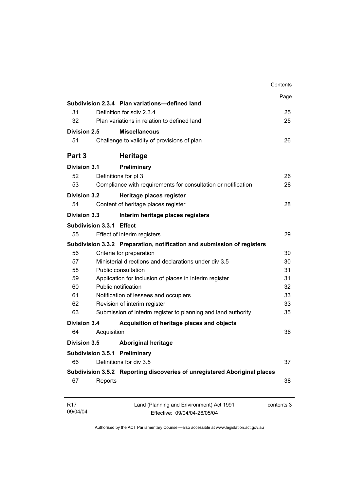| Division 2.5<br><b>Division 3.1</b> | Subdivision 2.3.4 Plan variations-defined land<br>Definition for sdiv 2.3.4<br>Plan variations in relation to defined land<br><b>Miscellaneous</b><br>Challenge to validity of provisions of plan<br><b>Heritage</b> | Page<br>25<br>25<br>26                                                                                                                                                                                                                                                                                                                                                                                                                                                                                                                                                                                                                                                                                                                                                                                                                                            |
|-------------------------------------|----------------------------------------------------------------------------------------------------------------------------------------------------------------------------------------------------------------------|-------------------------------------------------------------------------------------------------------------------------------------------------------------------------------------------------------------------------------------------------------------------------------------------------------------------------------------------------------------------------------------------------------------------------------------------------------------------------------------------------------------------------------------------------------------------------------------------------------------------------------------------------------------------------------------------------------------------------------------------------------------------------------------------------------------------------------------------------------------------|
|                                     |                                                                                                                                                                                                                      |                                                                                                                                                                                                                                                                                                                                                                                                                                                                                                                                                                                                                                                                                                                                                                                                                                                                   |
|                                     |                                                                                                                                                                                                                      |                                                                                                                                                                                                                                                                                                                                                                                                                                                                                                                                                                                                                                                                                                                                                                                                                                                                   |
|                                     |                                                                                                                                                                                                                      |                                                                                                                                                                                                                                                                                                                                                                                                                                                                                                                                                                                                                                                                                                                                                                                                                                                                   |
|                                     |                                                                                                                                                                                                                      |                                                                                                                                                                                                                                                                                                                                                                                                                                                                                                                                                                                                                                                                                                                                                                                                                                                                   |
|                                     |                                                                                                                                                                                                                      |                                                                                                                                                                                                                                                                                                                                                                                                                                                                                                                                                                                                                                                                                                                                                                                                                                                                   |
|                                     |                                                                                                                                                                                                                      |                                                                                                                                                                                                                                                                                                                                                                                                                                                                                                                                                                                                                                                                                                                                                                                                                                                                   |
|                                     |                                                                                                                                                                                                                      |                                                                                                                                                                                                                                                                                                                                                                                                                                                                                                                                                                                                                                                                                                                                                                                                                                                                   |
|                                     |                                                                                                                                                                                                                      |                                                                                                                                                                                                                                                                                                                                                                                                                                                                                                                                                                                                                                                                                                                                                                                                                                                                   |
|                                     |                                                                                                                                                                                                                      | 26                                                                                                                                                                                                                                                                                                                                                                                                                                                                                                                                                                                                                                                                                                                                                                                                                                                                |
|                                     |                                                                                                                                                                                                                      | 28                                                                                                                                                                                                                                                                                                                                                                                                                                                                                                                                                                                                                                                                                                                                                                                                                                                                |
| <b>Division 3.2</b>                 | Heritage places register                                                                                                                                                                                             |                                                                                                                                                                                                                                                                                                                                                                                                                                                                                                                                                                                                                                                                                                                                                                                                                                                                   |
|                                     |                                                                                                                                                                                                                      | 28                                                                                                                                                                                                                                                                                                                                                                                                                                                                                                                                                                                                                                                                                                                                                                                                                                                                |
| Division 3.3                        | Interim heritage places registers                                                                                                                                                                                    |                                                                                                                                                                                                                                                                                                                                                                                                                                                                                                                                                                                                                                                                                                                                                                                                                                                                   |
|                                     |                                                                                                                                                                                                                      |                                                                                                                                                                                                                                                                                                                                                                                                                                                                                                                                                                                                                                                                                                                                                                                                                                                                   |
|                                     |                                                                                                                                                                                                                      | 29                                                                                                                                                                                                                                                                                                                                                                                                                                                                                                                                                                                                                                                                                                                                                                                                                                                                |
|                                     |                                                                                                                                                                                                                      |                                                                                                                                                                                                                                                                                                                                                                                                                                                                                                                                                                                                                                                                                                                                                                                                                                                                   |
|                                     |                                                                                                                                                                                                                      | 30                                                                                                                                                                                                                                                                                                                                                                                                                                                                                                                                                                                                                                                                                                                                                                                                                                                                |
|                                     |                                                                                                                                                                                                                      | 30                                                                                                                                                                                                                                                                                                                                                                                                                                                                                                                                                                                                                                                                                                                                                                                                                                                                |
|                                     |                                                                                                                                                                                                                      | 31                                                                                                                                                                                                                                                                                                                                                                                                                                                                                                                                                                                                                                                                                                                                                                                                                                                                |
|                                     |                                                                                                                                                                                                                      | 31                                                                                                                                                                                                                                                                                                                                                                                                                                                                                                                                                                                                                                                                                                                                                                                                                                                                |
|                                     |                                                                                                                                                                                                                      | 32                                                                                                                                                                                                                                                                                                                                                                                                                                                                                                                                                                                                                                                                                                                                                                                                                                                                |
|                                     |                                                                                                                                                                                                                      | 33                                                                                                                                                                                                                                                                                                                                                                                                                                                                                                                                                                                                                                                                                                                                                                                                                                                                |
|                                     |                                                                                                                                                                                                                      | 33                                                                                                                                                                                                                                                                                                                                                                                                                                                                                                                                                                                                                                                                                                                                                                                                                                                                |
|                                     |                                                                                                                                                                                                                      | 35                                                                                                                                                                                                                                                                                                                                                                                                                                                                                                                                                                                                                                                                                                                                                                                                                                                                |
| Division 3.4                        | Acquisition of heritage places and objects                                                                                                                                                                           |                                                                                                                                                                                                                                                                                                                                                                                                                                                                                                                                                                                                                                                                                                                                                                                                                                                                   |
|                                     |                                                                                                                                                                                                                      | 36                                                                                                                                                                                                                                                                                                                                                                                                                                                                                                                                                                                                                                                                                                                                                                                                                                                                |
| <b>Division 3.5</b>                 |                                                                                                                                                                                                                      |                                                                                                                                                                                                                                                                                                                                                                                                                                                                                                                                                                                                                                                                                                                                                                                                                                                                   |
|                                     |                                                                                                                                                                                                                      |                                                                                                                                                                                                                                                                                                                                                                                                                                                                                                                                                                                                                                                                                                                                                                                                                                                                   |
|                                     |                                                                                                                                                                                                                      | 37                                                                                                                                                                                                                                                                                                                                                                                                                                                                                                                                                                                                                                                                                                                                                                                                                                                                |
|                                     |                                                                                                                                                                                                                      |                                                                                                                                                                                                                                                                                                                                                                                                                                                                                                                                                                                                                                                                                                                                                                                                                                                                   |
|                                     |                                                                                                                                                                                                                      | 38                                                                                                                                                                                                                                                                                                                                                                                                                                                                                                                                                                                                                                                                                                                                                                                                                                                                |
|                                     | Land (Planning and Environment) Act 1991                                                                                                                                                                             | contents 3                                                                                                                                                                                                                                                                                                                                                                                                                                                                                                                                                                                                                                                                                                                                                                                                                                                        |
|                                     |                                                                                                                                                                                                                      | Preliminary<br>Definitions for pt 3<br>Compliance with requirements for consultation or notification<br>Content of heritage places register<br>Subdivision 3.3.1 Effect<br>Effect of interim registers<br>Subdivision 3.3.2 Preparation, notification and submission of registers<br>Criteria for preparation<br>Ministerial directions and declarations under div 3.5<br>Public consultation<br>Application for inclusion of places in interim register<br>Public notification<br>Notification of lessees and occupiers<br>Revision of interim register<br>Submission of interim register to planning and land authority<br>Acquisition<br><b>Aboriginal heritage</b><br><b>Subdivision 3.5.1 Preliminary</b><br>Definitions for div 3.5<br>Subdivision 3.5.2 Reporting discoveries of unregistered Aboriginal places<br>Reports<br>Effective: 09/04/04-26/05/04 |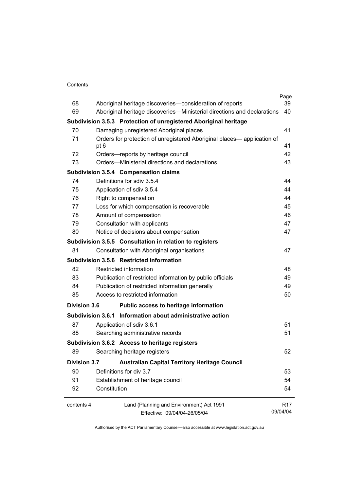#### **Contents**

|                     |                                        |                                                                         | Page       |
|---------------------|----------------------------------------|-------------------------------------------------------------------------|------------|
| 68                  |                                        | Aboriginal heritage discoveries-consideration of reports                | 39         |
| 69                  |                                        | Aboriginal heritage discoveries—Ministerial directions and declarations | 40         |
|                     |                                        | Subdivision 3.5.3 Protection of unregistered Aboriginal heritage        |            |
| 70                  |                                        | Damaging unregistered Aboriginal places                                 | 41         |
| 71                  | pt 6                                   | Orders for protection of unregistered Aboriginal places— application of | 41         |
| 72                  |                                        | Orders-reports by heritage council                                      | 42         |
| 73                  |                                        | Orders—Ministerial directions and declarations                          | 43         |
|                     |                                        | Subdivision 3.5.4 Compensation claims                                   |            |
| 74                  |                                        | Definitions for sdiv 3.5.4                                              | 44         |
| 75                  |                                        | Application of sdiv 3.5.4                                               | 44         |
| 76                  |                                        | Right to compensation                                                   | 44         |
| 77                  |                                        | Loss for which compensation is recoverable                              | 45         |
| 78                  |                                        | Amount of compensation                                                  | 46         |
| 79                  |                                        | Consultation with applicants                                            | 47         |
| 80                  |                                        | Notice of decisions about compensation                                  | 47         |
|                     |                                        | Subdivision 3.5.5 Consultation in relation to registers                 |            |
| 81                  |                                        | Consultation with Aboriginal organisations                              | 47         |
|                     |                                        | Subdivision 3.5.6 Restricted information                                |            |
| 82                  |                                        | Restricted information                                                  | 48         |
| 83                  |                                        | Publication of restricted information by public officials               | 49         |
| 84                  |                                        | Publication of restricted information generally                         | 49         |
| 85                  | Access to restricted information<br>50 |                                                                         |            |
| <b>Division 3.6</b> |                                        | Public access to heritage information                                   |            |
|                     |                                        | Subdivision 3.6.1 Information about administrative action               |            |
| 87                  |                                        | Application of sdiv 3.6.1                                               | 51         |
| 88                  |                                        | Searching administrative records                                        | 51         |
|                     |                                        | Subdivision 3.6.2 Access to heritage registers                          |            |
| 89                  |                                        | Searching heritage registers                                            | 52         |
| <b>Division 3.7</b> |                                        | <b>Australian Capital Territory Heritage Council</b>                    |            |
| 90                  |                                        | Definitions for div 3.7                                                 | 53         |
| 91                  |                                        | Establishment of heritage council                                       | 54         |
| 92                  | Constitution                           |                                                                         | 54         |
| contents 4          |                                        | Land (Planning and Environment) Act 1991                                | <b>R17</b> |
|                     |                                        | Effective: 09/04/04-26/05/04                                            | 09/04/04   |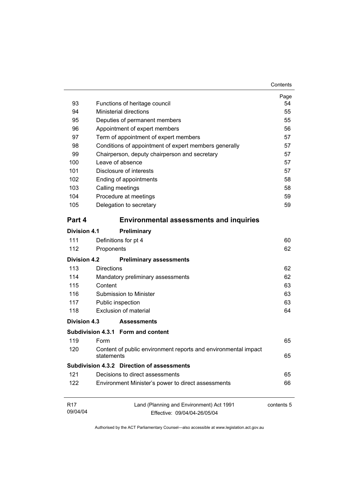| 93                          |                                       | Functions of heritage council                                            | Page<br>54 |  |
|-----------------------------|---------------------------------------|--------------------------------------------------------------------------|------------|--|
| 94                          |                                       | <b>Ministerial directions</b>                                            | 55         |  |
| 95                          | Deputies of permanent members         |                                                                          |            |  |
| 96                          | Appointment of expert members         |                                                                          |            |  |
| 97                          | Term of appointment of expert members |                                                                          |            |  |
| 98                          |                                       | Conditions of appointment of expert members generally                    | 57         |  |
| 99                          |                                       | Chairperson, deputy chairperson and secretary                            | 57         |  |
| 100                         |                                       | Leave of absence                                                         | 57         |  |
| 101                         | Disclosure of interests               |                                                                          |            |  |
| 102                         | Ending of appointments                |                                                                          |            |  |
| 103                         |                                       | Calling meetings                                                         | 58         |  |
| 104                         |                                       | Procedure at meetings                                                    | 59         |  |
| 105                         |                                       | Delegation to secretary                                                  | 59         |  |
| Part 4                      |                                       | <b>Environmental assessments and inquiries</b>                           |            |  |
| Division 4.1                |                                       | Preliminary                                                              |            |  |
| 111                         |                                       | Definitions for pt 4                                                     | 60         |  |
| 112                         | Proponents                            |                                                                          | 62         |  |
| <b>Division 4.2</b>         |                                       | <b>Preliminary assessments</b>                                           |            |  |
| 113                         | <b>Directions</b>                     |                                                                          | 62         |  |
| 114                         |                                       | Mandatory preliminary assessments                                        | 62         |  |
| 115                         | Content                               |                                                                          |            |  |
| 116                         | Submission to Minister                |                                                                          |            |  |
| 117                         |                                       | Public inspection                                                        | 63         |  |
| 118                         |                                       | Exclusion of material                                                    | 64         |  |
| Division 4.3                |                                       | <b>Assessments</b>                                                       |            |  |
|                             |                                       | Subdivision 4.3.1 Form and content                                       |            |  |
| 119                         | Form                                  |                                                                          | 65         |  |
| 120                         | statements                            | Content of public environment reports and environmental impact           | 65         |  |
|                             |                                       | Subdivision 4.3.2 Direction of assessments                               |            |  |
| 121                         |                                       | Decisions to direct assessments                                          | 65         |  |
| 122                         |                                       | Environment Minister's power to direct assessments                       | 66         |  |
| R <sub>17</sub><br>09/04/04 |                                       | Land (Planning and Environment) Act 1991<br>Effective: 09/04/04-26/05/04 | contents 5 |  |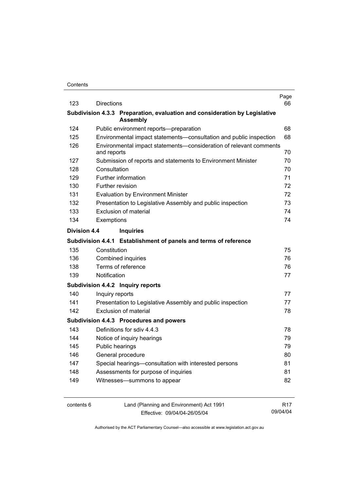| 123          | <b>Directions</b>   |                                                                            | Page<br>66 |
|--------------|---------------------|----------------------------------------------------------------------------|------------|
|              |                     | Subdivision 4.3.3 Preparation, evaluation and consideration by Legislative |            |
|              |                     | <b>Assembly</b>                                                            |            |
| 124          |                     | Public environment reports-preparation                                     | 68         |
| 125          |                     | Environmental impact statements-consultation and public inspection         | 68         |
| 126          | and reports         | Environmental impact statements-consideration of relevant comments         | 70         |
| 127          |                     | Submission of reports and statements to Environment Minister               | 70         |
| 128          | Consultation        |                                                                            |            |
| 129          | Further information |                                                                            |            |
| 130          |                     | Further revision                                                           | 72         |
| 131          |                     | <b>Evaluation by Environment Minister</b>                                  | 72         |
| 132          |                     | Presentation to Legislative Assembly and public inspection                 | 73         |
| 133          |                     | Exclusion of material                                                      | 74         |
| 134          | Exemptions          |                                                                            | 74         |
| Division 4.4 |                     | <b>Inquiries</b>                                                           |            |
|              |                     | Subdivision 4.4.1 Establishment of panels and terms of reference           |            |
| 135          | Constitution        |                                                                            | 75         |
| 136          |                     | Combined inquiries                                                         | 76         |
| 138          |                     | Terms of reference                                                         | 76         |
| 139          | Notification        |                                                                            | 77         |
|              |                     | Subdivision 4.4.2 Inquiry reports                                          |            |
| 140          | Inquiry reports     |                                                                            | 77         |
| 141          |                     | Presentation to Legislative Assembly and public inspection                 | 77         |
| 142          |                     | Exclusion of material                                                      | 78         |
|              |                     | Subdivision 4.4.3 Procedures and powers                                    |            |
| 143          |                     | Definitions for sdiv 4.4.3                                                 | 78         |
| 144          |                     | Notice of inquiry hearings                                                 | 79         |
| 145          | Public hearings     |                                                                            | 79         |
| 146          |                     | General procedure                                                          | 80         |
| 147          |                     | Special hearings-consultation with interested persons                      | 81         |
| 148          |                     | Assessments for purpose of inquiries                                       | 81         |
| 149          |                     | Witnesses-summons to appear                                                | 82         |
|              |                     |                                                                            |            |
|              |                     |                                                                            |            |

contents 6 Land (Planning and Environment) Act 1991 Effective: 09/04/04-26/05/04

R17 09/04/04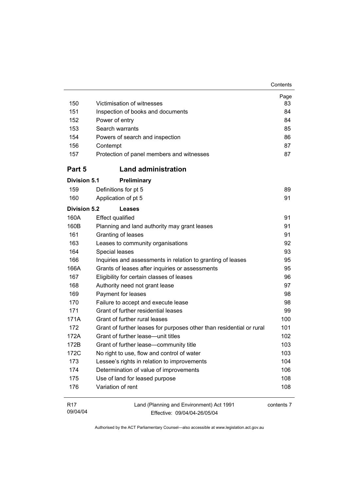| 150                         | Victimisation of witnesses                                               | Page<br>83 |  |
|-----------------------------|--------------------------------------------------------------------------|------------|--|
| 151                         | Inspection of books and documents                                        |            |  |
| 152                         | Power of entry                                                           |            |  |
| 153                         | Search warrants                                                          |            |  |
| 154                         | Powers of search and inspection                                          |            |  |
| 156                         | Contempt                                                                 | 86<br>87   |  |
| 157                         | Protection of panel members and witnesses                                | 87         |  |
| Part 5                      | <b>Land administration</b>                                               |            |  |
| <b>Division 5.1</b>         | <b>Preliminary</b>                                                       |            |  |
| 159                         | Definitions for pt 5                                                     | 89         |  |
| 160                         | Application of pt 5                                                      | 91         |  |
| <b>Division 5.2</b>         | Leases                                                                   |            |  |
| 160A                        | <b>Effect qualified</b>                                                  | 91         |  |
| 160B                        | Planning and land authority may grant leases                             | 91         |  |
| 161                         | Granting of leases                                                       | 91         |  |
| 163                         | Leases to community organisations                                        | 92         |  |
| 164                         | Special leases                                                           | 93         |  |
| 166                         | Inquiries and assessments in relation to granting of leases              | 95         |  |
| 166A                        | Grants of leases after inquiries or assessments                          | 95         |  |
| 167                         | Eligibility for certain classes of leases                                | 96         |  |
| 168                         | Authority need not grant lease                                           | 97         |  |
| 169                         | Payment for leases                                                       | 98         |  |
| 170                         | Failure to accept and execute lease                                      | 98         |  |
| 171                         | Grant of further residential leases                                      | 99         |  |
| 171A                        | Grant of further rural leases                                            | 100        |  |
| 172                         | Grant of further leases for purposes other than residential or rural     | 101        |  |
| 172A                        | Grant of further lease-unit titles                                       | 102        |  |
| 172B                        | Grant of further lease-community title                                   | 103        |  |
| 172C                        | No right to use, flow and control of water                               | 103        |  |
| 173                         | Lessee's rights in relation to improvements                              | 104        |  |
| 174                         | Determination of value of improvements                                   | 106        |  |
| 175                         | Use of land for leased purpose                                           | 108        |  |
| 176                         | Variation of rent                                                        | 108        |  |
| R <sub>17</sub><br>09/04/04 | Land (Planning and Environment) Act 1991<br>Fffective: 09/04/04-26/05/04 | contents 7 |  |

Effective: 09/04/04-26/05/04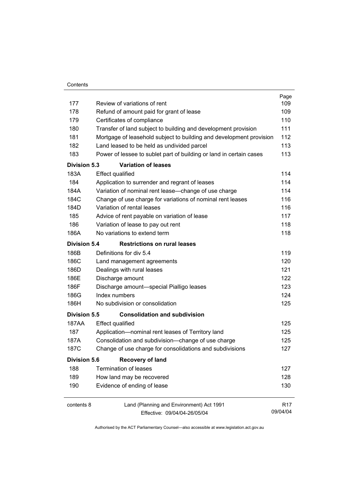| Contents |
|----------|
|          |

|                     |                                                                     | Page            |
|---------------------|---------------------------------------------------------------------|-----------------|
| 177                 | Review of variations of rent                                        | 109             |
| 178                 | Refund of amount paid for grant of lease                            | 109             |
| 179                 | Certificates of compliance                                          | 110             |
| 180                 | Transfer of land subject to building and development provision      | 111             |
| 181                 | Mortgage of leasehold subject to building and development provision | 112             |
| 182                 | Land leased to be held as undivided parcel                          | 113             |
| 183                 | Power of lessee to sublet part of building or land in certain cases | 113             |
| <b>Division 5.3</b> | <b>Variation of leases</b>                                          |                 |
| 183A                | <b>Effect qualified</b>                                             | 114             |
| 184                 | Application to surrender and regrant of leases                      | 114             |
| 184A                | Variation of nominal rent lease-change of use charge                | 114             |
| 184C                | Change of use charge for variations of nominal rent leases          | 116             |
| 184D                | Variation of rental leases                                          | 116             |
| 185                 | Advice of rent payable on variation of lease                        | 117             |
| 186                 | Variation of lease to pay out rent                                  | 118             |
| 186A                | No variations to extend term                                        | 118             |
| <b>Division 5.4</b> | <b>Restrictions on rural leases</b>                                 |                 |
| 186B                | Definitions for div 5.4                                             | 119             |
| 186C                | Land management agreements                                          | 120             |
| 186D                | Dealings with rural leases                                          | 121             |
| 186E                | Discharge amount                                                    | 122             |
| 186F                | Discharge amount-special Pialligo leases                            | 123             |
| 186G                | Index numbers                                                       | 124             |
| 186H                | No subdivision or consolidation                                     | 125             |
| Division 5.5        | <b>Consolidation and subdivision</b>                                |                 |
| 187AA               | <b>Effect qualified</b>                                             | 125             |
| 187                 | Application-nominal rent leases of Territory land                   | 125             |
| 187A                | Consolidation and subdivision--change of use charge                 | 125             |
| 187C                | Change of use charge for consolidations and subdivisions            | 127             |
| <b>Division 5.6</b> | <b>Recovery of land</b>                                             |                 |
| 188                 | <b>Termination of leases</b>                                        | 127             |
| 189                 | How land may be recovered                                           | 128             |
| 190                 | Evidence of ending of lease                                         | 130             |
| contents 8          | Land (Planning and Environment) Act 1991                            | R <sub>17</sub> |
|                     | Effective: 09/04/04-26/05/04                                        | 09/04/04        |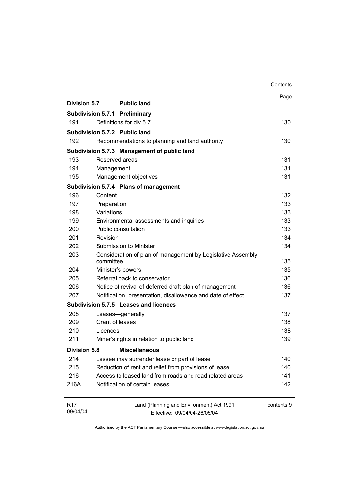|                             |                                                                          | Contents   |
|-----------------------------|--------------------------------------------------------------------------|------------|
|                             |                                                                          | Page       |
| Division 5.7                | <b>Public land</b>                                                       |            |
|                             | <b>Subdivision 5.7.1 Preliminary</b>                                     |            |
| 191                         | Definitions for div 5.7                                                  | 130        |
|                             | Subdivision 5.7.2 Public land                                            |            |
| 192                         | Recommendations to planning and land authority                           | 130        |
|                             | Subdivision 5.7.3 Management of public land                              |            |
| 193                         | Reserved areas                                                           | 131        |
| 194                         | Management                                                               | 131        |
| 195                         | Management objectives                                                    | 131        |
|                             | Subdivision 5.7.4 Plans of management                                    |            |
| 196                         | Content                                                                  | 132        |
| 197                         | Preparation                                                              | 133        |
| 198                         | Variations                                                               | 133        |
| 199                         | Environmental assessments and inquiries                                  | 133        |
| 200                         | Public consultation                                                      | 133        |
| 201                         | Revision                                                                 | 134        |
| 202                         | Submission to Minister                                                   | 134        |
| 203                         | Consideration of plan of management by Legislative Assembly<br>committee | 135        |
| 204                         | Minister's powers                                                        | 135        |
| 205                         | Referral back to conservator                                             | 136        |
| 206                         | Notice of revival of deferred draft plan of management                   | 136        |
| 207                         | Notification, presentation, disallowance and date of effect              | 137        |
|                             | Subdivision 5.7.5 Leases and licences                                    |            |
| 208                         | Leases-generally                                                         | 137        |
| 209                         | Grant of leases                                                          | 138        |
| 210                         | Licences                                                                 | 138        |
| 211                         | Miner's rights in relation to public land                                | 139        |
| <b>Division 5.8</b>         | <b>Miscellaneous</b>                                                     |            |
| 214                         | Lessee may surrender lease or part of lease                              | 140        |
| 215                         | Reduction of rent and relief from provisions of lease                    | 140        |
| 216                         | Access to leased land from roads and road related areas                  | 141        |
| 216A                        | Notification of certain leases                                           | 142        |
| R <sub>17</sub><br>09/04/04 | Land (Planning and Environment) Act 1991<br>Effective: 09/04/04-26/05/04 | contents 9 |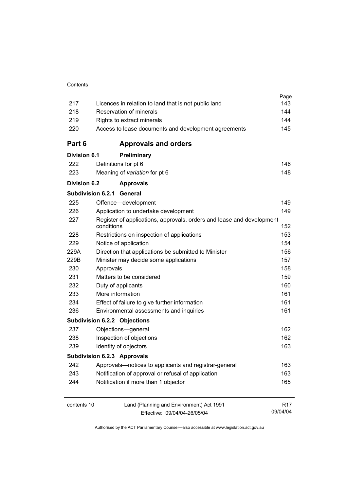|                     |                                                      |                                                                       | Page            |
|---------------------|------------------------------------------------------|-----------------------------------------------------------------------|-----------------|
| 217                 | Licences in relation to land that is not public land |                                                                       |                 |
| 218                 | Reservation of minerals                              |                                                                       | 144             |
| 219                 | Rights to extract minerals                           |                                                                       | 144             |
| 220                 |                                                      | Access to lease documents and development agreements                  | 145             |
| Part 6              |                                                      | <b>Approvals and orders</b>                                           |                 |
| <b>Division 6.1</b> |                                                      | Preliminary                                                           |                 |
| 222                 |                                                      | Definitions for pt 6                                                  | 146             |
| 223                 |                                                      | Meaning of variation for pt 6                                         | 148             |
| <b>Division 6.2</b> |                                                      | <b>Approvals</b>                                                      |                 |
|                     | <b>Subdivision 6.2.1 General</b>                     |                                                                       |                 |
| 225                 |                                                      | Offence-development                                                   | 149             |
| 226                 |                                                      | Application to undertake development                                  | 149             |
| 227                 | conditions                                           | Register of applications, approvals, orders and lease and development | 152             |
| 228                 |                                                      | Restrictions on inspection of applications                            | 153             |
| 229                 |                                                      | Notice of application                                                 | 154             |
| 229A                |                                                      | Direction that applications be submitted to Minister                  | 156             |
| 229B                |                                                      | Minister may decide some applications                                 | 157             |
| 230                 | Approvals                                            |                                                                       | 158             |
| 231                 |                                                      | Matters to be considered                                              | 159             |
| 232                 |                                                      | Duty of applicants                                                    | 160             |
| 233                 |                                                      | More information                                                      | 161             |
| 234                 |                                                      | Effect of failure to give further information                         | 161             |
| 236                 |                                                      | Environmental assessments and inquiries                               | 161             |
|                     |                                                      | <b>Subdivision 6.2.2 Objections</b>                                   |                 |
| 237                 |                                                      | Objections-general                                                    | 162             |
| 238                 |                                                      | Inspection of objections                                              | 162             |
| 239                 |                                                      | Identity of objectors                                                 | 163             |
|                     |                                                      | <b>Subdivision 6.2.3 Approvals</b>                                    |                 |
| 242                 |                                                      | Approvals-notices to applicants and registrar-general                 | 163             |
| 243                 |                                                      | Notification of approval or refusal of application                    | 163             |
| 244                 |                                                      | Notification if more than 1 objector                                  | 165             |
| contents 10         |                                                      | Land (Planning and Environment) Act 1991                              | R <sub>17</sub> |
|                     |                                                      | Effective: 09/04/04-26/05/04                                          | 09/04/04        |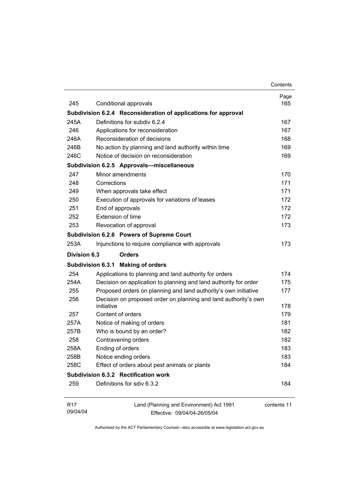|                     |                                                                  | Contents    |
|---------------------|------------------------------------------------------------------|-------------|
|                     |                                                                  | Page        |
| 245                 | Conditional approvals                                            | 165         |
|                     | Subdivision 6.2.4 Reconsideration of applications for approval   |             |
| 245A                | Definitions for subdiv 6.2.4                                     | 167         |
| 246                 | Applications for reconsideration                                 | 167         |
| 246A                | Reconsideration of decisions                                     | 168         |
| 246B                | No action by planning and land authority within time             | 169         |
| 246C                | Notice of decision on reconsideration                            | 169         |
|                     | Subdivision 6.2.5 Approvals-miscellaneous                        |             |
| 247                 | Minor amendments                                                 | 170         |
| 248                 | Corrections                                                      | 171         |
| 249                 | When approvals take effect                                       | 171         |
| 250                 | Execution of approvals for variations of leases                  | 172         |
| 251                 | End of approvals                                                 | 172         |
| 252                 | Extension of time                                                | 172         |
| 253                 | Revocation of approval                                           | 173         |
|                     | Subdivision 6.2.6 Powers of Supreme Court                        |             |
| 253A                | Injunctions to require compliance with approvals                 | 173         |
| <b>Division 6.3</b> | <b>Orders</b>                                                    |             |
|                     | Subdivision 6.3.1 Making of orders                               |             |
| 254                 | Applications to planning and land authority for orders           | 174         |
| 254A                | Decision on application to planning and land authority for order | 175         |
| 255                 | Proposed orders on planning and land authority's own initiative  | 177         |
| 256                 | Decision on proposed order on planning and land authority's own  |             |
|                     | initiative                                                       | 178         |
| 257                 | Content of orders                                                | 179         |
| 257A                | Notice of making of orders                                       | 181         |
| 257B                | Who is bound by an order?                                        | 182         |
| 258                 | Contravening orders                                              | 182         |
| 258A                | Ending of orders                                                 | 183         |
| 258B                | Notice ending orders                                             | 183         |
| 258C                | Effect of orders about pest animals or plants                    | 184         |
|                     | Subdivision 6.3.2 Rectification work                             |             |
| 259                 | Definitions for sdiv 6.3.2                                       | 184         |
| R <sub>17</sub>     | Land (Planning and Environment) Act 1991                         | contents 11 |
| 09/04/04            | Effective: 09/04/04-26/05/04                                     |             |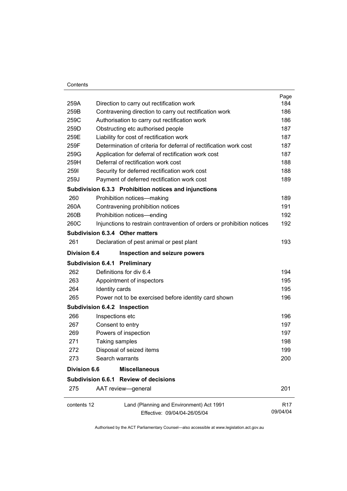#### **Contents**

|                     |                                                                        | Page            |
|---------------------|------------------------------------------------------------------------|-----------------|
| 259A                | Direction to carry out rectification work                              | 184             |
| 259B                | Contravening direction to carry out rectification work                 | 186             |
| 259C                | Authorisation to carry out rectification work                          | 186             |
| 259D                | Obstructing etc authorised people                                      | 187             |
| 259E                | Liability for cost of rectification work                               | 187             |
| 259F                | Determination of criteria for deferral of rectification work cost      | 187             |
| 259G                | Application for deferral of rectification work cost                    | 187             |
| 259H                | Deferral of rectification work cost                                    | 188             |
| 2591                | Security for deferred rectification work cost                          | 188             |
| 259J                | Payment of deferred rectification work cost                            | 189             |
|                     | Subdivision 6.3.3 Prohibition notices and injunctions                  |                 |
| 260                 | Prohibition notices-making                                             | 189             |
| 260A                | Contravening prohibition notices                                       | 191             |
| 260B                | Prohibition notices-ending                                             | 192             |
| 260C                | Injunctions to restrain contravention of orders or prohibition notices | 192             |
|                     | Subdivision 6.3.4 Other matters                                        |                 |
| 261                 | Declaration of pest animal or pest plant                               | 193             |
| <b>Division 6.4</b> | Inspection and seizure powers                                          |                 |
|                     | <b>Subdivision 6.4.1 Preliminary</b>                                   |                 |
| 262                 | Definitions for div 6.4                                                | 194             |
| 263                 | Appointment of inspectors                                              | 195             |
| 264                 | Identity cards                                                         | 195             |
| 265                 | Power not to be exercised before identity card shown                   | 196             |
|                     | Subdivision 6.4.2 Inspection                                           |                 |
| 266                 | Inspections etc                                                        | 196             |
| 267                 | Consent to entry                                                       | 197             |
| 269                 | Powers of inspection                                                   | 197             |
| 271                 | Taking samples                                                         | 198             |
| 272                 | Disposal of seized items                                               | 199             |
| 273                 | Search warrants                                                        | 200             |
| <b>Division 6.6</b> | <b>Miscellaneous</b>                                                   |                 |
|                     | Subdivision 6.6.1 Review of decisions                                  |                 |
| 275                 | AAT review-general                                                     | 201             |
| contents 12         | Land (Planning and Environment) Act 1991                               | R <sub>17</sub> |
|                     | Effective: 09/04/04-26/05/04                                           | 09/04/04        |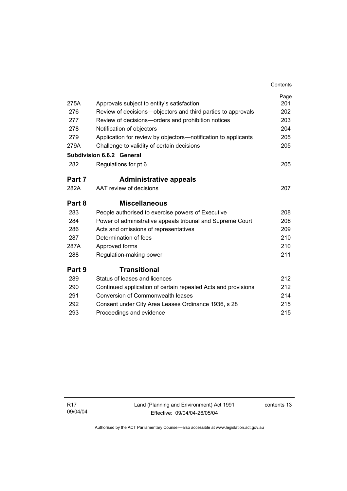|        |                                                                | Contents |
|--------|----------------------------------------------------------------|----------|
|        |                                                                | Page     |
| 275A   | Approvals subject to entity's satisfaction                     | 201      |
| 276    | Review of decisions—objectors and third parties to approvals   | 202      |
| 277    | Review of decisions-orders and prohibition notices             | 203      |
| 278    | Notification of objectors                                      | 204      |
| 279    | Application for review by objectors—notification to applicants | 205      |
| 279A   | Challenge to validity of certain decisions                     | 205      |
|        | <b>Subdivision 6.6.2 General</b>                               |          |
| 282    | Regulations for pt 6                                           | 205      |
| Part 7 | <b>Administrative appeals</b>                                  |          |
| 282A   | AAT review of decisions                                        | 207      |
| Part 8 | <b>Miscellaneous</b>                                           |          |
| 283    | People authorised to exercise powers of Executive              | 208      |
| 284    | Power of administrative appeals tribunal and Supreme Court     | 208      |
| 286    | Acts and omissions of representatives                          | 209      |
| 287    | Determination of fees                                          | 210      |
| 287A   | Approved forms                                                 | 210      |
| 288    | Regulation-making power                                        | 211      |
| Part 9 | <b>Transitional</b>                                            |          |
| 289    | Status of leases and licences                                  | 212      |
| 290    | Continued application of certain repealed Acts and provisions  | 212      |
| 291    | Conversion of Commonwealth leases                              | 214      |
| 292    | Consent under City Area Leases Ordinance 1936, s 28            | 215      |
| 293    | Proceedings and evidence                                       | 215      |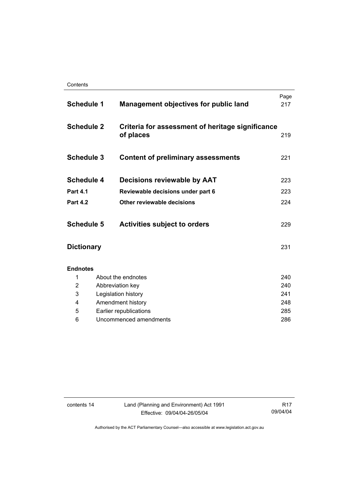| <b>Schedule 1</b> | <b>Management objectives for public land</b>                  | Page<br>217 |
|-------------------|---------------------------------------------------------------|-------------|
| <b>Schedule 2</b> | Criteria for assessment of heritage significance<br>of places | 219         |
| <b>Schedule 3</b> | <b>Content of preliminary assessments</b>                     | 221         |
| <b>Schedule 4</b> | Decisions reviewable by AAT                                   | 223         |
| <b>Part 4.1</b>   | Reviewable decisions under part 6                             | 223         |
| <b>Part 4.2</b>   | Other reviewable decisions                                    | 224         |
| <b>Schedule 5</b> | <b>Activities subject to orders</b>                           | 229         |
| <b>Dictionary</b> |                                                               | 231         |
| <b>Endnotes</b>   |                                                               |             |
| 1                 | About the endnotes                                            | 240         |
| 2                 | Abbreviation key                                              | 240         |
| 3                 | Legislation history                                           | 241         |
| 4                 | Amendment history                                             | 248         |
| 5                 | Earlier republications                                        | 285         |
| 6                 | Uncommenced amendments                                        | 286         |

contents 14 Land (Planning and Environment) Act 1991 Effective: 09/04/04-26/05/04

R17 09/04/04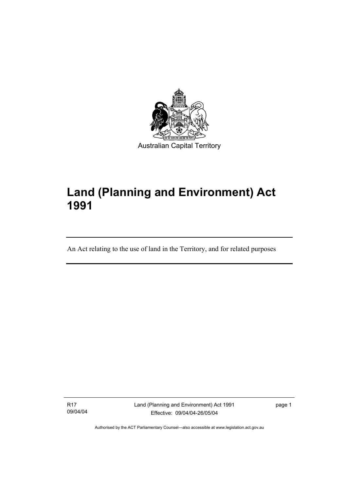

# **Land (Planning and Environment) Act 1991**

An Act relating to the use of land in the Territory, and for related purposes

R17 09/04/04

I

Land (Planning and Environment) Act 1991 Effective: 09/04/04-26/05/04

page 1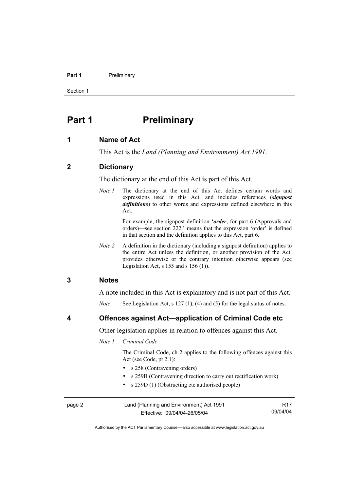#### **Part 1** Preliminary

Section 1

## **Part 1** Preliminary

#### **1 Name of Act**

This Act is the *Land (Planning and Environment) Act 1991*.

#### **2 Dictionary**

The dictionary at the end of this Act is part of this Act.

*Note 1* The dictionary at the end of this Act defines certain words and expressions used in this Act, and includes references (*signpost definitions*) to other words and expressions defined elsewhere in this Act.

> For example, the signpost definition '*order*, for part 6 (Approvals and orders)—see section 222.' means that the expression 'order' is defined in that section and the definition applies to this Act, part 6.

*Note 2* A definition in the dictionary (including a signpost definition) applies to the entire Act unless the definition, or another provision of the Act, provides otherwise or the contrary intention otherwise appears (see Legislation Act, s  $155$  and s  $156$  (1)).

#### **3 Notes**

A note included in this Act is explanatory and is not part of this Act.

*Note* See Legislation Act, s 127 (1), (4) and (5) for the legal status of notes.

**4 Offences against Act—application of Criminal Code etc** 

Other legislation applies in relation to offences against this Act.

*Note 1 Criminal Code* 

 The Criminal Code, ch 2 applies to the following offences against this Act (see Code, pt 2.1):

- s 258 (Contravening orders)
- s 259B (Contravening direction to carry out rectification work)
- s 259D (1) (Obstructing etc authorised people)

| page 2 | Land (Planning and Environment) Act 1991 | R17      |
|--------|------------------------------------------|----------|
|        | Effective: 09/04/04-26/05/04             | 09/04/04 |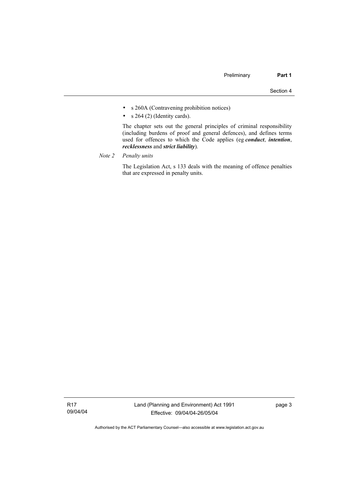- s 260A (Contravening prohibition notices)
- $s$  264 (2) (Identity cards).

 The chapter sets out the general principles of criminal responsibility (including burdens of proof and general defences), and defines terms used for offences to which the Code applies (eg *conduct*, *intention*, *recklessness* and *strict liability*).

*Note 2 Penalty units*

 The Legislation Act, s 133 deals with the meaning of offence penalties that are expressed in penalty units.

R17 09/04/04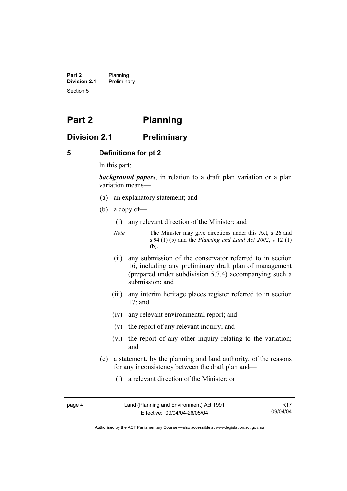**Part 2** Planning<br>**Division 2.1** Prelimina **Division 2.1** Preliminary Section 5

# **Part 2 Planning**

#### **Division 2.1 Preliminary**

#### **5 Definitions for pt 2**

In this part:

*background papers*, in relation to a draft plan variation or a plan variation means—

- (a) an explanatory statement; and
- (b) a copy of—
	- (i) any relevant direction of the Minister; and
	- *Note* The Minister may give directions under this Act, s 26 and s 94 (1) (b) and the *Planning and Land Act 2002*, s 12 (1) (b).
	- (ii) any submission of the conservator referred to in section 16, including any preliminary draft plan of management (prepared under subdivision 5.7.4) accompanying such a submission; and
	- (iii) any interim heritage places register referred to in section 17; and
	- (iv) any relevant environmental report; and
	- (v) the report of any relevant inquiry; and
	- (vi) the report of any other inquiry relating to the variation; and
- (c) a statement, by the planning and land authority, of the reasons for any inconsistency between the draft plan and—
	- (i) a relevant direction of the Minister; or

page 4 Land (Planning and Environment) Act 1991 Effective: 09/04/04-26/05/04

R17 09/04/04

Authorised by the ACT Parliamentary Counsel—also accessible at www.legislation.act.gov.au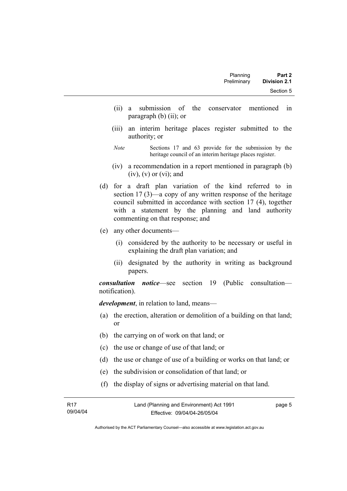| Planning    | Part 2              |  |
|-------------|---------------------|--|
| Preliminary | <b>Division 2.1</b> |  |
|             | Section 5           |  |

- (ii) a submission of the conservator mentioned in paragraph (b) (ii); or
- (iii) an interim heritage places register submitted to the authority; or
- *Note* Sections 17 and 63 provide for the submission by the heritage council of an interim heritage places register.
- (iv) a recommendation in a report mentioned in paragraph (b)  $(iv)$ ,  $(v)$  or  $(vi)$ ; and
- (d) for a draft plan variation of the kind referred to in section 17 (3)—a copy of any written response of the heritage council submitted in accordance with section 17 (4), together with a statement by the planning and land authority commenting on that response; and
- (e) any other documents—
	- (i) considered by the authority to be necessary or useful in explaining the draft plan variation; and
	- (ii) designated by the authority in writing as background papers.

*consultation notice*—see section 19 (Public consultation notification).

*development*, in relation to land, means—

- (a) the erection, alteration or demolition of a building on that land; or
- (b) the carrying on of work on that land; or
- (c) the use or change of use of that land; or
- (d) the use or change of use of a building or works on that land; or
- (e) the subdivision or consolidation of that land; or
- (f) the display of signs or advertising material on that land.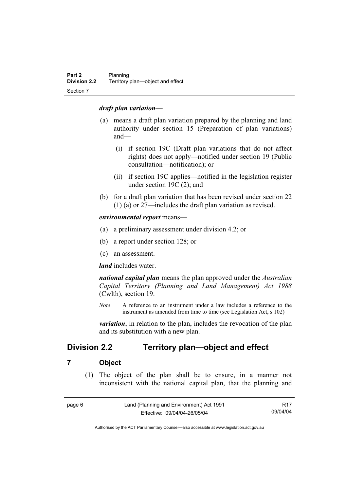#### *draft plan variation*—

- (a) means a draft plan variation prepared by the planning and land authority under section 15 (Preparation of plan variations) and—
	- (i) if section 19C (Draft plan variations that do not affect rights) does not apply—notified under section 19 (Public consultation—notification); or
	- (ii) if section 19C applies—notified in the legislation register under section 19C (2); and
- (b) for a draft plan variation that has been revised under section 22 (1) (a) or 27—includes the draft plan variation as revised.

*environmental report* means—

- (a) a preliminary assessment under division 4.2; or
- (b) a report under section 128; or
- (c) an assessment.

*land* includes water.

*national capital plan* means the plan approved under the *Australian Capital Territory (Planning and Land Management) Act 1988* (Cwlth), section 19.

*Note* A reference to an instrument under a law includes a reference to the instrument as amended from time to time (see Legislation Act, s 102)

*variation*, in relation to the plan, includes the revocation of the plan and its substitution with a new plan.

## **Division 2.2 Territory plan—object and effect**

#### **7 Object**

 (1) The object of the plan shall be to ensure, in a manner not inconsistent with the national capital plan, that the planning and

| page 6 | Land (Planning and Environment) Act 1991 | R17      |
|--------|------------------------------------------|----------|
|        | Effective: 09/04/04-26/05/04             | 09/04/04 |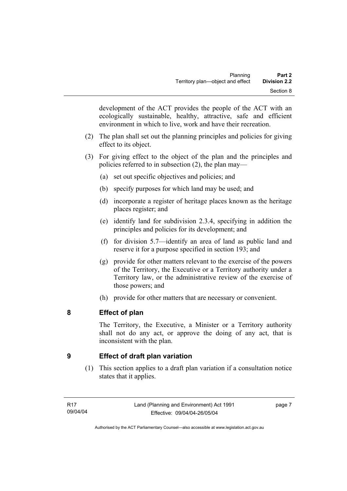development of the ACT provides the people of the ACT with an ecologically sustainable, healthy, attractive, safe and efficient environment in which to live, work and have their recreation.

- (2) The plan shall set out the planning principles and policies for giving effect to its object.
- (3) For giving effect to the object of the plan and the principles and policies referred to in subsection (2), the plan may—
	- (a) set out specific objectives and policies; and
	- (b) specify purposes for which land may be used; and
	- (d) incorporate a register of heritage places known as the heritage places register; and
	- (e) identify land for subdivision 2.3.4, specifying in addition the principles and policies for its development; and
	- (f) for division 5.7—identify an area of land as public land and reserve it for a purpose specified in section 193; and
	- (g) provide for other matters relevant to the exercise of the powers of the Territory, the Executive or a Territory authority under a Territory law, or the administrative review of the exercise of those powers; and
	- (h) provide for other matters that are necessary or convenient.

## **8 Effect of plan**

The Territory, the Executive, a Minister or a Territory authority shall not do any act, or approve the doing of any act, that is inconsistent with the plan.

## **9 Effect of draft plan variation**

 (1) This section applies to a draft plan variation if a consultation notice states that it applies.

page 7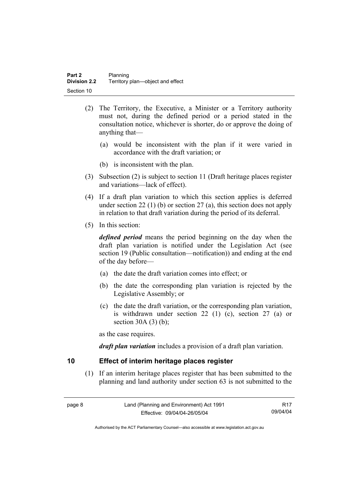- (2) The Territory, the Executive, a Minister or a Territory authority must not, during the defined period or a period stated in the consultation notice, whichever is shorter, do or approve the doing of anything that—
	- (a) would be inconsistent with the plan if it were varied in accordance with the draft variation; or
	- (b) is inconsistent with the plan.
- (3) Subsection (2) is subject to section 11 (Draft heritage places register and variations—lack of effect).
- (4) If a draft plan variation to which this section applies is deferred under section 22 (1) (b) or section 27 (a), this section does not apply in relation to that draft variation during the period of its deferral.
- (5) In this section:

*defined period* means the period beginning on the day when the draft plan variation is notified under the Legislation Act (see section 19 (Public consultation—notification)) and ending at the end of the day before—

- (a) the date the draft variation comes into effect; or
- (b) the date the corresponding plan variation is rejected by the Legislative Assembly; or
- (c) the date the draft variation, or the corresponding plan variation, is withdrawn under section 22 (1) (c), section 27 (a) or section  $30A(3)(b)$ ;

as the case requires.

*draft plan variation* includes a provision of a draft plan variation.

#### **10 Effect of interim heritage places register**

 (1) If an interim heritage places register that has been submitted to the planning and land authority under section 63 is not submitted to the

| page 8 | Land (Planning and Environment) Act 1991 | R <sub>17</sub> |
|--------|------------------------------------------|-----------------|
|        | Effective: 09/04/04-26/05/04             | 09/04/04        |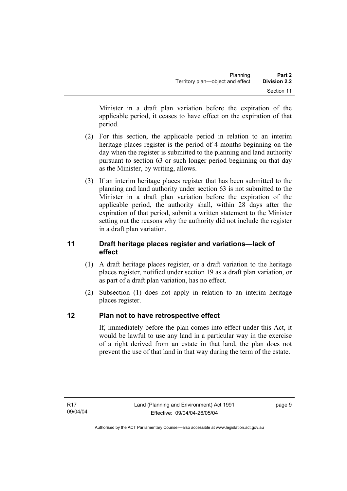Minister in a draft plan variation before the expiration of the applicable period, it ceases to have effect on the expiration of that period.

- (2) For this section, the applicable period in relation to an interim heritage places register is the period of 4 months beginning on the day when the register is submitted to the planning and land authority pursuant to section 63 or such longer period beginning on that day as the Minister, by writing, allows.
- (3) If an interim heritage places register that has been submitted to the planning and land authority under section 63 is not submitted to the Minister in a draft plan variation before the expiration of the applicable period, the authority shall, within 28 days after the expiration of that period, submit a written statement to the Minister setting out the reasons why the authority did not include the register in a draft plan variation.

## **11 Draft heritage places register and variations—lack of effect**

- (1) A draft heritage places register, or a draft variation to the heritage places register, notified under section 19 as a draft plan variation, or as part of a draft plan variation, has no effect.
- (2) Subsection (1) does not apply in relation to an interim heritage places register.

## **12 Plan not to have retrospective effect**

If, immediately before the plan comes into effect under this Act, it would be lawful to use any land in a particular way in the exercise of a right derived from an estate in that land, the plan does not prevent the use of that land in that way during the term of the estate.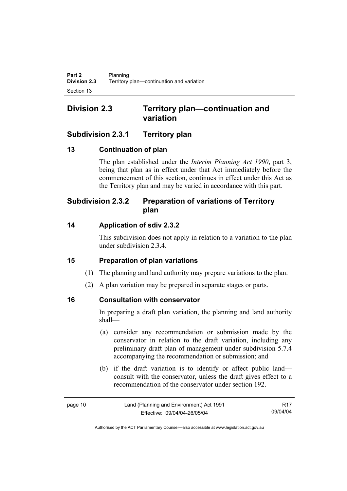## **Division 2.3 Territory plan—continuation and variation**

## **Subdivision 2.3.1 Territory plan**

## **13 Continuation of plan**

The plan established under the *Interim Planning Act 1990*, part 3, being that plan as in effect under that Act immediately before the commencement of this section, continues in effect under this Act as the Territory plan and may be varied in accordance with this part.

## **Subdivision 2.3.2 Preparation of variations of Territory plan**

## **14 Application of sdiv 2.3.2**

This subdivision does not apply in relation to a variation to the plan under subdivision 2.3.4.

## **15 Preparation of plan variations**

- (1) The planning and land authority may prepare variations to the plan.
- (2) A plan variation may be prepared in separate stages or parts.

## **16 Consultation with conservator**

In preparing a draft plan variation, the planning and land authority shall—

- (a) consider any recommendation or submission made by the conservator in relation to the draft variation, including any preliminary draft plan of management under subdivision 5.7.4 accompanying the recommendation or submission; and
- (b) if the draft variation is to identify or affect public land consult with the conservator, unless the draft gives effect to a recommendation of the conservator under section 192.

| page 10 | Land (Planning and Environment) Act 1991 | R <sub>17</sub> |
|---------|------------------------------------------|-----------------|
|         | Effective: 09/04/04-26/05/04             | 09/04/04        |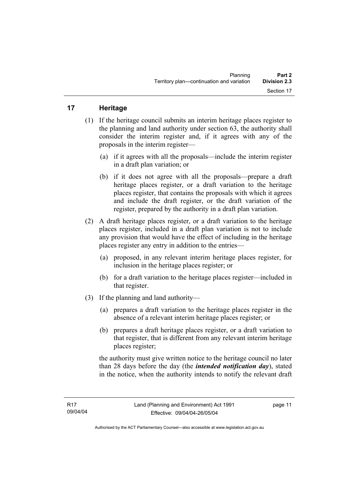## **17 Heritage**

- (1) If the heritage council submits an interim heritage places register to the planning and land authority under section 63, the authority shall consider the interim register and, if it agrees with any of the proposals in the interim register—
	- (a) if it agrees with all the proposals—include the interim register in a draft plan variation; or
	- (b) if it does not agree with all the proposals—prepare a draft heritage places register, or a draft variation to the heritage places register, that contains the proposals with which it agrees and include the draft register, or the draft variation of the register, prepared by the authority in a draft plan variation.
- (2) A draft heritage places register, or a draft variation to the heritage places register, included in a draft plan variation is not to include any provision that would have the effect of including in the heritage places register any entry in addition to the entries—
	- (a) proposed, in any relevant interim heritage places register, for inclusion in the heritage places register; or
	- (b) for a draft variation to the heritage places register—included in that register.
- (3) If the planning and land authority—
	- (a) prepares a draft variation to the heritage places register in the absence of a relevant interim heritage places register; or
	- (b) prepares a draft heritage places register, or a draft variation to that register, that is different from any relevant interim heritage places register;

the authority must give written notice to the heritage council no later than 28 days before the day (the *intended notification day*), stated in the notice, when the authority intends to notify the relevant draft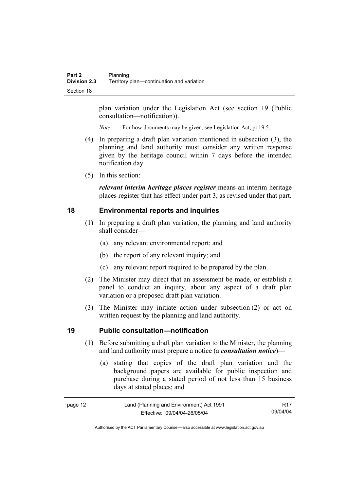plan variation under the Legislation Act (see section 19 (Public consultation—notification)).

*Note* For how documents may be given, see Legislation Act, pt 19.5.

- (4) In preparing a draft plan variation mentioned in subsection (3), the planning and land authority must consider any written response given by the heritage council within 7 days before the intended notification day.
- (5) In this section:

*relevant interim heritage places register* means an interim heritage places register that has effect under part 3, as revised under that part.

#### **18 Environmental reports and inquiries**

- (1) In preparing a draft plan variation, the planning and land authority shall consider—
	- (a) any relevant environmental report; and
	- (b) the report of any relevant inquiry; and
	- (c) any relevant report required to be prepared by the plan.
- (2) The Minister may direct that an assessment be made, or establish a panel to conduct an inquiry, about any aspect of a draft plan variation or a proposed draft plan variation.
- (3) The Minister may initiate action under subsection (2) or act on written request by the planning and land authority.

#### **19 Public consultation—notification**

- (1) Before submitting a draft plan variation to the Minister, the planning and land authority must prepare a notice (a *consultation notice*)—
	- (a) stating that copies of the draft plan variation and the background papers are available for public inspection and purchase during a stated period of not less than 15 business days at stated places; and

| page 12 | Land (Planning and Environment) Act 1991 | R17      |
|---------|------------------------------------------|----------|
|         | Effective: 09/04/04-26/05/04             | 09/04/04 |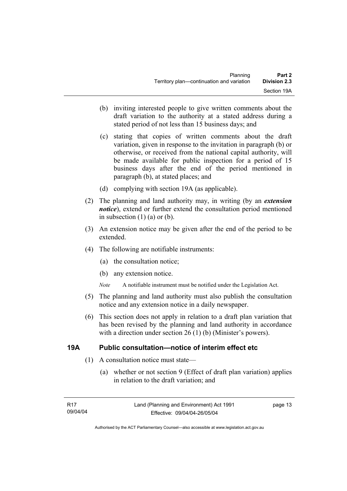- (b) inviting interested people to give written comments about the draft variation to the authority at a stated address during a stated period of not less than 15 business days; and
- (c) stating that copies of written comments about the draft variation, given in response to the invitation in paragraph (b) or otherwise, or received from the national capital authority, will be made available for public inspection for a period of 15 business days after the end of the period mentioned in paragraph (b), at stated places; and
- (d) complying with section 19A (as applicable).
- (2) The planning and land authority may, in writing (by an *extension notice*), extend or further extend the consultation period mentioned in subsection  $(1)$   $(a)$  or  $(b)$ .
- (3) An extension notice may be given after the end of the period to be extended.
- (4) The following are notifiable instruments:
	- (a) the consultation notice;
	- (b) any extension notice.
	- *Note* A notifiable instrument must be notified under the Legislation Act.
- (5) The planning and land authority must also publish the consultation notice and any extension notice in a daily newspaper.
- (6) This section does not apply in relation to a draft plan variation that has been revised by the planning and land authority in accordance with a direction under section 26 (1) (b) (Minister's powers).

#### **19A Public consultation—notice of interim effect etc**

- (1) A consultation notice must state—
	- (a) whether or not section 9 (Effect of draft plan variation) applies in relation to the draft variation; and

page 13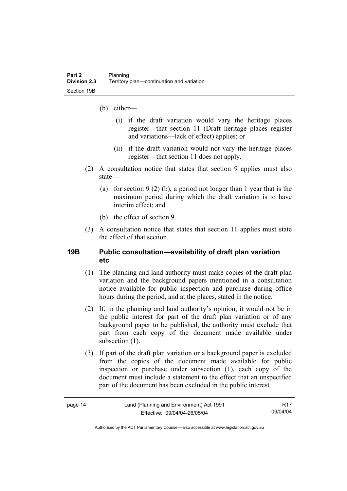- (b) either—
	- (i) if the draft variation would vary the heritage places register—that section 11 (Draft heritage places register and variations—lack of effect) applies; or
	- (ii) if the draft variation would not vary the heritage places register—that section 11 does not apply.
- (2) A consultation notice that states that section 9 applies must also state—
	- (a) for section 9 (2) (b), a period not longer than 1 year that is the maximum period during which the draft variation is to have interim effect; and
	- (b) the effect of section 9.
- (3) A consultation notice that states that section 11 applies must state the effect of that section.

#### **19B Public consultation—availability of draft plan variation etc**

- (1) The planning and land authority must make copies of the draft plan variation and the background papers mentioned in a consultation notice available for public inspection and purchase during office hours during the period, and at the places, stated in the notice.
- (2) If, in the planning and land authority's opinion, it would not be in the public interest for part of the draft plan variation or of any background paper to be published, the authority must exclude that part from each copy of the document made available under subsection  $(1)$ .
- (3) If part of the draft plan variation or a background paper is excluded from the copies of the document made available for public inspection or purchase under subsection (1), each copy of the document must include a statement to the effect that an unspecified part of the document has been excluded in the public interest.

| page 14 |  |
|---------|--|
|---------|--|

R17 09/04/04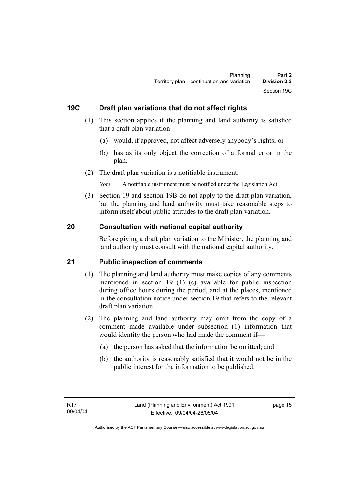#### **19C Draft plan variations that do not affect rights**

- (1) This section applies if the planning and land authority is satisfied that a draft plan variation—
	- (a) would, if approved, not affect adversely anybody's rights; or
	- (b) has as its only object the correction of a formal error in the plan.
- (2) The draft plan variation is a notifiable instrument.

*Note* A notifiable instrument must be notified under the Legislation Act.

 (3) Section 19 and section 19B do not apply to the draft plan variation, but the planning and land authority must take reasonable steps to inform itself about public attitudes to the draft plan variation.

#### **20 Consultation with national capital authority**

Before giving a draft plan variation to the Minister, the planning and land authority must consult with the national capital authority.

#### **21 Public inspection of comments**

- (1) The planning and land authority must make copies of any comments mentioned in section 19 (1) (c) available for public inspection during office hours during the period, and at the places, mentioned in the consultation notice under section 19 that refers to the relevant draft plan variation.
- (2) The planning and land authority may omit from the copy of a comment made available under subsection (1) information that would identify the person who had made the comment if—
	- (a) the person has asked that the information be omitted; and
	- (b) the authority is reasonably satisfied that it would not be in the public interest for the information to be published.

page 15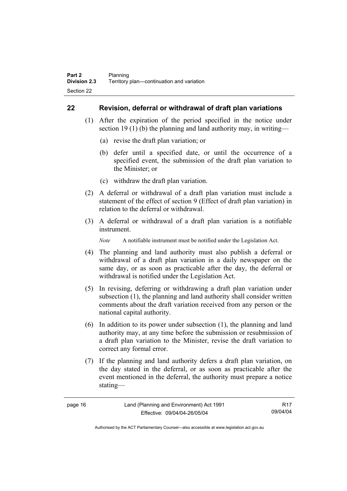#### **22 Revision, deferral or withdrawal of draft plan variations**

- (1) After the expiration of the period specified in the notice under section 19 (1) (b) the planning and land authority may, in writing—
	- (a) revise the draft plan variation; or
	- (b) defer until a specified date, or until the occurrence of a specified event, the submission of the draft plan variation to the Minister; or
	- (c) withdraw the draft plan variation.
- (2) A deferral or withdrawal of a draft plan variation must include a statement of the effect of section 9 (Effect of draft plan variation) in relation to the deferral or withdrawal.
- (3) A deferral or withdrawal of a draft plan variation is a notifiable instrument.

*Note* A notifiable instrument must be notified under the Legislation Act.

- (4) The planning and land authority must also publish a deferral or withdrawal of a draft plan variation in a daily newspaper on the same day, or as soon as practicable after the day, the deferral or withdrawal is notified under the Legislation Act.
- (5) In revising, deferring or withdrawing a draft plan variation under subsection (1), the planning and land authority shall consider written comments about the draft variation received from any person or the national capital authority.
- (6) In addition to its power under subsection (1), the planning and land authority may, at any time before the submission or resubmission of a draft plan variation to the Minister, revise the draft variation to correct any formal error.
- (7) If the planning and land authority defers a draft plan variation, on the day stated in the deferral, or as soon as practicable after the event mentioned in the deferral, the authority must prepare a notice stating—

| page 16 | Land (Planning and Environment) Act 1991 | R17      |
|---------|------------------------------------------|----------|
|         | Effective: 09/04/04-26/05/04             | 09/04/04 |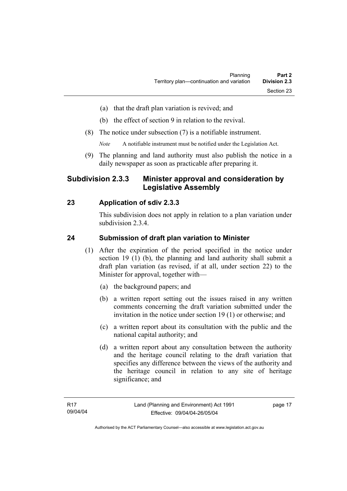- (a) that the draft plan variation is revived; and
- (b) the effect of section 9 in relation to the revival.
- (8) The notice under subsection (7) is a notifiable instrument.

*Note* A notifiable instrument must be notified under the Legislation Act.

(9) The planning and land authority must also publish the notice in a daily newspaper as soon as practicable after preparing it.

## **Subdivision 2.3.3 Minister approval and consideration by Legislative Assembly**

#### **23 Application of sdiv 2.3.3**

This subdivision does not apply in relation to a plan variation under subdivision 2.3.4.

#### **24 Submission of draft plan variation to Minister**

- (1) After the expiration of the period specified in the notice under section 19 (1) (b), the planning and land authority shall submit a draft plan variation (as revised, if at all, under section 22) to the Minister for approval, together with—
	- (a) the background papers; and
	- (b) a written report setting out the issues raised in any written comments concerning the draft variation submitted under the invitation in the notice under section 19 (1) or otherwise; and
	- (c) a written report about its consultation with the public and the national capital authority; and
	- (d) a written report about any consultation between the authority and the heritage council relating to the draft variation that specifies any difference between the views of the authority and the heritage council in relation to any site of heritage significance; and

page 17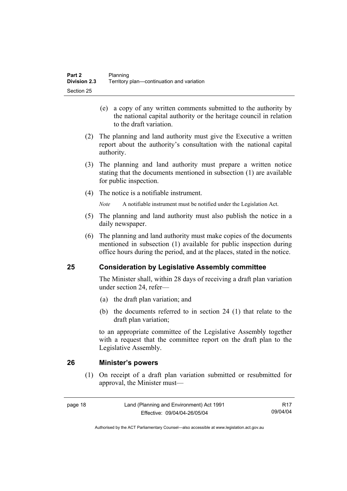- (e) a copy of any written comments submitted to the authority by the national capital authority or the heritage council in relation to the draft variation.
- (2) The planning and land authority must give the Executive a written report about the authority's consultation with the national capital authority.
- (3) The planning and land authority must prepare a written notice stating that the documents mentioned in subsection (1) are available for public inspection.
- (4) The notice is a notifiable instrument.

*Note* A notifiable instrument must be notified under the Legislation Act.

- (5) The planning and land authority must also publish the notice in a daily newspaper.
- (6) The planning and land authority must make copies of the documents mentioned in subsection (1) available for public inspection during office hours during the period, and at the places, stated in the notice.

#### **25 Consideration by Legislative Assembly committee**

The Minister shall, within 28 days of receiving a draft plan variation under section 24, refer—

- (a) the draft plan variation; and
- (b) the documents referred to in section 24 (1) that relate to the draft plan variation;

to an appropriate committee of the Legislative Assembly together with a request that the committee report on the draft plan to the Legislative Assembly.

#### **26 Minister's powers**

 (1) On receipt of a draft plan variation submitted or resubmitted for approval, the Minister must—

page 18 Land (Planning and Environment) Act 1991 Effective: 09/04/04-26/05/04

R17 09/04/04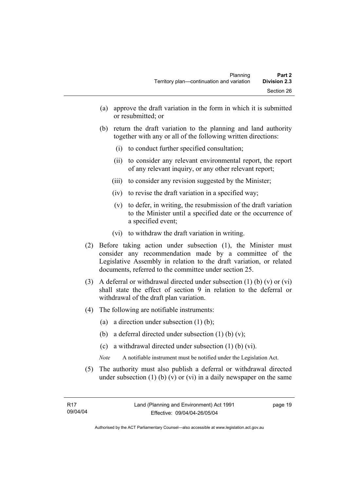- (a) approve the draft variation in the form in which it is submitted or resubmitted; or
- (b) return the draft variation to the planning and land authority together with any or all of the following written directions:
	- (i) to conduct further specified consultation;
	- (ii) to consider any relevant environmental report, the report of any relevant inquiry, or any other relevant report;
	- (iii) to consider any revision suggested by the Minister;
	- (iv) to revise the draft variation in a specified way;
	- (v) to defer, in writing, the resubmission of the draft variation to the Minister until a specified date or the occurrence of a specified event;
	- (vi) to withdraw the draft variation in writing.
- (2) Before taking action under subsection (1), the Minister must consider any recommendation made by a committee of the Legislative Assembly in relation to the draft variation, or related documents, referred to the committee under section 25.
- (3) A deferral or withdrawal directed under subsection (1) (b) (v) or (vi) shall state the effect of section 9 in relation to the deferral or withdrawal of the draft plan variation.
- (4) The following are notifiable instruments:
	- (a) a direction under subsection (1) (b);
	- (b) a deferral directed under subsection  $(1)$  (b)  $(v)$ ;
	- (c) a withdrawal directed under subsection (1) (b) (vi).
	- *Note* A notifiable instrument must be notified under the Legislation Act.
- (5) The authority must also publish a deferral or withdrawal directed under subsection  $(1)$  (b)  $(v)$  or  $(vi)$  in a daily newspaper on the same

page 19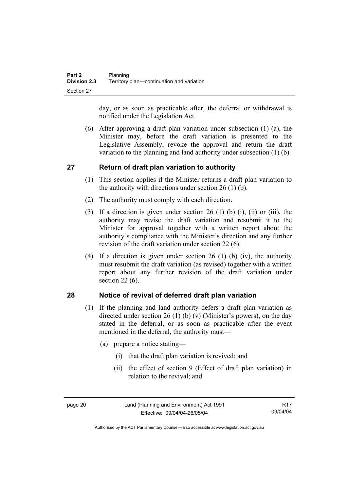day, or as soon as practicable after, the deferral or withdrawal is notified under the Legislation Act.

 (6) After approving a draft plan variation under subsection (1) (a), the Minister may, before the draft variation is presented to the Legislative Assembly, revoke the approval and return the draft variation to the planning and land authority under subsection (1) (b).

## **27 Return of draft plan variation to authority**

- (1) This section applies if the Minister returns a draft plan variation to the authority with directions under section  $26(1)(b)$ .
- (2) The authority must comply with each direction.
- (3) If a direction is given under section 26 (1) (b) (i), (ii) or (iii), the authority may revise the draft variation and resubmit it to the Minister for approval together with a written report about the authority's compliance with the Minister's direction and any further revision of the draft variation under section 22 (6).
- (4) If a direction is given under section 26 (1) (b) (iv), the authority must resubmit the draft variation (as revised) together with a written report about any further revision of the draft variation under section 22 (6).

#### **28 Notice of revival of deferred draft plan variation**

- (1) If the planning and land authority defers a draft plan variation as directed under section 26 (1) (b) (v) (Minister's powers), on the day stated in the deferral, or as soon as practicable after the event mentioned in the deferral, the authority must—
	- (a) prepare a notice stating—
		- (i) that the draft plan variation is revived; and
		- (ii) the effect of section 9 (Effect of draft plan variation) in relation to the revival; and

page 20 Land (Planning and Environment) Act 1991 Effective: 09/04/04-26/05/04

R17 09/04/04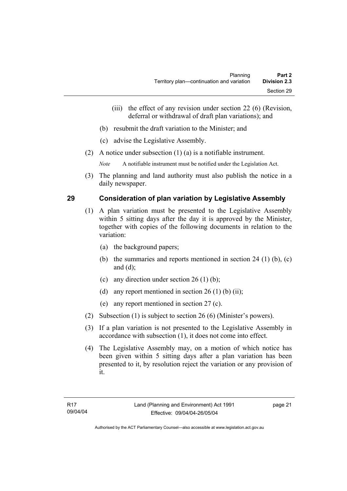- (iii) the effect of any revision under section 22 (6) (Revision, deferral or withdrawal of draft plan variations); and
- (b) resubmit the draft variation to the Minister; and
- (c) advise the Legislative Assembly.
- (2) A notice under subsection (1) (a) is a notifiable instrument.

*Note* A notifiable instrument must be notified under the Legislation Act.

(3) The planning and land authority must also publish the notice in a daily newspaper.

## **29 Consideration of plan variation by Legislative Assembly**

- (1) A plan variation must be presented to the Legislative Assembly within 5 sitting days after the day it is approved by the Minister, together with copies of the following documents in relation to the variation:
	- (a) the background papers;
	- (b) the summaries and reports mentioned in section 24 (1) (b), (c) and (d);
	- (c) any direction under section  $26 (1) (b)$ ;
	- (d) any report mentioned in section  $26(1)$  (b) (ii);
	- (e) any report mentioned in section 27 (c).
- (2) Subsection (1) is subject to section 26 (6) (Minister's powers).
- (3) If a plan variation is not presented to the Legislative Assembly in accordance with subsection (1), it does not come into effect.
- (4) The Legislative Assembly may, on a motion of which notice has been given within 5 sitting days after a plan variation has been presented to it, by resolution reject the variation or any provision of it.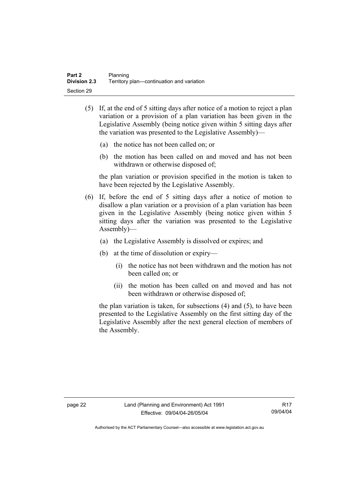- (5) If, at the end of 5 sitting days after notice of a motion to reject a plan variation or a provision of a plan variation has been given in the Legislative Assembly (being notice given within 5 sitting days after the variation was presented to the Legislative Assembly)—
	- (a) the notice has not been called on; or
	- (b) the motion has been called on and moved and has not been withdrawn or otherwise disposed of;

the plan variation or provision specified in the motion is taken to have been rejected by the Legislative Assembly.

- (6) If, before the end of 5 sitting days after a notice of motion to disallow a plan variation or a provision of a plan variation has been given in the Legislative Assembly (being notice given within 5 sitting days after the variation was presented to the Legislative Assembly)—
	- (a) the Legislative Assembly is dissolved or expires; and
	- (b) at the time of dissolution or expiry—
		- (i) the notice has not been withdrawn and the motion has not been called on; or
		- (ii) the motion has been called on and moved and has not been withdrawn or otherwise disposed of;

the plan variation is taken, for subsections (4) and (5), to have been presented to the Legislative Assembly on the first sitting day of the Legislative Assembly after the next general election of members of the Assembly.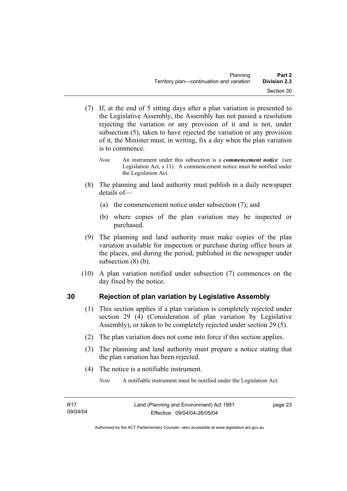- (7) If, at the end of 5 sitting days after a plan variation is presented to the Legislative Assembly, the Assembly has not passed a resolution rejecting the variation or any provision of it and is not, under subsection (5), taken to have rejected the variation or any provision of it, the Minister must, in writing, fix a day when the plan variation is to commence.
	- *Note* An instrument under this subsection is a *commencement notice* (see Legislation Act, s 11). A commencement notice must be notified under the Legislation Act.
- (8) The planning and land authority must publish in a daily newspaper details of—
	- (a) the commencement notice under subsection (7); and
	- (b) where copies of the plan variation may be inspected or purchased.
- (9) The planning and land authority must make copies of the plan variation available for inspection or purchase during office hours at the places, and during the period, published in the newspaper under subsection (8) (b).
- (10) A plan variation notified under subsection (7) commences on the day fixed by the notice.

# **30 Rejection of plan variation by Legislative Assembly**

- (1) This section applies if a plan variation is completely rejected under section 29 (4) (Consideration of plan variation by Legislative Assembly), or taken to be completely rejected under section 29 (5).
- (2) The plan variation does not come into force if this section applies.
- (3) The planning and land authority must prepare a notice stating that the plan variation has been rejected.
- (4) The notice is a notifiable instrument.

*Note* A notifiable instrument must be notified under the Legislation Act.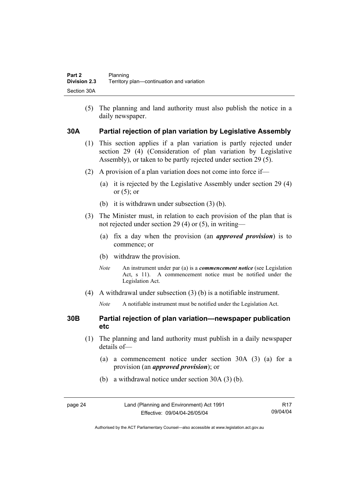(5) The planning and land authority must also publish the notice in a daily newspaper.

## **30A Partial rejection of plan variation by Legislative Assembly**

- (1) This section applies if a plan variation is partly rejected under section 29 (4) (Consideration of plan variation by Legislative Assembly), or taken to be partly rejected under section 29 (5).
- (2) A provision of a plan variation does not come into force if—
	- (a) it is rejected by the Legislative Assembly under section 29 (4) or  $(5)$ ; or
	- (b) it is withdrawn under subsection (3) (b).
- (3) The Minister must, in relation to each provision of the plan that is not rejected under section 29 (4) or (5), in writing—
	- (a) fix a day when the provision (an *approved provision*) is to commence; or
	- (b) withdraw the provision.
	- *Note* An instrument under par (a) is a *commencement notice* (see Legislation Act, s 11). A commencement notice must be notified under the Legislation Act.
- (4) A withdrawal under subsection (3) (b) is a notifiable instrument.
	- *Note* A notifiable instrument must be notified under the Legislation Act.

## **30B Partial rejection of plan variation—newspaper publication etc**

- (1) The planning and land authority must publish in a daily newspaper details of—
	- (a) a commencement notice under section 30A (3) (a) for a provision (an *approved provision*); or
	- (b) a withdrawal notice under section 30A (3) (b).

| page 24 | Land (Planning and Environment) Act 1991 | R17      |
|---------|------------------------------------------|----------|
|         | Effective: 09/04/04-26/05/04             | 09/04/04 |

Authorised by the ACT Parliamentary Counsel—also accessible at www.legislation.act.gov.au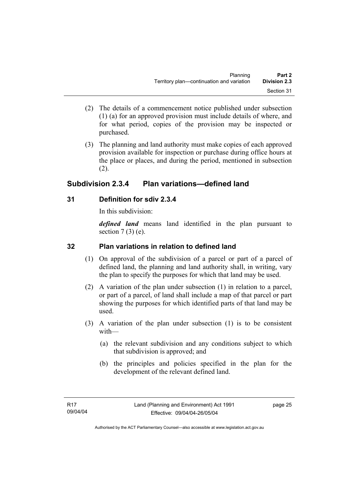- (2) The details of a commencement notice published under subsection (1) (a) for an approved provision must include details of where, and for what period, copies of the provision may be inspected or purchased.
- (3) The planning and land authority must make copies of each approved provision available for inspection or purchase during office hours at the place or places, and during the period, mentioned in subsection (2).

# **Subdivision 2.3.4 Plan variations—defined land**

# **31 Definition for sdiv 2.3.4**

In this subdivision:

*defined land* means land identified in the plan pursuant to section  $7(3)$  (e).

# **32 Plan variations in relation to defined land**

- (1) On approval of the subdivision of a parcel or part of a parcel of defined land, the planning and land authority shall, in writing, vary the plan to specify the purposes for which that land may be used.
- (2) A variation of the plan under subsection (1) in relation to a parcel, or part of a parcel, of land shall include a map of that parcel or part showing the purposes for which identified parts of that land may be used.
- (3) A variation of the plan under subsection (1) is to be consistent with—
	- (a) the relevant subdivision and any conditions subject to which that subdivision is approved; and
	- (b) the principles and policies specified in the plan for the development of the relevant defined land.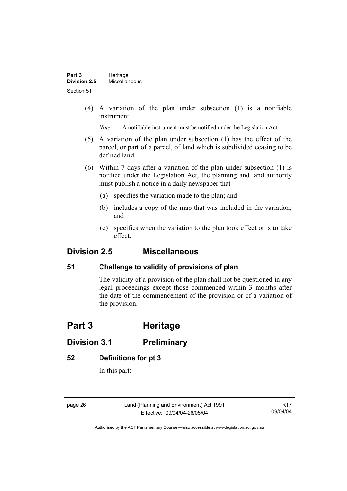(4) A variation of the plan under subsection (1) is a notifiable instrument.

*Note* A notifiable instrument must be notified under the Legislation Act.

- (5) A variation of the plan under subsection (1) has the effect of the parcel, or part of a parcel, of land which is subdivided ceasing to be defined land.
- (6) Within 7 days after a variation of the plan under subsection (1) is notified under the Legislation Act, the planning and land authority must publish a notice in a daily newspaper that—
	- (a) specifies the variation made to the plan; and
	- (b) includes a copy of the map that was included in the variation; and
	- (c) specifies when the variation to the plan took effect or is to take effect.

# **Division 2.5 Miscellaneous**

# **51 Challenge to validity of provisions of plan**

The validity of a provision of the plan shall not be questioned in any legal proceedings except those commenced within 3 months after the date of the commencement of the provision or of a variation of the provision.

# **Part 3 Heritage**

# **Division 3.1 Preliminary**

## **52 Definitions for pt 3**

In this part:

page 26 Land (Planning and Environment) Act 1991 Effective: 09/04/04-26/05/04

R17 09/04/04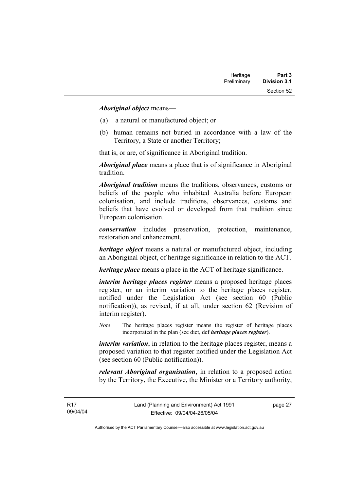#### *Aboriginal object* means—

- (a) a natural or manufactured object; or
- (b) human remains not buried in accordance with a law of the Territory, a State or another Territory;

that is, or are, of significance in Aboriginal tradition.

*Aboriginal place* means a place that is of significance in Aboriginal tradition.

*Aboriginal tradition* means the traditions, observances, customs or beliefs of the people who inhabited Australia before European colonisation, and include traditions, observances, customs and beliefs that have evolved or developed from that tradition since European colonisation.

*conservation* includes preservation, protection, maintenance, restoration and enhancement.

*heritage object* means a natural or manufactured object, including an Aboriginal object, of heritage significance in relation to the ACT.

*heritage place* means a place in the ACT of heritage significance.

*interim heritage places register* means a proposed heritage places register, or an interim variation to the heritage places register, notified under the Legislation Act (see section 60 (Public notification)), as revised, if at all, under section 62 (Revision of interim register).

*Note* The heritage places register means the register of heritage places incorporated in the plan (see dict, def *heritage places register*).

*interim variation*, in relation to the heritage places register, means a proposed variation to that register notified under the Legislation Act (see section 60 (Public notification)).

*relevant Aboriginal organisation*, in relation to a proposed action by the Territory, the Executive, the Minister or a Territory authority,

page 27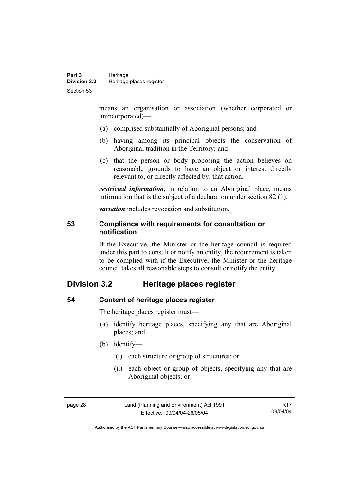means an organisation or association (whether corporated or unincorporated)—

- (a) comprised substantially of Aboriginal persons; and
- (b) having among its principal objects the conservation of Aboriginal tradition in the Territory; and
- (c) that the person or body proposing the action believes on reasonable grounds to have an object or interest directly relevant to, or directly affected by, that action.

*restricted information*, in relation to an Aboriginal place, means information that is the subject of a declaration under section 82 (1).

*variation* includes revocation and substitution.

#### **53 Compliance with requirements for consultation or notification**

If the Executive, the Minister or the heritage council is required under this part to consult or notify an entity, the requirement is taken to be complied with if the Executive, the Minister or the heritage council takes all reasonable steps to consult or notify the entity.

# **Division 3.2 Heritage places register**

### **54 Content of heritage places register**

The heritage places register must—

- (a) identify heritage places, specifying any that are Aboriginal places; and
- (b) identify—
	- (i) each structure or group of structures; or
	- (ii) each object or group of objects, specifying any that are Aboriginal objects; or

| $\sim$<br>-<br>× |
|------------------|
|------------------|

Land (Planning and Environment) Act 1991 Effective: 09/04/04-26/05/04

R17 09/04/04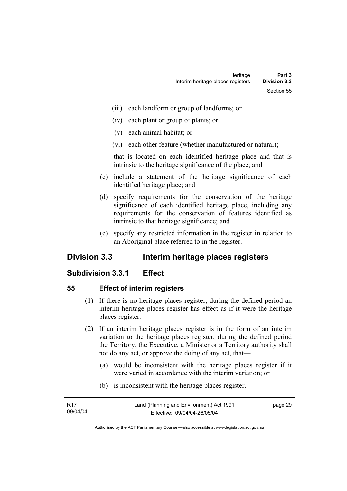- (iii) each landform or group of landforms; or
- (iv) each plant or group of plants; or
- (v) each animal habitat; or
- (vi) each other feature (whether manufactured or natural);

that is located on each identified heritage place and that is intrinsic to the heritage significance of the place; and

- (c) include a statement of the heritage significance of each identified heritage place; and
- (d) specify requirements for the conservation of the heritage significance of each identified heritage place, including any requirements for the conservation of features identified as intrinsic to that heritage significance; and
- (e) specify any restricted information in the register in relation to an Aboriginal place referred to in the register.

# **Division 3.3 Interim heritage places registers**

## **Subdivision 3.3.1 Effect**

#### **55 Effect of interim registers**

- (1) If there is no heritage places register, during the defined period an interim heritage places register has effect as if it were the heritage places register.
- (2) If an interim heritage places register is in the form of an interim variation to the heritage places register, during the defined period the Territory, the Executive, a Minister or a Territory authority shall not do any act, or approve the doing of any act, that—
	- (a) would be inconsistent with the heritage places register if it were varied in accordance with the interim variation; or
	- (b) is inconsistent with the heritage places register.

| R17      | Land (Planning and Environment) Act 1991 | page 29 |
|----------|------------------------------------------|---------|
| 09/04/04 | Effective: 09/04/04-26/05/04             |         |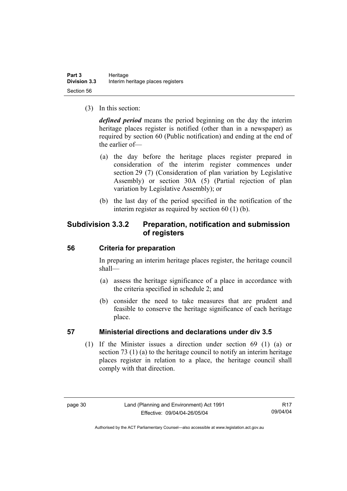(3) In this section:

*defined period* means the period beginning on the day the interim heritage places register is notified (other than in a newspaper) as required by section 60 (Public notification) and ending at the end of the earlier of—

- (a) the day before the heritage places register prepared in consideration of the interim register commences under section 29 (7) (Consideration of plan variation by Legislative Assembly) or section 30A (5) (Partial rejection of plan variation by Legislative Assembly); or
- (b) the last day of the period specified in the notification of the interim register as required by section 60 (1) (b).

# **Subdivision 3.3.2 Preparation, notification and submission of registers**

## **56 Criteria for preparation**

In preparing an interim heritage places register, the heritage council shall—

- (a) assess the heritage significance of a place in accordance with the criteria specified in schedule 2; and
- (b) consider the need to take measures that are prudent and feasible to conserve the heritage significance of each heritage place.

## **57 Ministerial directions and declarations under div 3.5**

 (1) If the Minister issues a direction under section 69 (1) (a) or section 73 (1) (a) to the heritage council to notify an interim heritage places register in relation to a place, the heritage council shall comply with that direction.

R17 09/04/04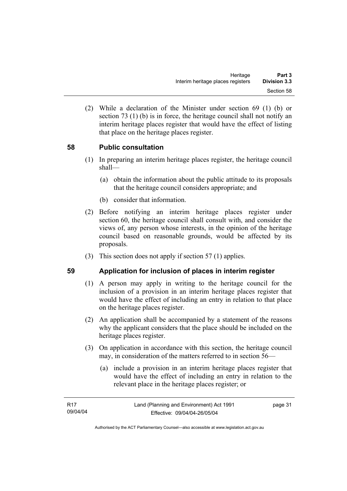(2) While a declaration of the Minister under section 69 (1) (b) or section 73 (1) (b) is in force, the heritage council shall not notify an interim heritage places register that would have the effect of listing that place on the heritage places register.

## **58 Public consultation**

- (1) In preparing an interim heritage places register, the heritage council shall—
	- (a) obtain the information about the public attitude to its proposals that the heritage council considers appropriate; and
	- (b) consider that information.
- (2) Before notifying an interim heritage places register under section 60, the heritage council shall consult with, and consider the views of, any person whose interests, in the opinion of the heritage council based on reasonable grounds, would be affected by its proposals.
- (3) This section does not apply if section 57 (1) applies.

#### **59 Application for inclusion of places in interim register**

- (1) A person may apply in writing to the heritage council for the inclusion of a provision in an interim heritage places register that would have the effect of including an entry in relation to that place on the heritage places register.
- (2) An application shall be accompanied by a statement of the reasons why the applicant considers that the place should be included on the heritage places register.
- (3) On application in accordance with this section, the heritage council may, in consideration of the matters referred to in section 56—
	- (a) include a provision in an interim heritage places register that would have the effect of including an entry in relation to the relevant place in the heritage places register; or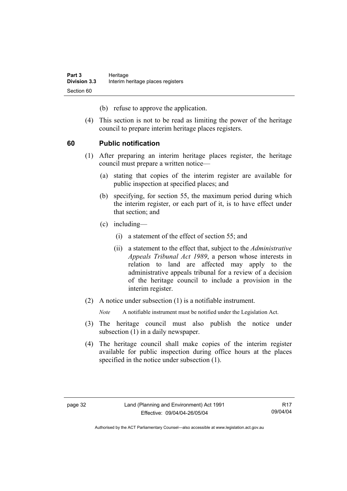(b) refuse to approve the application.

 (4) This section is not to be read as limiting the power of the heritage council to prepare interim heritage places registers.

## **60 Public notification**

- (1) After preparing an interim heritage places register, the heritage council must prepare a written notice—
	- (a) stating that copies of the interim register are available for public inspection at specified places; and
	- (b) specifying, for section 55, the maximum period during which the interim register, or each part of it, is to have effect under that section; and
	- (c) including—
		- (i) a statement of the effect of section 55; and
		- (ii) a statement to the effect that, subject to the *Administrative Appeals Tribunal Act 1989*, a person whose interests in relation to land are affected may apply to the administrative appeals tribunal for a review of a decision of the heritage council to include a provision in the interim register.
- (2) A notice under subsection (1) is a notifiable instrument.

*Note* A notifiable instrument must be notified under the Legislation Act.

- (3) The heritage council must also publish the notice under subsection (1) in a daily newspaper.
- (4) The heritage council shall make copies of the interim register available for public inspection during office hours at the places specified in the notice under subsection (1).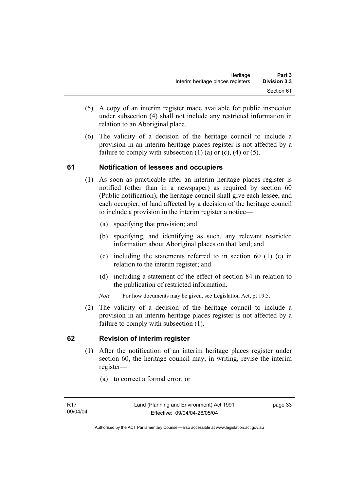- (5) A copy of an interim register made available for public inspection under subsection (4) shall not include any restricted information in relation to an Aboriginal place.
- (6) The validity of a decision of the heritage council to include a provision in an interim heritage places register is not affected by a failure to comply with subsection  $(1)$   $(a)$  or  $(c)$ ,  $(4)$  or  $(5)$ .

## **61 Notification of lessees and occupiers**

- (1) As soon as practicable after an interim heritage places register is notified (other than in a newspaper) as required by section 60 (Public notification), the heritage council shall give each lessee, and each occupier, of land affected by a decision of the heritage council to include a provision in the interim register a notice—
	- (a) specifying that provision; and
	- (b) specifying, and identifying as such, any relevant restricted information about Aboriginal places on that land; and
	- (c) including the statements referred to in section 60 (1) (c) in relation to the interim register; and
	- (d) including a statement of the effect of section 84 in relation to the publication of restricted information.
	- *Note* For how documents may be given, see Legislation Act, pt 19.5.
- (2) The validity of a decision of the heritage council to include a provision in an interim heritage places register is not affected by a failure to comply with subsection (1).

## **62 Revision of interim register**

- (1) After the notification of an interim heritage places register under section 60, the heritage council may, in writing, revise the interim register—
	- (a) to correct a formal error; or

page 33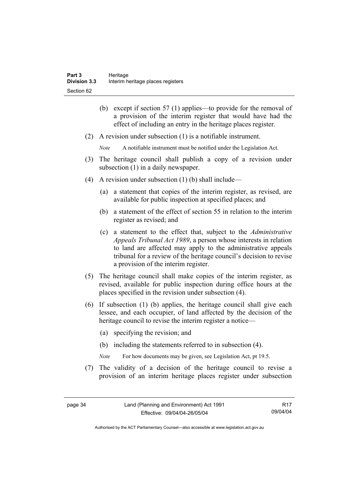- (b) except if section 57 (1) applies—to provide for the removal of a provision of the interim register that would have had the effect of including an entry in the heritage places register.
- (2) A revision under subsection (1) is a notifiable instrument.
	- *Note* A notifiable instrument must be notified under the Legislation Act.
- (3) The heritage council shall publish a copy of a revision under subsection  $(1)$  in a daily newspaper.
- (4) A revision under subsection (1) (b) shall include—
	- (a) a statement that copies of the interim register, as revised, are available for public inspection at specified places; and
	- (b) a statement of the effect of section 55 in relation to the interim register as revised; and
	- (c) a statement to the effect that, subject to the *Administrative Appeals Tribunal Act 1989*, a person whose interests in relation to land are affected may apply to the administrative appeals tribunal for a review of the heritage council's decision to revise a provision of the interim register.
- (5) The heritage council shall make copies of the interim register, as revised, available for public inspection during office hours at the places specified in the revision under subsection (4).
- (6) If subsection (1) (b) applies, the heritage council shall give each lessee, and each occupier, of land affected by the decision of the heritage council to revise the interim register a notice—
	- (a) specifying the revision; and
	- (b) including the statements referred to in subsection (4).
	- *Note* For how documents may be given, see Legislation Act, pt 19.5.
- (7) The validity of a decision of the heritage council to revise a provision of an interim heritage places register under subsection

R17 09/04/04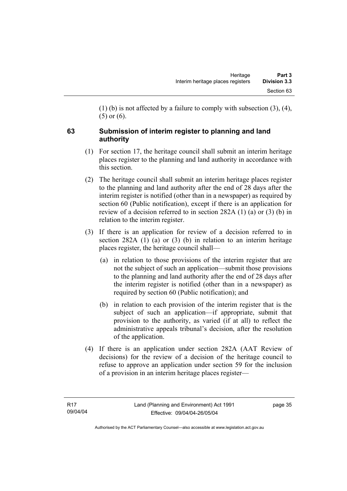(1) (b) is not affected by a failure to comply with subsection (3), (4), (5) or (6).

# **63 Submission of interim register to planning and land authority**

- (1) For section 17, the heritage council shall submit an interim heritage places register to the planning and land authority in accordance with this section.
- (2) The heritage council shall submit an interim heritage places register to the planning and land authority after the end of 28 days after the interim register is notified (other than in a newspaper) as required by section 60 (Public notification), except if there is an application for review of a decision referred to in section 282A (1) (a) or (3) (b) in relation to the interim register.
- (3) If there is an application for review of a decision referred to in section 282A (1) (a) or (3) (b) in relation to an interim heritage places register, the heritage council shall—
	- (a) in relation to those provisions of the interim register that are not the subject of such an application—submit those provisions to the planning and land authority after the end of 28 days after the interim register is notified (other than in a newspaper) as required by section 60 (Public notification); and
	- (b) in relation to each provision of the interim register that is the subject of such an application—if appropriate, submit that provision to the authority, as varied (if at all) to reflect the administrative appeals tribunal's decision, after the resolution of the application.
- (4) If there is an application under section 282A (AAT Review of decisions) for the review of a decision of the heritage council to refuse to approve an application under section 59 for the inclusion of a provision in an interim heritage places register—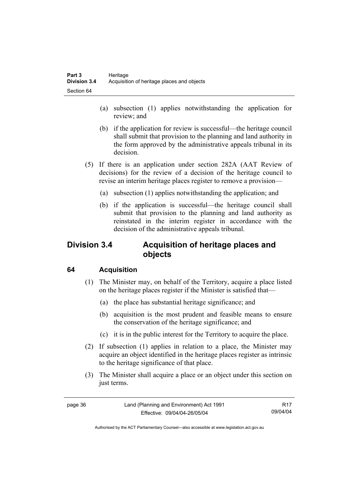- (a) subsection (1) applies notwithstanding the application for review; and
- (b) if the application for review is successful—the heritage council shall submit that provision to the planning and land authority in the form approved by the administrative appeals tribunal in its decision.
- (5) If there is an application under section 282A (AAT Review of decisions) for the review of a decision of the heritage council to revise an interim heritage places register to remove a provision—
	- (a) subsection (1) applies notwithstanding the application; and
	- (b) if the application is successful—the heritage council shall submit that provision to the planning and land authority as reinstated in the interim register in accordance with the decision of the administrative appeals tribunal.

# **Division 3.4 Acquisition of heritage places and objects**

# **64 Acquisition**

- (1) The Minister may, on behalf of the Territory, acquire a place listed on the heritage places register if the Minister is satisfied that—
	- (a) the place has substantial heritage significance; and
	- (b) acquisition is the most prudent and feasible means to ensure the conservation of the heritage significance; and
	- (c) it is in the public interest for the Territory to acquire the place.
- (2) If subsection (1) applies in relation to a place, the Minister may acquire an object identified in the heritage places register as intrinsic to the heritage significance of that place.
- (3) The Minister shall acquire a place or an object under this section on just terms.

| page 36 | Land (Planning and Environment) Act 1991 | R <sub>17</sub> |
|---------|------------------------------------------|-----------------|
|         | Effective: 09/04/04-26/05/04             | 09/04/04        |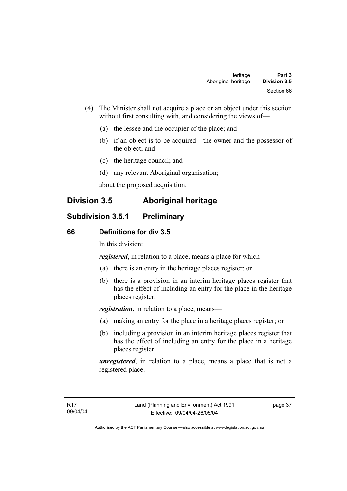- (4) The Minister shall not acquire a place or an object under this section without first consulting with, and considering the views of—
	- (a) the lessee and the occupier of the place; and
	- (b) if an object is to be acquired—the owner and the possessor of the object; and
	- (c) the heritage council; and
	- (d) any relevant Aboriginal organisation;

about the proposed acquisition.

# **Division 3.5 Aboriginal heritage**

# **Subdivision 3.5.1 Preliminary**

#### **66 Definitions for div 3.5**

In this division:

*registered*, in relation to a place, means a place for which—

- (a) there is an entry in the heritage places register; or
- (b) there is a provision in an interim heritage places register that has the effect of including an entry for the place in the heritage places register.

*registration*, in relation to a place, means—

- (a) making an entry for the place in a heritage places register; or
- (b) including a provision in an interim heritage places register that has the effect of including an entry for the place in a heritage places register.

*unregistered*, in relation to a place, means a place that is not a registered place.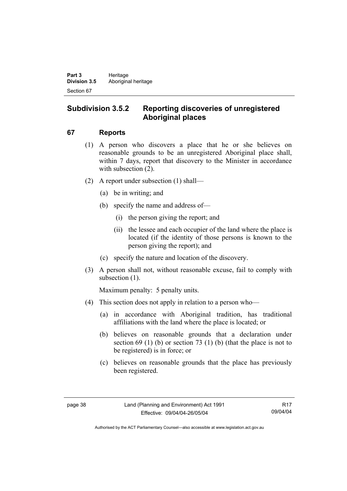# **Subdivision 3.5.2 Reporting discoveries of unregistered Aboriginal places**

## **67 Reports**

- (1) A person who discovers a place that he or she believes on reasonable grounds to be an unregistered Aboriginal place shall, within 7 days, report that discovery to the Minister in accordance with subsection  $(2)$ .
- (2) A report under subsection (1) shall—
	- (a) be in writing; and
	- (b) specify the name and address of—
		- (i) the person giving the report; and
		- (ii) the lessee and each occupier of the land where the place is located (if the identity of those persons is known to the person giving the report); and
	- (c) specify the nature and location of the discovery.
- (3) A person shall not, without reasonable excuse, fail to comply with subsection  $(1)$ .

Maximum penalty: 5 penalty units.

- (4) This section does not apply in relation to a person who—
	- (a) in accordance with Aboriginal tradition, has traditional affiliations with the land where the place is located; or
	- (b) believes on reasonable grounds that a declaration under section  $69$  (1) (b) or section  $73$  (1) (b) (that the place is not to be registered) is in force; or
	- (c) believes on reasonable grounds that the place has previously been registered.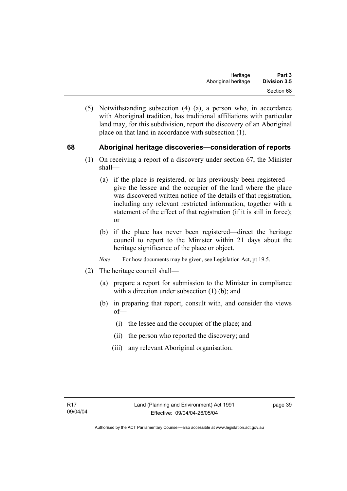(5) Notwithstanding subsection (4) (a), a person who, in accordance with Aboriginal tradition, has traditional affiliations with particular land may, for this subdivision, report the discovery of an Aboriginal place on that land in accordance with subsection (1).

## **68 Aboriginal heritage discoveries—consideration of reports**

- (1) On receiving a report of a discovery under section 67, the Minister shall—
	- (a) if the place is registered, or has previously been registered give the lessee and the occupier of the land where the place was discovered written notice of the details of that registration, including any relevant restricted information, together with a statement of the effect of that registration (if it is still in force); or
	- (b) if the place has never been registered—direct the heritage council to report to the Minister within 21 days about the heritage significance of the place or object.
	- *Note* For how documents may be given, see Legislation Act, pt 19.5.
- (2) The heritage council shall—
	- (a) prepare a report for submission to the Minister in compliance with a direction under subsection (1) (b); and
	- (b) in preparing that report, consult with, and consider the views of—
		- (i) the lessee and the occupier of the place; and
		- (ii) the person who reported the discovery; and
		- (iii) any relevant Aboriginal organisation.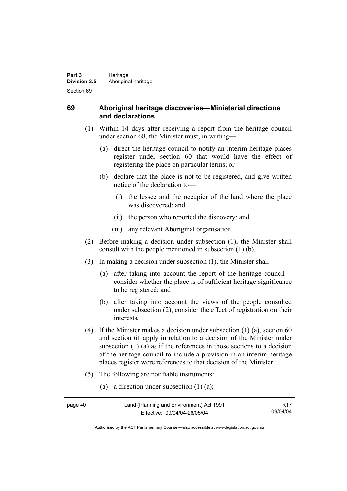## **69 Aboriginal heritage discoveries—Ministerial directions and declarations**

- (1) Within 14 days after receiving a report from the heritage council under section 68, the Minister must, in writing—
	- (a) direct the heritage council to notify an interim heritage places register under section 60 that would have the effect of registering the place on particular terms; or
	- (b) declare that the place is not to be registered, and give written notice of the declaration to—
		- (i) the lessee and the occupier of the land where the place was discovered; and
		- (ii) the person who reported the discovery; and
		- (iii) any relevant Aboriginal organisation.
- (2) Before making a decision under subsection (1), the Minister shall consult with the people mentioned in subsection (1) (b).
- (3) In making a decision under subsection (1), the Minister shall—
	- (a) after taking into account the report of the heritage council consider whether the place is of sufficient heritage significance to be registered; and
	- (b) after taking into account the views of the people consulted under subsection (2), consider the effect of registration on their interests.
- (4) If the Minister makes a decision under subsection (1) (a), section 60 and section 61 apply in relation to a decision of the Minister under subsection (1) (a) as if the references in those sections to a decision of the heritage council to include a provision in an interim heritage places register were references to that decision of the Minister.
- (5) The following are notifiable instruments:
	- (a) a direction under subsection (1) (a);

| page 40 | Land (Planning and Environment) Act 1991 | <b>R17</b> |
|---------|------------------------------------------|------------|
|         | Effective: 09/04/04-26/05/04             | 09/04/04   |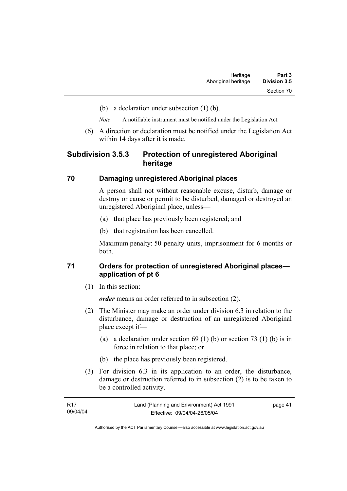- (b) a declaration under subsection (1) (b).
- *Note* A notifiable instrument must be notified under the Legislation Act.
- (6) A direction or declaration must be notified under the Legislation Act within 14 days after it is made.

## **Subdivision 3.5.3 Protection of unregistered Aboriginal heritage**

#### **70 Damaging unregistered Aboriginal places**

A person shall not without reasonable excuse, disturb, damage or destroy or cause or permit to be disturbed, damaged or destroyed an unregistered Aboriginal place, unless—

- (a) that place has previously been registered; and
- (b) that registration has been cancelled.

Maximum penalty: 50 penalty units, imprisonment for 6 months or both.

## **71 Orders for protection of unregistered Aboriginal places application of pt 6**

(1) In this section:

*order* means an order referred to in subsection (2).

- (2) The Minister may make an order under division 6.3 in relation to the disturbance, damage or destruction of an unregistered Aboriginal place except if—
	- (a) a declaration under section  $69 (1) (b)$  or section  $73 (1) (b)$  is in force in relation to that place; or
	- (b) the place has previously been registered.
- (3) For division 6.3 in its application to an order, the disturbance, damage or destruction referred to in subsection (2) is to be taken to be a controlled activity.

| R17      | Land (Planning and Environment) Act 1991 | page 41 |
|----------|------------------------------------------|---------|
| 09/04/04 | Effective: 09/04/04-26/05/04             |         |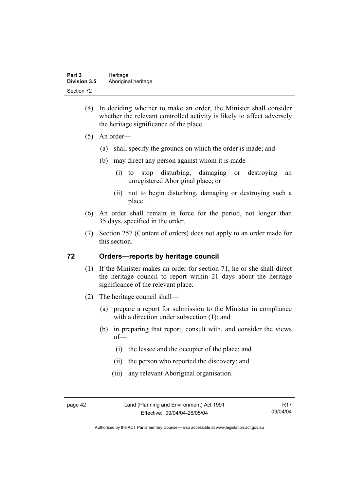- (4) In deciding whether to make an order, the Minister shall consider whether the relevant controlled activity is likely to affect adversely the heritage significance of the place.
- (5) An order—
	- (a) shall specify the grounds on which the order is made; and
	- (b) may direct any person against whom it is made—
		- (i) to stop disturbing, damaging or destroying an unregistered Aboriginal place; or
		- (ii) not to begin disturbing, damaging or destroying such a place.
- (6) An order shall remain in force for the period, not longer than 35 days, specified in the order.
- (7) Section 257 (Content of orders) does not apply to an order made for this section.

#### **72 Orders—reports by heritage council**

- (1) If the Minister makes an order for section 71, he or she shall direct the heritage council to report within 21 days about the heritage significance of the relevant place.
- (2) The heritage council shall—
	- (a) prepare a report for submission to the Minister in compliance with a direction under subsection (1); and
	- (b) in preparing that report, consult with, and consider the views of—
		- (i) the lessee and the occupier of the place; and
		- (ii) the person who reported the discovery; and
		- (iii) any relevant Aboriginal organisation.

page 42 Land (Planning and Environment) Act 1991 Effective: 09/04/04-26/05/04

R17 09/04/04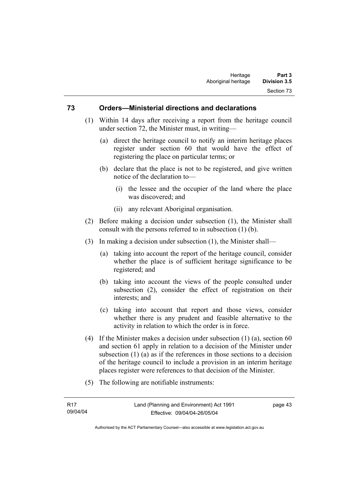#### **73 Orders—Ministerial directions and declarations**

- (1) Within 14 days after receiving a report from the heritage council under section 72, the Minister must, in writing—
	- (a) direct the heritage council to notify an interim heritage places register under section 60 that would have the effect of registering the place on particular terms; or
	- (b) declare that the place is not to be registered, and give written notice of the declaration to—
		- (i) the lessee and the occupier of the land where the place was discovered; and
		- (ii) any relevant Aboriginal organisation.
- (2) Before making a decision under subsection (1), the Minister shall consult with the persons referred to in subsection (1) (b).
- (3) In making a decision under subsection (1), the Minister shall—
	- (a) taking into account the report of the heritage council, consider whether the place is of sufficient heritage significance to be registered; and
	- (b) taking into account the views of the people consulted under subsection (2), consider the effect of registration on their interests; and
	- (c) taking into account that report and those views, consider whether there is any prudent and feasible alternative to the activity in relation to which the order is in force.
- (4) If the Minister makes a decision under subsection (1) (a), section 60 and section 61 apply in relation to a decision of the Minister under subsection (1) (a) as if the references in those sections to a decision of the heritage council to include a provision in an interim heritage places register were references to that decision of the Minister.
- (5) The following are notifiable instruments:

| R <sub>17</sub> | Land (Planning and Environment) Act 1991 | page 43 |
|-----------------|------------------------------------------|---------|
| 09/04/04        | Effective: 09/04/04-26/05/04             |         |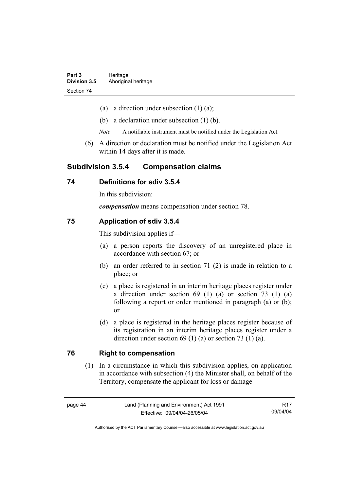- (a) a direction under subsection  $(1)$   $(a)$ ;
- (b) a declaration under subsection (1) (b).
- *Note* A notifiable instrument must be notified under the Legislation Act.
- (6) A direction or declaration must be notified under the Legislation Act within 14 days after it is made.

## **Subdivision 3.5.4 Compensation claims**

#### **74 Definitions for sdiv 3.5.4**

In this subdivision:

*compensation* means compensation under section 78.

#### **75 Application of sdiv 3.5.4**

This subdivision applies if—

- (a) a person reports the discovery of an unregistered place in accordance with section 67; or
- (b) an order referred to in section 71 (2) is made in relation to a place; or
- (c) a place is registered in an interim heritage places register under a direction under section 69 (1) (a) or section 73 (1) (a) following a report or order mentioned in paragraph (a) or (b); or
- (d) a place is registered in the heritage places register because of its registration in an interim heritage places register under a direction under section 69 (1) (a) or section 73 (1) (a).

#### **76 Right to compensation**

 (1) In a circumstance in which this subdivision applies, on application in accordance with subsection (4) the Minister shall, on behalf of the Territory, compensate the applicant for loss or damage—

| ıаo<br>10 |  |
|-----------|--|
|-----------|--|

R17 09/04/04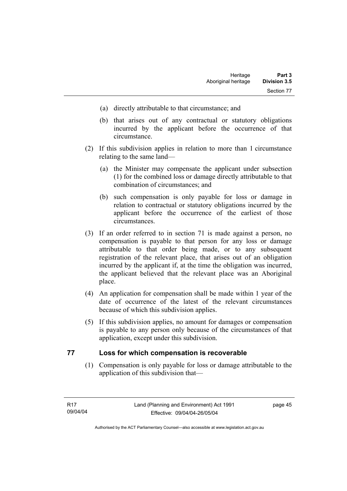- (a) directly attributable to that circumstance; and
- (b) that arises out of any contractual or statutory obligations incurred by the applicant before the occurrence of that circumstance.
- (2) If this subdivision applies in relation to more than 1 circumstance relating to the same land—
	- (a) the Minister may compensate the applicant under subsection (1) for the combined loss or damage directly attributable to that combination of circumstances; and
	- (b) such compensation is only payable for loss or damage in relation to contractual or statutory obligations incurred by the applicant before the occurrence of the earliest of those circumstances.
- (3) If an order referred to in section 71 is made against a person, no compensation is payable to that person for any loss or damage attributable to that order being made, or to any subsequent registration of the relevant place, that arises out of an obligation incurred by the applicant if, at the time the obligation was incurred, the applicant believed that the relevant place was an Aboriginal place.
- (4) An application for compensation shall be made within 1 year of the date of occurrence of the latest of the relevant circumstances because of which this subdivision applies.
- (5) If this subdivision applies, no amount for damages or compensation is payable to any person only because of the circumstances of that application, except under this subdivision.

#### **77 Loss for which compensation is recoverable**

 (1) Compensation is only payable for loss or damage attributable to the application of this subdivision that—

page 45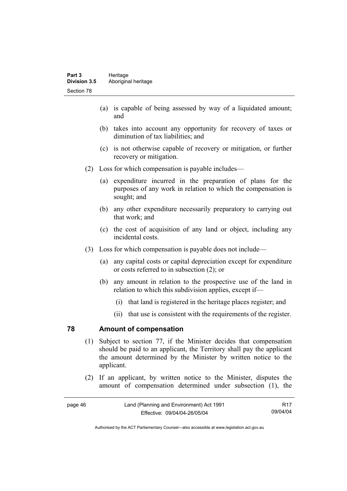- (a) is capable of being assessed by way of a liquidated amount; and
- (b) takes into account any opportunity for recovery of taxes or diminution of tax liabilities; and
- (c) is not otherwise capable of recovery or mitigation, or further recovery or mitigation.
- (2) Loss for which compensation is payable includes—
	- (a) expenditure incurred in the preparation of plans for the purposes of any work in relation to which the compensation is sought; and
	- (b) any other expenditure necessarily preparatory to carrying out that work; and
	- (c) the cost of acquisition of any land or object, including any incidental costs.
- (3) Loss for which compensation is payable does not include—
	- (a) any capital costs or capital depreciation except for expenditure or costs referred to in subsection (2); or
	- (b) any amount in relation to the prospective use of the land in relation to which this subdivision applies, except if—
		- (i) that land is registered in the heritage places register; and
		- (ii) that use is consistent with the requirements of the register.

#### **78 Amount of compensation**

- (1) Subject to section 77, if the Minister decides that compensation should be paid to an applicant, the Territory shall pay the applicant the amount determined by the Minister by written notice to the applicant.
- (2) If an applicant, by written notice to the Minister, disputes the amount of compensation determined under subsection (1), the

| page 46 | Land (Planning and Environment) Act 1991 |          |
|---------|------------------------------------------|----------|
|         | Effective: 09/04/04-26/05/04             | 09/04/04 |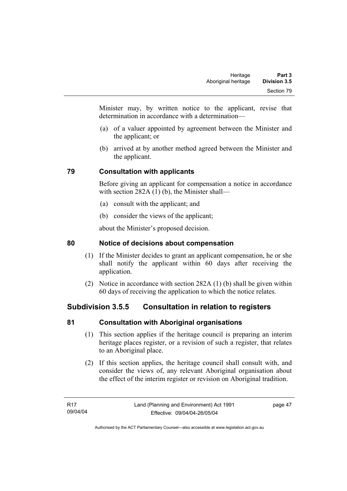Minister may, by written notice to the applicant, revise that determination in accordance with a determination—

- (a) of a valuer appointed by agreement between the Minister and the applicant; or
- (b) arrived at by another method agreed between the Minister and the applicant.

# **79 Consultation with applicants**

Before giving an applicant for compensation a notice in accordance with section 282A (1) (b), the Minister shall—

- (a) consult with the applicant; and
- (b) consider the views of the applicant;

about the Minister's proposed decision.

# **80 Notice of decisions about compensation**

- (1) If the Minister decides to grant an applicant compensation, he or she shall notify the applicant within 60 days after receiving the application.
- (2) Notice in accordance with section 282A (1) (b) shall be given within 60 days of receiving the application to which the notice relates.

# **Subdivision 3.5.5 Consultation in relation to registers**

# **81 Consultation with Aboriginal organisations**

- (1) This section applies if the heritage council is preparing an interim heritage places register, or a revision of such a register, that relates to an Aboriginal place.
- (2) If this section applies, the heritage council shall consult with, and consider the views of, any relevant Aboriginal organisation about the effect of the interim register or revision on Aboriginal tradition.

page 47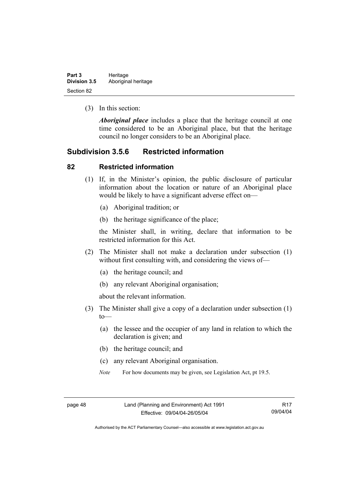| Part 3              | Heritage            |  |
|---------------------|---------------------|--|
| <b>Division 3.5</b> | Aboriginal heritage |  |
| Section 82          |                     |  |

(3) In this section:

*Aboriginal place* includes a place that the heritage council at one time considered to be an Aboriginal place, but that the heritage council no longer considers to be an Aboriginal place.

## **Subdivision 3.5.6 Restricted information**

#### **82 Restricted information**

- (1) If, in the Minister's opinion, the public disclosure of particular information about the location or nature of an Aboriginal place would be likely to have a significant adverse effect on—
	- (a) Aboriginal tradition; or
	- (b) the heritage significance of the place;

the Minister shall, in writing, declare that information to be restricted information for this Act.

- (2) The Minister shall not make a declaration under subsection (1) without first consulting with, and considering the views of—
	- (a) the heritage council; and
	- (b) any relevant Aboriginal organisation;

about the relevant information.

- (3) The Minister shall give a copy of a declaration under subsection (1)  $to$ —
	- (a) the lessee and the occupier of any land in relation to which the declaration is given; and
	- (b) the heritage council; and
	- (c) any relevant Aboriginal organisation.
	- *Note* For how documents may be given, see Legislation Act, pt 19.5.

R17 09/04/04

Authorised by the ACT Parliamentary Counsel—also accessible at www.legislation.act.gov.au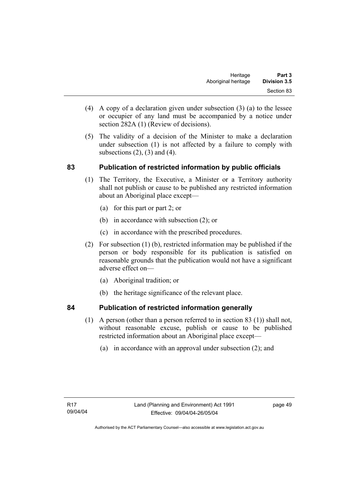- (4) A copy of a declaration given under subsection (3) (a) to the lessee or occupier of any land must be accompanied by a notice under section 282A (1) (Review of decisions).
- (5) The validity of a decision of the Minister to make a declaration under subsection (1) is not affected by a failure to comply with subsections  $(2)$ ,  $(3)$  and  $(4)$ .

# **83 Publication of restricted information by public officials**

- (1) The Territory, the Executive, a Minister or a Territory authority shall not publish or cause to be published any restricted information about an Aboriginal place except—
	- (a) for this part or part 2; or
	- (b) in accordance with subsection (2); or
	- (c) in accordance with the prescribed procedures.
- (2) For subsection (1) (b), restricted information may be published if the person or body responsible for its publication is satisfied on reasonable grounds that the publication would not have a significant adverse effect on—
	- (a) Aboriginal tradition; or
	- (b) the heritage significance of the relevant place.

## **84 Publication of restricted information generally**

- (1) A person (other than a person referred to in section 83 (1)) shall not,
	- without reasonable excuse, publish or cause to be published restricted information about an Aboriginal place except—
		- (a) in accordance with an approval under subsection (2); and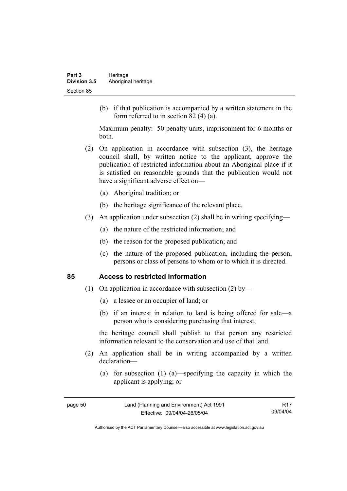(b) if that publication is accompanied by a written statement in the form referred to in section 82 (4) (a).

Maximum penalty: 50 penalty units, imprisonment for 6 months or both.

- (2) On application in accordance with subsection (3), the heritage council shall, by written notice to the applicant, approve the publication of restricted information about an Aboriginal place if it is satisfied on reasonable grounds that the publication would not have a significant adverse effect on—
	- (a) Aboriginal tradition; or
	- (b) the heritage significance of the relevant place.
- (3) An application under subsection (2) shall be in writing specifying—
	- (a) the nature of the restricted information; and
	- (b) the reason for the proposed publication; and
	- (c) the nature of the proposed publication, including the person, persons or class of persons to whom or to which it is directed.

#### **85 Access to restricted information**

- (1) On application in accordance with subsection (2) by—
	- (a) a lessee or an occupier of land; or
	- (b) if an interest in relation to land is being offered for sale—a person who is considering purchasing that interest;

the heritage council shall publish to that person any restricted information relevant to the conservation and use of that land.

- (2) An application shall be in writing accompanied by a written declaration—
	- (a) for subsection (1) (a)—specifying the capacity in which the applicant is applying; or

| жае |  |
|-----|--|
|-----|--|

R17 09/04/04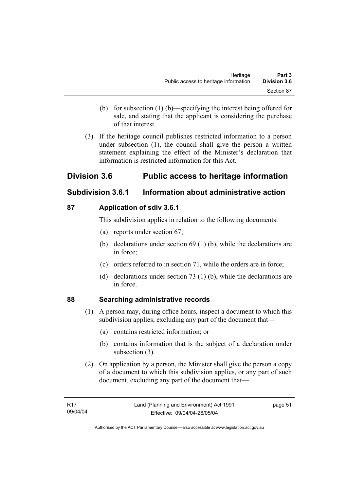- (b) for subsection (1) (b)—specifying the interest being offered for sale, and stating that the applicant is considering the purchase of that interest.
- (3) If the heritage council publishes restricted information to a person under subsection (1), the council shall give the person a written statement explaining the effect of the Minister's declaration that information is restricted information for this Act.

# **Division 3.6 Public access to heritage information**

# **Subdivision 3.6.1 Information about administrative action**

# **87 Application of sdiv 3.6.1**

This subdivision applies in relation to the following documents:

- (a) reports under section 67;
- (b) declarations under section 69 (1) (b), while the declarations are in force;
- (c) orders referred to in section 71, while the orders are in force;
- (d) declarations under section 73 (1) (b), while the declarations are in force.

# **88 Searching administrative records**

- (1) A person may, during office hours, inspect a document to which this subdivision applies, excluding any part of the document that—
	- (a) contains restricted information; or
	- (b) contains information that is the subject of a declaration under subsection (3).
- (2) On application by a person, the Minister shall give the person a copy of a document to which this subdivision applies, or any part of such document, excluding any part of the document that—

page 51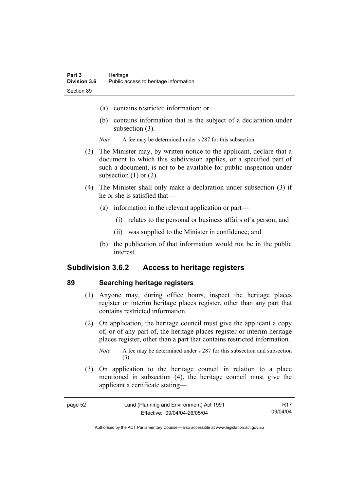- (a) contains restricted information; or
- (b) contains information that is the subject of a declaration under subsection (3).
- *Note* A fee may be determined under s 287 for this subsection.
- (3) The Minister may, by written notice to the applicant, declare that a document to which this subdivision applies, or a specified part of such a document, is not to be available for public inspection under subsection  $(1)$  or  $(2)$ .
- (4) The Minister shall only make a declaration under subsection (3) if he or she is satisfied that—
	- (a) information in the relevant application or part—
		- (i) relates to the personal or business affairs of a person; and
		- (ii) was supplied to the Minister in confidence; and
	- (b) the publication of that information would not be in the public interest.

## **Subdivision 3.6.2 Access to heritage registers**

#### **89 Searching heritage registers**

- (1) Anyone may, during office hours, inspect the heritage places register or interim heritage places register, other than any part that contains restricted information.
- (2) On application, the heritage council must give the applicant a copy of, or of any part of, the heritage places register or interim heritage places register, other than a part that contains restricted information.

 (3) On application to the heritage council in relation to a place mentioned in subsection (4), the heritage council must give the applicant a certificate stating—

| page 52 | Land (Planning and Environment) Act 1991 | R17      |
|---------|------------------------------------------|----------|
|         | Effective: 09/04/04-26/05/04             | 09/04/04 |

*Note* A fee may be determined under s 287 for this subsection and subsection (3).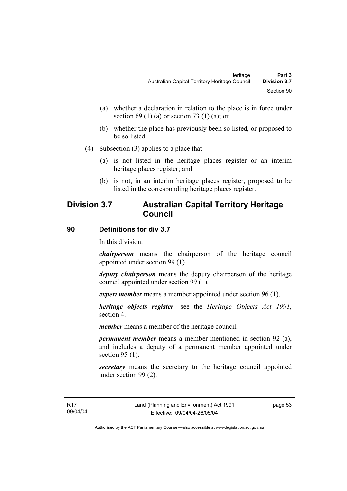- (a) whether a declaration in relation to the place is in force under section 69 (1) (a) or section 73 (1) (a); or
- (b) whether the place has previously been so listed, or proposed to be so listed.
- (4) Subsection (3) applies to a place that—
	- (a) is not listed in the heritage places register or an interim heritage places register; and
	- (b) is not, in an interim heritage places register, proposed to be listed in the corresponding heritage places register.

# **Division 3.7 Australian Capital Territory Heritage Council**

#### **90 Definitions for div 3.7**

In this division:

*chairperson* means the chairperson of the heritage council appointed under section 99 (1).

*deputy chairperson* means the deputy chairperson of the heritage council appointed under section 99 (1).

*expert member* means a member appointed under section 96 (1).

*heritage objects register*—see the *Heritage Objects Act 1991*, section 4.

*member* means a member of the heritage council.

*permanent member* means a member mentioned in section 92 (a), and includes a deputy of a permanent member appointed under section 95 (1).

*secretary* means the secretary to the heritage council appointed under section 99 (2).

page 53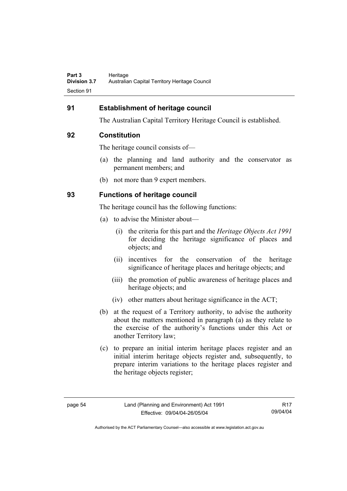## **91 Establishment of heritage council**

The Australian Capital Territory Heritage Council is established.

#### **92 Constitution**

The heritage council consists of—

- (a) the planning and land authority and the conservator as permanent members; and
- (b) not more than 9 expert members.

## **93 Functions of heritage council**

The heritage council has the following functions:

- (a) to advise the Minister about—
	- (i) the criteria for this part and the *Heritage Objects Act 1991* for deciding the heritage significance of places and objects; and
	- (ii) incentives for the conservation of the heritage significance of heritage places and heritage objects; and
	- (iii) the promotion of public awareness of heritage places and heritage objects; and
	- (iv) other matters about heritage significance in the ACT;
- (b) at the request of a Territory authority, to advise the authority about the matters mentioned in paragraph (a) as they relate to the exercise of the authority's functions under this Act or another Territory law;
- (c) to prepare an initial interim heritage places register and an initial interim heritage objects register and, subsequently, to prepare interim variations to the heritage places register and the heritage objects register;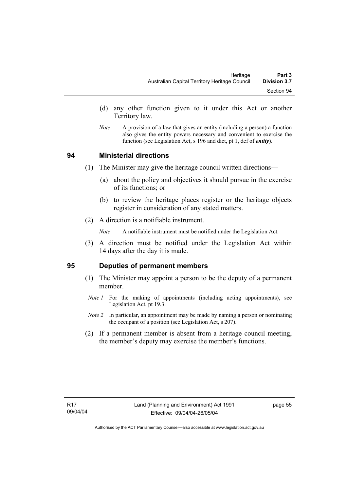- (d) any other function given to it under this Act or another Territory law.
- *Note* A provision of a law that gives an entity (including a person) a function also gives the entity powers necessary and convenient to exercise the function (see Legislation Act, s 196 and dict, pt 1, def of *entity*).

#### **94 Ministerial directions**

- (1) The Minister may give the heritage council written directions—
	- (a) about the policy and objectives it should pursue in the exercise of its functions; or
	- (b) to review the heritage places register or the heritage objects register in consideration of any stated matters.
- (2) A direction is a notifiable instrument.

*Note* A notifiable instrument must be notified under the Legislation Act.

 (3) A direction must be notified under the Legislation Act within 14 days after the day it is made.

#### **95 Deputies of permanent members**

- (1) The Minister may appoint a person to be the deputy of a permanent member.
- *Note 1* For the making of appointments (including acting appointments), see Legislation Act, pt 19.3.
- *Note 2* In particular, an appointment may be made by naming a person or nominating the occupant of a position (see Legislation Act, s 207).
- (2) If a permanent member is absent from a heritage council meeting, the member's deputy may exercise the member's functions.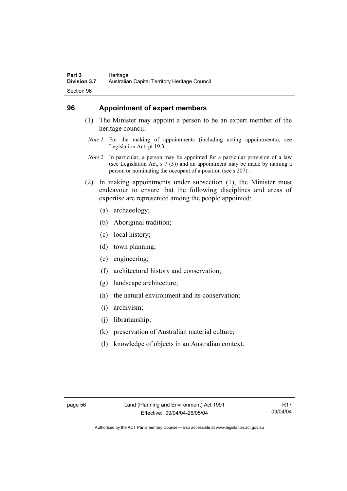## **96 Appointment of expert members**

- (1) The Minister may appoint a person to be an expert member of the heritage council.
	- *Note 1* For the making of appointments (including acting appointments), see Legislation Act, pt 19.3.
	- *Note 2* In particular, a person may be appointed for a particular provision of a law (see Legislation Act, s 7 (3)) and an appointment may be made by naming a person or nominating the occupant of a position (see s 207).
- (2) In making appointments under subsection (1), the Minister must endeavour to ensure that the following disciplines and areas of expertise are represented among the people appointed:
	- (a) archaeology;
	- (b) Aboriginal tradition;
	- (c) local history;
	- (d) town planning;
	- (e) engineering;
	- (f) architectural history and conservation;
	- (g) landscape architecture;
	- (h) the natural environment and its conservation;
	- (i) archivism;
	- (j) librarianship;
	- (k) preservation of Australian material culture;
	- (l) knowledge of objects in an Australian context.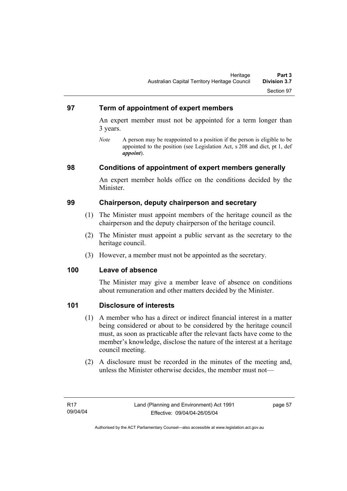### **97 Term of appointment of expert members**

An expert member must not be appointed for a term longer than 3 years.

*Note* A person may be reappointed to a position if the person is eligible to be appointed to the position (see Legislation Act, s 208 and dict, pt 1, def *appoint*).

### **98 Conditions of appointment of expert members generally**

An expert member holds office on the conditions decided by the Minister.

### **99 Chairperson, deputy chairperson and secretary**

- (1) The Minister must appoint members of the heritage council as the chairperson and the deputy chairperson of the heritage council.
- (2) The Minister must appoint a public servant as the secretary to the heritage council.
- (3) However, a member must not be appointed as the secretary.

### **100 Leave of absence**

The Minister may give a member leave of absence on conditions about remuneration and other matters decided by the Minister.

### **101 Disclosure of interests**

- (1) A member who has a direct or indirect financial interest in a matter being considered or about to be considered by the heritage council must, as soon as practicable after the relevant facts have come to the member's knowledge, disclose the nature of the interest at a heritage council meeting.
- (2) A disclosure must be recorded in the minutes of the meeting and, unless the Minister otherwise decides, the member must not—

page 57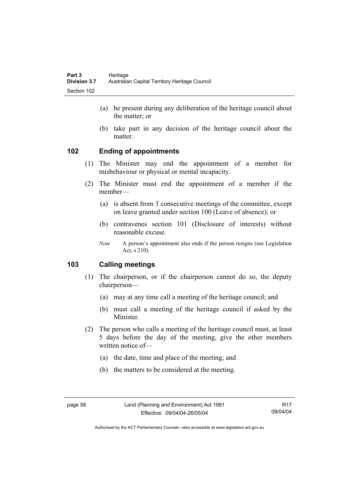- (a) be present during any deliberation of the heritage council about the matter; or
- (b) take part in any decision of the heritage council about the matter.

## **102 Ending of appointments**

- (1) The Minister may end the appointment of a member for misbehaviour or physical or mental incapacity.
- (2) The Minister must end the appointment of a member if the member—
	- (a) is absent from 3 consecutive meetings of the committee, except on leave granted under section 100 (Leave of absence); or
	- (b) contravenes section 101 (Disclosure of interests) without reasonable excuse.
	- *Note* A person's appointment also ends if the person resigns (see Legislation Act, s 210).

## **103 Calling meetings**

- (1) The chairperson, or if the chairperson cannot do so, the deputy chairperson—
	- (a) may at any time call a meeting of the heritage council; and
	- (b) must call a meeting of the heritage council if asked by the Minister.
- (2) The person who calls a meeting of the heritage council must, at least 5 days before the day of the meeting, give the other members written notice of—
	- (a) the date, time and place of the meeting; and
	- (b) the matters to be considered at the meeting.

R17 09/04/04

Authorised by the ACT Parliamentary Counsel—also accessible at www.legislation.act.gov.au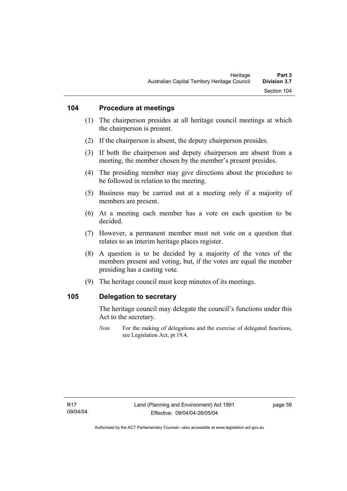### **104 Procedure at meetings**

- (1) The chairperson presides at all heritage council meetings at which the chairperson is present.
- (2) If the chairperson is absent, the deputy chairperson presides.
- (3) If both the chairperson and deputy chairperson are absent from a meeting, the member chosen by the member's present presides.
- (4) The presiding member may give directions about the procedure to be followed in relation to the meeting.
- (5) Business may be carried out at a meeting only if a majority of members are present.
- (6) At a meeting each member has a vote on each question to be decided.
- (7) However, a permanent member must not vote on a question that relates to an interim heritage places register.
- (8) A question is to be decided by a majority of the votes of the members present and voting, but, if the votes are equal the member presiding has a casting vote.
- (9) The heritage council must keep minutes of its meetings.

#### **105 Delegation to secretary**

The heritage council may delegate the council's functions under this Act to the secretary.

*Note* For the making of delegations and the exercise of delegated functions, see Legislation Act, pt 19.4.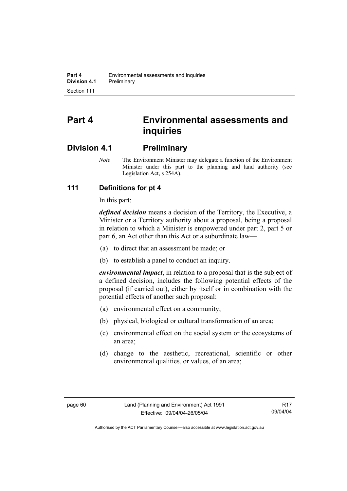# **Part 4 Environmental assessments and inquiries**

## **Division 4.1 Preliminary**

*Note* The Environment Minister may delegate a function of the Environment Minister under this part to the planning and land authority (see Legislation Act, s 254A).

## **111 Definitions for pt 4**

In this part:

*defined decision* means a decision of the Territory, the Executive, a Minister or a Territory authority about a proposal, being a proposal in relation to which a Minister is empowered under part 2, part 5 or part 6, an Act other than this Act or a subordinate law—

- (a) to direct that an assessment be made; or
- (b) to establish a panel to conduct an inquiry.

*environmental impact*, in relation to a proposal that is the subject of a defined decision, includes the following potential effects of the proposal (if carried out), either by itself or in combination with the potential effects of another such proposal:

- (a) environmental effect on a community;
- (b) physical, biological or cultural transformation of an area;
- (c) environmental effect on the social system or the ecosystems of an area;
- (d) change to the aesthetic, recreational, scientific or other environmental qualities, or values, of an area;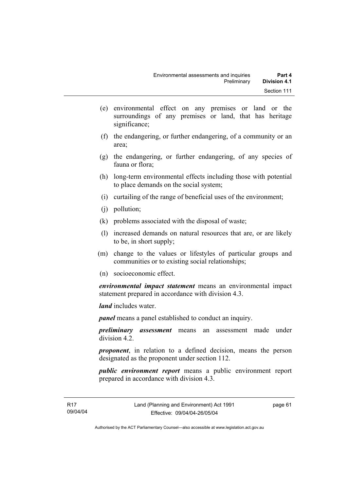- (e) environmental effect on any premises or land or the surroundings of any premises or land, that has heritage significance;
- (f) the endangering, or further endangering, of a community or an area;
- (g) the endangering, or further endangering, of any species of fauna or flora;
- (h) long-term environmental effects including those with potential to place demands on the social system;
- (i) curtailing of the range of beneficial uses of the environment;
- (j) pollution;
- (k) problems associated with the disposal of waste;
- (l) increased demands on natural resources that are, or are likely to be, in short supply;
- (m) change to the values or lifestyles of particular groups and communities or to existing social relationships;
- (n) socioeconomic effect.

*environmental impact statement* means an environmental impact statement prepared in accordance with division 4.3.

*land* includes water.

*panel* means a panel established to conduct an inquiry.

*preliminary assessment* means an assessment made under division 4.2.

*proponent*, in relation to a defined decision, means the person designated as the proponent under section 112.

*public environment report* means a public environment report prepared in accordance with division 4.3.

page 61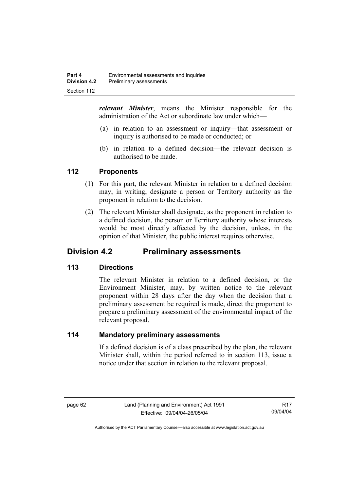*relevant Minister*, means the Minister responsible for the administration of the Act or subordinate law under which—

- (a) in relation to an assessment or inquiry—that assessment or inquiry is authorised to be made or conducted; or
- (b) in relation to a defined decision—the relevant decision is authorised to be made.

### **112 Proponents**

- (1) For this part, the relevant Minister in relation to a defined decision may, in writing, designate a person or Territory authority as the proponent in relation to the decision.
- (2) The relevant Minister shall designate, as the proponent in relation to a defined decision, the person or Territory authority whose interests would be most directly affected by the decision, unless, in the opinion of that Minister, the public interest requires otherwise.

## **Division 4.2 Preliminary assessments**

## **113 Directions**

The relevant Minister in relation to a defined decision, or the Environment Minister, may, by written notice to the relevant proponent within 28 days after the day when the decision that a preliminary assessment be required is made, direct the proponent to prepare a preliminary assessment of the environmental impact of the relevant proposal.

### **114 Mandatory preliminary assessments**

If a defined decision is of a class prescribed by the plan, the relevant Minister shall, within the period referred to in section 113, issue a notice under that section in relation to the relevant proposal.

R17 09/04/04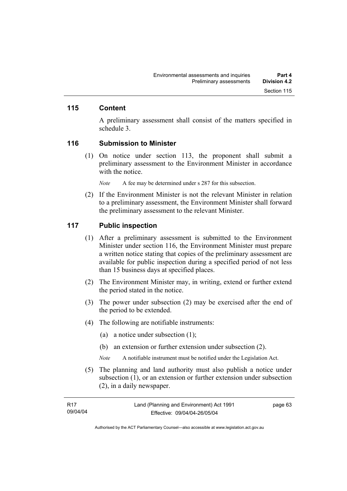### **115 Content**

A preliminary assessment shall consist of the matters specified in schedule 3.

#### **116 Submission to Minister**

 (1) On notice under section 113, the proponent shall submit a preliminary assessment to the Environment Minister in accordance with the notice.

*Note* A fee may be determined under s 287 for this subsection.

 (2) If the Environment Minister is not the relevant Minister in relation to a preliminary assessment, the Environment Minister shall forward the preliminary assessment to the relevant Minister.

#### **117 Public inspection**

- (1) After a preliminary assessment is submitted to the Environment Minister under section 116, the Environment Minister must prepare a written notice stating that copies of the preliminary assessment are available for public inspection during a specified period of not less than 15 business days at specified places.
- (2) The Environment Minister may, in writing, extend or further extend the period stated in the notice.
- (3) The power under subsection (2) may be exercised after the end of the period to be extended.
- (4) The following are notifiable instruments:
	- (a) a notice under subsection (1);
	- (b) an extension or further extension under subsection (2).
	- *Note* A notifiable instrument must be notified under the Legislation Act.
- (5) The planning and land authority must also publish a notice under subsection (1), or an extension or further extension under subsection (2), in a daily newspaper.

| R17      | Land (Planning and Environment) Act 1991 | page 63 |
|----------|------------------------------------------|---------|
| 09/04/04 | Effective: 09/04/04-26/05/04             |         |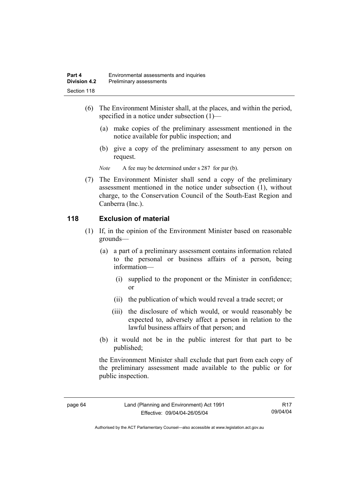- (6) The Environment Minister shall, at the places, and within the period, specified in a notice under subsection (1)—
	- (a) make copies of the preliminary assessment mentioned in the notice available for public inspection; and
	- (b) give a copy of the preliminary assessment to any person on request.

*Note* A fee may be determined under s 287 for par (b).

 (7) The Environment Minister shall send a copy of the preliminary assessment mentioned in the notice under subsection (1), without charge, to the Conservation Council of the South-East Region and Canberra (Inc.).

## **118 Exclusion of material**

- (1) If, in the opinion of the Environment Minister based on reasonable grounds—
	- (a) a part of a preliminary assessment contains information related to the personal or business affairs of a person, being information—
		- (i) supplied to the proponent or the Minister in confidence; or
		- (ii) the publication of which would reveal a trade secret; or
		- (iii) the disclosure of which would, or would reasonably be expected to, adversely affect a person in relation to the lawful business affairs of that person; and
	- (b) it would not be in the public interest for that part to be published;

the Environment Minister shall exclude that part from each copy of the preliminary assessment made available to the public or for public inspection.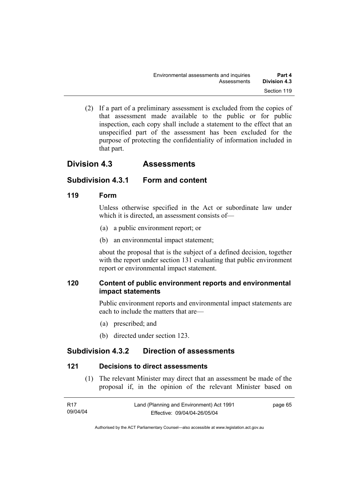(2) If a part of a preliminary assessment is excluded from the copies of that assessment made available to the public or for public inspection, each copy shall include a statement to the effect that an unspecified part of the assessment has been excluded for the purpose of protecting the confidentiality of information included in that part.

## **Division 4.3 Assessments**

## **Subdivision 4.3.1 Form and content**

## **119 Form**

Unless otherwise specified in the Act or subordinate law under which it is directed, an assessment consists of—

- (a) a public environment report; or
- (b) an environmental impact statement;

about the proposal that is the subject of a defined decision, together with the report under section 131 evaluating that public environment report or environmental impact statement.

## **120 Content of public environment reports and environmental impact statements**

Public environment reports and environmental impact statements are each to include the matters that are—

- (a) prescribed; and
- (b) directed under section 123.

## **Subdivision 4.3.2 Direction of assessments**

## **121 Decisions to direct assessments**

 (1) The relevant Minister may direct that an assessment be made of the proposal if, in the opinion of the relevant Minister based on

| R17      | Land (Planning and Environment) Act 1991 | page 65 |
|----------|------------------------------------------|---------|
| 09/04/04 | Effective: 09/04/04-26/05/04             |         |

Authorised by the ACT Parliamentary Counsel—also accessible at www.legislation.act.gov.au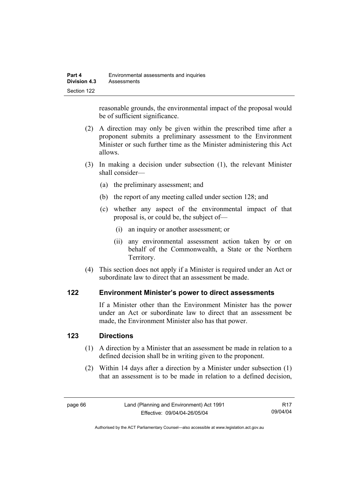reasonable grounds, the environmental impact of the proposal would be of sufficient significance.

- (2) A direction may only be given within the prescribed time after a proponent submits a preliminary assessment to the Environment Minister or such further time as the Minister administering this Act allows.
- (3) In making a decision under subsection (1), the relevant Minister shall consider—
	- (a) the preliminary assessment; and
	- (b) the report of any meeting called under section 128; and
	- (c) whether any aspect of the environmental impact of that proposal is, or could be, the subject of—
		- (i) an inquiry or another assessment; or
		- (ii) any environmental assessment action taken by or on behalf of the Commonwealth, a State or the Northern Territory.
- (4) This section does not apply if a Minister is required under an Act or subordinate law to direct that an assessment be made.

### **122 Environment Minister's power to direct assessments**

If a Minister other than the Environment Minister has the power under an Act or subordinate law to direct that an assessment be made, the Environment Minister also has that power.

### **123 Directions**

- (1) A direction by a Minister that an assessment be made in relation to a defined decision shall be in writing given to the proponent.
- (2) Within 14 days after a direction by a Minister under subsection (1) that an assessment is to be made in relation to a defined decision,

R17 09/04/04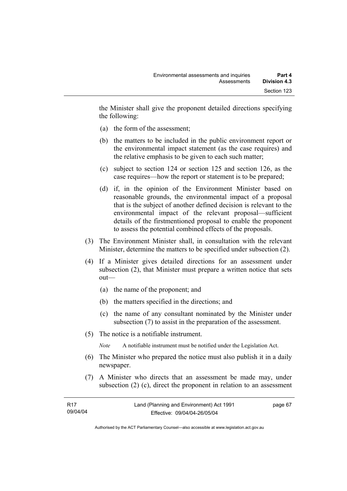the Minister shall give the proponent detailed directions specifying the following:

- (a) the form of the assessment;
- (b) the matters to be included in the public environment report or the environmental impact statement (as the case requires) and the relative emphasis to be given to each such matter;
- (c) subject to section 124 or section 125 and section 126, as the case requires—how the report or statement is to be prepared;
- (d) if, in the opinion of the Environment Minister based on reasonable grounds, the environmental impact of a proposal that is the subject of another defined decision is relevant to the environmental impact of the relevant proposal—sufficient details of the firstmentioned proposal to enable the proponent to assess the potential combined effects of the proposals.
- (3) The Environment Minister shall, in consultation with the relevant Minister, determine the matters to be specified under subsection (2).
- (4) If a Minister gives detailed directions for an assessment under subsection (2), that Minister must prepare a written notice that sets out—
	- (a) the name of the proponent; and
	- (b) the matters specified in the directions; and
	- (c) the name of any consultant nominated by the Minister under subsection (7) to assist in the preparation of the assessment.
- (5) The notice is a notifiable instrument.

*Note* A notifiable instrument must be notified under the Legislation Act.

- (6) The Minister who prepared the notice must also publish it in a daily newspaper.
- (7) A Minister who directs that an assessment be made may, under subsection (2) (c), direct the proponent in relation to an assessment

| - R17    | Land (Planning and Environment) Act 1991 | page 67 |
|----------|------------------------------------------|---------|
| 09/04/04 | Effective: 09/04/04-26/05/04             |         |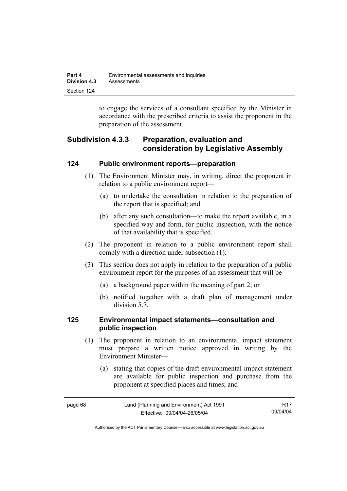| Part 4       | Environmental assessments and inquiries |
|--------------|-----------------------------------------|
| Division 4.3 | Assessments                             |
| Section 124  |                                         |

to engage the services of a consultant specified by the Minister in accordance with the prescribed criteria to assist the proponent in the preparation of the assessment.

## **Subdivision 4.3.3 Preparation, evaluation and consideration by Legislative Assembly**

### **124 Public environment reports—preparation**

- (1) The Environment Minister may, in writing, direct the proponent in relation to a public environment report—
	- (a) to undertake the consultation in relation to the preparation of the report that is specified; and
	- (b) after any such consultation—to make the report available, in a specified way and form, for public inspection, with the notice of that availability that is specified.
- (2) The proponent in relation to a public environment report shall comply with a direction under subsection (1).
- (3) This section does not apply in relation to the preparation of a public environment report for the purposes of an assessment that will be—
	- (a) a background paper within the meaning of part 2; or
	- (b) notified together with a draft plan of management under division 5.7.

### **125 Environmental impact statements—consultation and public inspection**

- (1) The proponent in relation to an environmental impact statement must prepare a written notice approved in writing by the Environment Minister—
	- (a) stating that copies of the draft environmental impact statement are available for public inspection and purchase from the proponent at specified places and times; and

| page 68 | Land (Planning and Environment) Act 1991 | <b>R17</b> |
|---------|------------------------------------------|------------|
|         | Effective: 09/04/04-26/05/04             | 09/04/04   |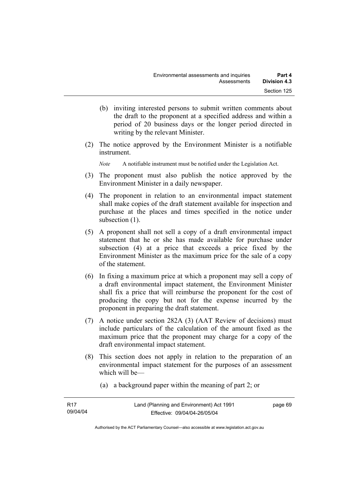- (b) inviting interested persons to submit written comments about the draft to the proponent at a specified address and within a period of 20 business days or the longer period directed in writing by the relevant Minister.
- (2) The notice approved by the Environment Minister is a notifiable instrument.

*Note* A notifiable instrument must be notified under the Legislation Act.

- (3) The proponent must also publish the notice approved by the Environment Minister in a daily newspaper.
- (4) The proponent in relation to an environmental impact statement shall make copies of the draft statement available for inspection and purchase at the places and times specified in the notice under subsection  $(1)$ .
- (5) A proponent shall not sell a copy of a draft environmental impact statement that he or she has made available for purchase under subsection (4) at a price that exceeds a price fixed by the Environment Minister as the maximum price for the sale of a copy of the statement.
- (6) In fixing a maximum price at which a proponent may sell a copy of a draft environmental impact statement, the Environment Minister shall fix a price that will reimburse the proponent for the cost of producing the copy but not for the expense incurred by the proponent in preparing the draft statement.
- (7) A notice under section 282A (3) (AAT Review of decisions) must include particulars of the calculation of the amount fixed as the maximum price that the proponent may charge for a copy of the draft environmental impact statement.
- (8) This section does not apply in relation to the preparation of an environmental impact statement for the purposes of an assessment which will be—
	- (a) a background paper within the meaning of part 2; or

| R17      | Land (Planning and Environment) Act 1991 | page 69 |
|----------|------------------------------------------|---------|
| 09/04/04 | Effective: 09/04/04-26/05/04             |         |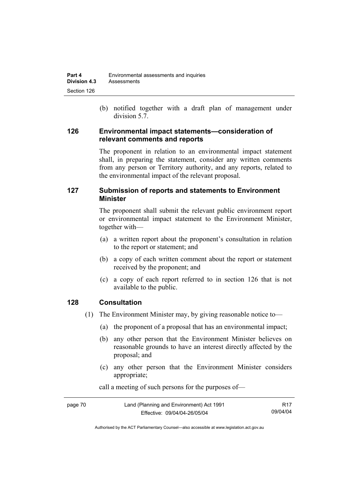(b) notified together with a draft plan of management under division 5.7.

### **126 Environmental impact statements—consideration of relevant comments and reports**

The proponent in relation to an environmental impact statement shall, in preparing the statement, consider any written comments from any person or Territory authority, and any reports, related to the environmental impact of the relevant proposal.

## **127 Submission of reports and statements to Environment Minister**

The proponent shall submit the relevant public environment report or environmental impact statement to the Environment Minister, together with—

- (a) a written report about the proponent's consultation in relation to the report or statement; and
- (b) a copy of each written comment about the report or statement received by the proponent; and
- (c) a copy of each report referred to in section 126 that is not available to the public.

## **128 Consultation**

- (1) The Environment Minister may, by giving reasonable notice to—
	- (a) the proponent of a proposal that has an environmental impact;
	- (b) any other person that the Environment Minister believes on reasonable grounds to have an interest directly affected by the proposal; and
	- (c) any other person that the Environment Minister considers appropriate;

| page 70 | Land (Planning and Environment) Act 1991 | R <sub>17</sub> |
|---------|------------------------------------------|-----------------|
|         | Effective: 09/04/04-26/05/04             | 09/04/04        |

call a meeting of such persons for the purposes of—

Authorised by the ACT Parliamentary Counsel—also accessible at www.legislation.act.gov.au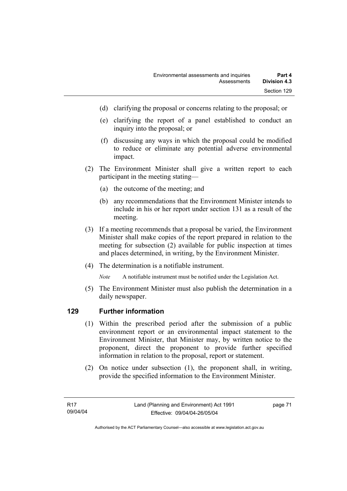- (d) clarifying the proposal or concerns relating to the proposal; or
- (e) clarifying the report of a panel established to conduct an inquiry into the proposal; or
- (f) discussing any ways in which the proposal could be modified to reduce or eliminate any potential adverse environmental impact.
- (2) The Environment Minister shall give a written report to each participant in the meeting stating—
	- (a) the outcome of the meeting; and
	- (b) any recommendations that the Environment Minister intends to include in his or her report under section 131 as a result of the meeting.
- (3) If a meeting recommends that a proposal be varied, the Environment Minister shall make copies of the report prepared in relation to the meeting for subsection (2) available for public inspection at times and places determined, in writing, by the Environment Minister.
- (4) The determination is a notifiable instrument.

*Note* A notifiable instrument must be notified under the Legislation Act.

(5) The Environment Minister must also publish the determination in a daily newspaper.

## **129 Further information**

- (1) Within the prescribed period after the submission of a public environment report or an environmental impact statement to the Environment Minister, that Minister may, by written notice to the proponent, direct the proponent to provide further specified information in relation to the proposal, report or statement.
- (2) On notice under subsection (1), the proponent shall, in writing, provide the specified information to the Environment Minister.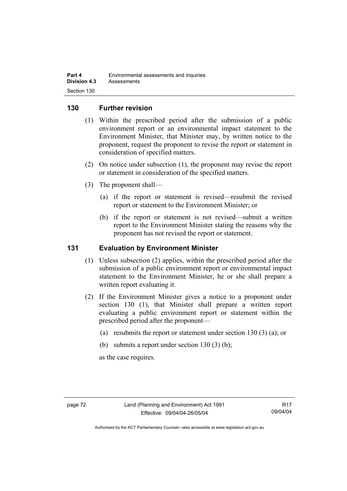### **130 Further revision**

- (1) Within the prescribed period after the submission of a public environment report or an environmental impact statement to the Environment Minister, that Minister may, by written notice to the proponent, request the proponent to revise the report or statement in consideration of specified matters.
- (2) On notice under subsection (1), the proponent may revise the report or statement in consideration of the specified matters.
- (3) The proponent shall—
	- (a) if the report or statement is revised—resubmit the revised report or statement to the Environment Minister; or
	- (b) if the report or statement is not revised—submit a written report to the Environment Minister stating the reasons why the proponent has not revised the report or statement.

### **131 Evaluation by Environment Minister**

- (1) Unless subsection (2) applies, within the prescribed period after the submission of a public environment report or environmental impact statement to the Environment Minister, he or she shall prepare a written report evaluating it.
- (2) If the Environment Minister gives a notice to a proponent under section 130 (1), that Minister shall prepare a written report evaluating a public environment report or statement within the prescribed period after the proponent—
	- (a) resubmits the report or statement under section 130 (3) (a); or
	- (b) submits a report under section  $130(3)$  (b);

as the case requires.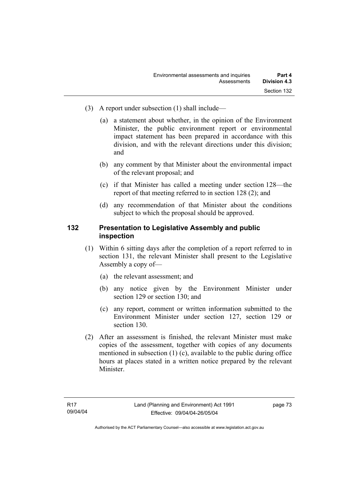- (3) A report under subsection (1) shall include—
	- (a) a statement about whether, in the opinion of the Environment Minister, the public environment report or environmental impact statement has been prepared in accordance with this division, and with the relevant directions under this division; and
	- (b) any comment by that Minister about the environmental impact of the relevant proposal; and
	- (c) if that Minister has called a meeting under section 128—the report of that meeting referred to in section 128 (2); and
	- (d) any recommendation of that Minister about the conditions subject to which the proposal should be approved.

### **132 Presentation to Legislative Assembly and public inspection**

- (1) Within 6 sitting days after the completion of a report referred to in section 131, the relevant Minister shall present to the Legislative Assembly a copy of—
	- (a) the relevant assessment; and
	- (b) any notice given by the Environment Minister under section 129 or section 130; and
	- (c) any report, comment or written information submitted to the Environment Minister under section 127, section 129 or section 130.
- (2) After an assessment is finished, the relevant Minister must make copies of the assessment, together with copies of any documents mentioned in subsection (1) (c), available to the public during office hours at places stated in a written notice prepared by the relevant Minister.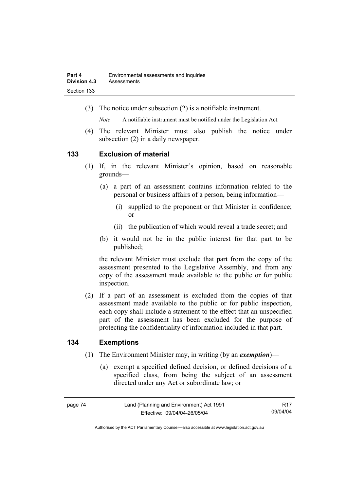(3) The notice under subsection (2) is a notifiable instrument.

*Note* A notifiable instrument must be notified under the Legislation Act.

(4) The relevant Minister must also publish the notice under subsection (2) in a daily newspaper.

### **133 Exclusion of material**

- (1) If, in the relevant Minister's opinion, based on reasonable grounds—
	- (a) a part of an assessment contains information related to the personal or business affairs of a person, being information—
		- (i) supplied to the proponent or that Minister in confidence; or
		- (ii) the publication of which would reveal a trade secret; and
	- (b) it would not be in the public interest for that part to be published;

the relevant Minister must exclude that part from the copy of the assessment presented to the Legislative Assembly, and from any copy of the assessment made available to the public or for public inspection.

 (2) If a part of an assessment is excluded from the copies of that assessment made available to the public or for public inspection, each copy shall include a statement to the effect that an unspecified part of the assessment has been excluded for the purpose of protecting the confidentiality of information included in that part.

### **134 Exemptions**

- (1) The Environment Minister may, in writing (by an *exemption*)—
	- (a) exempt a specified defined decision, or defined decisions of a specified class, from being the subject of an assessment directed under any Act or subordinate law; or

page 74 Land (Planning and Environment) Act 1991 Effective: 09/04/04-26/05/04 R17 09/04/04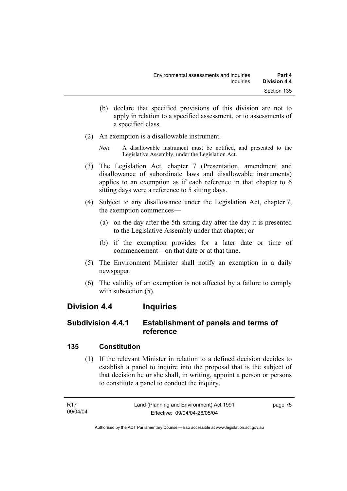- (b) declare that specified provisions of this division are not to apply in relation to a specified assessment, or to assessments of a specified class.
- (2) An exemption is a disallowable instrument.
	- *Note* A disallowable instrument must be notified, and presented to the Legislative Assembly, under the Legislation Act.
- (3) The Legislation Act, chapter 7 (Presentation, amendment and disallowance of subordinate laws and disallowable instruments) applies to an exemption as if each reference in that chapter to 6 sitting days were a reference to 5 sitting days.
- (4) Subject to any disallowance under the Legislation Act, chapter 7, the exemption commences—
	- (a) on the day after the 5th sitting day after the day it is presented to the Legislative Assembly under that chapter; or
	- (b) if the exemption provides for a later date or time of commencement—on that date or at that time.
- (5) The Environment Minister shall notify an exemption in a daily newspaper.
- (6) The validity of an exemption is not affected by a failure to comply with subsection  $(5)$ .

## **Division 4.4 Inquiries**

## **Subdivision 4.4.1 Establishment of panels and terms of reference**

## **135 Constitution**

 (1) If the relevant Minister in relation to a defined decision decides to establish a panel to inquire into the proposal that is the subject of that decision he or she shall, in writing, appoint a person or persons to constitute a panel to conduct the inquiry.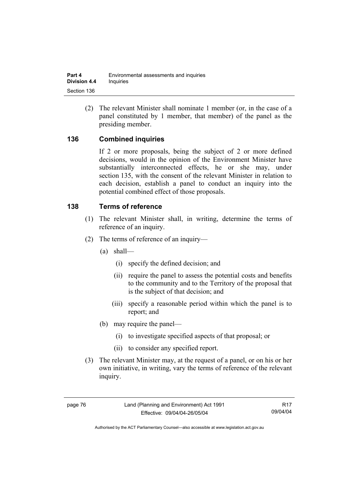(2) The relevant Minister shall nominate 1 member (or, in the case of a panel constituted by 1 member, that member) of the panel as the presiding member.

## **136 Combined inquiries**

If 2 or more proposals, being the subject of 2 or more defined decisions, would in the opinion of the Environment Minister have substantially interconnected effects, he or she may, under section 135, with the consent of the relevant Minister in relation to each decision, establish a panel to conduct an inquiry into the potential combined effect of those proposals.

### **138 Terms of reference**

- (1) The relevant Minister shall, in writing, determine the terms of reference of an inquiry.
- (2) The terms of reference of an inquiry—
	- (a) shall—
		- (i) specify the defined decision; and
		- (ii) require the panel to assess the potential costs and benefits to the community and to the Territory of the proposal that is the subject of that decision; and
		- (iii) specify a reasonable period within which the panel is to report; and
	- (b) may require the panel—
		- (i) to investigate specified aspects of that proposal; or
		- (ii) to consider any specified report.
- (3) The relevant Minister may, at the request of a panel, or on his or her own initiative, in writing, vary the terms of reference of the relevant inquiry.

R17 09/04/04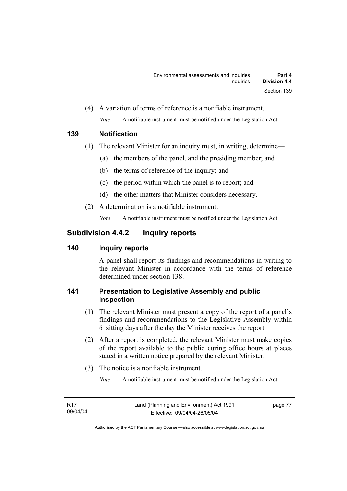(4) A variation of terms of reference is a notifiable instrument. *Note* A notifiable instrument must be notified under the Legislation Act.

## **139 Notification**

- (1) The relevant Minister for an inquiry must, in writing, determine—
	- (a) the members of the panel, and the presiding member; and
	- (b) the terms of reference of the inquiry; and
	- (c) the period within which the panel is to report; and
	- (d) the other matters that Minister considers necessary.
- (2) A determination is a notifiable instrument.

*Note* A notifiable instrument must be notified under the Legislation Act.

## **Subdivision 4.4.2 Inquiry reports**

## **140 Inquiry reports**

A panel shall report its findings and recommendations in writing to the relevant Minister in accordance with the terms of reference determined under section 138.

## **141 Presentation to Legislative Assembly and public inspection**

- (1) The relevant Minister must present a copy of the report of a panel's findings and recommendations to the Legislative Assembly within 6 sitting days after the day the Minister receives the report.
- (2) After a report is completed, the relevant Minister must make copies of the report available to the public during office hours at places stated in a written notice prepared by the relevant Minister.
- (3) The notice is a notifiable instrument.

*Note* A notifiable instrument must be notified under the Legislation Act.

page 77

Authorised by the ACT Parliamentary Counsel—also accessible at www.legislation.act.gov.au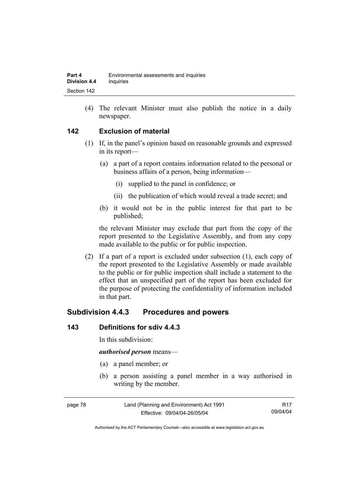(4) The relevant Minister must also publish the notice in a daily newspaper.

## **142 Exclusion of material**

- (1) If, in the panel's opinion based on reasonable grounds and expressed in its report—
	- (a) a part of a report contains information related to the personal or business affairs of a person, being information—
		- (i) supplied to the panel in confidence; or
		- (ii) the publication of which would reveal a trade secret; and
	- (b) it would not be in the public interest for that part to be published;

the relevant Minister may exclude that part from the copy of the report presented to the Legislative Assembly, and from any copy made available to the public or for public inspection.

 (2) If a part of a report is excluded under subsection (1), each copy of the report presented to the Legislative Assembly or made available to the public or for public inspection shall include a statement to the effect that an unspecified part of the report has been excluded for the purpose of protecting the confidentiality of information included in that part.

## **Subdivision 4.4.3 Procedures and powers**

### **143 Definitions for sdiv 4.4.3**

In this subdivision:

#### *authorised person* means—

- (a) a panel member; or
- (b) a person assisting a panel member in a way authorised in writing by the member.

| page 78 | Land (Planning and Environment) Act 1991 | R17      |
|---------|------------------------------------------|----------|
|         | Effective: 09/04/04-26/05/04             | 09/04/04 |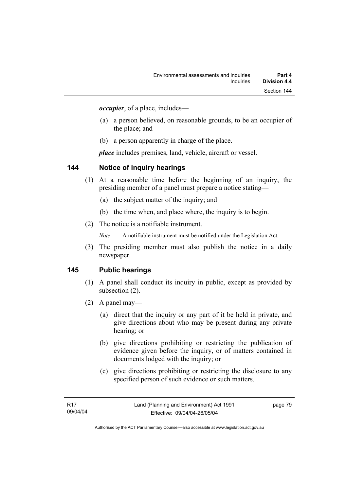*occupier*, of a place, includes—

- (a) a person believed, on reasonable grounds, to be an occupier of the place; and
- (b) a person apparently in charge of the place.

*place* includes premises, land, vehicle, aircraft or vessel.

### **144 Notice of inquiry hearings**

- (1) At a reasonable time before the beginning of an inquiry, the presiding member of a panel must prepare a notice stating—
	- (a) the subject matter of the inquiry; and
	- (b) the time when, and place where, the inquiry is to begin.
- (2) The notice is a notifiable instrument.

*Note* A notifiable instrument must be notified under the Legislation Act.

(3) The presiding member must also publish the notice in a daily newspaper.

### **145 Public hearings**

- (1) A panel shall conduct its inquiry in public, except as provided by subsection (2).
- (2) A panel may—
	- (a) direct that the inquiry or any part of it be held in private, and give directions about who may be present during any private hearing; or
	- (b) give directions prohibiting or restricting the publication of evidence given before the inquiry, or of matters contained in documents lodged with the inquiry; or
	- (c) give directions prohibiting or restricting the disclosure to any specified person of such evidence or such matters.

page 79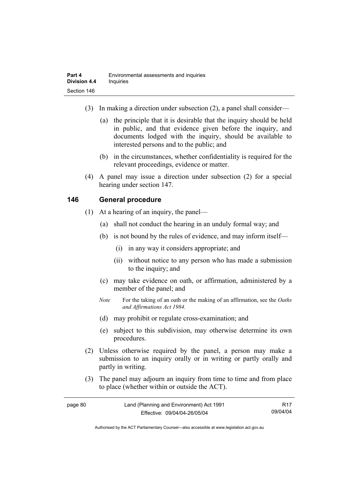- (3) In making a direction under subsection (2), a panel shall consider—
	- (a) the principle that it is desirable that the inquiry should be held in public, and that evidence given before the inquiry, and documents lodged with the inquiry, should be available to interested persons and to the public; and
	- (b) in the circumstances, whether confidentiality is required for the relevant proceedings, evidence or matter.
- (4) A panel may issue a direction under subsection (2) for a special hearing under section 147.

## **146 General procedure**

- (1) At a hearing of an inquiry, the panel—
	- (a) shall not conduct the hearing in an unduly formal way; and
	- (b) is not bound by the rules of evidence, and may inform itself—
		- (i) in any way it considers appropriate; and
		- (ii) without notice to any person who has made a submission to the inquiry; and
	- (c) may take evidence on oath, or affirmation, administered by a member of the panel; and
	- *Note* For the taking of an oath or the making of an affirmation, see the *Oaths and Affirmations Act 1984.*
	- (d) may prohibit or regulate cross-examination; and
	- (e) subject to this subdivision, may otherwise determine its own procedures.
- (2) Unless otherwise required by the panel, a person may make a submission to an inquiry orally or in writing or partly orally and partly in writing.
- (3) The panel may adjourn an inquiry from time to time and from place to place (whether within or outside the ACT).

| page 80 | Land (Planning and Environment) Act 1991 | R <sub>17</sub> |
|---------|------------------------------------------|-----------------|
|         | Effective: 09/04/04-26/05/04             | 09/04/04        |

Authorised by the ACT Parliamentary Counsel—also accessible at www.legislation.act.gov.au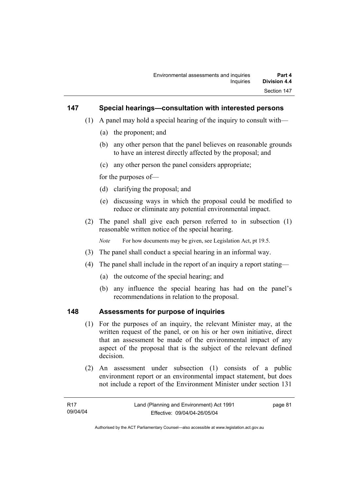### **147 Special hearings—consultation with interested persons**

- (1) A panel may hold a special hearing of the inquiry to consult with—
	- (a) the proponent; and
	- (b) any other person that the panel believes on reasonable grounds to have an interest directly affected by the proposal; and
	- (c) any other person the panel considers appropriate;

for the purposes of—

- (d) clarifying the proposal; and
- (e) discussing ways in which the proposal could be modified to reduce or eliminate any potential environmental impact.
- (2) The panel shall give each person referred to in subsection (1) reasonable written notice of the special hearing.

*Note* For how documents may be given, see Legislation Act, pt 19.5.

- (3) The panel shall conduct a special hearing in an informal way.
- (4) The panel shall include in the report of an inquiry a report stating—
	- (a) the outcome of the special hearing; and
	- (b) any influence the special hearing has had on the panel's recommendations in relation to the proposal.

#### **148 Assessments for purpose of inquiries**

- (1) For the purposes of an inquiry, the relevant Minister may, at the written request of the panel, or on his or her own initiative, direct that an assessment be made of the environmental impact of any aspect of the proposal that is the subject of the relevant defined decision.
- (2) An assessment under subsection (1) consists of a public environment report or an environmental impact statement, but does not include a report of the Environment Minister under section 131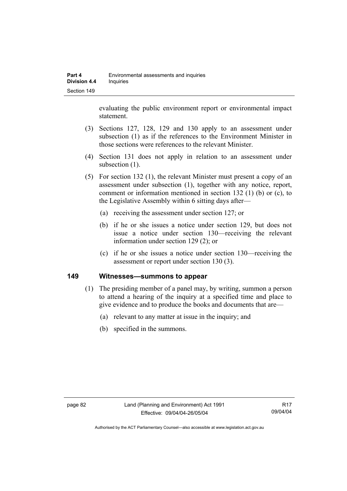evaluating the public environment report or environmental impact statement.

- (3) Sections 127, 128, 129 and 130 apply to an assessment under subsection (1) as if the references to the Environment Minister in those sections were references to the relevant Minister.
- (4) Section 131 does not apply in relation to an assessment under subsection  $(1)$ .
- (5) For section 132 (1), the relevant Minister must present a copy of an assessment under subsection (1), together with any notice, report, comment or information mentioned in section 132 (1) (b) or (c), to the Legislative Assembly within 6 sitting days after—
	- (a) receiving the assessment under section 127; or
	- (b) if he or she issues a notice under section 129, but does not issue a notice under section 130—receiving the relevant information under section 129 (2); or
	- (c) if he or she issues a notice under section 130—receiving the assessment or report under section 130 (3).

#### **149 Witnesses—summons to appear**

- (1) The presiding member of a panel may, by writing, summon a person to attend a hearing of the inquiry at a specified time and place to give evidence and to produce the books and documents that are—
	- (a) relevant to any matter at issue in the inquiry; and
	- (b) specified in the summons.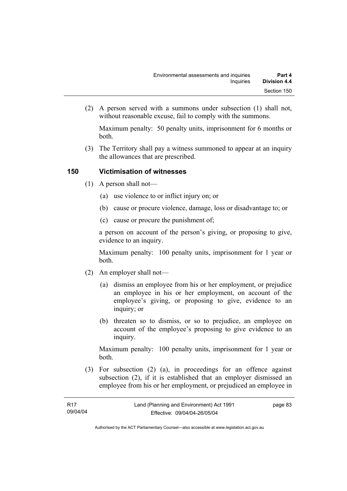(2) A person served with a summons under subsection (1) shall not, without reasonable excuse, fail to comply with the summons.

Maximum penalty: 50 penalty units, imprisonment for 6 months or both.

 (3) The Territory shall pay a witness summoned to appear at an inquiry the allowances that are prescribed.

## **150 Victimisation of witnesses**

- (1) A person shall not—
	- (a) use violence to or inflict injury on; or
	- (b) cause or procure violence, damage, loss or disadvantage to; or
	- (c) cause or procure the punishment of;

a person on account of the person's giving, or proposing to give, evidence to an inquiry.

Maximum penalty: 100 penalty units, imprisonment for 1 year or both.

- (2) An employer shall not—
	- (a) dismiss an employee from his or her employment, or prejudice an employee in his or her employment, on account of the employee's giving, or proposing to give, evidence to an inquiry; or
	- (b) threaten so to dismiss, or so to prejudice, an employee on account of the employee's proposing to give evidence to an inquiry.

Maximum penalty: 100 penalty units, imprisonment for 1 year or both.

 (3) For subsection (2) (a), in proceedings for an offence against subsection (2), if it is established that an employer dismissed an employee from his or her employment, or prejudiced an employee in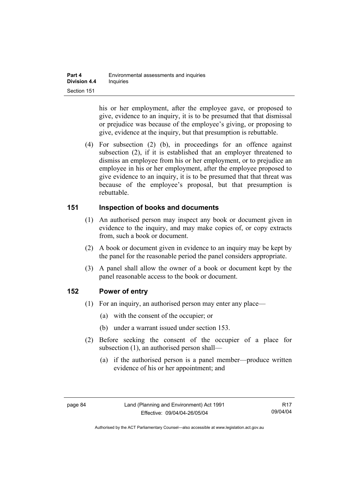his or her employment, after the employee gave, or proposed to give, evidence to an inquiry, it is to be presumed that that dismissal or prejudice was because of the employee's giving, or proposing to give, evidence at the inquiry, but that presumption is rebuttable.

 (4) For subsection (2) (b), in proceedings for an offence against subsection (2), if it is established that an employer threatened to dismiss an employee from his or her employment, or to prejudice an employee in his or her employment, after the employee proposed to give evidence to an inquiry, it is to be presumed that that threat was because of the employee's proposal, but that presumption is rebuttable.

### **151 Inspection of books and documents**

- (1) An authorised person may inspect any book or document given in evidence to the inquiry, and may make copies of, or copy extracts from, such a book or document.
- (2) A book or document given in evidence to an inquiry may be kept by the panel for the reasonable period the panel considers appropriate.
- (3) A panel shall allow the owner of a book or document kept by the panel reasonable access to the book or document.

## **152 Power of entry**

- (1) For an inquiry, an authorised person may enter any place—
	- (a) with the consent of the occupier; or
	- (b) under a warrant issued under section 153.
- (2) Before seeking the consent of the occupier of a place for subsection (1), an authorised person shall—
	- (a) if the authorised person is a panel member—produce written evidence of his or her appointment; and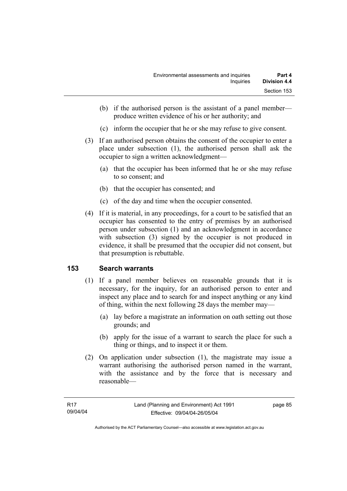- (b) if the authorised person is the assistant of a panel member produce written evidence of his or her authority; and
- (c) inform the occupier that he or she may refuse to give consent.
- (3) If an authorised person obtains the consent of the occupier to enter a place under subsection (1), the authorised person shall ask the occupier to sign a written acknowledgment—
	- (a) that the occupier has been informed that he or she may refuse to so consent; and
	- (b) that the occupier has consented; and
	- (c) of the day and time when the occupier consented.
- (4) If it is material, in any proceedings, for a court to be satisfied that an occupier has consented to the entry of premises by an authorised person under subsection (1) and an acknowledgment in accordance with subsection (3) signed by the occupier is not produced in evidence, it shall be presumed that the occupier did not consent, but that presumption is rebuttable.

## **153 Search warrants**

- (1) If a panel member believes on reasonable grounds that it is necessary, for the inquiry, for an authorised person to enter and inspect any place and to search for and inspect anything or any kind of thing, within the next following 28 days the member may—
	- (a) lay before a magistrate an information on oath setting out those grounds; and
	- (b) apply for the issue of a warrant to search the place for such a thing or things, and to inspect it or them.
- (2) On application under subsection (1), the magistrate may issue a warrant authorising the authorised person named in the warrant, with the assistance and by the force that is necessary and reasonable—

page 85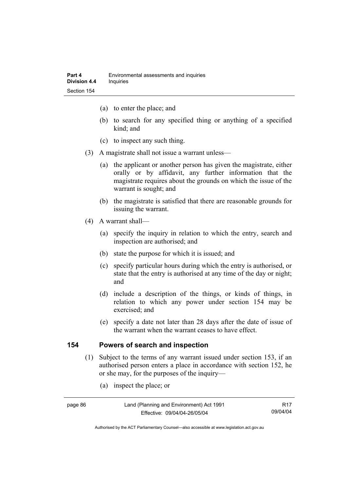- (a) to enter the place; and
- (b) to search for any specified thing or anything of a specified kind; and
- (c) to inspect any such thing.
- (3) A magistrate shall not issue a warrant unless—
	- (a) the applicant or another person has given the magistrate, either orally or by affidavit, any further information that the magistrate requires about the grounds on which the issue of the warrant is sought; and
	- (b) the magistrate is satisfied that there are reasonable grounds for issuing the warrant.
- (4) A warrant shall—
	- (a) specify the inquiry in relation to which the entry, search and inspection are authorised; and
	- (b) state the purpose for which it is issued; and
	- (c) specify particular hours during which the entry is authorised, or state that the entry is authorised at any time of the day or night; and
	- (d) include a description of the things, or kinds of things, in relation to which any power under section 154 may be exercised; and
	- (e) specify a date not later than 28 days after the date of issue of the warrant when the warrant ceases to have effect.

### **154 Powers of search and inspection**

- (1) Subject to the terms of any warrant issued under section 153, if an authorised person enters a place in accordance with section 152, he or she may, for the purposes of the inquiry—
	- (a) inspect the place; or

| page 86 | Land (Planning and Environment) Act 1991 | R <sub>17</sub> |
|---------|------------------------------------------|-----------------|
|         | Effective: 09/04/04-26/05/04             | 09/04/04        |

Authorised by the ACT Parliamentary Counsel—also accessible at www.legislation.act.gov.au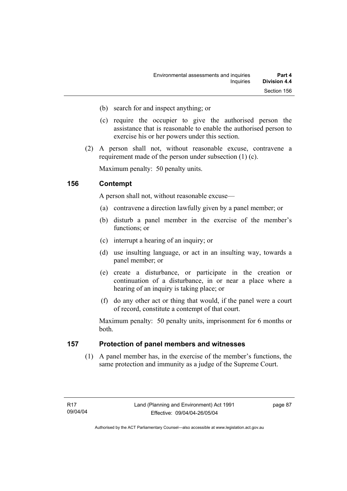- (b) search for and inspect anything; or
- (c) require the occupier to give the authorised person the assistance that is reasonable to enable the authorised person to exercise his or her powers under this section.
- (2) A person shall not, without reasonable excuse, contravene a requirement made of the person under subsection (1) (c).

Maximum penalty: 50 penalty units.

### **156 Contempt**

A person shall not, without reasonable excuse—

- (a) contravene a direction lawfully given by a panel member; or
- (b) disturb a panel member in the exercise of the member's functions; or
- (c) interrupt a hearing of an inquiry; or
- (d) use insulting language, or act in an insulting way, towards a panel member; or
- (e) create a disturbance, or participate in the creation or continuation of a disturbance, in or near a place where a hearing of an inquiry is taking place; or
- (f) do any other act or thing that would, if the panel were a court of record, constitute a contempt of that court.

Maximum penalty: 50 penalty units, imprisonment for 6 months or both.

### **157 Protection of panel members and witnesses**

 (1) A panel member has, in the exercise of the member's functions, the same protection and immunity as a judge of the Supreme Court.

page 87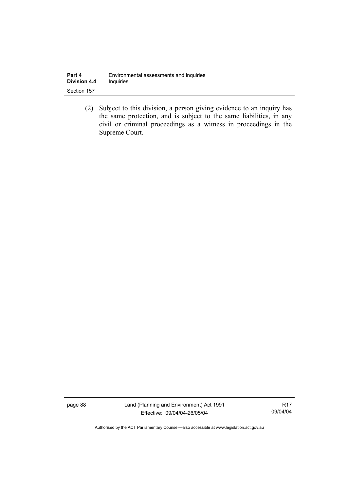| Part 4              | Environmental assessments and inquiries |
|---------------------|-----------------------------------------|
| <b>Division 4.4</b> | <b>Inquiries</b>                        |
| Section 157         |                                         |

 (2) Subject to this division, a person giving evidence to an inquiry has the same protection, and is subject to the same liabilities, in any civil or criminal proceedings as a witness in proceedings in the Supreme Court.

page 88 Land (Planning and Environment) Act 1991 Effective: 09/04/04-26/05/04

R17 09/04/04

Authorised by the ACT Parliamentary Counsel—also accessible at www.legislation.act.gov.au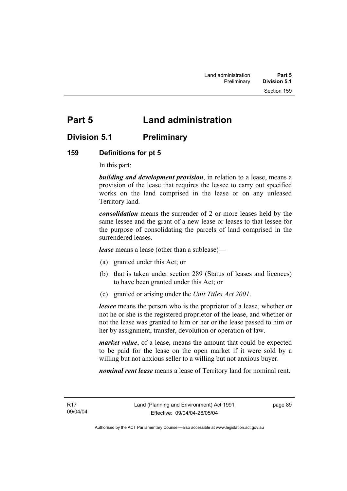# **Part 5 Land administration**

## **Division 5.1 Preliminary**

### **159 Definitions for pt 5**

In this part:

*building and development provision*, in relation to a lease, means a provision of the lease that requires the lessee to carry out specified works on the land comprised in the lease or on any unleased Territory land.

*consolidation* means the surrender of 2 or more leases held by the same lessee and the grant of a new lease or leases to that lessee for the purpose of consolidating the parcels of land comprised in the surrendered leases.

*lease* means a lease (other than a sublease)—

- (a) granted under this Act; or
- (b) that is taken under section 289 (Status of leases and licences) to have been granted under this Act; or
- (c) granted or arising under the *Unit Titles Act 2001*.

*lessee* means the person who is the proprietor of a lease, whether or not he or she is the registered proprietor of the lease, and whether or not the lease was granted to him or her or the lease passed to him or her by assignment, transfer, devolution or operation of law.

*market value*, of a lease, means the amount that could be expected to be paid for the lease on the open market if it were sold by a willing but not anxious seller to a willing but not anxious buyer.

*nominal rent lease* means a lease of Territory land for nominal rent.

R17 09/04/04 page 89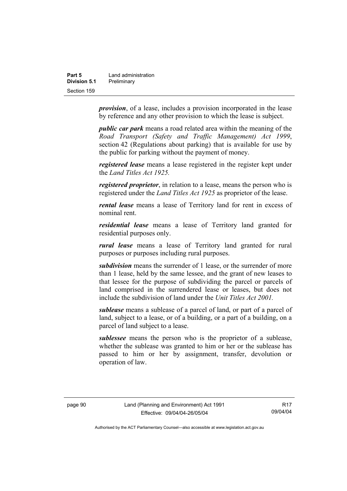| Part 5       | Land administration |
|--------------|---------------------|
| Division 5.1 | Preliminary         |
| Section 159  |                     |

*provision*, of a lease, includes a provision incorporated in the lease by reference and any other provision to which the lease is subject.

*public car park* means a road related area within the meaning of the *Road Transport (Safety and Traffic Management) Act 1999*, section 42 (Regulations about parking) that is available for use by the public for parking without the payment of money.

*registered lease* means a lease registered in the register kept under the *Land Titles Act 1925.*

*registered proprietor*, in relation to a lease, means the person who is registered under the *Land Titles Act 1925* as proprietor of the lease.

*rental lease* means a lease of Territory land for rent in excess of nominal rent.

*residential lease* means a lease of Territory land granted for residential purposes only.

*rural lease* means a lease of Territory land granted for rural purposes or purposes including rural purposes.

*subdivision* means the surrender of 1 lease, or the surrender of more than 1 lease, held by the same lessee, and the grant of new leases to that lessee for the purpose of subdividing the parcel or parcels of land comprised in the surrendered lease or leases, but does not include the subdivision of land under the *Unit Titles Act 2001.* 

*sublease* means a sublease of a parcel of land, or part of a parcel of land, subject to a lease, or of a building, or a part of a building, on a parcel of land subject to a lease.

*sublessee* means the person who is the proprietor of a sublease, whether the sublease was granted to him or her or the sublease has passed to him or her by assignment, transfer, devolution or operation of law.

R17 09/04/04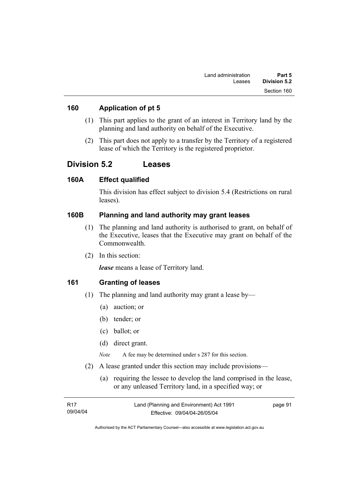### **160 Application of pt 5**

- (1) This part applies to the grant of an interest in Territory land by the planning and land authority on behalf of the Executive.
- (2) This part does not apply to a transfer by the Territory of a registered lease of which the Territory is the registered proprietor.

## **Division 5.2 Leases**

### **160A Effect qualified**

This division has effect subject to division 5.4 (Restrictions on rural leases).

### **160B Planning and land authority may grant leases**

- (1) The planning and land authority is authorised to grant, on behalf of the Executive, leases that the Executive may grant on behalf of the Commonwealth.
- (2) In this section:

*lease* means a lease of Territory land.

### **161 Granting of leases**

- (1) The planning and land authority may grant a lease by—
	- (a) auction; or
	- (b) tender; or
	- (c) ballot; or
	- (d) direct grant.

*Note* A fee may be determined under s 287 for this section.

- (2) A lease granted under this section may include provisions—
	- (a) requiring the lessee to develop the land comprised in the lease, or any unleased Territory land, in a specified way; or

| - R17    | Land (Planning and Environment) Act 1991 | page 91 |
|----------|------------------------------------------|---------|
| 09/04/04 | Effective: 09/04/04-26/05/04             |         |

Authorised by the ACT Parliamentary Counsel—also accessible at www.legislation.act.gov.au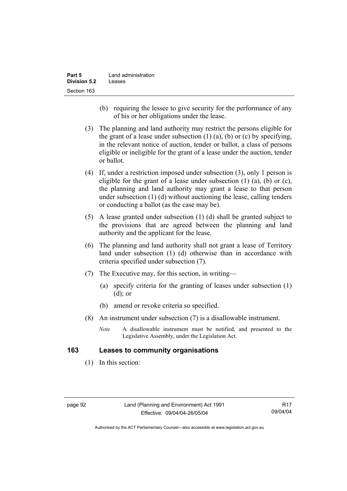| Part 5              | Land administration |
|---------------------|---------------------|
| <b>Division 5.2</b> | Leases              |
| Section 163         |                     |

- (b) requiring the lessee to give security for the performance of any of his or her obligations under the lease.
- (3) The planning and land authority may restrict the persons eligible for the grant of a lease under subsection  $(1)$   $(a)$ ,  $(b)$  or  $(c)$  by specifying, in the relevant notice of auction, tender or ballot, a class of persons eligible or ineligible for the grant of a lease under the auction, tender or ballot.
- (4) If, under a restriction imposed under subsection (3), only 1 person is eligible for the grant of a lease under subsection  $(1)$   $(a)$ ,  $(b)$  or  $(c)$ , the planning and land authority may grant a lease to that person under subsection (1) (d) without auctioning the lease, calling tenders or conducting a ballot (as the case may be).
- (5) A lease granted under subsection (1) (d) shall be granted subject to the provisions that are agreed between the planning and land authority and the applicant for the lease.
- (6) The planning and land authority shall not grant a lease of Territory land under subsection (1) (d) otherwise than in accordance with criteria specified under subsection (7).
- (7) The Executive may, for this section, in writing—
	- (a) specify criteria for the granting of leases under subsection (1) (d); or
	- (b) amend or revoke criteria so specified.
- (8) An instrument under subsection (7) is a disallowable instrument.
	- *Note* A disallowable instrument must be notified, and presented to the Legislative Assembly, under the Legislation Act.

### **163 Leases to community organisations**

(1) In this section: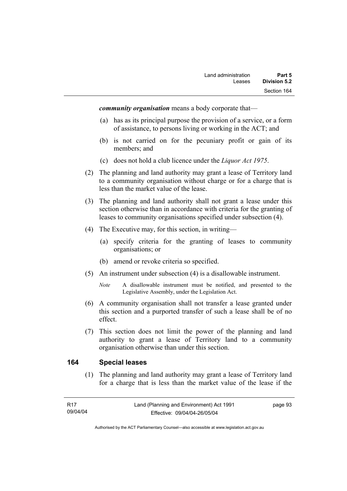*community organisation* means a body corporate that—

- (a) has as its principal purpose the provision of a service, or a form of assistance, to persons living or working in the ACT; and
- (b) is not carried on for the pecuniary profit or gain of its members; and
- (c) does not hold a club licence under the *Liquor Act 1975*.
- (2) The planning and land authority may grant a lease of Territory land to a community organisation without charge or for a charge that is less than the market value of the lease.
- (3) The planning and land authority shall not grant a lease under this section otherwise than in accordance with criteria for the granting of leases to community organisations specified under subsection (4).
- (4) The Executive may, for this section, in writing—
	- (a) specify criteria for the granting of leases to community organisations; or
	- (b) amend or revoke criteria so specified.
- (5) An instrument under subsection (4) is a disallowable instrument.
	- *Note* A disallowable instrument must be notified, and presented to the Legislative Assembly, under the Legislation Act.
- (6) A community organisation shall not transfer a lease granted under this section and a purported transfer of such a lease shall be of no effect.
- (7) This section does not limit the power of the planning and land authority to grant a lease of Territory land to a community organisation otherwise than under this section.

#### **164 Special leases**

 (1) The planning and land authority may grant a lease of Territory land for a charge that is less than the market value of the lease if the

page 93

Authorised by the ACT Parliamentary Counsel—also accessible at www.legislation.act.gov.au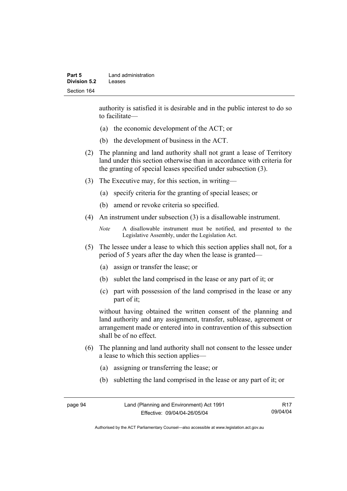authority is satisfied it is desirable and in the public interest to do so to facilitate—

- (a) the economic development of the ACT; or
- (b) the development of business in the ACT.
- (2) The planning and land authority shall not grant a lease of Territory land under this section otherwise than in accordance with criteria for the granting of special leases specified under subsection (3).
- (3) The Executive may, for this section, in writing—
	- (a) specify criteria for the granting of special leases; or
	- (b) amend or revoke criteria so specified.
- (4) An instrument under subsection (3) is a disallowable instrument.

```
Note A disallowable instrument must be notified, and presented to the 
Legislative Assembly, under the Legislation Act.
```
- (5) The lessee under a lease to which this section applies shall not, for a period of 5 years after the day when the lease is granted—
	- (a) assign or transfer the lease; or
	- (b) sublet the land comprised in the lease or any part of it; or
	- (c) part with possession of the land comprised in the lease or any part of it;

without having obtained the written consent of the planning and land authority and any assignment, transfer, sublease, agreement or arrangement made or entered into in contravention of this subsection shall be of no effect.

- (6) The planning and land authority shall not consent to the lessee under a lease to which this section applies—
	- (a) assigning or transferring the lease; or
	- (b) subletting the land comprised in the lease or any part of it; or

| page 94 | Land (Planning and Environment) Act 1991 | R17      |
|---------|------------------------------------------|----------|
|         | Effective: 09/04/04-26/05/04             | 09/04/04 |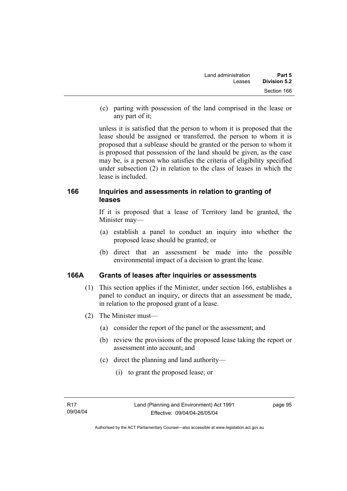(c) parting with possession of the land comprised in the lease or any part of it;

unless it is satisfied that the person to whom it is proposed that the lease should be assigned or transferred, the person to whom it is proposed that a sublease should be granted or the person to whom it is proposed that possession of the land should be given, as the case may be, is a person who satisfies the criteria of eligibility specified under subsection (2) in relation to the class of leases in which the lease is included.

## **166 Inquiries and assessments in relation to granting of leases**

If it is proposed that a lease of Territory land be granted, the Minister may—

- (a) establish a panel to conduct an inquiry into whether the proposed lease should be granted; or
- (b) direct that an assessment be made into the possible environmental impact of a decision to grant the lease.

## **166A Grants of leases after inquiries or assessments**

- (1) This section applies if the Minister, under section 166, establishes a panel to conduct an inquiry, or directs that an assessment be made, in relation to the proposed grant of a lease.
- (2) The Minister must—
	- (a) consider the report of the panel or the assessment; and
	- (b) review the provisions of the proposed lease taking the report or assessment into account; and
	- (c) direct the planning and land authority—
		- (i) to grant the proposed lease; or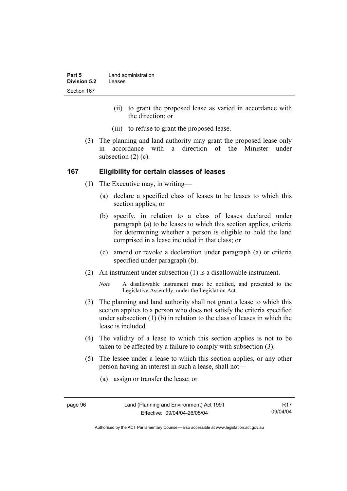| Part 5       | Land administration |
|--------------|---------------------|
| Division 5.2 | Leases              |
| Section 167  |                     |

- (ii) to grant the proposed lease as varied in accordance with the direction; or
- (iii) to refuse to grant the proposed lease.
- (3) The planning and land authority may grant the proposed lease only in accordance with a direction of the Minister under subsection (2) (c).

#### **167 Eligibility for certain classes of leases**

- (1) The Executive may, in writing—
	- (a) declare a specified class of leases to be leases to which this section applies; or
	- (b) specify, in relation to a class of leases declared under paragraph (a) to be leases to which this section applies, criteria for determining whether a person is eligible to hold the land comprised in a lease included in that class; or
	- (c) amend or revoke a declaration under paragraph (a) or criteria specified under paragraph (b).
- (2) An instrument under subsection (1) is a disallowable instrument.
	- *Note* A disallowable instrument must be notified, and presented to the Legislative Assembly, under the Legislation Act.
- (3) The planning and land authority shall not grant a lease to which this section applies to a person who does not satisfy the criteria specified under subsection (1) (b) in relation to the class of leases in which the lease is included.
- (4) The validity of a lease to which this section applies is not to be taken to be affected by a failure to comply with subsection (3).
- (5) The lessee under a lease to which this section applies, or any other person having an interest in such a lease, shall not—
	- (a) assign or transfer the lease; or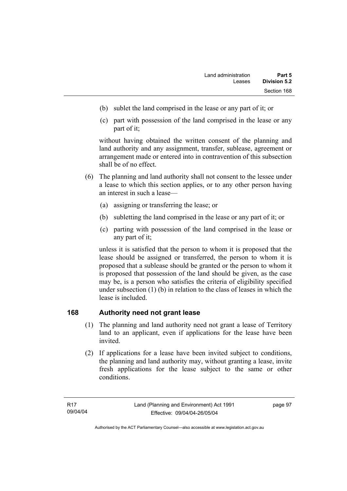- (b) sublet the land comprised in the lease or any part of it; or
- (c) part with possession of the land comprised in the lease or any part of it;

without having obtained the written consent of the planning and land authority and any assignment, transfer, sublease, agreement or arrangement made or entered into in contravention of this subsection shall be of no effect.

- (6) The planning and land authority shall not consent to the lessee under a lease to which this section applies, or to any other person having an interest in such a lease—
	- (a) assigning or transferring the lease; or
	- (b) subletting the land comprised in the lease or any part of it; or
	- (c) parting with possession of the land comprised in the lease or any part of it;

unless it is satisfied that the person to whom it is proposed that the lease should be assigned or transferred, the person to whom it is proposed that a sublease should be granted or the person to whom it is proposed that possession of the land should be given, as the case may be, is a person who satisfies the criteria of eligibility specified under subsection (1) (b) in relation to the class of leases in which the lease is included.

## **168 Authority need not grant lease**

- (1) The planning and land authority need not grant a lease of Territory land to an applicant, even if applications for the lease have been invited.
- (2) If applications for a lease have been invited subject to conditions, the planning and land authority may, without granting a lease, invite fresh applications for the lease subject to the same or other conditions.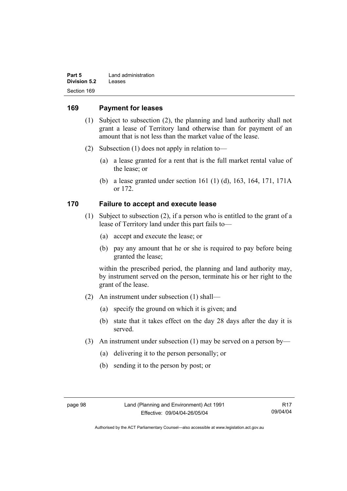| Part 5       | Land administration |
|--------------|---------------------|
| Division 5.2 | Leases              |
| Section 169  |                     |

### **169 Payment for leases**

- (1) Subject to subsection (2), the planning and land authority shall not grant a lease of Territory land otherwise than for payment of an amount that is not less than the market value of the lease.
- (2) Subsection (1) does not apply in relation to—
	- (a) a lease granted for a rent that is the full market rental value of the lease; or
	- (b) a lease granted under section 161 (1) (d), 163, 164, 171, 171A or 172.

### **170 Failure to accept and execute lease**

- (1) Subject to subsection (2), if a person who is entitled to the grant of a lease of Territory land under this part fails to—
	- (a) accept and execute the lease; or
	- (b) pay any amount that he or she is required to pay before being granted the lease;

within the prescribed period, the planning and land authority may, by instrument served on the person, terminate his or her right to the grant of the lease.

- (2) An instrument under subsection (1) shall—
	- (a) specify the ground on which it is given; and
	- (b) state that it takes effect on the day 28 days after the day it is served.
- (3) An instrument under subsection (1) may be served on a person by—
	- (a) delivering it to the person personally; or
	- (b) sending it to the person by post; or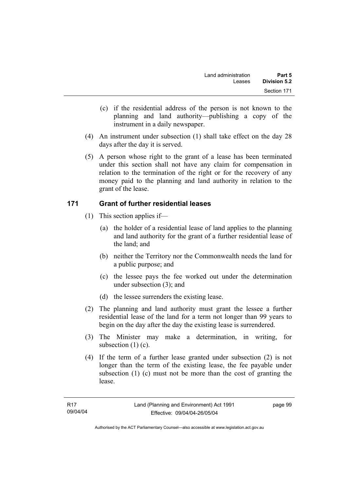- (c) if the residential address of the person is not known to the planning and land authority—publishing a copy of the instrument in a daily newspaper.
- (4) An instrument under subsection (1) shall take effect on the day 28 days after the day it is served.
- (5) A person whose right to the grant of a lease has been terminated under this section shall not have any claim for compensation in relation to the termination of the right or for the recovery of any money paid to the planning and land authority in relation to the grant of the lease.

## **171 Grant of further residential leases**

- (1) This section applies if—
	- (a) the holder of a residential lease of land applies to the planning and land authority for the grant of a further residential lease of the land; and
	- (b) neither the Territory nor the Commonwealth needs the land for a public purpose; and
	- (c) the lessee pays the fee worked out under the determination under subsection (3); and
	- (d) the lessee surrenders the existing lease.
- (2) The planning and land authority must grant the lessee a further residential lease of the land for a term not longer than 99 years to begin on the day after the day the existing lease is surrendered.
- (3) The Minister may make a determination, in writing, for subsection (1) (c).
- (4) If the term of a further lease granted under subsection (2) is not longer than the term of the existing lease, the fee payable under subsection (1) (c) must not be more than the cost of granting the lease.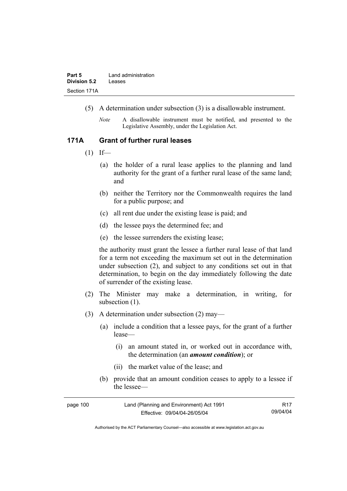- (5) A determination under subsection (3) is a disallowable instrument.
	- *Note* A disallowable instrument must be notified, and presented to the Legislative Assembly, under the Legislation Act.

#### **171A Grant of further rural leases**

- $(1)$  If—
	- (a) the holder of a rural lease applies to the planning and land authority for the grant of a further rural lease of the same land; and
	- (b) neither the Territory nor the Commonwealth requires the land for a public purpose; and
	- (c) all rent due under the existing lease is paid; and
	- (d) the lessee pays the determined fee; and
	- (e) the lessee surrenders the existing lease;

the authority must grant the lessee a further rural lease of that land for a term not exceeding the maximum set out in the determination under subsection (2), and subject to any conditions set out in that determination, to begin on the day immediately following the date of surrender of the existing lease.

- (2) The Minister may make a determination, in writing, for subsection  $(1)$ .
- (3) A determination under subsection (2) may—
	- (a) include a condition that a lessee pays, for the grant of a further lease—
		- (i) an amount stated in, or worked out in accordance with, the determination (an *amount condition*); or
		- (ii) the market value of the lease; and
	- (b) provide that an amount condition ceases to apply to a lessee if the lessee—

| page 100 | Land (Planning and Environment) Act 1991 | R17      |
|----------|------------------------------------------|----------|
|          | Effective: 09/04/04-26/05/04             | 09/04/04 |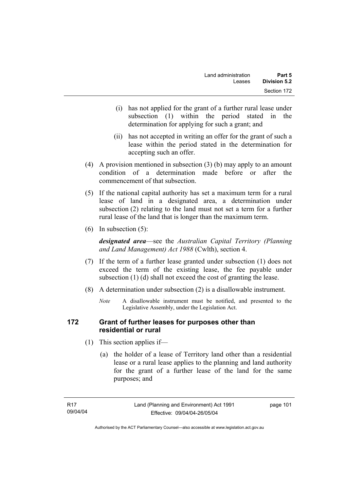- (i) has not applied for the grant of a further rural lease under subsection (1) within the period stated in the determination for applying for such a grant; and
- (ii) has not accepted in writing an offer for the grant of such a lease within the period stated in the determination for accepting such an offer.
- (4) A provision mentioned in subsection (3) (b) may apply to an amount condition of a determination made before or after the commencement of that subsection.
- (5) If the national capital authority has set a maximum term for a rural lease of land in a designated area, a determination under subsection (2) relating to the land must not set a term for a further rural lease of the land that is longer than the maximum term.
- (6) In subsection (5):

*designated area*—see the *Australian Capital Territory (Planning and Land Management) Act 1988* (Cwlth), section 4.

- (7) If the term of a further lease granted under subsection (1) does not exceed the term of the existing lease, the fee payable under subsection (1) (d) shall not exceed the cost of granting the lease.
- (8) A determination under subsection (2) is a disallowable instrument.
	- *Note* A disallowable instrument must be notified, and presented to the Legislative Assembly, under the Legislation Act.

## **172 Grant of further leases for purposes other than residential or rural**

- (1) This section applies if—
	- (a) the holder of a lease of Territory land other than a residential lease or a rural lease applies to the planning and land authority for the grant of a further lease of the land for the same purposes; and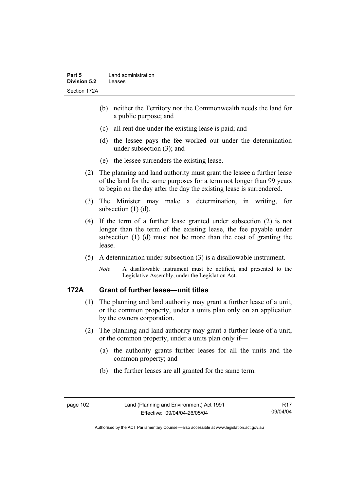- (b) neither the Territory nor the Commonwealth needs the land for a public purpose; and
- (c) all rent due under the existing lease is paid; and
- (d) the lessee pays the fee worked out under the determination under subsection (3); and
- (e) the lessee surrenders the existing lease.
- (2) The planning and land authority must grant the lessee a further lease of the land for the same purposes for a term not longer than 99 years to begin on the day after the day the existing lease is surrendered.
- (3) The Minister may make a determination, in writing, for subsection (1) (d).
- (4) If the term of a further lease granted under subsection (2) is not longer than the term of the existing lease, the fee payable under subsection (1) (d) must not be more than the cost of granting the lease.
- (5) A determination under subsection (3) is a disallowable instrument.
	- *Note* A disallowable instrument must be notified, and presented to the Legislative Assembly, under the Legislation Act.

## **172A Grant of further lease—unit titles**

- (1) The planning and land authority may grant a further lease of a unit, or the common property, under a units plan only on an application by the owners corporation.
- (2) The planning and land authority may grant a further lease of a unit, or the common property, under a units plan only if—
	- (a) the authority grants further leases for all the units and the common property; and
	- (b) the further leases are all granted for the same term.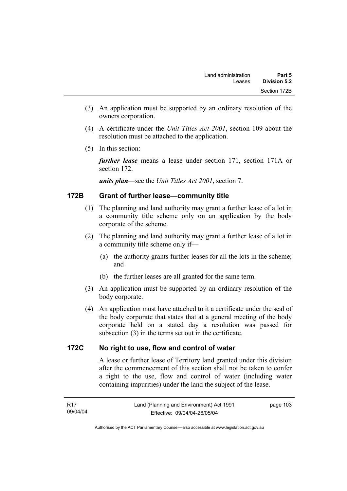- (3) An application must be supported by an ordinary resolution of the owners corporation.
- (4) A certificate under the *Unit Titles Act 2001*, section 109 about the resolution must be attached to the application.
- (5) In this section:

*further lease* means a lease under section 171, section 171A or section 172.

*units plan*—see the *Unit Titles Act 2001*, section 7.

## **172B Grant of further lease—community title**

- (1) The planning and land authority may grant a further lease of a lot in a community title scheme only on an application by the body corporate of the scheme.
- (2) The planning and land authority may grant a further lease of a lot in a community title scheme only if—
	- (a) the authority grants further leases for all the lots in the scheme; and
	- (b) the further leases are all granted for the same term.
- (3) An application must be supported by an ordinary resolution of the body corporate.
- (4) An application must have attached to it a certificate under the seal of the body corporate that states that at a general meeting of the body corporate held on a stated day a resolution was passed for subsection (3) in the terms set out in the certificate.

## **172C No right to use, flow and control of water**

A lease or further lease of Territory land granted under this division after the commencement of this section shall not be taken to confer a right to the use, flow and control of water (including water containing impurities) under the land the subject of the lease.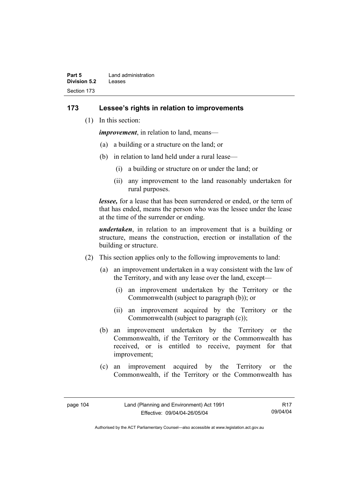| Part 5       | Land administration |
|--------------|---------------------|
| Division 5.2 | Leases              |
| Section 173  |                     |

### **173 Lessee's rights in relation to improvements**

(1) In this section:

*improvement*, in relation to land, means—

- (a) a building or a structure on the land; or
- (b) in relation to land held under a rural lease—
	- (i) a building or structure on or under the land; or
	- (ii) any improvement to the land reasonably undertaken for rural purposes.

*lessee,* for a lease that has been surrendered or ended, or the term of that has ended, means the person who was the lessee under the lease at the time of the surrender or ending.

*undertaken*, in relation to an improvement that is a building or structure, means the construction, erection or installation of the building or structure.

- (2) This section applies only to the following improvements to land:
	- (a) an improvement undertaken in a way consistent with the law of the Territory, and with any lease over the land, except—
		- (i) an improvement undertaken by the Territory or the Commonwealth (subject to paragraph (b)); or
		- (ii) an improvement acquired by the Territory or the Commonwealth (subject to paragraph (c));
	- (b) an improvement undertaken by the Territory or the Commonwealth, if the Territory or the Commonwealth has received, or is entitled to receive, payment for that improvement;
	- (c) an improvement acquired by the Territory or the Commonwealth, if the Territory or the Commonwealth has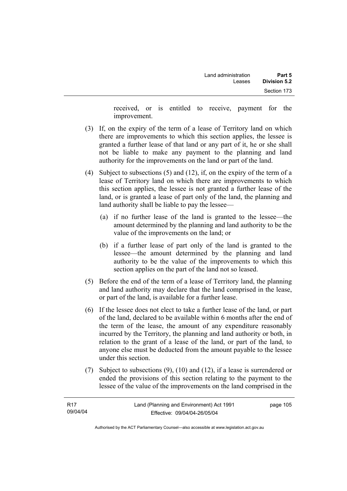received, or is entitled to receive, payment for the improvement.

- (3) If, on the expiry of the term of a lease of Territory land on which there are improvements to which this section applies, the lessee is granted a further lease of that land or any part of it, he or she shall not be liable to make any payment to the planning and land authority for the improvements on the land or part of the land.
- (4) Subject to subsections (5) and (12), if, on the expiry of the term of a lease of Territory land on which there are improvements to which this section applies, the lessee is not granted a further lease of the land, or is granted a lease of part only of the land, the planning and land authority shall be liable to pay the lessee—
	- (a) if no further lease of the land is granted to the lessee—the amount determined by the planning and land authority to be the value of the improvements on the land; or
	- (b) if a further lease of part only of the land is granted to the lessee—the amount determined by the planning and land authority to be the value of the improvements to which this section applies on the part of the land not so leased.
- (5) Before the end of the term of a lease of Territory land, the planning and land authority may declare that the land comprised in the lease, or part of the land, is available for a further lease.
- (6) If the lessee does not elect to take a further lease of the land, or part of the land, declared to be available within 6 months after the end of the term of the lease, the amount of any expenditure reasonably incurred by the Territory, the planning and land authority or both, in relation to the grant of a lease of the land, or part of the land, to anyone else must be deducted from the amount payable to the lessee under this section.
- (7) Subject to subsections (9), (10) and (12), if a lease is surrendered or ended the provisions of this section relating to the payment to the lessee of the value of the improvements on the land comprised in the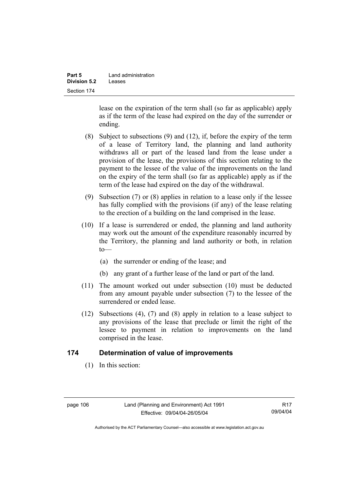| Part 5              | Land administration |
|---------------------|---------------------|
| <b>Division 5.2</b> | Leases              |
| Section 174         |                     |

lease on the expiration of the term shall (so far as applicable) apply as if the term of the lease had expired on the day of the surrender or ending.

- (8) Subject to subsections (9) and (12), if, before the expiry of the term of a lease of Territory land, the planning and land authority withdraws all or part of the leased land from the lease under a provision of the lease, the provisions of this section relating to the payment to the lessee of the value of the improvements on the land on the expiry of the term shall (so far as applicable) apply as if the term of the lease had expired on the day of the withdrawal.
- (9) Subsection (7) or (8) applies in relation to a lease only if the lessee has fully complied with the provisions (if any) of the lease relating to the erection of a building on the land comprised in the lease.
- (10) If a lease is surrendered or ended, the planning and land authority may work out the amount of the expenditure reasonably incurred by the Territory, the planning and land authority or both, in relation  $to$ —
	- (a) the surrender or ending of the lease; and
	- (b) any grant of a further lease of the land or part of the land.
- (11) The amount worked out under subsection (10) must be deducted from any amount payable under subsection (7) to the lessee of the surrendered or ended lease.
- (12) Subsections (4), (7) and (8) apply in relation to a lease subject to any provisions of the lease that preclude or limit the right of the lessee to payment in relation to improvements on the land comprised in the lease.

### **174 Determination of value of improvements**

(1) In this section:

| page 106 |  |
|----------|--|
|----------|--|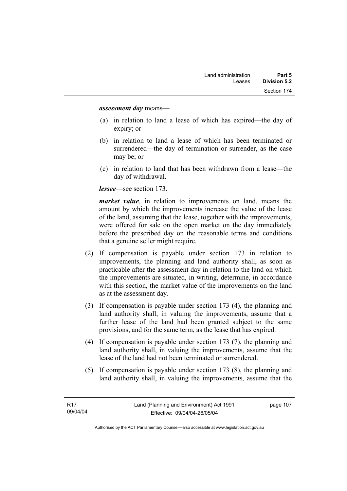#### *assessment day* means—

- (a) in relation to land a lease of which has expired—the day of expiry; or
- (b) in relation to land a lease of which has been terminated or surrendered—the day of termination or surrender, as the case may be; or
- (c) in relation to land that has been withdrawn from a lease—the day of withdrawal.

*lessee*—see section 173.

*market value*, in relation to improvements on land, means the amount by which the improvements increase the value of the lease of the land, assuming that the lease, together with the improvements, were offered for sale on the open market on the day immediately before the prescribed day on the reasonable terms and conditions that a genuine seller might require.

- (2) If compensation is payable under section 173 in relation to improvements, the planning and land authority shall, as soon as practicable after the assessment day in relation to the land on which the improvements are situated, in writing, determine, in accordance with this section, the market value of the improvements on the land as at the assessment day.
- (3) If compensation is payable under section 173 (4), the planning and land authority shall, in valuing the improvements, assume that a further lease of the land had been granted subject to the same provisions, and for the same term, as the lease that has expired.
- (4) If compensation is payable under section 173 (7), the planning and land authority shall, in valuing the improvements, assume that the lease of the land had not been terminated or surrendered.
- (5) If compensation is payable under section 173 (8), the planning and land authority shall, in valuing the improvements, assume that the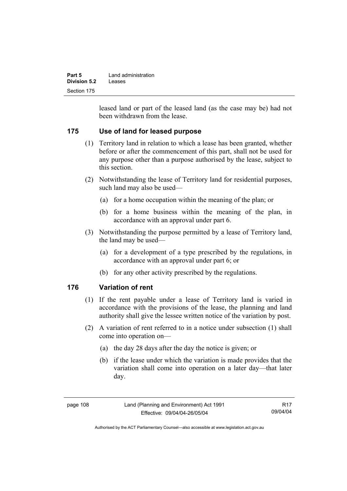| Part 5       | Land administration |  |
|--------------|---------------------|--|
| Division 5.2 | Leases              |  |
| Section 175  |                     |  |

leased land or part of the leased land (as the case may be) had not been withdrawn from the lease.

## **175 Use of land for leased purpose**

- (1) Territory land in relation to which a lease has been granted, whether before or after the commencement of this part, shall not be used for any purpose other than a purpose authorised by the lease, subject to this section.
- (2) Notwithstanding the lease of Territory land for residential purposes, such land may also be used—
	- (a) for a home occupation within the meaning of the plan; or
	- (b) for a home business within the meaning of the plan, in accordance with an approval under part 6.
- (3) Notwithstanding the purpose permitted by a lease of Territory land, the land may be used—
	- (a) for a development of a type prescribed by the regulations, in accordance with an approval under part 6; or
	- (b) for any other activity prescribed by the regulations.

## **176 Variation of rent**

- (1) If the rent payable under a lease of Territory land is varied in accordance with the provisions of the lease, the planning and land authority shall give the lessee written notice of the variation by post.
- (2) A variation of rent referred to in a notice under subsection (1) shall come into operation on—
	- (a) the day 28 days after the day the notice is given; or
	- (b) if the lease under which the variation is made provides that the variation shall come into operation on a later day—that later day.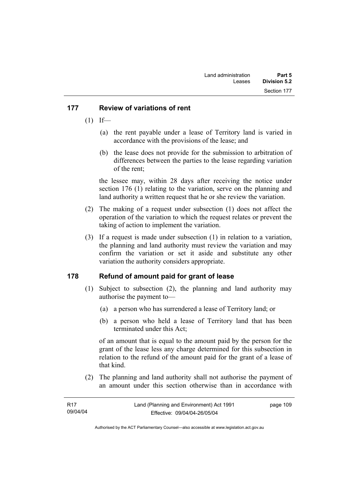## **177 Review of variations of rent**

- $(1)$  If—
	- (a) the rent payable under a lease of Territory land is varied in accordance with the provisions of the lease; and
	- (b) the lease does not provide for the submission to arbitration of differences between the parties to the lease regarding variation of the rent;

the lessee may, within 28 days after receiving the notice under section 176 (1) relating to the variation, serve on the planning and land authority a written request that he or she review the variation.

- (2) The making of a request under subsection (1) does not affect the operation of the variation to which the request relates or prevent the taking of action to implement the variation.
- (3) If a request is made under subsection (1) in relation to a variation, the planning and land authority must review the variation and may confirm the variation or set it aside and substitute any other variation the authority considers appropriate.

## **178 Refund of amount paid for grant of lease**

- (1) Subject to subsection (2), the planning and land authority may authorise the payment to—
	- (a) a person who has surrendered a lease of Territory land; or
	- (b) a person who held a lease of Territory land that has been terminated under this Act;

of an amount that is equal to the amount paid by the person for the grant of the lease less any charge determined for this subsection in relation to the refund of the amount paid for the grant of a lease of that kind.

 (2) The planning and land authority shall not authorise the payment of an amount under this section otherwise than in accordance with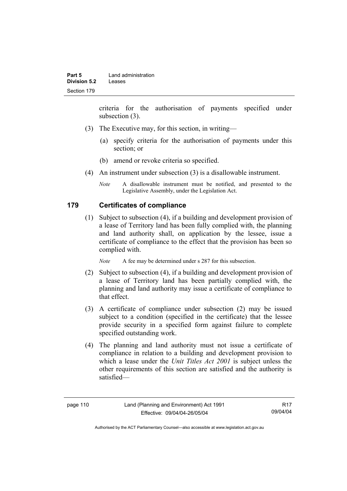criteria for the authorisation of payments specified under subsection (3).

- (3) The Executive may, for this section, in writing—
	- (a) specify criteria for the authorisation of payments under this section; or
	- (b) amend or revoke criteria so specified.
- (4) An instrument under subsection (3) is a disallowable instrument.
	- *Note* A disallowable instrument must be notified, and presented to the Legislative Assembly, under the Legislation Act.

### **179 Certificates of compliance**

 (1) Subject to subsection (4), if a building and development provision of a lease of Territory land has been fully complied with, the planning and land authority shall, on application by the lessee, issue a certificate of compliance to the effect that the provision has been so complied with.

*Note* A fee may be determined under s 287 for this subsection.

- (2) Subject to subsection (4), if a building and development provision of a lease of Territory land has been partially complied with, the planning and land authority may issue a certificate of compliance to that effect.
- (3) A certificate of compliance under subsection (2) may be issued subject to a condition (specified in the certificate) that the lessee provide security in a specified form against failure to complete specified outstanding work.
- (4) The planning and land authority must not issue a certificate of compliance in relation to a building and development provision to which a lease under the *Unit Titles Act 2001* is subject unless the other requirements of this section are satisfied and the authority is satisfied—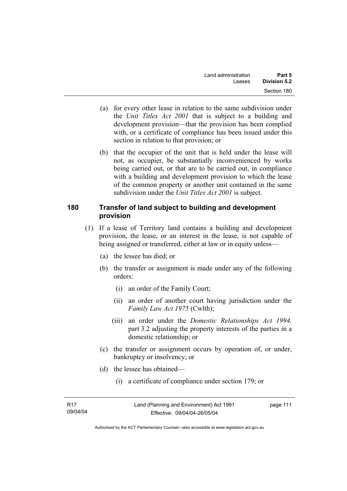- (a) for every other lease in relation to the same subdivision under the *Unit Titles Act 2001* that is subject to a building and development provision—that the provision has been complied with, or a certificate of compliance has been issued under this section in relation to that provision; or
- (b) that the occupier of the unit that is held under the lease will not, as occupier, be substantially inconvenienced by works being carried out, or that are to be carried out, in compliance with a building and development provision to which the lease of the common property or another unit contained in the same subdivision under the *Unit Titles Act 2001* is subject.

## **180 Transfer of land subject to building and development provision**

- (1) If a lease of Territory land contains a building and development provision, the lease, or an interest in the lease, is not capable of being assigned or transferred, either at law or in equity unless—
	- (a) the lessee has died; or
	- (b) the transfer or assignment is made under any of the following orders:
		- (i) an order of the Family Court;
		- (ii) an order of another court having jurisdiction under the *Family Law Act 1975* (Cwlth);
		- (iii) an order under the *Domestic Relationships Act 1994,*  part 3.2 adjusting the property interests of the parties in a domestic relationship; or
	- (c) the transfer or assignment occurs by operation of, or under, bankruptcy or insolvency; or
	- (d) the lessee has obtained—
		- (i) a certificate of compliance under section 179; or

| - R17    | Land (Planning and Environment) Act 1991 | page 111 |
|----------|------------------------------------------|----------|
| 09/04/04 | Effective: 09/04/04-26/05/04             |          |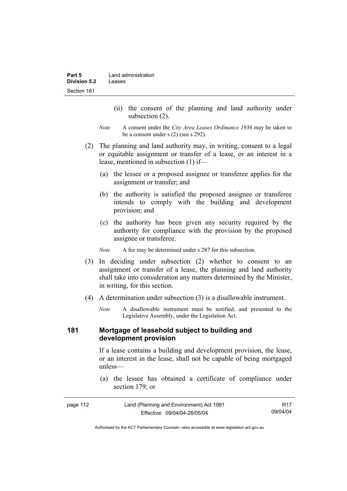- (ii) the consent of the planning and land authority under subsection (2).
- *Note* A consent under the *City Area Leases Ordinance 1936* may be taken to be a consent under s (2) (see s 292).
- (2) The planning and land authority may, in writing, consent to a legal or equitable assignment or transfer of a lease, or an interest in a lease, mentioned in subsection (1) if—
	- (a) the lessee or a proposed assignee or transferee applies for the assignment or transfer; and
	- (b) the authority is satisfied the proposed assignee or transferee intends to comply with the building and development provision; and
	- (c) the authority has been given any security required by the authority for compliance with the provision by the proposed assignee or transferee.

*Note* A fee may be determined under s 287 for this subsection.

- (3) In deciding under subsection (2) whether to consent to an assignment or transfer of a lease, the planning and land authority shall take into consideration any matters determined by the Minister, in writing, for this section.
- (4) A determination under subsection (3) is a disallowable instrument.
	- *Note* A disallowable instrument must be notified, and presented to the Legislative Assembly, under the Legislation Act.

#### **181 Mortgage of leasehold subject to building and development provision**

If a lease contains a building and development provision, the lease, or an interest in the lease, shall not be capable of being mortgaged unless—

 (a) the lessee has obtained a certificate of compliance under section 179; or

| page 112 | Land (Planning and Environment) Act 1991 | R17      |
|----------|------------------------------------------|----------|
|          | Effective: 09/04/04-26/05/04             | 09/04/04 |

Authorised by the ACT Parliamentary Counsel—also accessible at www.legislation.act.gov.au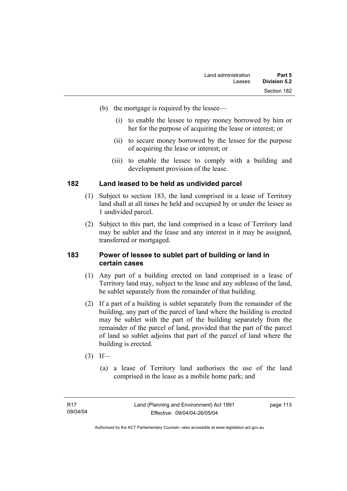- (b) the mortgage is required by the lessee—
	- (i) to enable the lessee to repay money borrowed by him or her for the purpose of acquiring the lease or interest; or
	- (ii) to secure money borrowed by the lessee for the purpose of acquiring the lease or interest; or
	- (iii) to enable the lessee to comply with a building and development provision of the lease.

### **182 Land leased to be held as undivided parcel**

- (1) Subject to section 183, the land comprised in a lease of Territory land shall at all times be held and occupied by or under the lessee as 1 undivided parcel.
- (2) Subject to this part, the land comprised in a lease of Territory land may be sublet and the lease and any interest in it may be assigned, transferred or mortgaged.

#### **183 Power of lessee to sublet part of building or land in certain cases**

- (1) Any part of a building erected on land comprised in a lease of Territory land may, subject to the lease and any sublease of the land, be sublet separately from the remainder of that building.
- (2) If a part of a building is sublet separately from the remainder of the building, any part of the parcel of land where the building is erected may be sublet with the part of the building separately from the remainder of the parcel of land, provided that the part of the parcel of land so sublet adjoins that part of the parcel of land where the building is erected.
- $(3)$  If—
	- (a) a lease of Territory land authorises the use of the land comprised in the lease as a mobile home park; and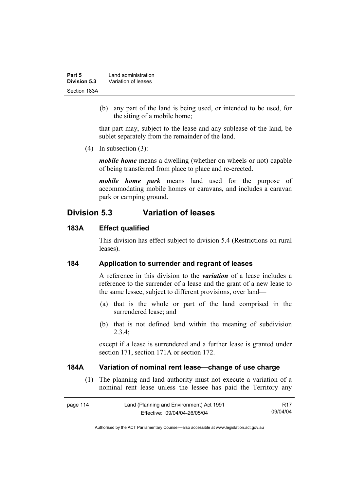| Part 5       | Land administration |  |
|--------------|---------------------|--|
| Division 5.3 | Variation of leases |  |
| Section 183A |                     |  |

 (b) any part of the land is being used, or intended to be used, for the siting of a mobile home;

that part may, subject to the lease and any sublease of the land, be sublet separately from the remainder of the land.

(4) In subsection (3):

*mobile home* means a dwelling (whether on wheels or not) capable of being transferred from place to place and re-erected.

*mobile home park* means land used for the purpose of accommodating mobile homes or caravans, and includes a caravan park or camping ground.

## **Division 5.3 Variation of leases**

#### **183A Effect qualified**

This division has effect subject to division 5.4 (Restrictions on rural leases).

#### **184 Application to surrender and regrant of leases**

A reference in this division to the *variation* of a lease includes a reference to the surrender of a lease and the grant of a new lease to the same lessee, subject to different provisions, over land—

- (a) that is the whole or part of the land comprised in the surrendered lease; and
- (b) that is not defined land within the meaning of subdivision 2.3.4;

except if a lease is surrendered and a further lease is granted under section 171, section 171A or section 172.

#### **184A Variation of nominal rent lease—change of use charge**

 (1) The planning and land authority must not execute a variation of a nominal rent lease unless the lessee has paid the Territory any

| page 114 | Land (Planning and Environment) Act 1991 | R17      |
|----------|------------------------------------------|----------|
|          | Effective: 09/04/04-26/05/04             | 09/04/04 |

Authorised by the ACT Parliamentary Counsel—also accessible at www.legislation.act.gov.au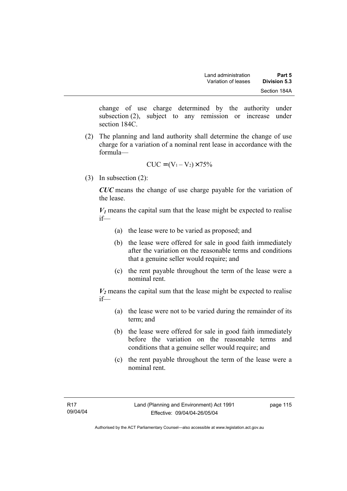change of use charge determined by the authority under subsection (2), subject to any remission or increase under section 184C.

 (2) The planning and land authority shall determine the change of use charge for a variation of a nominal rent lease in accordance with the formula—

$$
CUC = (V_1 - V_2) \times 75\%
$$

(3) In subsection (2):

*CUC* means the change of use charge payable for the variation of the lease.

 $V_1$  means the capital sum that the lease might be expected to realise if—

- (a) the lease were to be varied as proposed; and
- (b) the lease were offered for sale in good faith immediately after the variation on the reasonable terms and conditions that a genuine seller would require; and
- (c) the rent payable throughout the term of the lease were a nominal rent.

 $V_2$  means the capital sum that the lease might be expected to realise if—

- (a) the lease were not to be varied during the remainder of its term; and
- (b) the lease were offered for sale in good faith immediately before the variation on the reasonable terms and conditions that a genuine seller would require; and
- (c) the rent payable throughout the term of the lease were a nominal rent.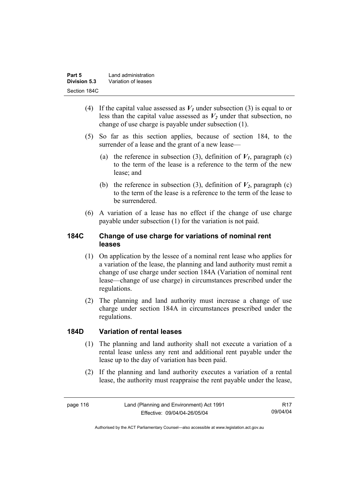| Part 5       | Land administration |
|--------------|---------------------|
| Division 5.3 | Variation of leases |
| Section 184C |                     |

- (4) If the capital value assessed as  $V_I$  under subsection (3) is equal to or less than the capital value assessed as  $V_2$  under that subsection, no change of use charge is payable under subsection (1).
- (5) So far as this section applies, because of section 184, to the surrender of a lease and the grant of a new lease—
	- (a) the reference in subsection (3), definition of  $V_I$ , paragraph (c) to the term of the lease is a reference to the term of the new lease; and
	- (b) the reference in subsection (3), definition of  $V_2$ , paragraph (c) to the term of the lease is a reference to the term of the lease to be surrendered.
- (6) A variation of a lease has no effect if the change of use charge payable under subsection (1) for the variation is not paid.

## **184C Change of use charge for variations of nominal rent leases**

- (1) On application by the lessee of a nominal rent lease who applies for a variation of the lease, the planning and land authority must remit a change of use charge under section 184A (Variation of nominal rent lease—change of use charge) in circumstances prescribed under the regulations.
- (2) The planning and land authority must increase a change of use charge under section 184A in circumstances prescribed under the regulations.

#### **184D Variation of rental leases**

- (1) The planning and land authority shall not execute a variation of a rental lease unless any rent and additional rent payable under the lease up to the day of variation has been paid.
- (2) If the planning and land authority executes a variation of a rental lease, the authority must reappraise the rent payable under the lease,

R17 09/04/04

Authorised by the ACT Parliamentary Counsel—also accessible at www.legislation.act.gov.au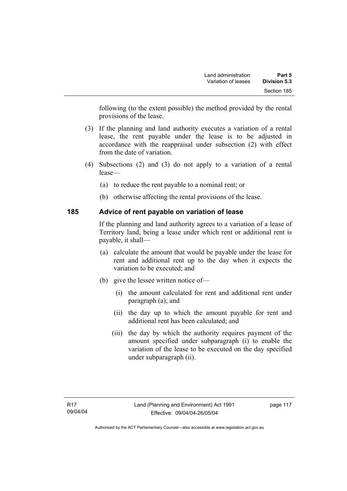following (to the extent possible) the method provided by the rental provisions of the lease.

- (3) If the planning and land authority executes a variation of a rental lease, the rent payable under the lease is to be adjusted in accordance with the reappraisal under subsection (2) with effect from the date of variation.
- (4) Subsections (2) and (3) do not apply to a variation of a rental lease—
	- (a) to reduce the rent payable to a nominal rent; or
	- (b) otherwise affecting the rental provisions of the lease.

## **185 Advice of rent payable on variation of lease**

If the planning and land authority agrees to a variation of a lease of Territory land, being a lease under which rent or additional rent is payable, it shall—

- (a) calculate the amount that would be payable under the lease for rent and additional rent up to the day when it expects the variation to be executed; and
- (b) give the lessee written notice of—
	- (i) the amount calculated for rent and additional rent under paragraph (a); and
	- (ii) the day up to which the amount payable for rent and additional rent has been calculated; and
	- (iii) the day by which the authority requires payment of the amount specified under subparagraph (i) to enable the variation of the lease to be executed on the day specified under subparagraph (ii).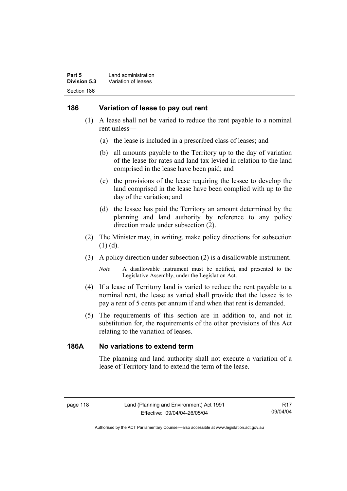### **186 Variation of lease to pay out rent**

- (1) A lease shall not be varied to reduce the rent payable to a nominal rent unless—
	- (a) the lease is included in a prescribed class of leases; and
	- (b) all amounts payable to the Territory up to the day of variation of the lease for rates and land tax levied in relation to the land comprised in the lease have been paid; and
	- (c) the provisions of the lease requiring the lessee to develop the land comprised in the lease have been complied with up to the day of the variation; and
	- (d) the lessee has paid the Territory an amount determined by the planning and land authority by reference to any policy direction made under subsection (2).
- (2) The Minister may, in writing, make policy directions for subsection (1) (d).
- (3) A policy direction under subsection (2) is a disallowable instrument.

*Note* A disallowable instrument must be notified, and presented to the Legislative Assembly, under the Legislation Act.

- (4) If a lease of Territory land is varied to reduce the rent payable to a nominal rent, the lease as varied shall provide that the lessee is to pay a rent of 5 cents per annum if and when that rent is demanded.
- (5) The requirements of this section are in addition to, and not in substitution for, the requirements of the other provisions of this Act relating to the variation of leases.

### **186A No variations to extend term**

The planning and land authority shall not execute a variation of a lease of Territory land to extend the term of the lease.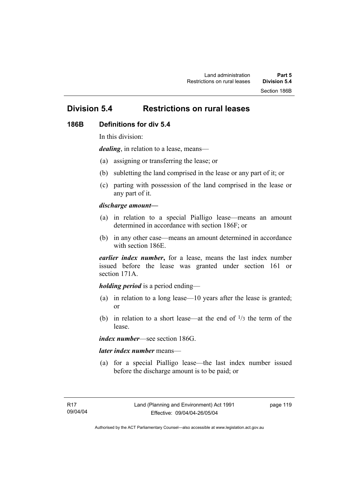# **Division 5.4 Restrictions on rural leases**

#### **186B Definitions for div 5.4**

In this division:

*dealing*, in relation to a lease, means—

- (a) assigning or transferring the lease; or
- (b) subletting the land comprised in the lease or any part of it; or
- (c) parting with possession of the land comprised in the lease or any part of it.

#### *discharge amount—*

- (a) in relation to a special Pialligo lease—means an amount determined in accordance with section 186F; or
- (b) in any other case—means an amount determined in accordance with section 186E.

*earlier index number***,** for a lease, means the last index number issued before the lease was granted under section 161 or section 171A.

#### *holding period* is a period ending—

- (a) in relation to a long lease—10 years after the lease is granted; or
- (b) in relation to a short lease—at the end of  $\frac{1}{3}$  the term of the lease.

*index number*—see section 186G.

#### *later index number* means—

 (a) for a special Pialligo lease—the last index number issued before the discharge amount is to be paid; or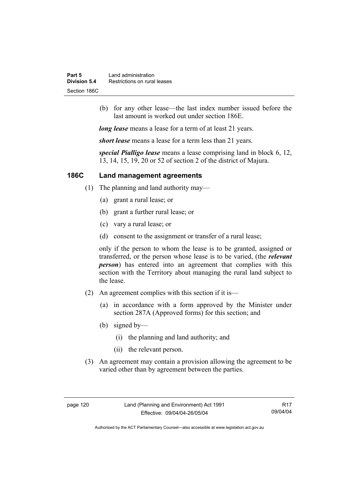| Part 5       | Land administration          |
|--------------|------------------------------|
| Division 5.4 | Restrictions on rural leases |
| Section 186C |                              |

 (b) for any other lease—the last index number issued before the last amount is worked out under section 186E.

*long lease* means a lease for a term of at least 21 years.

*short lease* means a lease for a term less than 21 years.

*special Pialligo lease* means a lease comprising land in block 6, 12, 13, 14, 15, 19, 20 or 52 of section 2 of the district of Majura.

## **186C Land management agreements**

- (1) The planning and land authority may—
	- (a) grant a rural lease; or
	- (b) grant a further rural lease; or
	- (c) vary a rural lease; or
	- (d) consent to the assignment or transfer of a rural lease;

only if the person to whom the lease is to be granted, assigned or transferred, or the person whose lease is to be varied, (the *relevant person*) has entered into an agreement that complies with this section with the Territory about managing the rural land subject to the lease.

- (2) An agreement complies with this section if it is—
	- (a) in accordance with a form approved by the Minister under section 287A (Approved forms) for this section; and
	- (b) signed by—
		- (i) the planning and land authority; and
		- (ii) the relevant person.
- (3) An agreement may contain a provision allowing the agreement to be varied other than by agreement between the parties.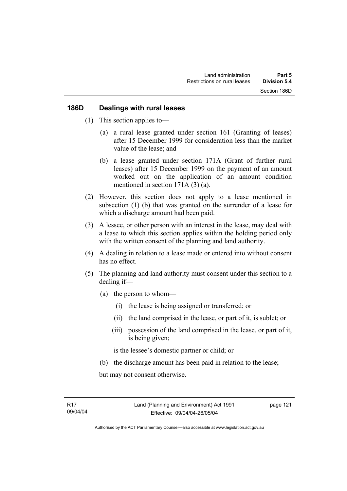#### **186D Dealings with rural leases**

- (1) This section applies to—
	- (a) a rural lease granted under section 161 (Granting of leases) after 15 December 1999 for consideration less than the market value of the lease; and
	- (b) a lease granted under section 171A (Grant of further rural leases) after 15 December 1999 on the payment of an amount worked out on the application of an amount condition mentioned in section 171A (3) (a).
- (2) However, this section does not apply to a lease mentioned in subsection (1) (b) that was granted on the surrender of a lease for which a discharge amount had been paid.
- (3) A lessee, or other person with an interest in the lease, may deal with a lease to which this section applies within the holding period only with the written consent of the planning and land authority.
- (4) A dealing in relation to a lease made or entered into without consent has no effect.
- (5) The planning and land authority must consent under this section to a dealing if—
	- (a) the person to whom—
		- (i) the lease is being assigned or transferred; or
		- (ii) the land comprised in the lease, or part of it, is sublet; or
		- (iii) possession of the land comprised in the lease, or part of it, is being given;

is the lessee's domestic partner or child; or

(b) the discharge amount has been paid in relation to the lease;

but may not consent otherwise.

Authorised by the ACT Parliamentary Counsel—also accessible at www.legislation.act.gov.au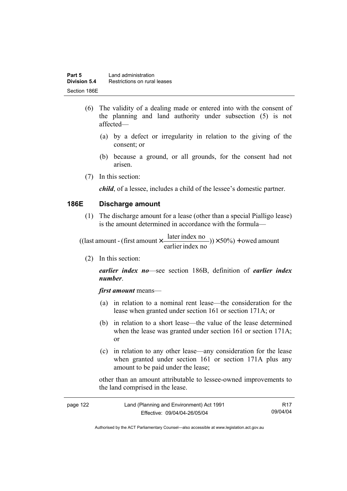- (6) The validity of a dealing made or entered into with the consent of the planning and land authority under subsection (5) is not affected—
	- (a) by a defect or irregularity in relation to the giving of the consent; or
	- (b) because a ground, or all grounds, for the consent had not arisen.
- (7) In this section:

*child*, of a lessee, includes a child of the lessee's domestic partner.

#### **186E Discharge amount**

 (1) The discharge amount for a lease (other than a special Pialligo lease) is the amount determined in accordance with the formula—

 $(y) \times 50\%$  + owed amount earlier index no ((last amount - (first amount  $\times \frac{\text{later index no}}{\text{inter index}}$ )) $\times$  50%) +

(2) In this section:

*earlier index no*—see section 186B, definition of *earlier index number*.

*first amount* means—

- (a) in relation to a nominal rent lease—the consideration for the lease when granted under section 161 or section 171A; or
- (b) in relation to a short lease—the value of the lease determined when the lease was granted under section 161 or section 171A; or
- (c) in relation to any other lease—any consideration for the lease when granted under section 161 or section 171A plus any amount to be paid under the lease;

other than an amount attributable to lessee-owned improvements to the land comprised in the lease.

| page 122 | Land (Planning and Environment) Act 1991 | <b>R17</b> |
|----------|------------------------------------------|------------|
|          | Effective: 09/04/04-26/05/04             | 09/04/04   |

Authorised by the ACT Parliamentary Counsel—also accessible at www.legislation.act.gov.au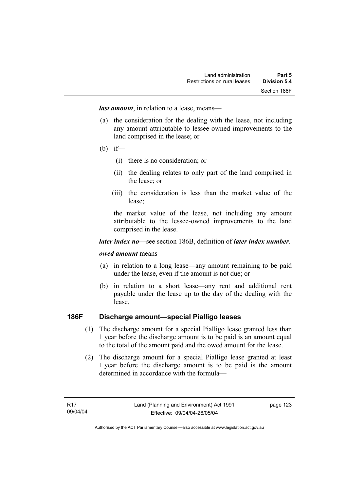*last amount*, in relation to a lease, means—

- (a) the consideration for the dealing with the lease, not including any amount attributable to lessee-owned improvements to the land comprised in the lease; or
- (b) if—
	- (i) there is no consideration; or
	- (ii) the dealing relates to only part of the land comprised in the lease; or
	- (iii) the consideration is less than the market value of the lease;

the market value of the lease, not including any amount attributable to the lessee-owned improvements to the land comprised in the lease.

#### *later index no*—see section 186B, definition of *later index number*.

#### *owed amount* means—

- (a) in relation to a long lease—any amount remaining to be paid under the lease, even if the amount is not due; or
- (b) in relation to a short lease—any rent and additional rent payable under the lease up to the day of the dealing with the lease.

## **186F Discharge amount—special Pialligo leases**

- (1) The discharge amount for a special Pialligo lease granted less than 1 year before the discharge amount is to be paid is an amount equal to the total of the amount paid and the owed amount for the lease.
- (2) The discharge amount for a special Pialligo lease granted at least 1 year before the discharge amount is to be paid is the amount determined in accordance with the formula—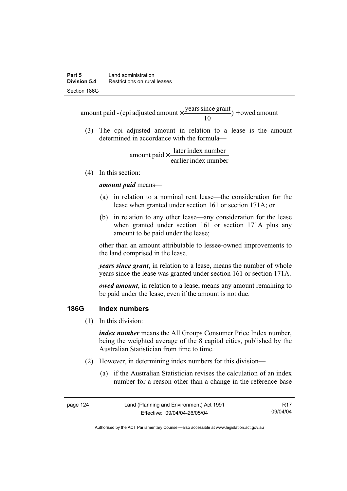$) +$  owed amount 10 amount paid - (cpi adjusted amount  $\times \frac{\text{years since grant}}{10}$ ) +

 (3) The cpi adjusted amount in relation to a lease is the amount determined in accordance with the formula—

> earlier index number amount paid  $\times \frac{\text{later index number}}{\text{lintermax}}$

(4) In this section:

*amount paid* means—

- (a) in relation to a nominal rent lease—the consideration for the lease when granted under section 161 or section 171A; or
- (b) in relation to any other lease—any consideration for the lease when granted under section 161 or section 171A plus any amount to be paid under the lease;

other than an amount attributable to lessee-owned improvements to the land comprised in the lease.

*years since grant*, in relation to a lease, means the number of whole years since the lease was granted under section 161 or section 171A.

*owed amount*, in relation to a lease, means any amount remaining to be paid under the lease, even if the amount is not due.

#### **186G Index numbers**

(1) In this division:

*index number* means the All Groups Consumer Price Index number, being the weighted average of the 8 capital cities, published by the Australian Statistician from time to time.

- (2) However, in determining index numbers for this division—
	- (a) if the Australian Statistician revises the calculation of an index number for a reason other than a change in the reference base

| page 124 | Land (Planning and Environment) Act 1991 | R17      |
|----------|------------------------------------------|----------|
|          | Effective: 09/04/04-26/05/04             | 09/04/04 |

Authorised by the ACT Parliamentary Counsel—also accessible at www.legislation.act.gov.au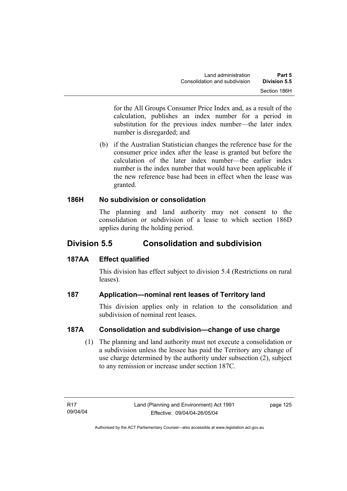for the All Groups Consumer Price Index and, as a result of the calculation, publishes an index number for a period in substitution for the previous index number—the later index number is disregarded; and

 (b) if the Australian Statistician changes the reference base for the consumer price index after the lease is granted but before the calculation of the later index number—the earlier index number is the index number that would have been applicable if the new reference base had been in effect when the lease was granted.

## **186H No subdivision or consolidation**

The planning and land authority may not consent to the consolidation or subdivision of a lease to which section 186D applies during the holding period.

# **Division 5.5 Consolidation and subdivision**

## **187AA Effect qualified**

This division has effect subject to division 5.4 (Restrictions on rural leases).

## **187 Application—nominal rent leases of Territory land**

This division applies only in relation to the consolidation and subdivision of nominal rent leases.

## **187A Consolidation and subdivision—change of use charge**

 (1) The planning and land authority must not execute a consolidation or a subdivision unless the lessee has paid the Territory any change of use charge determined by the authority under subsection (2), subject to any remission or increase under section 187C.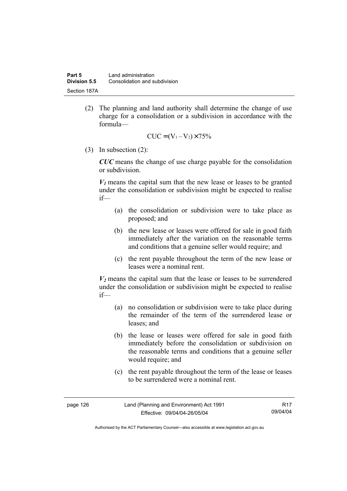(2) The planning and land authority shall determine the change of use charge for a consolidation or a subdivision in accordance with the formula—

$$
CUC = (V_1 - V_2) \times 75\%
$$

(3) In subsection (2):

*CUC* means the change of use charge payable for the consolidation or subdivision.

 $V_1$  means the capital sum that the new lease or leases to be granted under the consolidation or subdivision might be expected to realise if—

- (a) the consolidation or subdivision were to take place as proposed; and
- (b) the new lease or leases were offered for sale in good faith immediately after the variation on the reasonable terms and conditions that a genuine seller would require; and
- (c) the rent payable throughout the term of the new lease or leases were a nominal rent.

 $V_2$  means the capital sum that the lease or leases to be surrendered under the consolidation or subdivision might be expected to realise if—

- (a) no consolidation or subdivision were to take place during the remainder of the term of the surrendered lease or leases; and
- (b) the lease or leases were offered for sale in good faith immediately before the consolidation or subdivision on the reasonable terms and conditions that a genuine seller would require; and
- (c) the rent payable throughout the term of the lease or leases to be surrendered were a nominal rent.

| page 126 | Land (Planning and Environment) Act 1991 | R17      |
|----------|------------------------------------------|----------|
|          | Effective: 09/04/04-26/05/04             | 09/04/04 |

Authorised by the ACT Parliamentary Counsel—also accessible at www.legislation.act.gov.au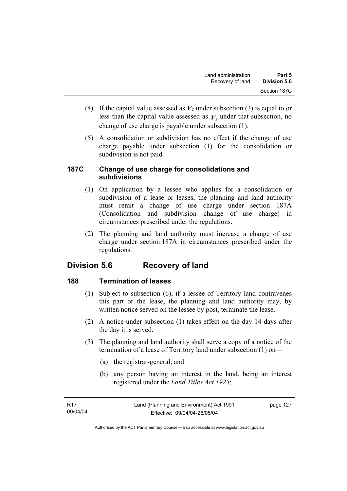- (4) If the capital value assessed as  $V_I$  under subsection (3) is equal to or less than the capital value assessed as  $V_2$  under that subsection, no change of use charge is payable under subsection (1).
- (5) A consolidation or subdivision has no effect if the change of use charge payable under subsection (1) for the consolidation or subdivision is not paid.

## **187C Change of use charge for consolidations and subdivisions**

- (1) On application by a lessee who applies for a consolidation or subdivision of a lease or leases, the planning and land authority must remit a change of use charge under section 187A (Consolidation and subdivision—change of use charge) in circumstances prescribed under the regulations.
- (2) The planning and land authority must increase a change of use charge under section 187A in circumstances prescribed under the regulations.

# **Division 5.6 Recovery of land**

## **188 Termination of leases**

- (1) Subject to subsection (6), if a lessee of Territory land contravenes this part or the lease, the planning and land authority may, by written notice served on the lessee by post, terminate the lease.
- (2) A notice under subsection (1) takes effect on the day 14 days after the day it is served.
- (3) The planning and land authority shall serve a copy of a notice of the termination of a lease of Territory land under subsection (1) on—
	- (a) the registrar-general; and
	- (b) any person having an interest in the land, being an interest registered under the *Land Titles Act 1925*;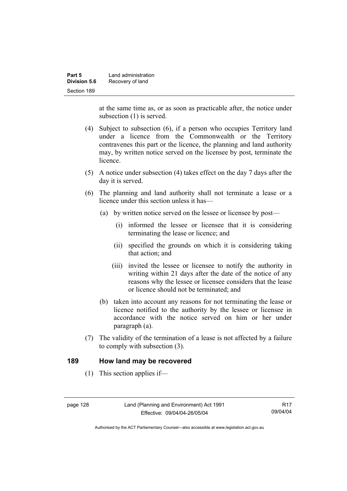| Part 5       | Land administration |
|--------------|---------------------|
| Division 5.6 | Recovery of land    |
| Section 189  |                     |

at the same time as, or as soon as practicable after, the notice under subsection (1) is served.

- (4) Subject to subsection (6), if a person who occupies Territory land under a licence from the Commonwealth or the Territory contravenes this part or the licence, the planning and land authority may, by written notice served on the licensee by post, terminate the licence.
- (5) A notice under subsection (4) takes effect on the day 7 days after the day it is served.
- (6) The planning and land authority shall not terminate a lease or a licence under this section unless it has—
	- (a) by written notice served on the lessee or licensee by post—
		- (i) informed the lessee or licensee that it is considering terminating the lease or licence; and
		- (ii) specified the grounds on which it is considering taking that action; and
		- (iii) invited the lessee or licensee to notify the authority in writing within 21 days after the date of the notice of any reasons why the lessee or licensee considers that the lease or licence should not be terminated; and
	- (b) taken into account any reasons for not terminating the lease or licence notified to the authority by the lessee or licensee in accordance with the notice served on him or her under paragraph (a).
- (7) The validity of the termination of a lease is not affected by a failure to comply with subsection (3).

#### **189 How land may be recovered**

(1) This section applies if—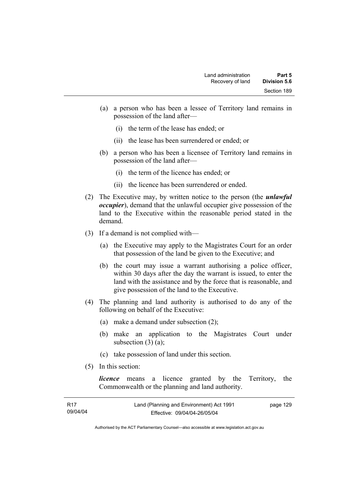- (a) a person who has been a lessee of Territory land remains in possession of the land after—
	- (i) the term of the lease has ended; or
	- (ii) the lease has been surrendered or ended; or
- (b) a person who has been a licensee of Territory land remains in possession of the land after—
	- (i) the term of the licence has ended; or
	- (ii) the licence has been surrendered or ended.
- (2) The Executive may, by written notice to the person (the *unlawful occupier*), demand that the unlawful occupier give possession of the land to the Executive within the reasonable period stated in the demand.
- (3) If a demand is not complied with—
	- (a) the Executive may apply to the Magistrates Court for an order that possession of the land be given to the Executive; and
	- (b) the court may issue a warrant authorising a police officer, within 30 days after the day the warrant is issued, to enter the land with the assistance and by the force that is reasonable, and give possession of the land to the Executive.
- (4) The planning and land authority is authorised to do any of the following on behalf of the Executive:
	- (a) make a demand under subsection (2);
	- (b) make an application to the Magistrates Court under subsection  $(3)$   $(a)$ ;
	- (c) take possession of land under this section.
- (5) In this section:

*licence* means a licence granted by the Territory, the Commonwealth or the planning and land authority.

| R17      | Land (Planning and Environment) Act 1991 | page 129 |
|----------|------------------------------------------|----------|
| 09/04/04 | Effective: 09/04/04-26/05/04             |          |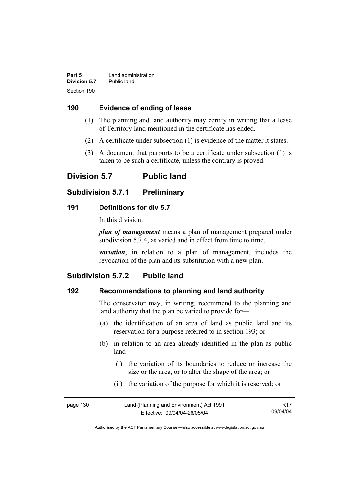| Part 5       | Land administration |
|--------------|---------------------|
| Division 5.7 | Public land         |
| Section 190  |                     |

### **190 Evidence of ending of lease**

- (1) The planning and land authority may certify in writing that a lease of Territory land mentioned in the certificate has ended.
- (2) A certificate under subsection (1) is evidence of the matter it states.
- (3) A document that purports to be a certificate under subsection (1) is taken to be such a certificate, unless the contrary is proved.

# **Division 5.7 Public land**

### **Subdivision 5.7.1 Preliminary**

### **191 Definitions for div 5.7**

In this division:

*plan of management* means a plan of management prepared under subdivision 5.7.4, as varied and in effect from time to time.

*variation*, in relation to a plan of management, includes the revocation of the plan and its substitution with a new plan.

## **Subdivision 5.7.2 Public land**

### **192 Recommendations to planning and land authority**

The conservator may, in writing, recommend to the planning and land authority that the plan be varied to provide for—

- (a) the identification of an area of land as public land and its reservation for a purpose referred to in section 193; or
- (b) in relation to an area already identified in the plan as public land—
	- (i) the variation of its boundaries to reduce or increase the size or the area, or to alter the shape of the area; or
	- (ii) the variation of the purpose for which it is reserved; or

| page 130 | Land (Planning and Environment) Act 1991 | <b>R17</b> |
|----------|------------------------------------------|------------|
|          | Effective: 09/04/04-26/05/04             | 09/04/04   |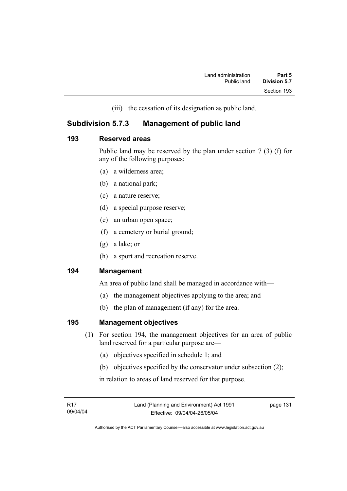(iii) the cessation of its designation as public land.

## **Subdivision 5.7.3 Management of public land**

### **193 Reserved areas**

Public land may be reserved by the plan under section 7 (3) (f) for any of the following purposes:

- (a) a wilderness area;
- (b) a national park;
- (c) a nature reserve;
- (d) a special purpose reserve;
- (e) an urban open space;
- (f) a cemetery or burial ground;
- (g) a lake; or
- (h) a sport and recreation reserve.

### **194 Management**

An area of public land shall be managed in accordance with—

- (a) the management objectives applying to the area; and
- (b) the plan of management (if any) for the area.

### **195 Management objectives**

- (1) For section 194, the management objectives for an area of public land reserved for a particular purpose are—
	- (a) objectives specified in schedule 1; and
	- (b) objectives specified by the conservator under subsection (2);

in relation to areas of land reserved for that purpose.

page 131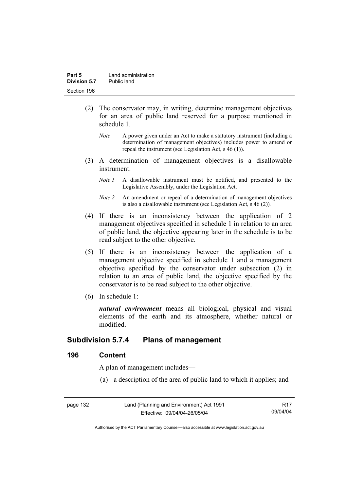- (2) The conservator may, in writing, determine management objectives for an area of public land reserved for a purpose mentioned in schedule 1.
	- *Note* A power given under an Act to make a statutory instrument (including a determination of management objectives) includes power to amend or repeal the instrument (see Legislation Act, s 46 (1)).
- (3) A determination of management objectives is a disallowable instrument.
	- *Note 1* A disallowable instrument must be notified, and presented to the Legislative Assembly, under the Legislation Act.
	- *Note 2* An amendment or repeal of a determination of management objectives is also a disallowable instrument (see Legislation Act, s 46 (2))*.*
- (4) If there is an inconsistency between the application of 2 management objectives specified in schedule 1 in relation to an area of public land, the objective appearing later in the schedule is to be read subject to the other objective.
- (5) If there is an inconsistency between the application of a management objective specified in schedule 1 and a management objective specified by the conservator under subsection (2) in relation to an area of public land, the objective specified by the conservator is to be read subject to the other objective.
- (6) In schedule 1:

*natural environment* means all biological, physical and visual elements of the earth and its atmosphere, whether natural or modified.

# **Subdivision 5.7.4 Plans of management**

### **196 Content**

A plan of management includes—

(a) a description of the area of public land to which it applies; and

| page 132 | Land (Planning and Environment) Act 1991 | R17      |
|----------|------------------------------------------|----------|
|          | Effective: 09/04/04-26/05/04             | 09/04/04 |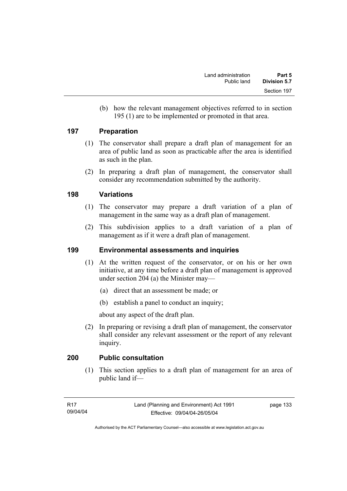(b) how the relevant management objectives referred to in section 195 (1) are to be implemented or promoted in that area.

### **197 Preparation**

- (1) The conservator shall prepare a draft plan of management for an area of public land as soon as practicable after the area is identified as such in the plan.
- (2) In preparing a draft plan of management, the conservator shall consider any recommendation submitted by the authority.

### **198 Variations**

- (1) The conservator may prepare a draft variation of a plan of management in the same way as a draft plan of management.
- (2) This subdivision applies to a draft variation of a plan of management as if it were a draft plan of management.

### **199 Environmental assessments and inquiries**

- (1) At the written request of the conservator, or on his or her own initiative, at any time before a draft plan of management is approved under section 204 (a) the Minister may—
	- (a) direct that an assessment be made; or
	- (b) establish a panel to conduct an inquiry;

about any aspect of the draft plan.

 (2) In preparing or revising a draft plan of management, the conservator shall consider any relevant assessment or the report of any relevant inquiry.

### **200 Public consultation**

 (1) This section applies to a draft plan of management for an area of public land if—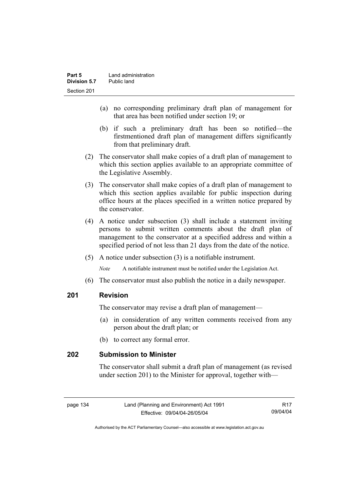- (a) no corresponding preliminary draft plan of management for that area has been notified under section 19; or
- (b) if such a preliminary draft has been so notified—the firstmentioned draft plan of management differs significantly from that preliminary draft.
- (2) The conservator shall make copies of a draft plan of management to which this section applies available to an appropriate committee of the Legislative Assembly.
- (3) The conservator shall make copies of a draft plan of management to which this section applies available for public inspection during office hours at the places specified in a written notice prepared by the conservator.
- (4) A notice under subsection (3) shall include a statement inviting persons to submit written comments about the draft plan of management to the conservator at a specified address and within a specified period of not less than 21 days from the date of the notice.
- (5) A notice under subsection (3) is a notifiable instrument.

*Note* A notifiable instrument must be notified under the Legislation Act.

(6) The conservator must also publish the notice in a daily newspaper.

### **201 Revision**

The conservator may revise a draft plan of management—

- (a) in consideration of any written comments received from any person about the draft plan; or
- (b) to correct any formal error.

### **202 Submission to Minister**

The conservator shall submit a draft plan of management (as revised under section 201) to the Minister for approval, together with—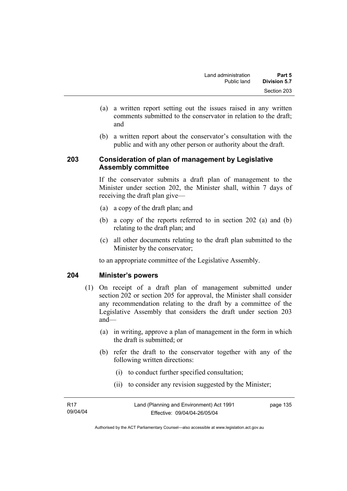- (a) a written report setting out the issues raised in any written comments submitted to the conservator in relation to the draft; and
- (b) a written report about the conservator's consultation with the public and with any other person or authority about the draft.

### **203 Consideration of plan of management by Legislative Assembly committee**

If the conservator submits a draft plan of management to the Minister under section 202, the Minister shall, within 7 days of receiving the draft plan give—

- (a) a copy of the draft plan; and
- (b) a copy of the reports referred to in section 202 (a) and (b) relating to the draft plan; and
- (c) all other documents relating to the draft plan submitted to the Minister by the conservator;

to an appropriate committee of the Legislative Assembly.

### **204 Minister's powers**

- (1) On receipt of a draft plan of management submitted under section 202 or section 205 for approval, the Minister shall consider any recommendation relating to the draft by a committee of the Legislative Assembly that considers the draft under section 203 and—
	- (a) in writing, approve a plan of management in the form in which the draft is submitted; or
	- (b) refer the draft to the conservator together with any of the following written directions:
		- (i) to conduct further specified consultation;
		- (ii) to consider any revision suggested by the Minister;

| R17      | Land (Planning and Environment) Act 1991 | page 135 |
|----------|------------------------------------------|----------|
| 09/04/04 | Effective: 09/04/04-26/05/04             |          |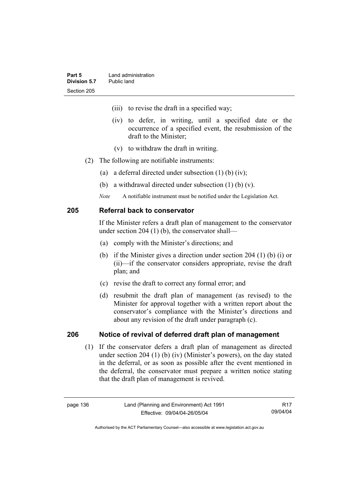- (iii) to revise the draft in a specified way;
- (iv) to defer, in writing, until a specified date or the occurrence of a specified event, the resubmission of the draft to the Minister;
- (v) to withdraw the draft in writing.
- (2) The following are notifiable instruments:
	- (a) a deferral directed under subsection (1) (b) (iv);
	- (b) a withdrawal directed under subsection (1) (b) (v).
	- *Note* A notifiable instrument must be notified under the Legislation Act.

### **205 Referral back to conservator**

If the Minister refers a draft plan of management to the conservator under section 204 (1) (b), the conservator shall—

- (a) comply with the Minister's directions; and
- (b) if the Minister gives a direction under section 204 (1) (b) (i) or (ii)—if the conservator considers appropriate, revise the draft plan; and
- (c) revise the draft to correct any formal error; and
- (d) resubmit the draft plan of management (as revised) to the Minister for approval together with a written report about the conservator's compliance with the Minister's directions and about any revision of the draft under paragraph (c).

### **206 Notice of revival of deferred draft plan of management**

(1) If the conservator defers a draft plan of management as directed under section 204 (1) (b) (iv) (Minister's powers), on the day stated in the deferral, or as soon as possible after the event mentioned in the deferral, the conservator must prepare a written notice stating that the draft plan of management is revived.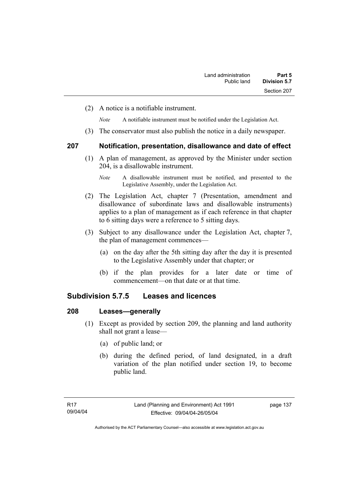(2) A notice is a notifiable instrument.

*Note* A notifiable instrument must be notified under the Legislation Act.

(3) The conservator must also publish the notice in a daily newspaper.

### **207 Notification, presentation, disallowance and date of effect**

 (1) A plan of management, as approved by the Minister under section 204, is a disallowable instrument.

- (2) The Legislation Act, chapter 7 (Presentation, amendment and disallowance of subordinate laws and disallowable instruments) applies to a plan of management as if each reference in that chapter to 6 sitting days were a reference to 5 sitting days.
- (3) Subject to any disallowance under the Legislation Act, chapter 7, the plan of management commences—
	- (a) on the day after the 5th sitting day after the day it is presented to the Legislative Assembly under that chapter; or
	- (b) if the plan provides for a later date or time of commencement—on that date or at that time.

### **Subdivision 5.7.5 Leases and licences**

### **208 Leases—generally**

- (1) Except as provided by section 209, the planning and land authority shall not grant a lease—
	- (a) of public land; or
	- (b) during the defined period, of land designated, in a draft variation of the plan notified under section 19, to become public land.

*Note* A disallowable instrument must be notified, and presented to the Legislative Assembly, under the Legislation Act.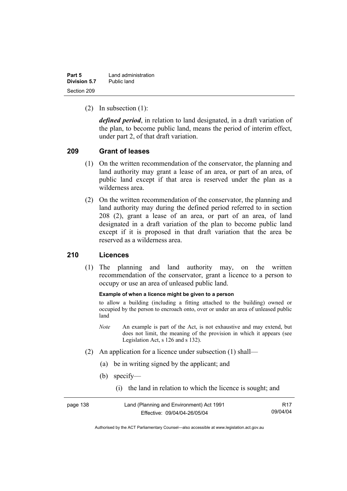| Part 5       | Land administration |
|--------------|---------------------|
| Division 5.7 | Public land         |
| Section 209  |                     |

(2) In subsection (1):

*defined period*, in relation to land designated, in a draft variation of the plan, to become public land, means the period of interim effect, under part 2, of that draft variation.

### **209 Grant of leases**

- (1) On the written recommendation of the conservator, the planning and land authority may grant a lease of an area, or part of an area, of public land except if that area is reserved under the plan as a wilderness area.
- (2) On the written recommendation of the conservator, the planning and land authority may during the defined period referred to in section 208 (2), grant a lease of an area, or part of an area, of land designated in a draft variation of the plan to become public land except if it is proposed in that draft variation that the area be reserved as a wilderness area.

### **210 Licences**

 (1) The planning and land authority may, on the written recommendation of the conservator, grant a licence to a person to occupy or use an area of unleased public land.

#### **Example of when a licence might be given to a person**

to allow a building (including a fitting attached to the building) owned or occupied by the person to encroach onto, over or under an area of unleased public land

- *Note* An example is part of the Act, is not exhaustive and may extend, but does not limit, the meaning of the provision in which it appears (see Legislation Act, s 126 and s 132).
- (2) An application for a licence under subsection (1) shall—
	- (a) be in writing signed by the applicant; and
	- (b) specify—
		- (i) the land in relation to which the licence is sought; and

| page 138 | Land (Planning and Environment) Act 1991 | R <sub>17</sub> |
|----------|------------------------------------------|-----------------|
|          | Effective: 09/04/04-26/05/04             | 09/04/04        |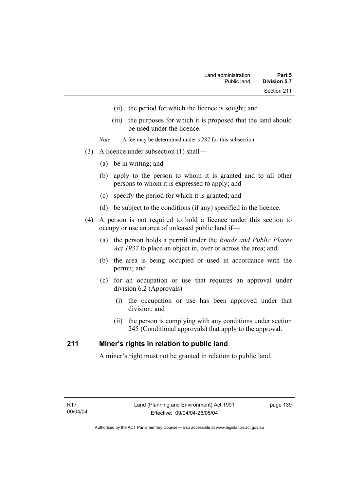- (ii) the period for which the licence is sought; and
- (iii) the purposes for which it is proposed that the land should be used under the licence.
- *Note* A fee may be determined under s 287 for this subsection.
- (3) A licence under subsection (1) shall—
	- (a) be in writing; and
	- (b) apply to the person to whom it is granted and to all other persons to whom it is expressed to apply; and
	- (c) specify the period for which it is granted; and
	- (d) be subject to the conditions (if any) specified in the licence.
- (4) A person is not required to hold a licence under this section to occupy or use an area of unleased public land if—
	- (a) the person holds a permit under the *Roads and Public Places Act 1937* to place an object in, over or across the area; and
	- (b) the area is being occupied or used in accordance with the permit; and
	- (c) for an occupation or use that requires an approval under division 6.2 (Approvals)—
		- (i) the occupation or use has been approved under that division; and
		- (ii) the person is complying with any conditions under section 245 (Conditional approvals) that apply to the approval.

### **211 Miner's rights in relation to public land**

A miner's right must not be granted in relation to public land.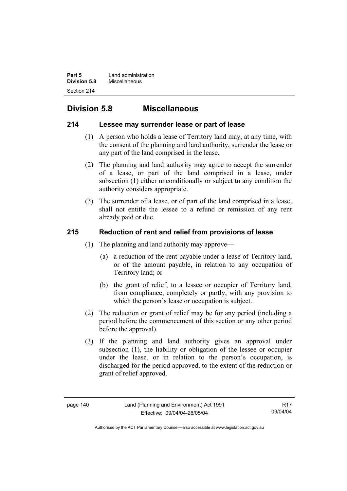**Part 5 Land administration Division 5.8** Miscellaneous Section 214

# **Division 5.8 Miscellaneous**

### **214 Lessee may surrender lease or part of lease**

- (1) A person who holds a lease of Territory land may, at any time, with the consent of the planning and land authority, surrender the lease or any part of the land comprised in the lease.
- (2) The planning and land authority may agree to accept the surrender of a lease, or part of the land comprised in a lease, under subsection (1) either unconditionally or subject to any condition the authority considers appropriate.
- (3) The surrender of a lease, or of part of the land comprised in a lease, shall not entitle the lessee to a refund or remission of any rent already paid or due.

### **215 Reduction of rent and relief from provisions of lease**

- (1) The planning and land authority may approve—
	- (a) a reduction of the rent payable under a lease of Territory land, or of the amount payable, in relation to any occupation of Territory land; or
	- (b) the grant of relief, to a lessee or occupier of Territory land, from compliance, completely or partly, with any provision to which the person's lease or occupation is subject.
- (2) The reduction or grant of relief may be for any period (including a period before the commencement of this section or any other period before the approval).
- (3) If the planning and land authority gives an approval under subsection (1), the liability or obligation of the lessee or occupier under the lease, or in relation to the person's occupation, is discharged for the period approved, to the extent of the reduction or grant of relief approved.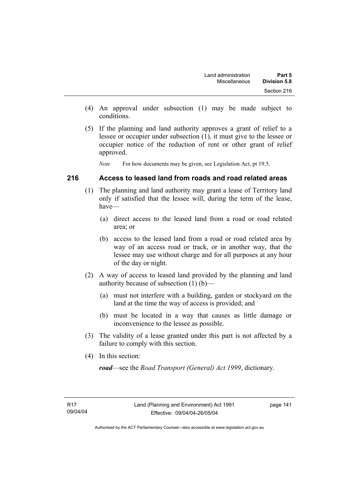- (4) An approval under subsection (1) may be made subject to conditions.
- (5) If the planning and land authority approves a grant of relief to a lessee or occupier under subsection (1), it must give to the lessee or occupier notice of the reduction of rent or other grant of relief approved.

*Note* For how documents may be given, see Legislation Act, pt 19.5.

### **216 Access to leased land from roads and road related areas**

- (1) The planning and land authority may grant a lease of Territory land only if satisfied that the lessee will, during the term of the lease, have—
	- (a) direct access to the leased land from a road or road related area; or
	- (b) access to the leased land from a road or road related area by way of an access road or track, or in another way, that the lessee may use without charge and for all purposes at any hour of the day or night.
- (2) A way of access to leased land provided by the planning and land authority because of subsection (1) (b)—
	- (a) must not interfere with a building, garden or stockyard on the land at the time the way of access is provided; and
	- (b) must be located in a way that causes as little damage or inconvenience to the lessee as possible.
- (3) The validity of a lease granted under this part is not affected by a failure to comply with this section.
- (4) In this section:

*road*—see the *Road Transport (General) Act 1999*, dictionary.

page 141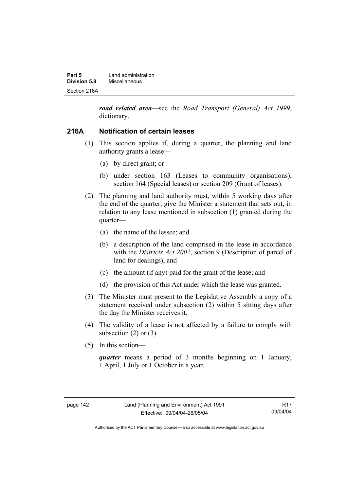| Part 5       | Land administration |  |
|--------------|---------------------|--|
| Division 5.8 | Miscellaneous       |  |
| Section 216A |                     |  |

*road related area*—see the *Road Transport (General) Act 1999*, dictionary.

### **216A Notification of certain leases**

- (1) This section applies if, during a quarter, the planning and land authority grants a lease—
	- (a) by direct grant; or
	- (b) under section 163 (Leases to community organisations), section 164 (Special leases) or section 209 (Grant of leases).
- (2) The planning and land authority must, within 5 working days after the end of the quarter, give the Minister a statement that sets out, in relation to any lease mentioned in subsection (1) granted during the quarter—
	- (a) the name of the lessee; and
	- (b) a description of the land comprised in the lease in accordance with the *Districts Act 2002*, section 9 (Description of parcel of land for dealings); and
	- (c) the amount (if any) paid for the grant of the lease; and
	- (d) the provision of this Act under which the lease was granted.
- (3) The Minister must present to the Legislative Assembly a copy of a statement received under subsection (2) within 5 sitting days after the day the Minister receives it.
- (4) The validity of a lease is not affected by a failure to comply with subsection  $(2)$  or  $(3)$ .
- (5) In this section—

*quarter* means a period of 3 months beginning on 1 January, 1 April, 1 July or 1 October in a year.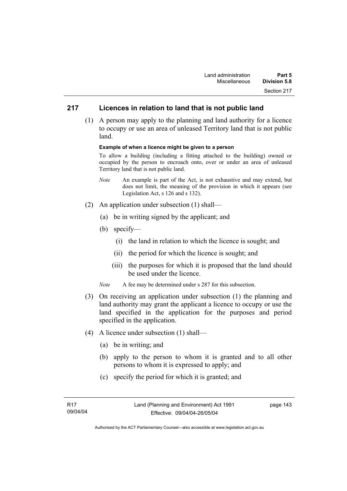### **217 Licences in relation to land that is not public land**

 (1) A person may apply to the planning and land authority for a licence to occupy or use an area of unleased Territory land that is not public land.

#### **Example of when a licence might be given to a person**

To allow a building (including a fitting attached to the building) owned or occupied by the person to encroach onto, over or under an area of unleased Territory land that is not public land.

- *Note* An example is part of the Act, is not exhaustive and may extend, but does not limit, the meaning of the provision in which it appears (see Legislation Act, s 126 and s 132).
- (2) An application under subsection (1) shall—
	- (a) be in writing signed by the applicant; and
	- (b) specify—
		- (i) the land in relation to which the licence is sought; and
		- (ii) the period for which the licence is sought; and
		- (iii) the purposes for which it is proposed that the land should be used under the licence.
	- *Note* A fee may be determined under s 287 for this subsection.
- (3) On receiving an application under subsection (1) the planning and land authority may grant the applicant a licence to occupy or use the land specified in the application for the purposes and period specified in the application.
- (4) A licence under subsection (1) shall—
	- (a) be in writing; and
	- (b) apply to the person to whom it is granted and to all other persons to whom it is expressed to apply; and
	- (c) specify the period for which it is granted; and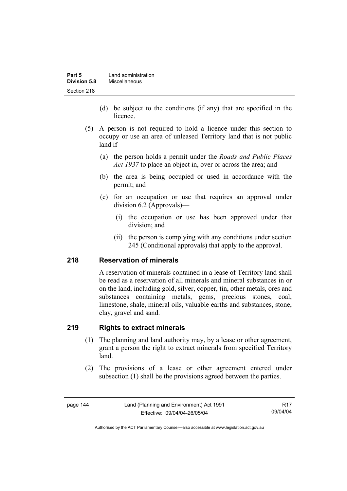| Part 5       | Land administration |  |
|--------------|---------------------|--|
| Division 5.8 | Miscellaneous       |  |
| Section 218  |                     |  |

- (d) be subject to the conditions (if any) that are specified in the licence.
- (5) A person is not required to hold a licence under this section to occupy or use an area of unleased Territory land that is not public land if—
	- (a) the person holds a permit under the *Roads and Public Places Act 1937* to place an object in, over or across the area; and
	- (b) the area is being occupied or used in accordance with the permit; and
	- (c) for an occupation or use that requires an approval under division 6.2 (Approvals)—
		- (i) the occupation or use has been approved under that division; and
		- (ii) the person is complying with any conditions under section 245 (Conditional approvals) that apply to the approval.

### **218 Reservation of minerals**

A reservation of minerals contained in a lease of Territory land shall be read as a reservation of all minerals and mineral substances in or on the land, including gold, silver, copper, tin, other metals, ores and substances containing metals, gems, precious stones, coal, limestone, shale, mineral oils, valuable earths and substances, stone, clay, gravel and sand.

### **219 Rights to extract minerals**

- (1) The planning and land authority may, by a lease or other agreement, grant a person the right to extract minerals from specified Territory land.
- (2) The provisions of a lease or other agreement entered under subsection (1) shall be the provisions agreed between the parties.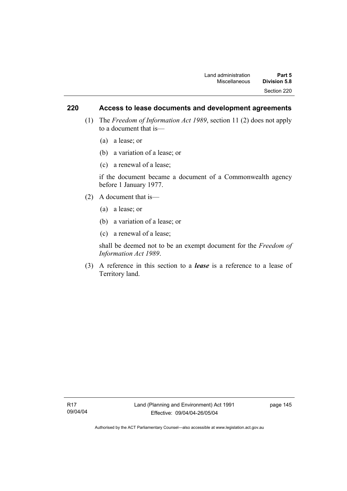### **220 Access to lease documents and development agreements**

- (1) The *Freedom of Information Act 1989*, section 11 (2) does not apply to a document that is—
	- (a) a lease; or
	- (b) a variation of a lease; or
	- (c) a renewal of a lease;

if the document became a document of a Commonwealth agency before 1 January 1977.

- (2) A document that is—
	- (a) a lease; or
	- (b) a variation of a lease; or
	- (c) a renewal of a lease;

shall be deemed not to be an exempt document for the *Freedom of Information Act 1989*.

 (3) A reference in this section to a *lease* is a reference to a lease of Territory land.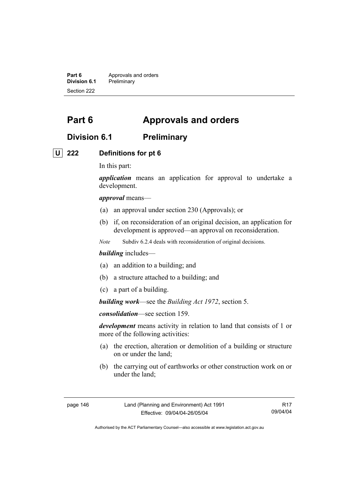**Part 6 Approvals and orders**<br>**Division 6.1 Preliminary Division 6.1** Preliminary Section 222

# **Part 6 Approvals and orders**

### **Division 6.1 Preliminary**

### **U 222 Definitions for pt 6**

In this part:

*application* means an application for approval to undertake a development.

*approval* means—

- (a) an approval under section 230 (Approvals); or
- (b) if, on reconsideration of an original decision, an application for development is approved—an approval on reconsideration.
- *Note* Subdiv 6.2.4 deals with reconsideration of original decisions.

#### *building* includes—

- (a) an addition to a building; and
- (b) a structure attached to a building; and
- (c) a part of a building.

*building work*—see the *Building Act 1972*, section 5.

*consolidation*—see section 159.

*development* means activity in relation to land that consists of 1 or more of the following activities:

- (a) the erection, alteration or demolition of a building or structure on or under the land;
- (b) the carrying out of earthworks or other construction work on or under the land;

page 146 Land (Planning and Environment) Act 1991 Effective: 09/04/04-26/05/04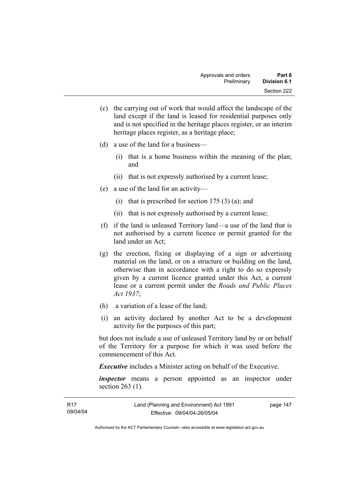- (c) the carrying out of work that would affect the landscape of the land except if the land is leased for residential purposes only and is not specified in the heritage places register, or an interim heritage places register, as a heritage place;
- (d) a use of the land for a business—
	- (i) that is a home business within the meaning of the plan; and
	- (ii) that is not expressly authorised by a current lease;
- (e) a use of the land for an activity—
	- (i) that is prescribed for section  $175(3)(a)$ ; and
	- (ii) that is not expressly authorised by a current lease;
- (f) if the land is unleased Territory land—a use of the land that is not authorised by a current licence or permit granted for the land under an Act;
- (g) the erection, fixing or displaying of a sign or advertising material on the land, or on a structure or building on the land, otherwise than in accordance with a right to do so expressly given by a current licence granted under this Act, a current lease or a current permit under the *Roads and Public Places Act 1937*;
- (h) a variation of a lease of the land;
- (i) an activity declared by another Act to be a development activity for the purposes of this part;

but does not include a use of unleased Territory land by or on behalf of the Territory for a purpose for which it was used before the commencement of this Act.

*Executive* includes a Minister acting on behalf of the Executive.

*inspector* means a person appointed as an inspector under section 263 (1).

| R17      | Land (Planning and Environment) Act 1991 | page 147 |
|----------|------------------------------------------|----------|
| 09/04/04 | Effective: 09/04/04-26/05/04             |          |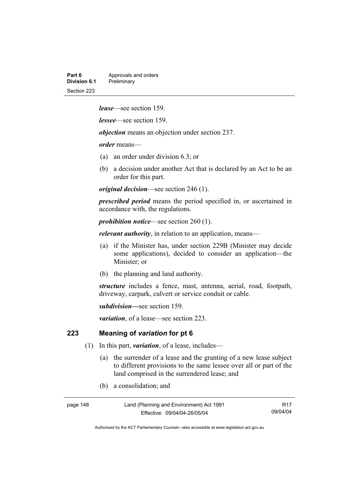| Part 6       | Approvals and orders |
|--------------|----------------------|
| Division 6.1 | Preliminary          |
| Section 223  |                      |

*lease*—see section 159.

*lessee*—see section 159.

*objection* means an objection under section 237.

*order* means—

- (a) an order under division 6.3; or
- (b) a decision under another Act that is declared by an Act to be an order for this part.

*original decision*—see section 246 (1).

*prescribed period* means the period specified in, or ascertained in accordance with, the regulations.

*prohibition notice*—see section 260 (1).

*relevant authority*, in relation to an application, means—

- (a) if the Minister has, under section 229B (Minister may decide some applications), decided to consider an application—the Minister; or
- (b) the planning and land authority.

*structure* includes a fence, mast, antenna, aerial, road, footpath, driveway, carpark, culvert or service conduit or cable.

*subdivision—*see section 159.

*variation*, of a lease—see section 223.

### **223 Meaning of** *variation* **for pt 6**

- (1) In this part, *variation*, of a lease, includes—
	- (a) the surrender of a lease and the granting of a new lease subject to different provisions to the same lessee over all or part of the land comprised in the surrendered lease; and
	- (b) a consolidation; and

| page 148 | Land (Planning and Environment) Act 1991 | R <sub>17</sub> |
|----------|------------------------------------------|-----------------|
|          | Effective: 09/04/04-26/05/04             | 09/04/04        |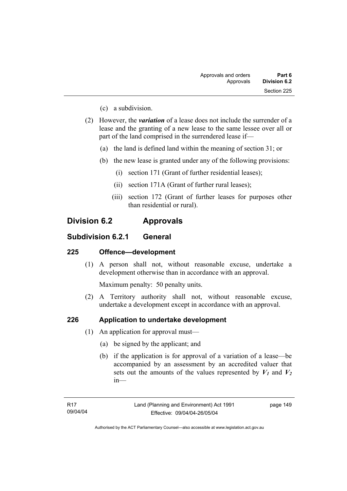- (c) a subdivision.
- (2) However, the *variation* of a lease does not include the surrender of a lease and the granting of a new lease to the same lessee over all or part of the land comprised in the surrendered lease if—
	- (a) the land is defined land within the meaning of section 31; or
	- (b) the new lease is granted under any of the following provisions:
		- (i) section 171 (Grant of further residential leases);
		- (ii) section 171A (Grant of further rural leases);
		- (iii) section 172 (Grant of further leases for purposes other than residential or rural).

## **Division 6.2 Approvals**

### **Subdivision 6.2.1 General**

### **225 Offence—development**

 (1) A person shall not, without reasonable excuse, undertake a development otherwise than in accordance with an approval.

Maximum penalty: 50 penalty units.

 (2) A Territory authority shall not, without reasonable excuse, undertake a development except in accordance with an approval.

### **226 Application to undertake development**

- (1) An application for approval must—
	- (a) be signed by the applicant; and
	- (b) if the application is for approval of a variation of a lease—be accompanied by an assessment by an accredited valuer that sets out the amounts of the values represented by  $V_1$  and  $V_2$ in—

Authorised by the ACT Parliamentary Counsel—also accessible at www.legislation.act.gov.au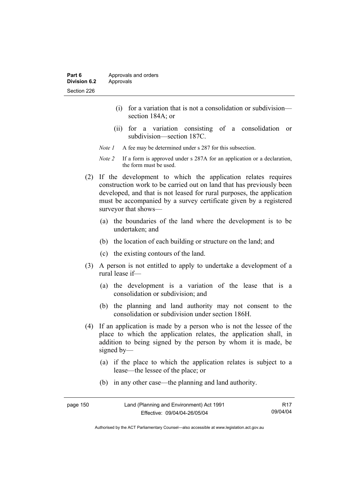- (i) for a variation that is not a consolidation or subdivision section 184A; or
- (ii) for a variation consisting of a consolidation or subdivision—section 187C.
- *Note 1* A fee may be determined under s 287 for this subsection.
- *Note 2* If a form is approved under s 287A for an application or a declaration, the form must be used.
- (2) If the development to which the application relates requires construction work to be carried out on land that has previously been developed, and that is not leased for rural purposes, the application must be accompanied by a survey certificate given by a registered surveyor that shows—
	- (a) the boundaries of the land where the development is to be undertaken; and
	- (b) the location of each building or structure on the land; and
	- (c) the existing contours of the land.
- (3) A person is not entitled to apply to undertake a development of a rural lease if—
	- (a) the development is a variation of the lease that is a consolidation or subdivision; and
	- (b) the planning and land authority may not consent to the consolidation or subdivision under section 186H.
- (4) If an application is made by a person who is not the lessee of the place to which the application relates, the application shall, in addition to being signed by the person by whom it is made, be signed by—
	- (a) if the place to which the application relates is subject to a lease—the lessee of the place; or
	- (b) in any other case—the planning and land authority.

| page 150 | Land (Planning and Environment) Act 1991 | R17      |
|----------|------------------------------------------|----------|
|          | Effective: 09/04/04-26/05/04             | 09/04/04 |

Authorised by the ACT Parliamentary Counsel—also accessible at www.legislation.act.gov.au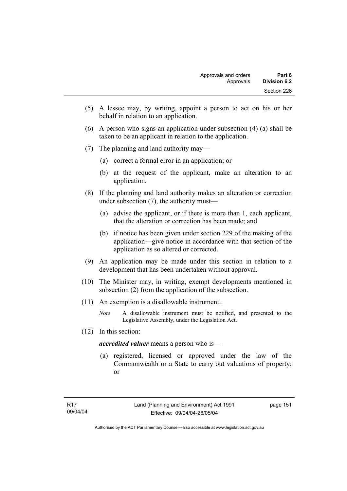- (5) A lessee may, by writing, appoint a person to act on his or her behalf in relation to an application.
- (6) A person who signs an application under subsection (4) (a) shall be taken to be an applicant in relation to the application.
- (7) The planning and land authority may—
	- (a) correct a formal error in an application; or
	- (b) at the request of the applicant, make an alteration to an application.
- (8) If the planning and land authority makes an alteration or correction under subsection (7), the authority must—
	- (a) advise the applicant, or if there is more than 1, each applicant, that the alteration or correction has been made; and
	- (b) if notice has been given under section 229 of the making of the application—give notice in accordance with that section of the application as so altered or corrected.
- (9) An application may be made under this section in relation to a development that has been undertaken without approval.
- (10) The Minister may, in writing, exempt developments mentioned in subsection (2) from the application of the subsection.
- (11) An exemption is a disallowable instrument.
	- *Note* A disallowable instrument must be notified, and presented to the Legislative Assembly, under the Legislation Act.
- (12) In this section:

*accredited valuer* means a person who is—

 (a) registered, licensed or approved under the law of the Commonwealth or a State to carry out valuations of property; or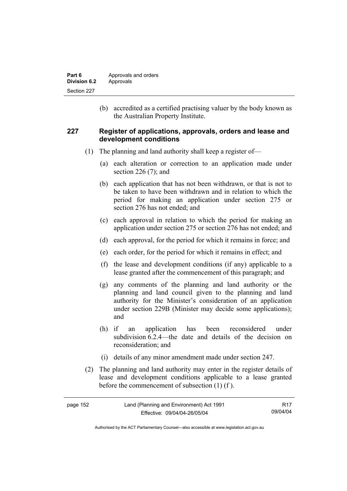| Part 6       | Approvals and orders |
|--------------|----------------------|
| Division 6.2 | Approvals            |
| Section 227  |                      |

 (b) accredited as a certified practising valuer by the body known as the Australian Property Institute.

### **227 Register of applications, approvals, orders and lease and development conditions**

- (1) The planning and land authority shall keep a register of—
	- (a) each alteration or correction to an application made under section 226 (7); and
	- (b) each application that has not been withdrawn, or that is not to be taken to have been withdrawn and in relation to which the period for making an application under section 275 or section 276 has not ended; and
	- (c) each approval in relation to which the period for making an application under section 275 or section 276 has not ended; and
	- (d) each approval, for the period for which it remains in force; and
	- (e) each order, for the period for which it remains in effect; and
	- (f) the lease and development conditions (if any) applicable to a lease granted after the commencement of this paragraph; and
	- (g) any comments of the planning and land authority or the planning and land council given to the planning and land authority for the Minister's consideration of an application under section 229B (Minister may decide some applications); and
	- (h) if an application has been reconsidered under subdivision 6.2.4—the date and details of the decision on reconsideration; and
	- (i) details of any minor amendment made under section 247.
- (2) The planning and land authority may enter in the register details of lease and development conditions applicable to a lease granted before the commencement of subsection (1) (f ).

| page 152 | Land (Planning and Environment) Act 1991 | R17      |
|----------|------------------------------------------|----------|
|          | Effective: 09/04/04-26/05/04             | 09/04/04 |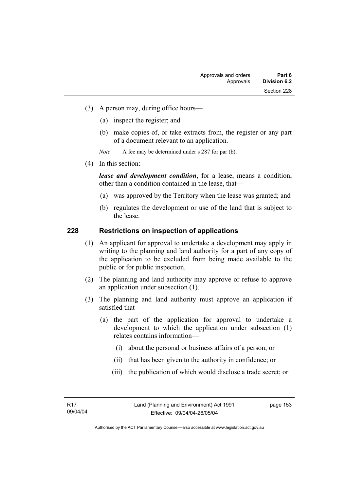- (3) A person may, during office hours—
	- (a) inspect the register; and
	- (b) make copies of, or take extracts from, the register or any part of a document relevant to an application.
	- *Note* A fee may be determined under s 287 for par (b).
- (4) In this section:

*lease and development condition*, for a lease, means a condition, other than a condition contained in the lease, that—

- (a) was approved by the Territory when the lease was granted; and
- (b) regulates the development or use of the land that is subject to the lease.

### **228 Restrictions on inspection of applications**

- (1) An applicant for approval to undertake a development may apply in writing to the planning and land authority for a part of any copy of the application to be excluded from being made available to the public or for public inspection.
- (2) The planning and land authority may approve or refuse to approve an application under subsection (1).
- (3) The planning and land authority must approve an application if satisfied that—
	- (a) the part of the application for approval to undertake a development to which the application under subsection (1) relates contains information—
		- (i) about the personal or business affairs of a person; or
		- (ii) that has been given to the authority in confidence; or
		- (iii) the publication of which would disclose a trade secret; or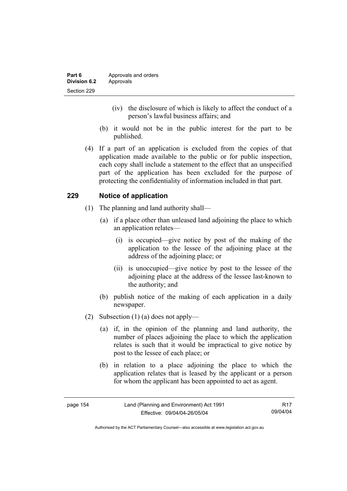- (iv) the disclosure of which is likely to affect the conduct of a person's lawful business affairs; and
- (b) it would not be in the public interest for the part to be published.
- (4) If a part of an application is excluded from the copies of that application made available to the public or for public inspection, each copy shall include a statement to the effect that an unspecified part of the application has been excluded for the purpose of protecting the confidentiality of information included in that part.

### **229 Notice of application**

- (1) The planning and land authority shall—
	- (a) if a place other than unleased land adjoining the place to which an application relates—
		- (i) is occupied—give notice by post of the making of the application to the lessee of the adjoining place at the address of the adjoining place; or
		- (ii) is unoccupied—give notice by post to the lessee of the adjoining place at the address of the lessee last-known to the authority; and
	- (b) publish notice of the making of each application in a daily newspaper.
- (2) Subsection (1) (a) does not apply—
	- (a) if, in the opinion of the planning and land authority, the number of places adjoining the place to which the application relates is such that it would be impractical to give notice by post to the lessee of each place; or
	- (b) in relation to a place adjoining the place to which the application relates that is leased by the applicant or a person for whom the applicant has been appointed to act as agent.

| page 154 | Land (Planning and Environment) Act 1991 | R17      |
|----------|------------------------------------------|----------|
|          | Effective: 09/04/04-26/05/04             | 09/04/04 |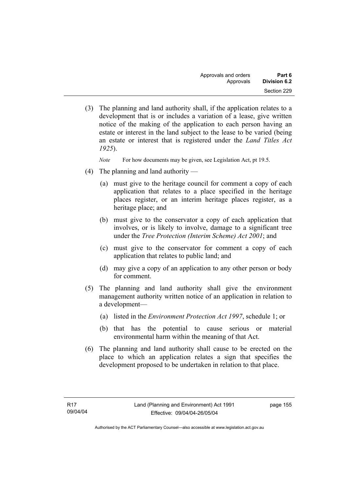(3) The planning and land authority shall, if the application relates to a development that is or includes a variation of a lease, give written notice of the making of the application to each person having an estate or interest in the land subject to the lease to be varied (being an estate or interest that is registered under the *Land Titles Act 1925*).

*Note* For how documents may be given, see Legislation Act, pt 19.5.

- (4) The planning and land authority
	- (a) must give to the heritage council for comment a copy of each application that relates to a place specified in the heritage places register, or an interim heritage places register, as a heritage place; and
	- (b) must give to the conservator a copy of each application that involves, or is likely to involve, damage to a significant tree under the *Tree Protection (Interim Scheme) Act 2001*; and
	- (c) must give to the conservator for comment a copy of each application that relates to public land; and
	- (d) may give a copy of an application to any other person or body for comment.
- (5) The planning and land authority shall give the environment management authority written notice of an application in relation to a development—
	- (a) listed in the *Environment Protection Act 1997*, schedule 1; or
	- (b) that has the potential to cause serious or material environmental harm within the meaning of that Act.
- (6) The planning and land authority shall cause to be erected on the place to which an application relates a sign that specifies the development proposed to be undertaken in relation to that place.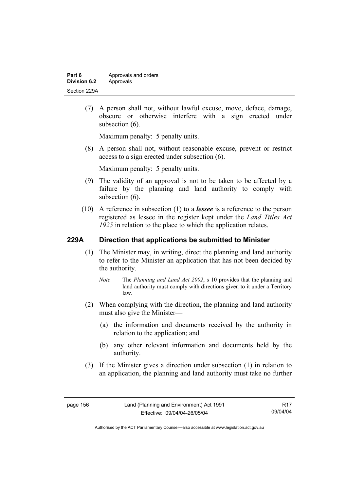| Part 6       | Approvals and orders |
|--------------|----------------------|
| Division 6.2 | Approvals            |
| Section 229A |                      |

 (7) A person shall not, without lawful excuse, move, deface, damage, obscure or otherwise interfere with a sign erected under subsection  $(6)$ .

Maximum penalty: 5 penalty units.

 (8) A person shall not, without reasonable excuse, prevent or restrict access to a sign erected under subsection (6).

Maximum penalty: 5 penalty units.

- (9) The validity of an approval is not to be taken to be affected by a failure by the planning and land authority to comply with subsection  $(6)$ .
- (10) A reference in subsection (1) to a *lessee* is a reference to the person registered as lessee in the register kept under the *Land Titles Act 1925* in relation to the place to which the application relates.

### **229A Direction that applications be submitted to Minister**

- (1) The Minister may, in writing, direct the planning and land authority to refer to the Minister an application that has not been decided by the authority.
	- *Note* The *Planning and Land Act 2002*, s 10 provides that the planning and land authority must comply with directions given to it under a Territory law.
- (2) When complying with the direction, the planning and land authority must also give the Minister—
	- (a) the information and documents received by the authority in relation to the application; and
	- (b) any other relevant information and documents held by the authority.
- (3) If the Minister gives a direction under subsection (1) in relation to an application, the planning and land authority must take no further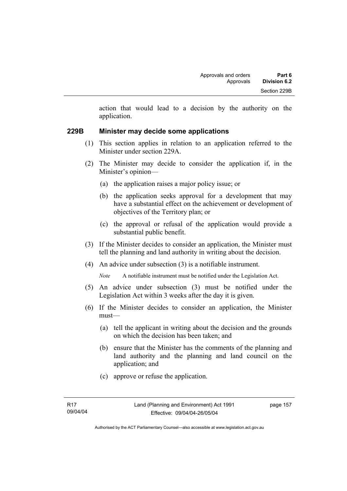action that would lead to a decision by the authority on the application.

### **229B Minister may decide some applications**

- (1) This section applies in relation to an application referred to the Minister under section 229A.
- (2) The Minister may decide to consider the application if, in the Minister's opinion—
	- (a) the application raises a major policy issue; or
	- (b) the application seeks approval for a development that may have a substantial effect on the achievement or development of objectives of the Territory plan; or
	- (c) the approval or refusal of the application would provide a substantial public benefit.
- (3) If the Minister decides to consider an application, the Minister must tell the planning and land authority in writing about the decision.
- (4) An advice under subsection (3) is a notifiable instrument.

*Note* A notifiable instrument must be notified under the Legislation Act.

- (5) An advice under subsection (3) must be notified under the Legislation Act within 3 weeks after the day it is given.
- (6) If the Minister decides to consider an application, the Minister must—
	- (a) tell the applicant in writing about the decision and the grounds on which the decision has been taken; and
	- (b) ensure that the Minister has the comments of the planning and land authority and the planning and land council on the application; and
	- (c) approve or refuse the application.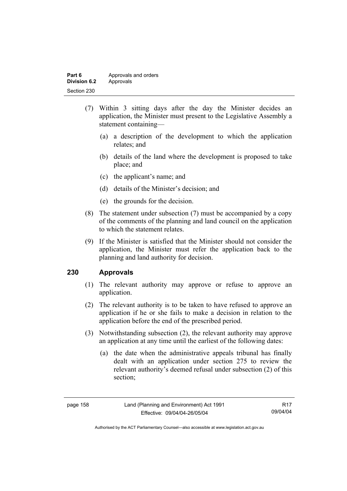| Part 6       | Approvals and orders |
|--------------|----------------------|
| Division 6.2 | Approvals            |
| Section 230  |                      |

- (7) Within 3 sitting days after the day the Minister decides an application, the Minister must present to the Legislative Assembly a statement containing—
	- (a) a description of the development to which the application relates; and
	- (b) details of the land where the development is proposed to take place; and
	- (c) the applicant's name; and
	- (d) details of the Minister's decision; and
	- (e) the grounds for the decision.
- (8) The statement under subsection (7) must be accompanied by a copy of the comments of the planning and land council on the application to which the statement relates.
- (9) If the Minister is satisfied that the Minister should not consider the application, the Minister must refer the application back to the planning and land authority for decision.

### **230 Approvals**

- (1) The relevant authority may approve or refuse to approve an application.
- (2) The relevant authority is to be taken to have refused to approve an application if he or she fails to make a decision in relation to the application before the end of the prescribed period.
- (3) Notwithstanding subsection (2), the relevant authority may approve an application at any time until the earliest of the following dates:
	- (a) the date when the administrative appeals tribunal has finally dealt with an application under section 275 to review the relevant authority's deemed refusal under subsection (2) of this section;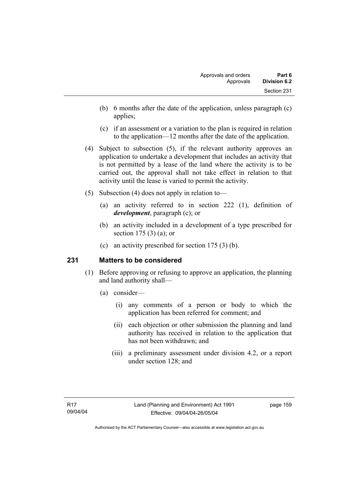- (b) 6 months after the date of the application, unless paragraph (c) applies;
- (c) if an assessment or a variation to the plan is required in relation to the application—12 months after the date of the application.
- (4) Subject to subsection (5), if the relevant authority approves an application to undertake a development that includes an activity that is not permitted by a lease of the land where the activity is to be carried out, the approval shall not take effect in relation to that activity until the lease is varied to permit the activity.
- (5) Subsection (4) does not apply in relation to—
	- (a) an activity referred to in section 222 (1), definition of *development*, paragraph (c); or
	- (b) an activity included in a development of a type prescribed for section 175 (3) (a); or
	- (c) an activity prescribed for section 175 (3) (b).

### **231 Matters to be considered**

- (1) Before approving or refusing to approve an application, the planning and land authority shall—
	- (a) consider—
		- (i) any comments of a person or body to which the application has been referred for comment; and
		- (ii) each objection or other submission the planning and land authority has received in relation to the application that has not been withdrawn; and
		- (iii) a preliminary assessment under division 4.2, or a report under section 128; and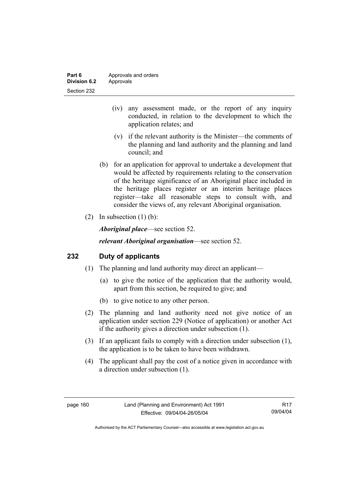| Part 6       | Approvals and orders |
|--------------|----------------------|
| Division 6.2 | Approvals            |
| Section 232  |                      |

- (iv) any assessment made, or the report of any inquiry conducted, in relation to the development to which the application relates; and
- (v) if the relevant authority is the Minister—the comments of the planning and land authority and the planning and land council; and
- (b) for an application for approval to undertake a development that would be affected by requirements relating to the conservation of the heritage significance of an Aboriginal place included in the heritage places register or an interim heritage places register—take all reasonable steps to consult with, and consider the views of, any relevant Aboriginal organisation.
- (2) In subsection  $(1)$  (b):

*Aboriginal place*—see section 52.

*relevant Aboriginal organisation*—see section 52.

### **232 Duty of applicants**

- (1) The planning and land authority may direct an applicant—
	- (a) to give the notice of the application that the authority would, apart from this section, be required to give; and
	- (b) to give notice to any other person.
- (2) The planning and land authority need not give notice of an application under section 229 (Notice of application) or another Act if the authority gives a direction under subsection (1).
- (3) If an applicant fails to comply with a direction under subsection (1), the application is to be taken to have been withdrawn.
- (4) The applicant shall pay the cost of a notice given in accordance with a direction under subsection (1).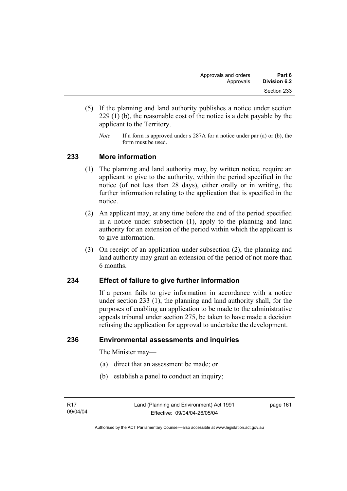- (5) If the planning and land authority publishes a notice under section 229 (1) (b), the reasonable cost of the notice is a debt payable by the applicant to the Territory.
	- *Note* If a form is approved under s 287A for a notice under par (a) or (b), the form must be used.

### **233 More information**

- (1) The planning and land authority may, by written notice, require an applicant to give to the authority, within the period specified in the notice (of not less than 28 days), either orally or in writing, the further information relating to the application that is specified in the notice.
- (2) An applicant may, at any time before the end of the period specified in a notice under subsection (1), apply to the planning and land authority for an extension of the period within which the applicant is to give information.
- (3) On receipt of an application under subsection (2), the planning and land authority may grant an extension of the period of not more than 6 months.

### **234 Effect of failure to give further information**

If a person fails to give information in accordance with a notice under section 233 (1), the planning and land authority shall, for the purposes of enabling an application to be made to the administrative appeals tribunal under section 275, be taken to have made a decision refusing the application for approval to undertake the development.

### **236 Environmental assessments and inquiries**

The Minister may—

- (a) direct that an assessment be made; or
- (b) establish a panel to conduct an inquiry;

page 161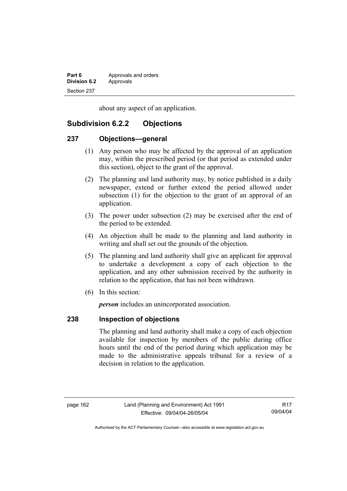| Part 6              | Approvals and orders |
|---------------------|----------------------|
| <b>Division 6.2</b> | Approvals            |
| Section 237         |                      |

about any aspect of an application.

## **Subdivision 6.2.2 Objections**

### **237 Objections—general**

- (1) Any person who may be affected by the approval of an application may, within the prescribed period (or that period as extended under this section), object to the grant of the approval.
- (2) The planning and land authority may, by notice published in a daily newspaper, extend or further extend the period allowed under subsection (1) for the objection to the grant of an approval of an application.
- (3) The power under subsection (2) may be exercised after the end of the period to be extended.
- (4) An objection shall be made to the planning and land authority in writing and shall set out the grounds of the objection.
- (5) The planning and land authority shall give an applicant for approval to undertake a development a copy of each objection to the application, and any other submission received by the authority in relation to the application, that has not been withdrawn.
- (6) In this section:

*person* includes an unincorporated association.

### **238 Inspection of objections**

The planning and land authority shall make a copy of each objection available for inspection by members of the public during office hours until the end of the period during which application may be made to the administrative appeals tribunal for a review of a decision in relation to the application.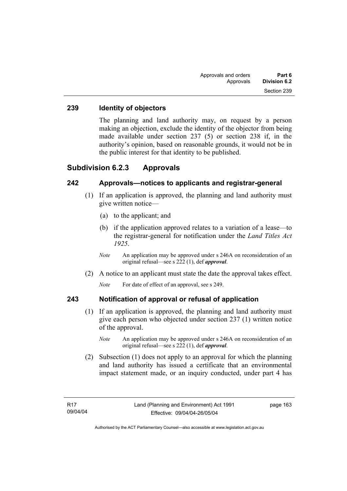### **239 Identity of objectors**

The planning and land authority may, on request by a person making an objection, exclude the identity of the objector from being made available under section 237 (5) or section 238 if, in the authority's opinion, based on reasonable grounds, it would not be in the public interest for that identity to be published.

### **Subdivision 6.2.3 Approvals**

### **242 Approvals—notices to applicants and registrar-general**

- (1) If an application is approved, the planning and land authority must give written notice—
	- (a) to the applicant; and
	- (b) if the application approved relates to a variation of a lease—to the registrar-general for notification under the *Land Titles Act 1925*.
	- *Note* An application may be approved under s 246A on reconsideration of an original refusal—see s 222 (1), def *approval*.
- (2) A notice to an applicant must state the date the approval takes effect.

*Note* For date of effect of an approval, see s 249.

### **243 Notification of approval or refusal of application**

- (1) If an application is approved, the planning and land authority must give each person who objected under section 237 (1) written notice of the approval.
	- *Note* An application may be approved under s 246A on reconsideration of an original refusal—see s 222 (1), def *approval*.
- (2) Subsection (1) does not apply to an approval for which the planning and land authority has issued a certificate that an environmental impact statement made, or an inquiry conducted, under part 4 has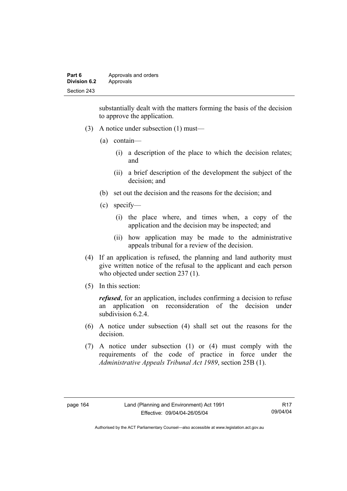| Part 6              | Approvals and orders |
|---------------------|----------------------|
| <b>Division 6.2</b> | Approvals            |
| Section 243         |                      |

substantially dealt with the matters forming the basis of the decision to approve the application.

- (3) A notice under subsection (1) must—
	- (a) contain—
		- (i) a description of the place to which the decision relates; and
		- (ii) a brief description of the development the subject of the decision; and
	- (b) set out the decision and the reasons for the decision; and
	- (c) specify—
		- (i) the place where, and times when, a copy of the application and the decision may be inspected; and
		- (ii) how application may be made to the administrative appeals tribunal for a review of the decision.
- (4) If an application is refused, the planning and land authority must give written notice of the refusal to the applicant and each person who objected under section 237 (1).
- (5) In this section:

*refused*, for an application, includes confirming a decision to refuse an application on reconsideration of the decision under subdivision 6.2.4

- (6) A notice under subsection (4) shall set out the reasons for the decision.
- (7) A notice under subsection (1) or (4) must comply with the requirements of the code of practice in force under the *Administrative Appeals Tribunal Act 1989*, section 25B (1).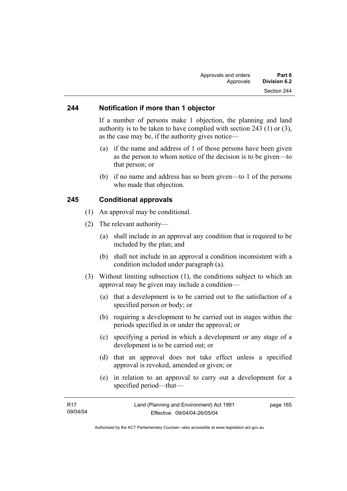#### **244 Notification if more than 1 objector**

If a number of persons make 1 objection, the planning and land authority is to be taken to have complied with section 243 (1) or (3), as the case may be, if the authority gives notice—

- (a) if the name and address of 1 of those persons have been given as the person to whom notice of the decision is to be given—to that person; or
- (b) if no name and address has so been given—to 1 of the persons who made that objection.

#### **245 Conditional approvals**

- (1) An approval may be conditional.
- (2) The relevant authority—
	- (a) shall include in an approval any condition that is required to be included by the plan; and
	- (b) shall not include in an approval a condition inconsistent with a condition included under paragraph (a).
- (3) Without limiting subsection (1), the conditions subject to which an approval may be given may include a condition—
	- (a) that a development is to be carried out to the satisfaction of a specified person or body; or
	- (b) requiring a development to be carried out in stages within the periods specified in or under the approval; or
	- (c) specifying a period in which a development or any stage of a development is to be carried out; or
	- (d) that an approval does not take effect unless a specified approval is revoked, amended or given; or
	- (e) in relation to an approval to carry out a development for a specified period—that—

| R <sub>17</sub> | Land (Planning and Environment) Act 1991 | page 165 |
|-----------------|------------------------------------------|----------|
| 09/04/04        | Effective: 09/04/04-26/05/04             |          |
|                 |                                          |          |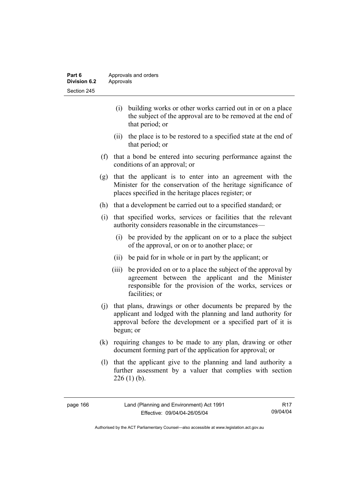| Part 6       | Approvals and orders |
|--------------|----------------------|
| Division 6.2 | Approvals            |
| Section 245  |                      |

- (i) building works or other works carried out in or on a place the subject of the approval are to be removed at the end of that period; or
- (ii) the place is to be restored to a specified state at the end of that period; or
- (f) that a bond be entered into securing performance against the conditions of an approval; or
- (g) that the applicant is to enter into an agreement with the Minister for the conservation of the heritage significance of places specified in the heritage places register; or
- (h) that a development be carried out to a specified standard; or
- (i) that specified works, services or facilities that the relevant authority considers reasonable in the circumstances—
	- (i) be provided by the applicant on or to a place the subject of the approval, or on or to another place; or
	- (ii) be paid for in whole or in part by the applicant; or
	- (iii) be provided on or to a place the subject of the approval by agreement between the applicant and the Minister responsible for the provision of the works, services or facilities; or
- (j) that plans, drawings or other documents be prepared by the applicant and lodged with the planning and land authority for approval before the development or a specified part of it is begun; or
- (k) requiring changes to be made to any plan, drawing or other document forming part of the application for approval; or
- (l) that the applicant give to the planning and land authority a further assessment by a valuer that complies with section  $226$  (1) (b).

| page 166 |  |
|----------|--|
|----------|--|

R17 09/04/04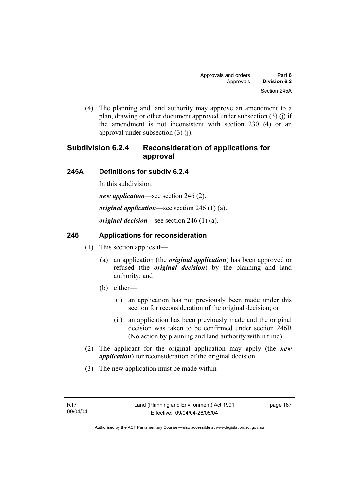(4) The planning and land authority may approve an amendment to a plan, drawing or other document approved under subsection (3) (j) if the amendment is not inconsistent with section 230 (4) or an approval under subsection (3) (j).

# **Subdivision 6.2.4 Reconsideration of applications for approval**

## **245A Definitions for subdiv 6.2.4**

In this subdivision:

*new application*—see section 246 (2).

*original application*—see section 246 (1) (a).

*original decision*—see section 246 (1) (a).

## **246 Applications for reconsideration**

- (1) This section applies if—
	- (a) an application (the *original application*) has been approved or refused (the *original decision*) by the planning and land authority; and
	- (b) either—
		- (i) an application has not previously been made under this section for reconsideration of the original decision; or
		- (ii) an application has been previously made and the original decision was taken to be confirmed under section 246B (No action by planning and land authority within time).
- (2) The applicant for the original application may apply (the *new application*) for reconsideration of the original decision.
- (3) The new application must be made within—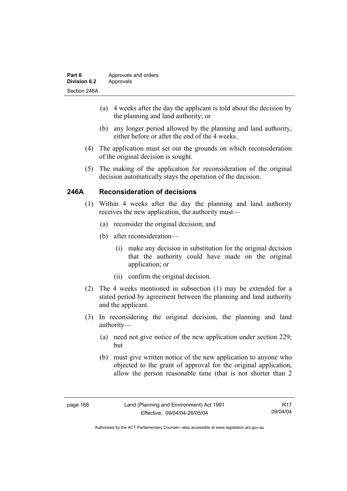| Part 6              | Approvals and orders |
|---------------------|----------------------|
| <b>Division 6.2</b> | Approvals            |
| Section 246A        |                      |

- (a) 4 weeks after the day the applicant is told about the decision by the planning and land authority; or
- (b) any longer period allowed by the planning and land authority, either before or after the end of the 4 weeks.
- (4) The application must set out the grounds on which reconsideration of the original decision is sought.
- (5) The making of the application for reconsideration of the original decision automatically stays the operation of the decision.

## **246A Reconsideration of decisions**

- (1) Within 4 weeks after the day the planning and land authority receives the new application, the authority must—
	- (a) reconsider the original decision; and
	- (b) after reconsideration—
		- (i) make any decision in substitution for the original decision that the authority could have made on the original application; or
		- (ii) confirm the original decision.
- (2) The 4 weeks mentioned in subsection (1) may be extended for a stated period by agreement between the planning and land authority and the applicant.
- (3) In reconsidering the original decision, the planning and land authority—
	- (a) need not give notice of the new application under section 229; but
	- (b) must give written notice of the new application to anyone who objected to the grant of approval for the original application, allow the person reasonable time (that is not shorter than 2

R17 09/04/04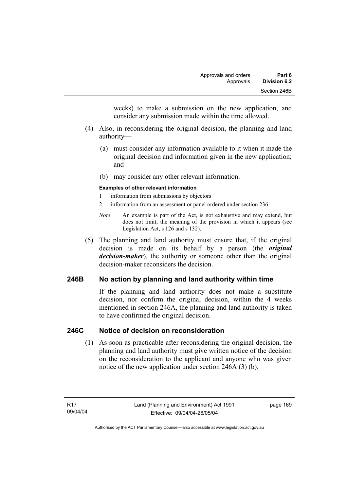weeks) to make a submission on the new application, and consider any submission made within the time allowed.

- (4) Also, in reconsidering the original decision, the planning and land authority—
	- (a) must consider any information available to it when it made the original decision and information given in the new application; and
	- (b) may consider any other relevant information.

#### **Examples of other relevant information**

- 1 information from submissions by objectors
- 2 information from an assessment or panel ordered under section 236
- *Note* An example is part of the Act, is not exhaustive and may extend, but does not limit, the meaning of the provision in which it appears (see Legislation Act, s 126 and s 132).
- (5) The planning and land authority must ensure that, if the original decision is made on its behalf by a person (the *original decision-maker*), the authority or someone other than the original decision-maker reconsiders the decision.

## **246B No action by planning and land authority within time**

If the planning and land authority does not make a substitute decision, nor confirm the original decision, within the 4 weeks mentioned in section 246A, the planning and land authority is taken to have confirmed the original decision.

#### **246C Notice of decision on reconsideration**

 (1) As soon as practicable after reconsidering the original decision, the planning and land authority must give written notice of the decision on the reconsideration to the applicant and anyone who was given notice of the new application under section 246A (3) (b).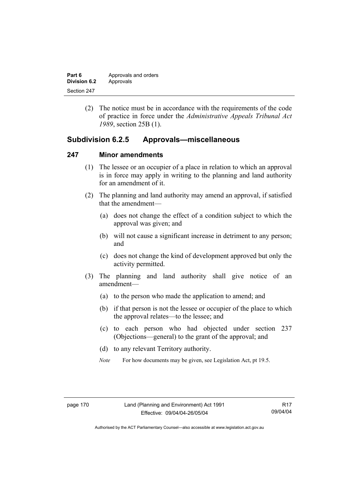| Part 6       | Approvals and orders |
|--------------|----------------------|
| Division 6.2 | Approvals            |
| Section 247  |                      |

 (2) The notice must be in accordance with the requirements of the code of practice in force under the *Administrative Appeals Tribunal Act 1989*, section 25B (1).

## **Subdivision 6.2.5 Approvals—miscellaneous**

#### **247 Minor amendments**

- (1) The lessee or an occupier of a place in relation to which an approval is in force may apply in writing to the planning and land authority for an amendment of it.
- (2) The planning and land authority may amend an approval, if satisfied that the amendment—
	- (a) does not change the effect of a condition subject to which the approval was given; and
	- (b) will not cause a significant increase in detriment to any person; and
	- (c) does not change the kind of development approved but only the activity permitted.
- (3) The planning and land authority shall give notice of an amendment—
	- (a) to the person who made the application to amend; and
	- (b) if that person is not the lessee or occupier of the place to which the approval relates—to the lessee; and
	- (c) to each person who had objected under section 237 (Objections—general) to the grant of the approval; and
	- (d) to any relevant Territory authority.
	- *Note* For how documents may be given, see Legislation Act, pt 19.5.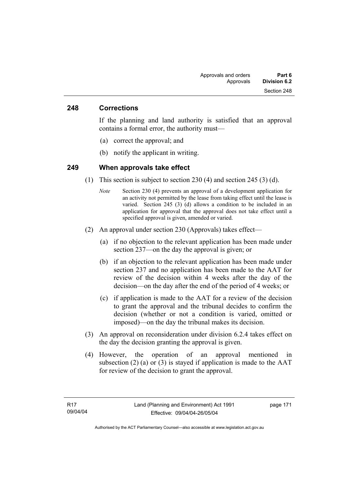#### **248 Corrections**

If the planning and land authority is satisfied that an approval contains a formal error, the authority must—

- (a) correct the approval; and
- (b) notify the applicant in writing.

#### **249 When approvals take effect**

- (1) This section is subject to section 230 (4) and section 245 (3) (d).
	- *Note* Section 230 (4) prevents an approval of a development application for an activity not permitted by the lease from taking effect until the lease is varied. Section 245 (3) (d) allows a condition to be included in an application for approval that the approval does not take effect until a specified approval is given, amended or varied.
- (2) An approval under section 230 (Approvals) takes effect—
	- (a) if no objection to the relevant application has been made under section 237—on the day the approval is given; or
	- (b) if an objection to the relevant application has been made under section 237 and no application has been made to the AAT for review of the decision within 4 weeks after the day of the decision—on the day after the end of the period of 4 weeks; or
	- (c) if application is made to the AAT for a review of the decision to grant the approval and the tribunal decides to confirm the decision (whether or not a condition is varied, omitted or imposed)—on the day the tribunal makes its decision.
- (3) An approval on reconsideration under division 6.2.4 takes effect on the day the decision granting the approval is given.
- (4) However, the operation of an approval mentioned in subsection (2) (a) or (3) is stayed if application is made to the  $AAT$ for review of the decision to grant the approval.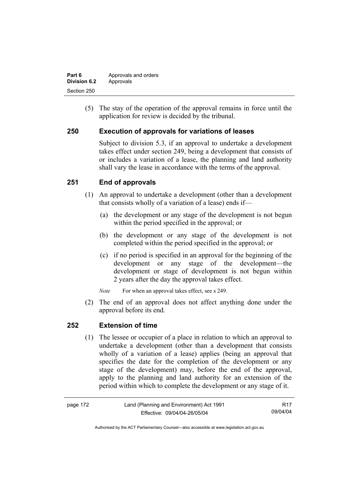| Part 6       | Approvals and orders |
|--------------|----------------------|
| Division 6.2 | Approvals            |
| Section 250  |                      |

 (5) The stay of the operation of the approval remains in force until the application for review is decided by the tribunal.

## **250 Execution of approvals for variations of leases**

Subject to division 5.3, if an approval to undertake a development takes effect under section 249, being a development that consists of or includes a variation of a lease, the planning and land authority shall vary the lease in accordance with the terms of the approval.

## **251 End of approvals**

- (1) An approval to undertake a development (other than a development that consists wholly of a variation of a lease) ends if—
	- (a) the development or any stage of the development is not begun within the period specified in the approval; or
	- (b) the development or any stage of the development is not completed within the period specified in the approval; or
	- (c) if no period is specified in an approval for the beginning of the development or any stage of the development—the development or stage of development is not begun within 2 years after the day the approval takes effect.

*Note* For when an approval takes effect, see s 249.

 (2) The end of an approval does not affect anything done under the approval before its end.

#### **252 Extension of time**

 (1) The lessee or occupier of a place in relation to which an approval to undertake a development (other than a development that consists wholly of a variation of a lease) applies (being an approval that specifies the date for the completion of the development or any stage of the development) may, before the end of the approval, apply to the planning and land authority for an extension of the period within which to complete the development or any stage of it.

| page 172 | Land (Planning and Environment) Act 1991 | R17      |
|----------|------------------------------------------|----------|
|          | Effective: 09/04/04-26/05/04             | 09/04/04 |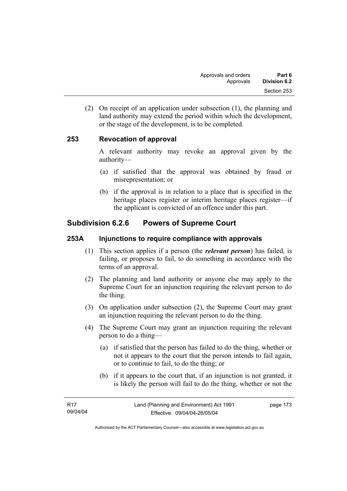(2) On receipt of an application under subsection (1), the planning and land authority may extend the period within which the development, or the stage of the development, is to be completed.

## **253 Revocation of approval**

A relevant authority may revoke an approval given by the authority—

- (a) if satisfied that the approval was obtained by fraud or misrepresentation; or
- (b) if the approval is in relation to a place that is specified in the heritage places register or interim heritage places register—if the applicant is convicted of an offence under this part.

## **Subdivision 6.2.6 Powers of Supreme Court**

#### **253A Injunctions to require compliance with approvals**

- (1) This section applies if a person (the *relevant person*) has failed, is failing, or proposes to fail, to do something in accordance with the terms of an approval.
- (2) The planning and land authority or anyone else may apply to the Supreme Court for an injunction requiring the relevant person to do the thing.
- (3) On application under subsection (2), the Supreme Court may grant an injunction requiring the relevant person to do the thing.
- (4) The Supreme Court may grant an injunction requiring the relevant person to do a thing—
	- (a) if satisfied that the person has failed to do the thing, whether or not it appears to the court that the person intends to fail again, or to continue to fail, to do the thing; or
	- (b) if it appears to the court that, if an injunction is not granted, it is likely the person will fail to do the thing, whether or not the

page 173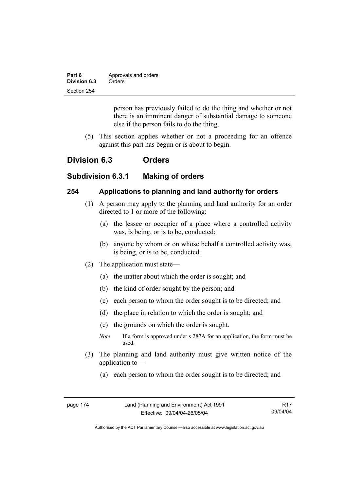| Part 6       | Approvals and orders |
|--------------|----------------------|
| Division 6.3 | Orders               |
| Section 254  |                      |

person has previously failed to do the thing and whether or not there is an imminent danger of substantial damage to someone else if the person fails to do the thing.

 (5) This section applies whether or not a proceeding for an offence against this part has begun or is about to begin.

## **Division 6.3 Orders**

## **Subdivision 6.3.1 Making of orders**

#### **254 Applications to planning and land authority for orders**

- (1) A person may apply to the planning and land authority for an order directed to 1 or more of the following:
	- (a) the lessee or occupier of a place where a controlled activity was, is being, or is to be, conducted;
	- (b) anyone by whom or on whose behalf a controlled activity was, is being, or is to be, conducted.
- (2) The application must state—
	- (a) the matter about which the order is sought; and
	- (b) the kind of order sought by the person; and
	- (c) each person to whom the order sought is to be directed; and
	- (d) the place in relation to which the order is sought; and
	- (e) the grounds on which the order is sought.
	- *Note* If a form is approved under s 287A for an application, the form must be used.
- (3) The planning and land authority must give written notice of the application to—
	- (a) each person to whom the order sought is to be directed; and

| page 174 | Land (Planning and Environment) Act 1991 | R <sub>17</sub> |
|----------|------------------------------------------|-----------------|
|          | Effective: 09/04/04-26/05/04             | 09/04/04        |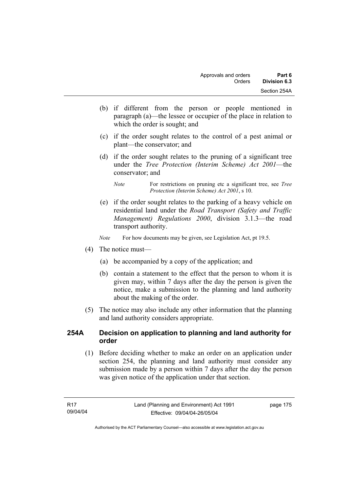- (b) if different from the person or people mentioned in paragraph (a)—the lessee or occupier of the place in relation to which the order is sought; and
- (c) if the order sought relates to the control of a pest animal or plant—the conservator; and
- (d) if the order sought relates to the pruning of a significant tree under the *Tree Protection (Interim Scheme) Act 2001*—the conservator; and

 (e) if the order sought relates to the parking of a heavy vehicle on residential land under the *Road Transport (Safety and Traffic Management) Regulations 2000*, division 3.1.3—the road transport authority.

*Note* For how documents may be given, see Legislation Act, pt 19.5.

- (4) The notice must—
	- (a) be accompanied by a copy of the application; and
	- (b) contain a statement to the effect that the person to whom it is given may, within 7 days after the day the person is given the notice, make a submission to the planning and land authority about the making of the order.
- (5) The notice may also include any other information that the planning and land authority considers appropriate.

## **254A Decision on application to planning and land authority for order**

 (1) Before deciding whether to make an order on an application under section 254, the planning and land authority must consider any submission made by a person within 7 days after the day the person was given notice of the application under that section.

*Note* For restrictions on pruning etc a significant tree, see *Tree Protection (Interim Scheme) Act 2001*, s 10.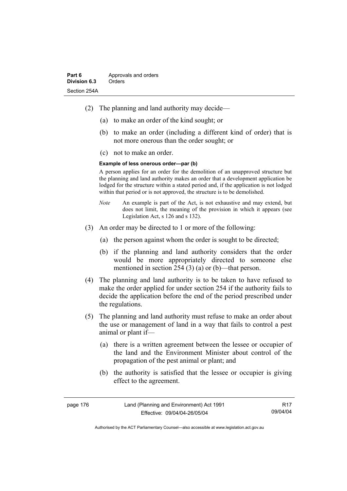- (2) The planning and land authority may decide—
	- (a) to make an order of the kind sought; or
	- (b) to make an order (including a different kind of order) that is not more onerous than the order sought; or
	- (c) not to make an order.

#### **Example of less onerous order—par (b)**

A person applies for an order for the demolition of an unapproved structure but the planning and land authority makes an order that a development application be lodged for the structure within a stated period and, if the application is not lodged within that period or is not approved, the structure is to be demolished.

- *Note* An example is part of the Act, is not exhaustive and may extend, but does not limit, the meaning of the provision in which it appears (see Legislation Act, s 126 and s 132).
- (3) An order may be directed to 1 or more of the following:
	- (a) the person against whom the order is sought to be directed;
	- (b) if the planning and land authority considers that the order would be more appropriately directed to someone else mentioned in section 254 (3) (a) or (b)—that person.
- (4) The planning and land authority is to be taken to have refused to make the order applied for under section 254 if the authority fails to decide the application before the end of the period prescribed under the regulations.
- (5) The planning and land authority must refuse to make an order about the use or management of land in a way that fails to control a pest animal or plant if—
	- (a) there is a written agreement between the lessee or occupier of the land and the Environment Minister about control of the propagation of the pest animal or plant; and
	- (b) the authority is satisfied that the lessee or occupier is giving effect to the agreement.

| page 176 | Land (Planning and Environment) Act 1991 | R <sub>17</sub> |
|----------|------------------------------------------|-----------------|
|          | Effective: 09/04/04-26/05/04             | 09/04/04        |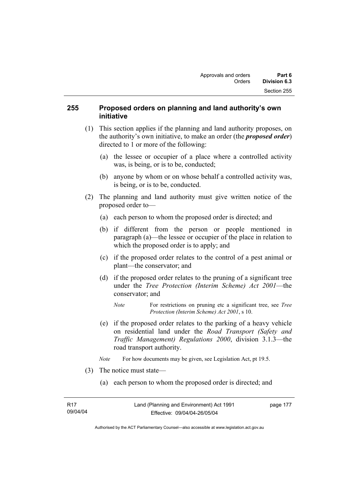## **255 Proposed orders on planning and land authority's own initiative**

- (1) This section applies if the planning and land authority proposes, on the authority's own initiative, to make an order (the *proposed order*) directed to 1 or more of the following:
	- (a) the lessee or occupier of a place where a controlled activity was, is being, or is to be, conducted;
	- (b) anyone by whom or on whose behalf a controlled activity was, is being, or is to be, conducted.
- (2) The planning and land authority must give written notice of the proposed order to—
	- (a) each person to whom the proposed order is directed; and
	- (b) if different from the person or people mentioned in paragraph (a)—the lessee or occupier of the place in relation to which the proposed order is to apply; and
	- (c) if the proposed order relates to the control of a pest animal or plant—the conservator; and
	- (d) if the proposed order relates to the pruning of a significant tree under the *Tree Protection (Interim Scheme) Act 2001*—the conservator; and
		- *Note* For restrictions on pruning etc a significant tree, see *Tree Protection (Interim Scheme) Act 2001*, s 10.
	- (e) if the proposed order relates to the parking of a heavy vehicle on residential land under the *Road Transport (Safety and Traffic Management) Regulations 2000*, division 3.1.3—the road transport authority.
	- *Note* For how documents may be given, see Legislation Act, pt 19.5.
- (3) The notice must state—
	- (a) each person to whom the proposed order is directed; and

Authorised by the ACT Parliamentary Counsel—also accessible at www.legislation.act.gov.au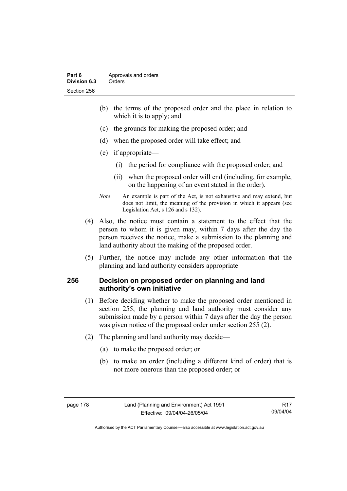- (b) the terms of the proposed order and the place in relation to which it is to apply; and
- (c) the grounds for making the proposed order; and
- (d) when the proposed order will take effect; and
- (e) if appropriate—
	- (i) the period for compliance with the proposed order; and
	- (ii) when the proposed order will end (including, for example, on the happening of an event stated in the order).
- *Note* An example is part of the Act, is not exhaustive and may extend, but does not limit, the meaning of the provision in which it appears (see Legislation Act, s 126 and s 132).
- (4) Also, the notice must contain a statement to the effect that the person to whom it is given may, within 7 days after the day the person receives the notice, make a submission to the planning and land authority about the making of the proposed order.
- (5) Further, the notice may include any other information that the planning and land authority considers appropriate

### **256 Decision on proposed order on planning and land authority's own initiative**

- (1) Before deciding whether to make the proposed order mentioned in section 255, the planning and land authority must consider any submission made by a person within 7 days after the day the person was given notice of the proposed order under section 255 (2).
- (2) The planning and land authority may decide—
	- (a) to make the proposed order; or
	- (b) to make an order (including a different kind of order) that is not more onerous than the proposed order; or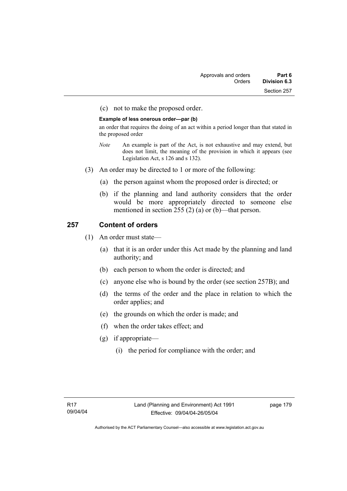(c) not to make the proposed order.

#### **Example of less onerous order—par (b)**

an order that requires the doing of an act within a period longer than that stated in the proposed order

- *Note* An example is part of the Act, is not exhaustive and may extend, but does not limit, the meaning of the provision in which it appears (see Legislation Act, s 126 and s 132).
- (3) An order may be directed to 1 or more of the following:
	- (a) the person against whom the proposed order is directed; or
	- (b) if the planning and land authority considers that the order would be more appropriately directed to someone else mentioned in section 255 (2) (a) or (b)—that person.

## **257 Content of orders**

- (1) An order must state—
	- (a) that it is an order under this Act made by the planning and land authority; and
	- (b) each person to whom the order is directed; and
	- (c) anyone else who is bound by the order (see section 257B); and
	- (d) the terms of the order and the place in relation to which the order applies; and
	- (e) the grounds on which the order is made; and
	- (f) when the order takes effect; and
	- (g) if appropriate—
		- (i) the period for compliance with the order; and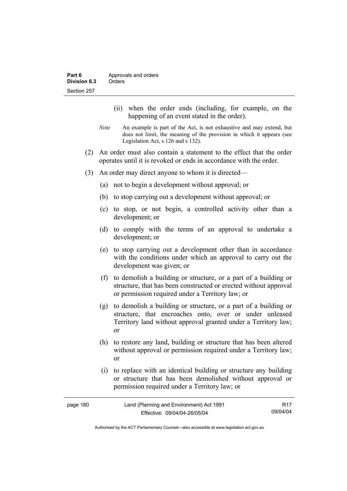- (ii) when the order ends (including, for example, on the happening of an event stated in the order).
- *Note* An example is part of the Act, is not exhaustive and may extend, but does not limit, the meaning of the provision in which it appears (see Legislation Act, s 126 and s 132).
- (2) An order must also contain a statement to the effect that the order operates until it is revoked or ends in accordance with the order.
- (3) An order may direct anyone to whom it is directed—
	- (a) not to begin a development without approval; or
	- (b) to stop carrying out a development without approval; or
	- (c) to stop, or not begin, a controlled activity other than a development; or
	- (d) to comply with the terms of an approval to undertake a development; or
	- (e) to stop carrying out a development other than in accordance with the conditions under which an approval to carry out the development was given; or
	- (f) to demolish a building or structure, or a part of a building or structure, that has been constructed or erected without approval or permission required under a Territory law; or
	- (g) to demolish a building or structure, or a part of a building or structure, that encroaches onto, over or under unleased Territory land without approval granted under a Territory law; or
	- (h) to restore any land, building or structure that has been altered without approval or permission required under a Territory law; or
	- (i) to replace with an identical building or structure any building or structure that has been demolished without approval or permission required under a Territory law; or

| page 180 | Land (Planning and Environment) Act 1991 | R <sub>17</sub> |
|----------|------------------------------------------|-----------------|
|          | Effective: 09/04/04-26/05/04             | 09/04/04        |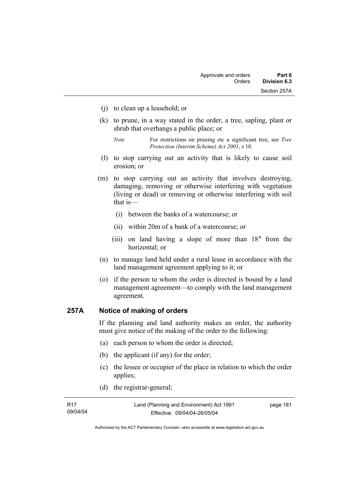- (j) to clean up a leasehold; or
- (k) to prune, in a way stated in the order, a tree, sapling, plant or shrub that overhangs a public place; or
	- *Note* For restrictions on pruning etc a significant tree, see *Tree Protection (Interim Scheme) Act 2001*, s 10.
- (l) to stop carrying out an activity that is likely to cause soil erosion; or
- (m) to stop carrying out an activity that involves destroying, damaging, removing or otherwise interfering with vegetation (living or dead) or removing or otherwise interfering with soil that is—
	- (i) between the banks of a watercourse; or
	- (ii) within 20m of a bank of a watercourse; or
	- (iii) on land having a slope of more than 18° from the horizontal; or
- (n) to manage land held under a rural lease in accordance with the land management agreement applying to it; or
- (o) if the person to whom the order is directed is bound by a land management agreement—to comply with the land management agreement.

## **257A Notice of making of orders**

If the planning and land authority makes an order, the authority must give notice of the making of the order to the following:

- (a) each person to whom the order is directed;
- (b) the applicant (if any) for the order;
- (c) the lessee or occupier of the place in relation to which the order applies;
- (d) the registrar-general;

| R17      | Land (Planning and Environment) Act 1991 | page 181 |
|----------|------------------------------------------|----------|
| 09/04/04 | Effective: 09/04/04-26/05/04             |          |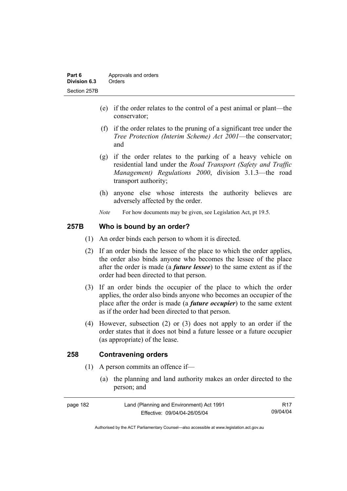- (e) if the order relates to the control of a pest animal or plant—the conservator;
- (f) if the order relates to the pruning of a significant tree under the *Tree Protection (Interim Scheme) Act 2001*—the conservator; and
- (g) if the order relates to the parking of a heavy vehicle on residential land under the *Road Transport (Safety and Traffic Management) Regulations 2000*, division 3.1.3—the road transport authority;
- (h) anyone else whose interests the authority believes are adversely affected by the order.
- *Note* For how documents may be given, see Legislation Act, pt 19.5.

## **257B Who is bound by an order?**

- (1) An order binds each person to whom it is directed.
- (2) If an order binds the lessee of the place to which the order applies, the order also binds anyone who becomes the lessee of the place after the order is made (a *future lessee*) to the same extent as if the order had been directed to that person.
- (3) If an order binds the occupier of the place to which the order applies, the order also binds anyone who becomes an occupier of the place after the order is made (a *future occupier*) to the same extent as if the order had been directed to that person.
- (4) However, subsection (2) or (3) does not apply to an order if the order states that it does not bind a future lessee or a future occupier (as appropriate) of the lease.

## **258 Contravening orders**

- (1) A person commits an offence if—
	- (a) the planning and land authority makes an order directed to the person; and

| page 182 | Land (Planning and Environment) Act 1991 | R17      |
|----------|------------------------------------------|----------|
|          | Effective: 09/04/04-26/05/04             | 09/04/04 |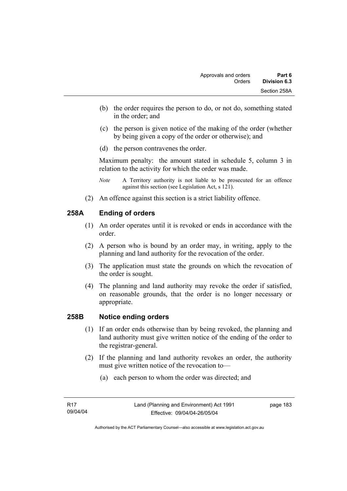- (b) the order requires the person to do, or not do, something stated in the order; and
- (c) the person is given notice of the making of the order (whether by being given a copy of the order or otherwise); and
- (d) the person contravenes the order.

Maximum penalty: the amount stated in schedule 5, column 3 in relation to the activity for which the order was made.

- *Note* A Territory authority is not liable to be prosecuted for an offence against this section (see Legislation Act, s 121).
- (2) An offence against this section is a strict liability offence.

## **258A Ending of orders**

- (1) An order operates until it is revoked or ends in accordance with the order.
- (2) A person who is bound by an order may, in writing, apply to the planning and land authority for the revocation of the order.
- (3) The application must state the grounds on which the revocation of the order is sought.
- (4) The planning and land authority may revoke the order if satisfied, on reasonable grounds, that the order is no longer necessary or appropriate.

#### **258B Notice ending orders**

- (1) If an order ends otherwise than by being revoked, the planning and land authority must give written notice of the ending of the order to the registrar-general.
- (2) If the planning and land authority revokes an order, the authority must give written notice of the revocation to—
	- (a) each person to whom the order was directed; and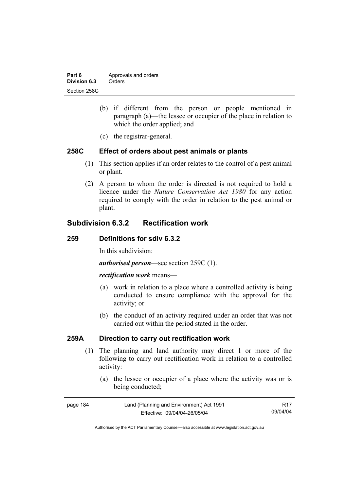| Part 6       | Approvals and orders |
|--------------|----------------------|
| Division 6.3 | Orders               |
| Section 258C |                      |

- (b) if different from the person or people mentioned in paragraph (a)—the lessee or occupier of the place in relation to which the order applied; and
- (c) the registrar-general.

#### **258C Effect of orders about pest animals or plants**

- (1) This section applies if an order relates to the control of a pest animal or plant.
- (2) A person to whom the order is directed is not required to hold a licence under the *Nature Conservation Act 1980* for any action required to comply with the order in relation to the pest animal or plant.

## **Subdivision 6.3.2 Rectification work**

#### **259 Definitions for sdiv 6.3.2**

In this subdivision:

*authorised person*—see section 259C (1).

#### *rectification work* means—

- (a) work in relation to a place where a controlled activity is being conducted to ensure compliance with the approval for the activity; or
- (b) the conduct of an activity required under an order that was not carried out within the period stated in the order.

## **259A Direction to carry out rectification work**

- (1) The planning and land authority may direct 1 or more of the following to carry out rectification work in relation to a controlled activity:
	- (a) the lessee or occupier of a place where the activity was or is being conducted;

| page 184 | Land (Planning and Environment) Act 1991 | R17      |
|----------|------------------------------------------|----------|
|          | Effective: 09/04/04-26/05/04             | 09/04/04 |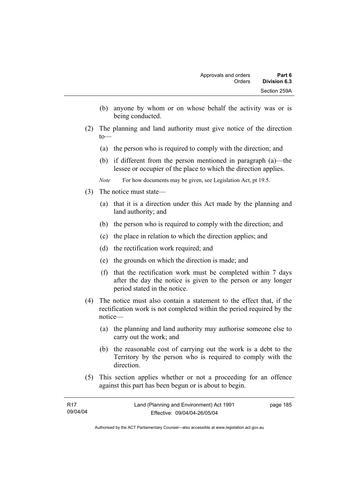- (b) anyone by whom or on whose behalf the activity was or is being conducted.
- (2) The planning and land authority must give notice of the direction to—
	- (a) the person who is required to comply with the direction; and
	- (b) if different from the person mentioned in paragraph (a)—the lessee or occupier of the place to which the direction applies.
	- *Note* For how documents may be given, see Legislation Act, pt 19.5.
- (3) The notice must state—
	- (a) that it is a direction under this Act made by the planning and land authority; and
	- (b) the person who is required to comply with the direction; and
	- (c) the place in relation to which the direction applies; and
	- (d) the rectification work required; and
	- (e) the grounds on which the direction is made; and
	- (f) that the rectification work must be completed within 7 days after the day the notice is given to the person or any longer period stated in the notice.
- (4) The notice must also contain a statement to the effect that, if the rectification work is not completed within the period required by the notice—
	- (a) the planning and land authority may authorise someone else to carry out the work; and
	- (b) the reasonable cost of carrying out the work is a debt to the Territory by the person who is required to comply with the direction.
- (5) This section applies whether or not a proceeding for an offence against this part has been begun or is about to begin.

| R17      | Land (Planning and Environment) Act 1991 | page 185 |
|----------|------------------------------------------|----------|
| 09/04/04 | Effective: 09/04/04-26/05/04             |          |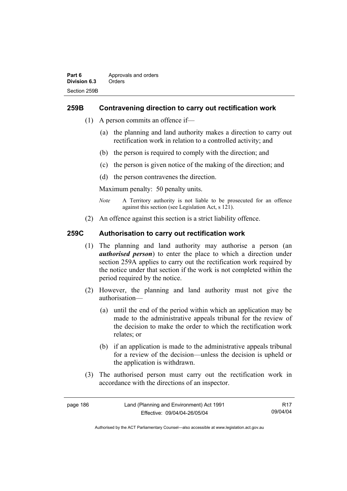## **259B Contravening direction to carry out rectification work**

- (1) A person commits an offence if—
	- (a) the planning and land authority makes a direction to carry out rectification work in relation to a controlled activity; and
	- (b) the person is required to comply with the direction; and
	- (c) the person is given notice of the making of the direction; and
	- (d) the person contravenes the direction.

Maximum penalty: 50 penalty units.

- *Note* A Territory authority is not liable to be prosecuted for an offence against this section (see Legislation Act, s 121).
- (2) An offence against this section is a strict liability offence.

## **259C Authorisation to carry out rectification work**

- (1) The planning and land authority may authorise a person (an *authorised person*) to enter the place to which a direction under section 259A applies to carry out the rectification work required by the notice under that section if the work is not completed within the period required by the notice.
- (2) However, the planning and land authority must not give the authorisation—
	- (a) until the end of the period within which an application may be made to the administrative appeals tribunal for the review of the decision to make the order to which the rectification work relates; or
	- (b) if an application is made to the administrative appeals tribunal for a review of the decision—unless the decision is upheld or the application is withdrawn.
- (3) The authorised person must carry out the rectification work in accordance with the directions of an inspector.

| page 186 | Land (Planning and Environment) Act 1991 | R17      |
|----------|------------------------------------------|----------|
|          | Effective: 09/04/04-26/05/04             | 09/04/04 |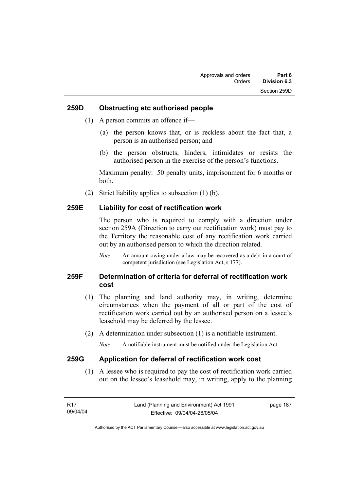#### **259D Obstructing etc authorised people**

- (1) A person commits an offence if—
	- (a) the person knows that, or is reckless about the fact that, a person is an authorised person; and
	- (b) the person obstructs, hinders, intimidates or resists the authorised person in the exercise of the person's functions.

Maximum penalty: 50 penalty units, imprisonment for 6 months or both.

(2) Strict liability applies to subsection (1) (b).

#### **259E Liability for cost of rectification work**

The person who is required to comply with a direction under section 259A (Direction to carry out rectification work) must pay to the Territory the reasonable cost of any rectification work carried out by an authorised person to which the direction related.

*Note* An amount owing under a law may be recovered as a debt in a court of competent jurisdiction (see Legislation Act, s 177).

## **259F Determination of criteria for deferral of rectification work cost**

- (1) The planning and land authority may, in writing, determine circumstances when the payment of all or part of the cost of rectification work carried out by an authorised person on a lessee's leasehold may be deferred by the lessee.
- (2) A determination under subsection (1) is a notifiable instrument.

*Note* A notifiable instrument must be notified under the Legislation Act.

#### **259G Application for deferral of rectification work cost**

 (1) A lessee who is required to pay the cost of rectification work carried out on the lessee's leasehold may, in writing, apply to the planning

| - R17    | Land (Planning and Environment) Act 1991 | page 187 |
|----------|------------------------------------------|----------|
| 09/04/04 | Effective: 09/04/04-26/05/04             |          |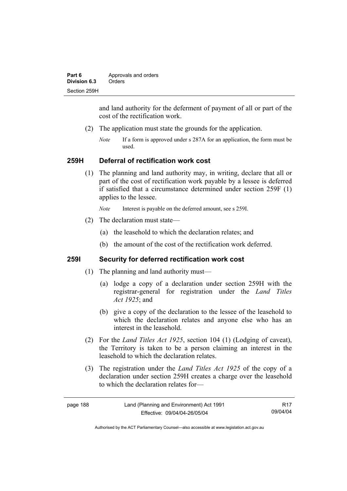| Part 6       | Approvals and orders |  |
|--------------|----------------------|--|
| Division 6.3 | Orders               |  |
| Section 259H |                      |  |

and land authority for the deferment of payment of all or part of the cost of the rectification work.

- (2) The application must state the grounds for the application.
	- *Note* If a form is approved under s 287A for an application, the form must be used.

#### **259H Deferral of rectification work cost**

 (1) The planning and land authority may, in writing, declare that all or part of the cost of rectification work payable by a lessee is deferred if satisfied that a circumstance determined under section 259F (1) applies to the lessee.

*Note* Interest is payable on the deferred amount, see s 259I.

- (2) The declaration must state—
	- (a) the leasehold to which the declaration relates; and
	- (b) the amount of the cost of the rectification work deferred.

## **259I Security for deferred rectification work cost**

- (1) The planning and land authority must—
	- (a) lodge a copy of a declaration under section 259H with the registrar-general for registration under the *Land Titles Act 1925*; and
	- (b) give a copy of the declaration to the lessee of the leasehold to which the declaration relates and anyone else who has an interest in the leasehold.
- (2) For the *Land Titles Act 1925*, section 104 (1) (Lodging of caveat), the Territory is taken to be a person claiming an interest in the leasehold to which the declaration relates.
- (3) The registration under the *Land Titles Act 1925* of the copy of a declaration under section 259H creates a charge over the leasehold to which the declaration relates for—

| page 188 | Land (Planning and Environment) Act 1991 | R17      |
|----------|------------------------------------------|----------|
|          | Effective: 09/04/04-26/05/04             | 09/04/04 |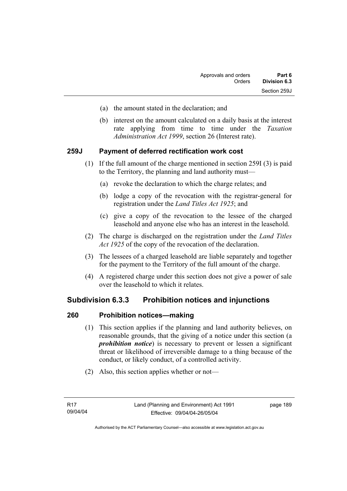- (a) the amount stated in the declaration; and
- (b) interest on the amount calculated on a daily basis at the interest rate applying from time to time under the *Taxation Administration Act 1999*, section 26 (Interest rate).

## **259J Payment of deferred rectification work cost**

- (1) If the full amount of the charge mentioned in section 259I (3) is paid to the Territory, the planning and land authority must—
	- (a) revoke the declaration to which the charge relates; and
	- (b) lodge a copy of the revocation with the registrar-general for registration under the *Land Titles Act 1925*; and
	- (c) give a copy of the revocation to the lessee of the charged leasehold and anyone else who has an interest in the leasehold.
- (2) The charge is discharged on the registration under the *Land Titles Act 1925* of the copy of the revocation of the declaration.
- (3) The lessees of a charged leasehold are liable separately and together for the payment to the Territory of the full amount of the charge.
- (4) A registered charge under this section does not give a power of sale over the leasehold to which it relates.

## **Subdivision 6.3.3 Prohibition notices and injunctions**

#### **260 Prohibition notices—making**

- (1) This section applies if the planning and land authority believes, on reasonable grounds, that the giving of a notice under this section (a *prohibition notice*) is necessary to prevent or lessen a significant threat or likelihood of irreversible damage to a thing because of the conduct, or likely conduct, of a controlled activity.
- (2) Also, this section applies whether or not—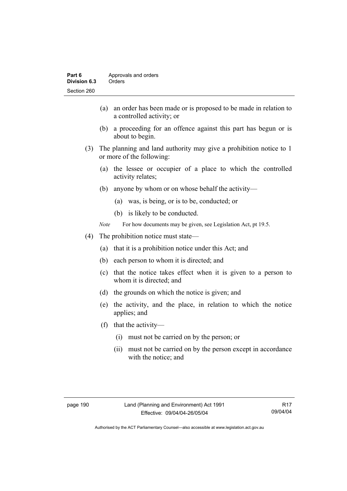- (a) an order has been made or is proposed to be made in relation to a controlled activity; or
- (b) a proceeding for an offence against this part has begun or is about to begin.
- (3) The planning and land authority may give a prohibition notice to 1 or more of the following:
	- (a) the lessee or occupier of a place to which the controlled activity relates;
	- (b) anyone by whom or on whose behalf the activity—
		- (a) was, is being, or is to be, conducted; or
		- (b) is likely to be conducted.
	- *Note* For how documents may be given, see Legislation Act, pt 19.5.
- (4) The prohibition notice must state—
	- (a) that it is a prohibition notice under this Act; and
	- (b) each person to whom it is directed; and
	- (c) that the notice takes effect when it is given to a person to whom it is directed; and
	- (d) the grounds on which the notice is given; and
	- (e) the activity, and the place, in relation to which the notice applies; and
	- (f) that the activity—
		- (i) must not be carried on by the person; or
		- (ii) must not be carried on by the person except in accordance with the notice; and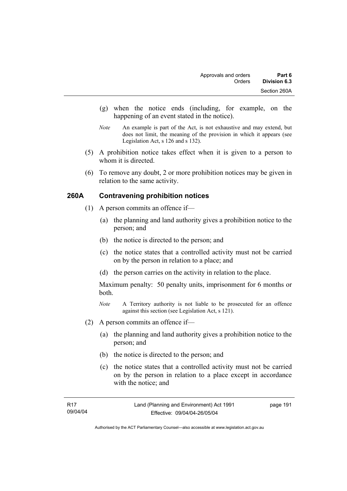- (g) when the notice ends (including, for example, on the happening of an event stated in the notice).
- *Note* An example is part of the Act, is not exhaustive and may extend, but does not limit, the meaning of the provision in which it appears (see Legislation Act, s 126 and s 132).
- (5) A prohibition notice takes effect when it is given to a person to whom it is directed.
- (6) To remove any doubt, 2 or more prohibition notices may be given in relation to the same activity.

## **260A Contravening prohibition notices**

- (1) A person commits an offence if—
	- (a) the planning and land authority gives a prohibition notice to the person; and
	- (b) the notice is directed to the person; and
	- (c) the notice states that a controlled activity must not be carried on by the person in relation to a place; and
	- (d) the person carries on the activity in relation to the place.

Maximum penalty: 50 penalty units, imprisonment for 6 months or both.

- *Note* A Territory authority is not liable to be prosecuted for an offence against this section (see Legislation Act, s 121).
- (2) A person commits an offence if—
	- (a) the planning and land authority gives a prohibition notice to the person; and
	- (b) the notice is directed to the person; and
	- (c) the notice states that a controlled activity must not be carried on by the person in relation to a place except in accordance with the notice; and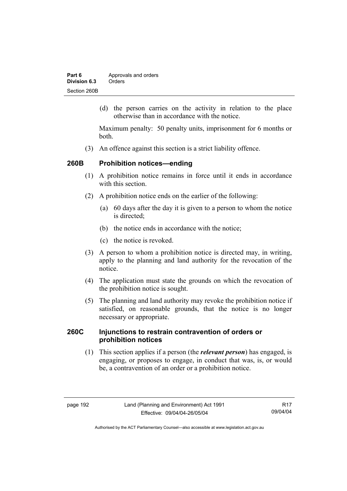| Part 6       | Approvals and orders |  |
|--------------|----------------------|--|
| Division 6.3 | Orders               |  |
| Section 260B |                      |  |

 (d) the person carries on the activity in relation to the place otherwise than in accordance with the notice.

Maximum penalty: 50 penalty units, imprisonment for 6 months or both.

(3) An offence against this section is a strict liability offence.

### **260B Prohibition notices—ending**

- (1) A prohibition notice remains in force until it ends in accordance with this section
- (2) A prohibition notice ends on the earlier of the following:
	- (a) 60 days after the day it is given to a person to whom the notice is directed:
	- (b) the notice ends in accordance with the notice;
	- (c) the notice is revoked.
- (3) A person to whom a prohibition notice is directed may, in writing, apply to the planning and land authority for the revocation of the notice.
- (4) The application must state the grounds on which the revocation of the prohibition notice is sought.
- (5) The planning and land authority may revoke the prohibition notice if satisfied, on reasonable grounds, that the notice is no longer necessary or appropriate.

## **260C Injunctions to restrain contravention of orders or prohibition notices**

 (1) This section applies if a person (the *relevant person*) has engaged, is engaging, or proposes to engage, in conduct that was, is, or would be, a contravention of an order or a prohibition notice.

R17 09/04/04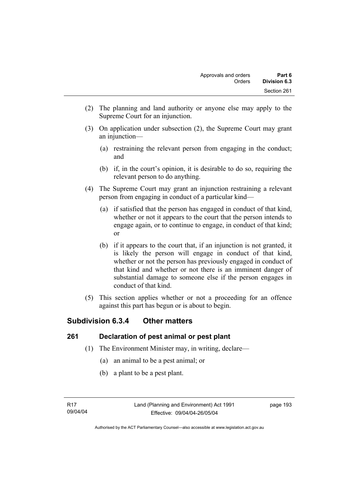- (2) The planning and land authority or anyone else may apply to the Supreme Court for an injunction.
- (3) On application under subsection (2), the Supreme Court may grant an injunction—
	- (a) restraining the relevant person from engaging in the conduct; and
	- (b) if, in the court's opinion, it is desirable to do so, requiring the relevant person to do anything.
- (4) The Supreme Court may grant an injunction restraining a relevant person from engaging in conduct of a particular kind—
	- (a) if satisfied that the person has engaged in conduct of that kind, whether or not it appears to the court that the person intends to engage again, or to continue to engage, in conduct of that kind; or
	- (b) if it appears to the court that, if an injunction is not granted, it is likely the person will engage in conduct of that kind, whether or not the person has previously engaged in conduct of that kind and whether or not there is an imminent danger of substantial damage to someone else if the person engages in conduct of that kind.
- (5) This section applies whether or not a proceeding for an offence against this part has begun or is about to begin.

# **Subdivision 6.3.4 Other matters**

## **261 Declaration of pest animal or pest plant**

- (1) The Environment Minister may, in writing, declare—
	- (a) an animal to be a pest animal; or
	- (b) a plant to be a pest plant.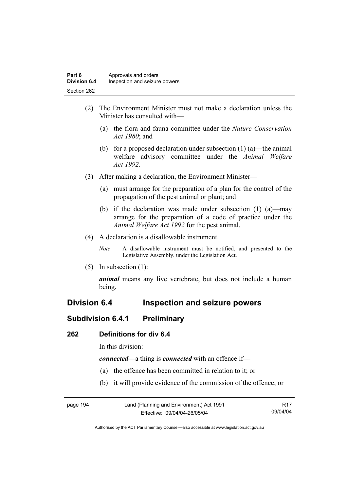- (2) The Environment Minister must not make a declaration unless the Minister has consulted with—
	- (a) the flora and fauna committee under the *Nature Conservation Act 1980*; and
	- (b) for a proposed declaration under subsection  $(1)$  (a)—the animal welfare advisory committee under the *Animal Welfare Act 1992*.
- (3) After making a declaration, the Environment Minister—
	- (a) must arrange for the preparation of a plan for the control of the propagation of the pest animal or plant; and
	- (b) if the declaration was made under subsection (1) (a)—may arrange for the preparation of a code of practice under the *Animal Welfare Act 1992* for the pest animal.
- (4) A declaration is a disallowable instrument.
	- *Note* A disallowable instrument must be notified, and presented to the Legislative Assembly, under the Legislation Act.
- (5) In subsection (1):

*animal* means any live vertebrate, but does not include a human being.

## **Division 6.4 Inspection and seizure powers**

## **Subdivision 6.4.1 Preliminary**

#### **262 Definitions for div 6.4**

In this division:

*connected*—a thing is *connected* with an offence if—

- (a) the offence has been committed in relation to it; or
- (b) it will provide evidence of the commission of the offence; or

| page 194 | Land (Planning and Environment) Act 1991 | R <sub>17</sub> |
|----------|------------------------------------------|-----------------|
|          | Effective: 09/04/04-26/05/04             | 09/04/04        |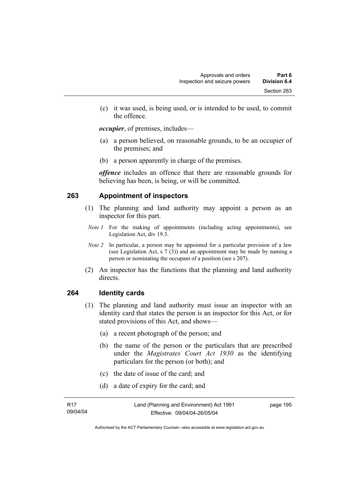(c) it was used, is being used, or is intended to be used, to commit the offence.

*occupier*, of premises, includes—

- (a) a person believed, on reasonable grounds, to be an occupier of the premises; and
- (b) a person apparently in charge of the premises.

*offence* includes an offence that there are reasonable grounds for believing has been, is being, or will be committed.

## **263 Appointment of inspectors**

- (1) The planning and land authority may appoint a person as an inspector for this part.
- *Note 1* For the making of appointments (including acting appointments), see Legislation Act, div 19.3.
- *Note 2* In particular, a person may be appointed for a particular provision of a law (see Legislation Act, s 7 (3)) and an appointment may be made by naming a person or nominating the occupant of a position (see s 207).
- (2) An inspector has the functions that the planning and land authority directs.

#### **264 Identity cards**

- (1) The planning and land authority must issue an inspector with an identity card that states the person is an inspector for this Act, or for stated provisions of this Act, and shows—
	- (a) a recent photograph of the person; and
	- (b) the name of the person or the particulars that are prescribed under the *Magistrates Court Act 1930* as the identifying particulars for the person (or both); and
	- (c) the date of issue of the card; and
	- (d) a date of expiry for the card; and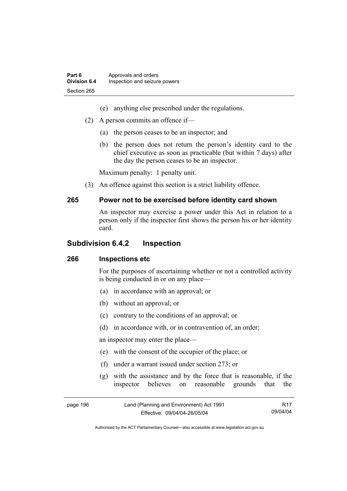- (e) anything else prescribed under the regulations.
- (2) A person commits an offence if—
	- (a) the person ceases to be an inspector; and
	- (b) the person does not return the person's identity card to the chief executive as soon as practicable (but within 7 days) after the day the person ceases to be an inspector.

Maximum penalty: 1 penalty unit.

(3) An offence against this section is a strict liability offence.

#### **265 Power not to be exercised before identity card shown**

#### An inspector may exercise a power under this Act in relation to a person only if the inspector first shows the person his or her identity card.

#### **Subdivision 6.4.2 Inspection**

#### **266 Inspections etc**

For the purposes of ascertaining whether or not a controlled activity is being conducted in or on any place—

- (a) in accordance with an approval; or
- (b) without an approval; or
- (c) contrary to the conditions of an approval; or
- (d) in accordance with, or in contravention of, an order;

an inspector may enter the place—

- (e) with the consent of the occupier of the place; or
- (f) under a warrant issued under section 273; or
- (g) with the assistance and by the force that is reasonable, if the inspector believes on reasonable grounds that the

| page 196 | Land (Planning and Environment) Act 1991 | R17      |
|----------|------------------------------------------|----------|
|          | Effective: 09/04/04-26/05/04             | 09/04/04 |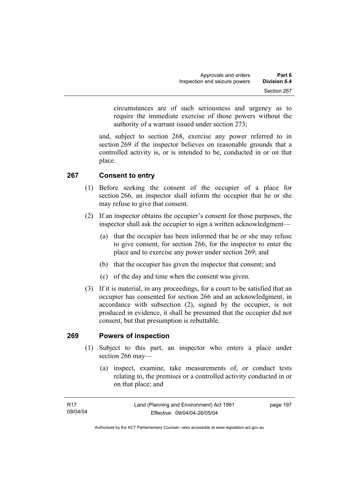circumstances are of such seriousness and urgency as to require the immediate exercise of those powers without the authority of a warrant issued under section 273;

and, subject to section 268, exercise any power referred to in section 269 if the inspector believes on reasonable grounds that a controlled activity is, or is intended to be, conducted in or on that place.

## **267 Consent to entry**

- (1) Before seeking the consent of the occupier of a place for section 266, an inspector shall inform the occupier that he or she may refuse to give that consent.
- (2) If an inspector obtains the occupier's consent for those purposes, the inspector shall ask the occupier to sign a written acknowledgment—
	- (a) that the occupier has been informed that he or she may refuse to give consent, for section 266, for the inspector to enter the place and to exercise any power under section 269; and
	- (b) that the occupier has given the inspector that consent; and
	- (c) of the day and time when the consent was given.
- (3) If it is material, in any proceedings, for a court to be satisfied that an occupier has consented for section 266 and an acknowledgment, in accordance with subsection (2), signed by the occupier, is not produced in evidence, it shall be presumed that the occupier did not consent, but that presumption is rebuttable.

#### **269 Powers of inspection**

- (1) Subject to this part, an inspector who enters a place under section 266 may—
	- (a) inspect, examine, take measurements of, or conduct tests relating to, the premises or a controlled activity conducted in or on that place; and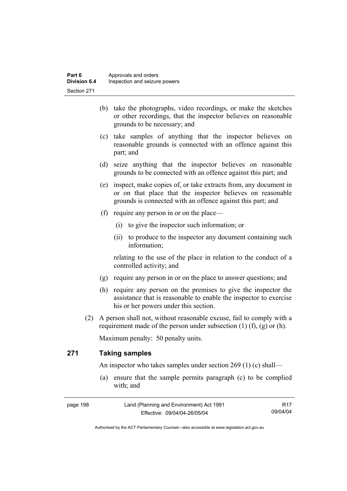- (b) take the photographs, video recordings, or make the sketches or other recordings, that the inspector believes on reasonable grounds to be necessary; and
- (c) take samples of anything that the inspector believes on reasonable grounds is connected with an offence against this part; and
- (d) seize anything that the inspector believes on reasonable grounds to be connected with an offence against this part; and
- (e) inspect, make copies of, or take extracts from, any document in or on that place that the inspector believes on reasonable grounds is connected with an offence against this part; and
- (f) require any person in or on the place—
	- (i) to give the inspector such information; or
	- (ii) to produce to the inspector any document containing such information;

relating to the use of the place in relation to the conduct of a controlled activity; and

- (g) require any person in or on the place to answer questions; and
- (h) require any person on the premises to give the inspector the assistance that is reasonable to enable the inspector to exercise his or her powers under this section.
- (2) A person shall not, without reasonable excuse, fail to comply with a requirement made of the person under subsection  $(1)$   $(f)$ ,  $(g)$  or  $(h)$ .

Maximum penalty: 50 penalty units.

## **271 Taking samples**

An inspector who takes samples under section 269 (1) (c) shall—

 (a) ensure that the sample permits paragraph (c) to be complied with; and

| page 198 | Land (Planning and Environment) Act 1991 | R <sub>17</sub> |
|----------|------------------------------------------|-----------------|
|          | Effective: 09/04/04-26/05/04             | 09/04/04        |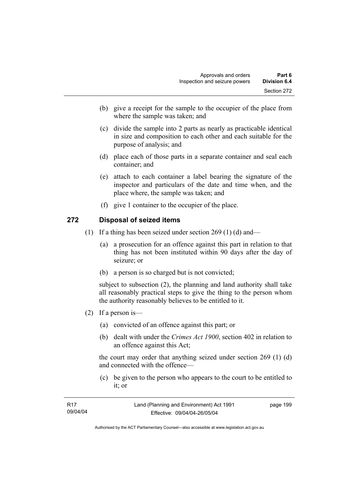- (b) give a receipt for the sample to the occupier of the place from where the sample was taken; and
- (c) divide the sample into 2 parts as nearly as practicable identical in size and composition to each other and each suitable for the purpose of analysis; and
- (d) place each of those parts in a separate container and seal each container; and
- (e) attach to each container a label bearing the signature of the inspector and particulars of the date and time when, and the place where, the sample was taken; and
- (f) give 1 container to the occupier of the place.

#### **272 Disposal of seized items**

- (1) If a thing has been seized under section 269 (1) (d) and—
	- (a) a prosecution for an offence against this part in relation to that thing has not been instituted within 90 days after the day of seizure; or
	- (b) a person is so charged but is not convicted;

subject to subsection (2), the planning and land authority shall take all reasonably practical steps to give the thing to the person whom the authority reasonably believes to be entitled to it.

- (2) If a person is—
	- (a) convicted of an offence against this part; or
	- (b) dealt with under the *Crimes Act 1900*, section 402 in relation to an offence against this Act;

the court may order that anything seized under section 269 (1) (d) and connected with the offence—

 (c) be given to the person who appears to the court to be entitled to it; or

| R17      | Land (Planning and Environment) Act 1991 | page 199 |
|----------|------------------------------------------|----------|
| 09/04/04 | Effective: 09/04/04-26/05/04             |          |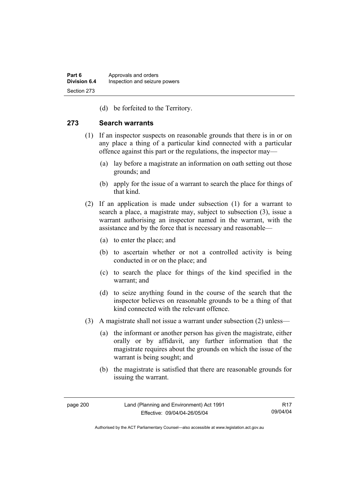(d) be forfeited to the Territory.

#### **273 Search warrants**

- (1) If an inspector suspects on reasonable grounds that there is in or on any place a thing of a particular kind connected with a particular offence against this part or the regulations, the inspector may—
	- (a) lay before a magistrate an information on oath setting out those grounds; and
	- (b) apply for the issue of a warrant to search the place for things of that kind.
- (2) If an application is made under subsection (1) for a warrant to search a place, a magistrate may, subject to subsection (3), issue a warrant authorising an inspector named in the warrant, with the assistance and by the force that is necessary and reasonable—
	- (a) to enter the place; and
	- (b) to ascertain whether or not a controlled activity is being conducted in or on the place; and
	- (c) to search the place for things of the kind specified in the warrant; and
	- (d) to seize anything found in the course of the search that the inspector believes on reasonable grounds to be a thing of that kind connected with the relevant offence.
- (3) A magistrate shall not issue a warrant under subsection (2) unless—
	- (a) the informant or another person has given the magistrate, either orally or by affidavit, any further information that the magistrate requires about the grounds on which the issue of the warrant is being sought; and
	- (b) the magistrate is satisfied that there are reasonable grounds for issuing the warrant.

R17 09/04/04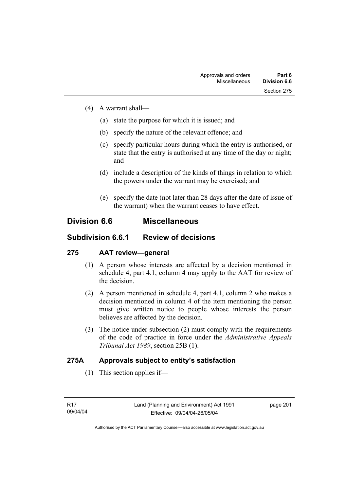- (4) A warrant shall—
	- (a) state the purpose for which it is issued; and
	- (b) specify the nature of the relevant offence; and
	- (c) specify particular hours during which the entry is authorised, or state that the entry is authorised at any time of the day or night; and
	- (d) include a description of the kinds of things in relation to which the powers under the warrant may be exercised; and
	- (e) specify the date (not later than 28 days after the date of issue of the warrant) when the warrant ceases to have effect.

## **Division 6.6 Miscellaneous**

## **Subdivision 6.6.1 Review of decisions**

## **275 AAT review—general**

- (1) A person whose interests are affected by a decision mentioned in schedule 4, part 4.1, column 4 may apply to the AAT for review of the decision.
- (2) A person mentioned in schedule 4, part 4.1, column 2 who makes a decision mentioned in column 4 of the item mentioning the person must give written notice to people whose interests the person believes are affected by the decision.
- (3) The notice under subsection (2) must comply with the requirements of the code of practice in force under the *Administrative Appeals Tribunal Act 1989*, section 25B (1).

## **275A Approvals subject to entity's satisfaction**

(1) This section applies if—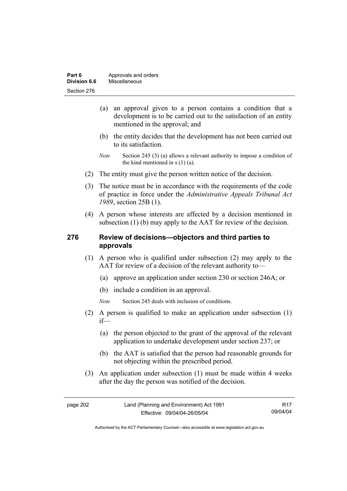| Part 6       | Approvals and orders |
|--------------|----------------------|
| Division 6.6 | Miscellaneous        |
| Section 276  |                      |

- (a) an approval given to a person contains a condition that a development is to be carried out to the satisfaction of an entity mentioned in the approval; and
- (b) the entity decides that the development has not been carried out to its satisfaction.
- *Note* Section 245 (3) (a) allows a relevant authority to impose a condition of the kind mentioned in s (1) (a).
- (2) The entity must give the person written notice of the decision.
- (3) The notice must be in accordance with the requirements of the code of practice in force under the *Administrative Appeals Tribunal Act 1989*, section 25B (1).
- (4) A person whose interests are affected by a decision mentioned in subsection (1) (b) may apply to the AAT for review of the decision.

## **276 Review of decisions—objectors and third parties to approvals**

- (1) A person who is qualified under subsection (2) may apply to the AAT for review of a decision of the relevant authority to—
	- (a) approve an application under section 230 or section 246A; or
	- (b) include a condition in an approval.
	- *Note* Section 245 deals with inclusion of conditions.
- (2) A person is qualified to make an application under subsection (1) if—
	- (a) the person objected to the grant of the approval of the relevant application to undertake development under section 237; or
	- (b) the AAT is satisfied that the person had reasonable grounds for not objecting within the prescribed period.
- (3) An application under subsection (1) must be made within 4 weeks after the day the person was notified of the decision.

R17 09/04/04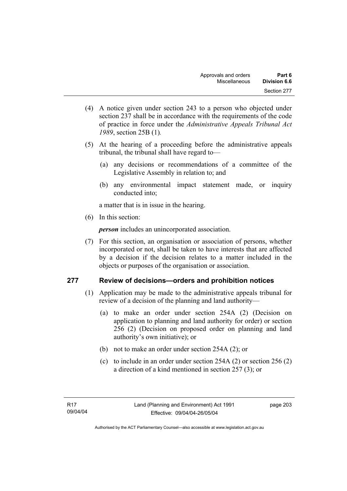- (4) A notice given under section 243 to a person who objected under section 237 shall be in accordance with the requirements of the code of practice in force under the *Administrative Appeals Tribunal Act 1989*, section 25B (1)*.*
- (5) At the hearing of a proceeding before the administrative appeals tribunal, the tribunal shall have regard to—
	- (a) any decisions or recommendations of a committee of the Legislative Assembly in relation to; and
	- (b) any environmental impact statement made, or inquiry conducted into;

a matter that is in issue in the hearing.

(6) In this section:

*person* includes an unincorporated association.

 (7) For this section, an organisation or association of persons, whether incorporated or not, shall be taken to have interests that are affected by a decision if the decision relates to a matter included in the objects or purposes of the organisation or association.

## **277 Review of decisions—orders and prohibition notices**

- (1) Application may be made to the administrative appeals tribunal for review of a decision of the planning and land authority—
	- (a) to make an order under section 254A (2) (Decision on application to planning and land authority for order) or section 256 (2) (Decision on proposed order on planning and land authority's own initiative); or
	- (b) not to make an order under section 254A (2); or
	- (c) to include in an order under section 254A (2) or section 256 (2) a direction of a kind mentioned in section 257 (3); or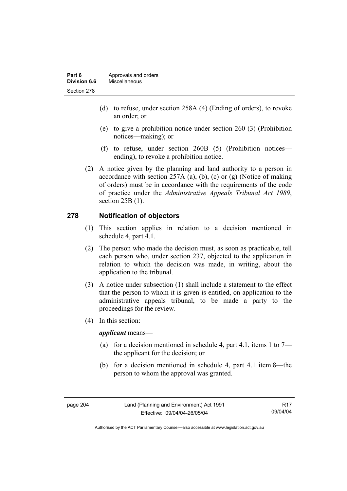| Part 6       | Approvals and orders |
|--------------|----------------------|
| Division 6.6 | Miscellaneous        |
| Section 278  |                      |

- (d) to refuse, under section 258A (4) (Ending of orders), to revoke an order; or
- (e) to give a prohibition notice under section 260 (3) (Prohibition notices—making); or
- (f) to refuse, under section 260B (5) (Prohibition notices ending), to revoke a prohibition notice.
- (2) A notice given by the planning and land authority to a person in accordance with section 257A (a), (b), (c) or  $(g)$  (Notice of making of orders) must be in accordance with the requirements of the code of practice under the *Administrative Appeals Tribunal Act 1989*, section 25B (1).

## **278 Notification of objectors**

- (1) This section applies in relation to a decision mentioned in schedule 4, part 4.1.
- (2) The person who made the decision must, as soon as practicable, tell each person who, under section 237, objected to the application in relation to which the decision was made, in writing, about the application to the tribunal.
- (3) A notice under subsection (1) shall include a statement to the effect that the person to whom it is given is entitled, on application to the administrative appeals tribunal, to be made a party to the proceedings for the review.
- (4) In this section:

*applicant* means—

- (a) for a decision mentioned in schedule 4, part 4.1, items 1 to  $7$ the applicant for the decision; or
- (b) for a decision mentioned in schedule 4, part 4.1 item 8—the person to whom the approval was granted.

page 204 Land (Planning and Environment) Act 1991 Effective: 09/04/04-26/05/04

R17 09/04/04

Authorised by the ACT Parliamentary Counsel—also accessible at www.legislation.act.gov.au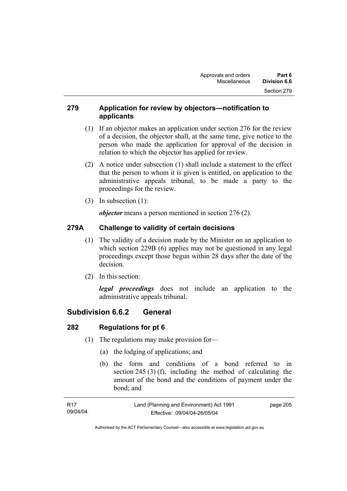## **279 Application for review by objectors—notification to applicants**

- (1) If an objector makes an application under section 276 for the review of a decision, the objector shall, at the same time, give notice to the person who made the application for approval of the decision in relation to which the objector has applied for review.
- (2) A notice under subsection (1) shall include a statement to the effect that the person to whom it is given is entitled, on application to the administrative appeals tribunal, to be made a party to the proceedings for the review.
- (3) In subsection (1):

*objector* means a person mentioned in section 276 (2).

## **279A Challenge to validity of certain decisions**

- (1) The validity of a decision made by the Minister on an application to which section 229B (6) applies may not be questioned in any legal proceedings except those begun within 28 days after the date of the decision.
- (2) In this section:

*legal proceedings* does not include an application to the administrative appeals tribunal.

## **Subdivision 6.6.2 General**

## **282 Regulations for pt 6**

- (1) The regulations may make provision for—
	- (a) the lodging of applications; and
	- (b) the form and conditions of a bond referred to in section 245 (3) (f), including the method of calculating the amount of the bond and the conditions of payment under the bond; and

| - R17    | Land (Planning and Environment) Act 1991 | page 205 |
|----------|------------------------------------------|----------|
| 09/04/04 | Effective: 09/04/04-26/05/04             |          |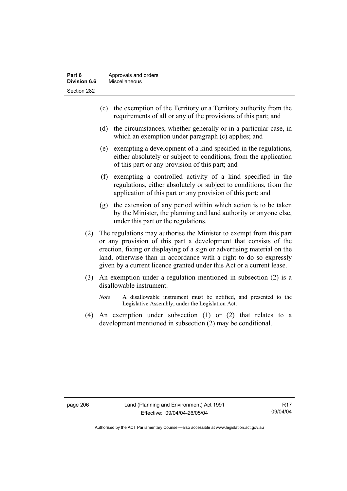- (c) the exemption of the Territory or a Territory authority from the requirements of all or any of the provisions of this part; and
- (d) the circumstances, whether generally or in a particular case, in which an exemption under paragraph (c) applies; and
- (e) exempting a development of a kind specified in the regulations, either absolutely or subject to conditions, from the application of this part or any provision of this part; and
- (f) exempting a controlled activity of a kind specified in the regulations, either absolutely or subject to conditions, from the application of this part or any provision of this part; and
- (g) the extension of any period within which action is to be taken by the Minister, the planning and land authority or anyone else, under this part or the regulations.
- (2) The regulations may authorise the Minister to exempt from this part or any provision of this part a development that consists of the erection, fixing or displaying of a sign or advertising material on the land, otherwise than in accordance with a right to do so expressly given by a current licence granted under this Act or a current lease.
- (3) An exemption under a regulation mentioned in subsection (2) is a disallowable instrument.
	- *Note* A disallowable instrument must be notified, and presented to the Legislative Assembly, under the Legislation Act.
- (4) An exemption under subsection (1) or (2) that relates to a development mentioned in subsection (2) may be conditional.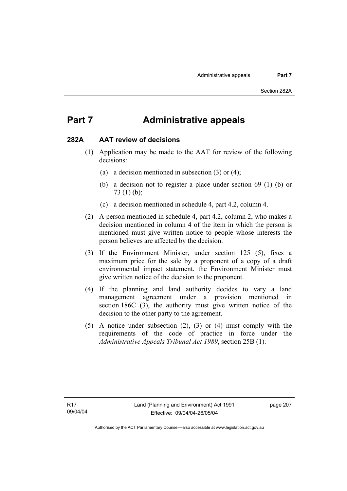## **Part 7 Administrative appeals**

## **282A AAT review of decisions**

- (1) Application may be made to the AAT for review of the following decisions:
	- (a) a decision mentioned in subsection (3) or (4);
	- (b) a decision not to register a place under section 69 (1) (b) or 73 (1) (b);
	- (c) a decision mentioned in schedule 4, part 4.2, column 4.
- (2) A person mentioned in schedule 4, part 4.2, column 2, who makes a decision mentioned in column 4 of the item in which the person is mentioned must give written notice to people whose interests the person believes are affected by the decision.
- (3) If the Environment Minister, under section 125 (5), fixes a maximum price for the sale by a proponent of a copy of a draft environmental impact statement, the Environment Minister must give written notice of the decision to the proponent.
- (4) If the planning and land authority decides to vary a land management agreement under a provision mentioned in section 186C (3), the authority must give written notice of the decision to the other party to the agreement.
- (5) A notice under subsection (2), (3) or (4) must comply with the requirements of the code of practice in force under the *Administrative Appeals Tribunal Act 1989*, section 25B (1).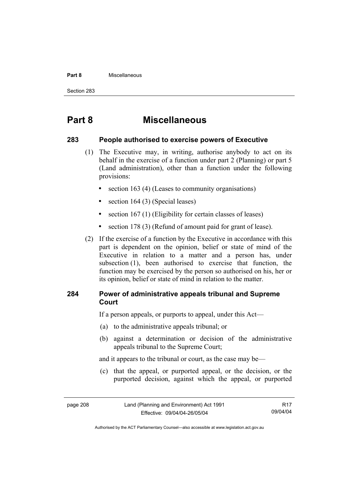#### **Part 8** Miscellaneous

Section 283

## **Part 8 Miscellaneous**

## **283 People authorised to exercise powers of Executive**

- (1) The Executive may, in writing, authorise anybody to act on its behalf in the exercise of a function under part 2 (Planning) or part 5 (Land administration), other than a function under the following provisions:
	- section 163 (4) (Leases to community organisations)
	- section 164 (3) (Special leases)
	- section 167 (1) (Eligibility for certain classes of leases)
	- section 178 (3) (Refund of amount paid for grant of lease).
- (2) If the exercise of a function by the Executive in accordance with this part is dependent on the opinion, belief or state of mind of the Executive in relation to a matter and a person has, under subsection (1), been authorised to exercise that function, the function may be exercised by the person so authorised on his, her or its opinion, belief or state of mind in relation to the matter.

## **284 Power of administrative appeals tribunal and Supreme Court**

If a person appeals, or purports to appeal, under this Act—

- (a) to the administrative appeals tribunal; or
- (b) against a determination or decision of the administrative appeals tribunal to the Supreme Court;

and it appears to the tribunal or court, as the case may be—

 (c) that the appeal, or purported appeal, or the decision, or the purported decision, against which the appeal, or purported

R17 09/04/04

Authorised by the ACT Parliamentary Counsel—also accessible at www.legislation.act.gov.au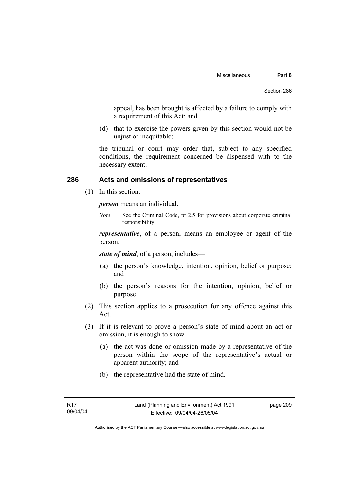appeal, has been brought is affected by a failure to comply with a requirement of this Act; and

 (d) that to exercise the powers given by this section would not be unjust or inequitable;

the tribunal or court may order that, subject to any specified conditions, the requirement concerned be dispensed with to the necessary extent.

## **286 Acts and omissions of representatives**

(1) In this section:

*person* means an individual.

*Note* See the Criminal Code, pt 2.5 for provisions about corporate criminal responsibility.

*representative*, of a person, means an employee or agent of the person.

*state of mind*, of a person, includes—

- (a) the person's knowledge, intention, opinion, belief or purpose; and
- (b) the person's reasons for the intention, opinion, belief or purpose.
- (2) This section applies to a prosecution for any offence against this Act.
- (3) If it is relevant to prove a person's state of mind about an act or omission, it is enough to show—
	- (a) the act was done or omission made by a representative of the person within the scope of the representative's actual or apparent authority; and
	- (b) the representative had the state of mind.

Authorised by the ACT Parliamentary Counsel—also accessible at www.legislation.act.gov.au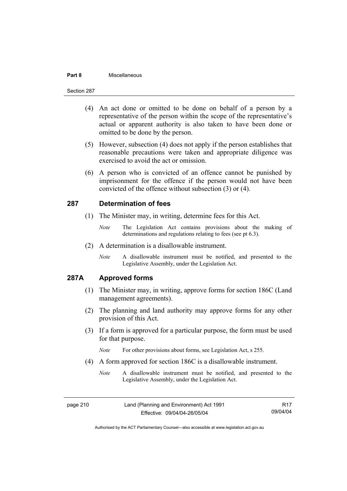#### **Part 8** Miscellaneous

#### Section 287

- (4) An act done or omitted to be done on behalf of a person by a representative of the person within the scope of the representative's actual or apparent authority is also taken to have been done or omitted to be done by the person.
- (5) However, subsection (4) does not apply if the person establishes that reasonable precautions were taken and appropriate diligence was exercised to avoid the act or omission.
- (6) A person who is convicted of an offence cannot be punished by imprisonment for the offence if the person would not have been convicted of the offence without subsection (3) or (4).

### **287 Determination of fees**

- (1) The Minister may, in writing, determine fees for this Act.
	- *Note* The Legislation Act contains provisions about the making of determinations and regulations relating to fees (see pt 6.3).
- (2) A determination is a disallowable instrument.
	- *Note* A disallowable instrument must be notified, and presented to the Legislative Assembly, under the Legislation Act.

## **287A Approved forms**

- (1) The Minister may, in writing, approve forms for section 186C (Land management agreements).
- (2) The planning and land authority may approve forms for any other provision of this Act.
- (3) If a form is approved for a particular purpose, the form must be used for that purpose.

*Note* For other provisions about forms, see Legislation Act, s 255.

- (4) A form approved for section 186C is a disallowable instrument.
	- *Note* A disallowable instrument must be notified, and presented to the Legislative Assembly, under the Legislation Act.

page 210 Land (Planning and Environment) Act 1991 Effective: 09/04/04-26/05/04 R17 09/04/04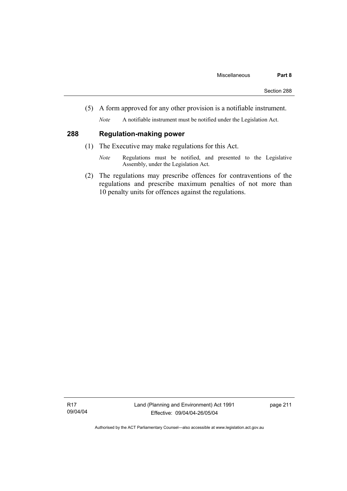(5) A form approved for any other provision is a notifiable instrument.

*Note* A notifiable instrument must be notified under the Legislation Act.

## **288 Regulation-making power**

- (1) The Executive may make regulations for this Act.
	- *Note* Regulations must be notified, and presented to the Legislative Assembly, under the Legislation Act.
- (2) The regulations may prescribe offences for contraventions of the regulations and prescribe maximum penalties of not more than 10 penalty units for offences against the regulations.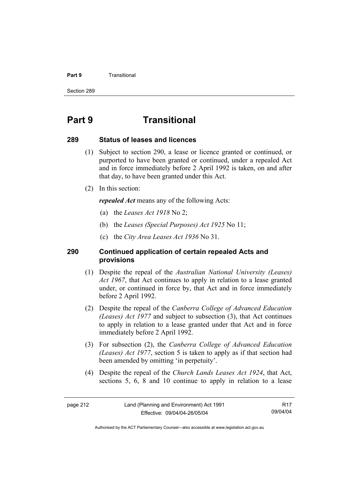#### **Part 9 Transitional**

Section 289

## **Part 9 Transitional**

### **289 Status of leases and licences**

- (1) Subject to section 290, a lease or licence granted or continued, or purported to have been granted or continued, under a repealed Act and in force immediately before 2 April 1992 is taken, on and after that day, to have been granted under this Act.
- (2) In this section:

*repealed Act* means any of the following Acts:

- (a) the *Leases Act 1918* No 2;
- (b) the *Leases (Special Purposes) Act 1925* No 11;
- (c) the *City Area Leases Act 1936* No 31.

## **290 Continued application of certain repealed Acts and provisions**

- (1) Despite the repeal of the *Australian National University (Leases) Act 1967*, that Act continues to apply in relation to a lease granted under, or continued in force by, that Act and in force immediately before 2 April 1992.
- (2) Despite the repeal of the *Canberra College of Advanced Education (Leases) Act 1977* and subject to subsection (3), that Act continues to apply in relation to a lease granted under that Act and in force immediately before 2 April 1992.
- (3) For subsection (2), the *Canberra College of Advanced Education (Leases) Act 1977*, section 5 is taken to apply as if that section had been amended by omitting 'in perpetuity'.
- (4) Despite the repeal of the *Church Lands Leases Act 1924*, that Act, sections 5, 6, 8 and 10 continue to apply in relation to a lease

R17 09/04/04

Authorised by the ACT Parliamentary Counsel—also accessible at www.legislation.act.gov.au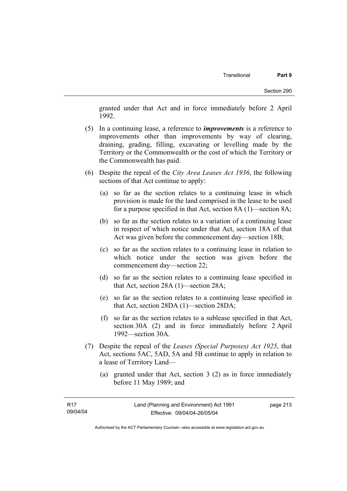granted under that Act and in force immediately before 2 April 1992.

- (5) In a continuing lease, a reference to *improvements* is a reference to improvements other than improvements by way of clearing, draining, grading, filling, excavating or levelling made by the Territory or the Commonwealth or the cost of which the Territory or the Commonwealth has paid.
- (6) Despite the repeal of the *City Area Leases Act 1936*, the following sections of that Act continue to apply:
	- (a) so far as the section relates to a continuing lease in which provision is made for the land comprised in the lease to be used for a purpose specified in that Act, section 8A (1)—section 8A;
	- (b) so far as the section relates to a variation of a continuing lease in respect of which notice under that Act, section 18A of that Act was given before the commencement day—section 18B;
	- (c) so far as the section relates to a continuing lease in relation to which notice under the section was given before the commencement day—section 22;
	- (d) so far as the section relates to a continuing lease specified in that Act, section 28A (1)—section 28A;
	- (e) so far as the section relates to a continuing lease specified in that Act, section 28DA (1)—section 28DA;
	- (f) so far as the section relates to a sublease specified in that Act, section 30A (2) and in force immediately before 2 April 1992—section 30A.
- (7) Despite the repeal of the *Leases (Special Purposes) Act 1925*, that Act, sections 5AC, 5AD, 5A and 5B continue to apply in relation to a lease of Territory Land—
	- (a) granted under that Act, section 3 (2) as in force immediately before 11 May 1989; and

Authorised by the ACT Parliamentary Counsel—also accessible at www.legislation.act.gov.au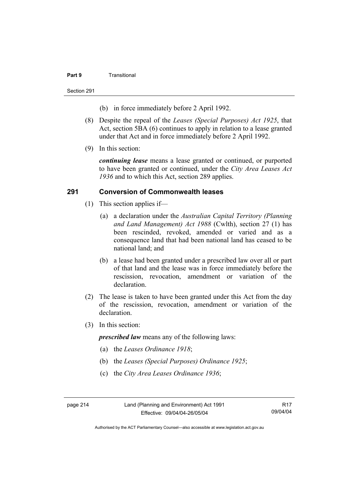#### **Part 9** Transitional

Section 291

- (b) in force immediately before 2 April 1992.
- (8) Despite the repeal of the *Leases (Special Purposes) Act 1925*, that Act, section 5BA (6) continues to apply in relation to a lease granted under that Act and in force immediately before 2 April 1992.
- (9) In this section:

*continuing lease* means a lease granted or continued, or purported to have been granted or continued, under the *City Area Leases Act 1936* and to which this Act, section 289 applies.

## **291 Conversion of Commonwealth leases**

- (1) This section applies if—
	- (a) a declaration under the *Australian Capital Territory (Planning and Land Management) Act 1988* (Cwlth), section 27 (1) has been rescinded, revoked, amended or varied and as a consequence land that had been national land has ceased to be national land; and
	- (b) a lease had been granted under a prescribed law over all or part of that land and the lease was in force immediately before the rescission, revocation, amendment or variation of the declaration.
- (2) The lease is taken to have been granted under this Act from the day of the rescission, revocation, amendment or variation of the declaration.
- (3) In this section:

*prescribed law* means any of the following laws:

- (a) the *Leases Ordinance 1918*;
- (b) the *Leases (Special Purposes) Ordinance 1925*;
- (c) the *City Area Leases Ordinance 1936*;

page 214 Land (Planning and Environment) Act 1991 Effective: 09/04/04-26/05/04

R17 09/04/04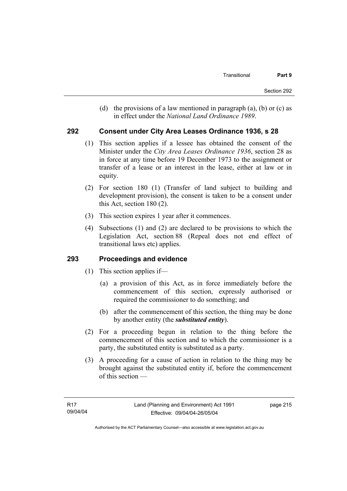(d) the provisions of a law mentioned in paragraph (a), (b) or (c) as in effect under the *National Land Ordinance 1989*.

## **292 Consent under City Area Leases Ordinance 1936, s 28**

- (1) This section applies if a lessee has obtained the consent of the Minister under the *City Area Leases Ordinance 1936*, section 28 as in force at any time before 19 December 1973 to the assignment or transfer of a lease or an interest in the lease, either at law or in equity.
- (2) For section 180 (1) (Transfer of land subject to building and development provision), the consent is taken to be a consent under this Act, section 180 (2).
- (3) This section expires 1 year after it commences.
- (4) Subsections (1) and (2) are declared to be provisions to which the Legislation Act, section 88 (Repeal does not end effect of transitional laws etc) applies.

## **293 Proceedings and evidence**

- (1) This section applies if—
	- (a) a provision of this Act, as in force immediately before the commencement of this section, expressly authorised or required the commissioner to do something; and
	- (b) after the commencement of this section, the thing may be done by another entity (the *substituted entity*).
- (2) For a proceeding begun in relation to the thing before the commencement of this section and to which the commissioner is a party, the substituted entity is substituted as a party.
- (3) A proceeding for a cause of action in relation to the thing may be brought against the substituted entity if, before the commencement of this section —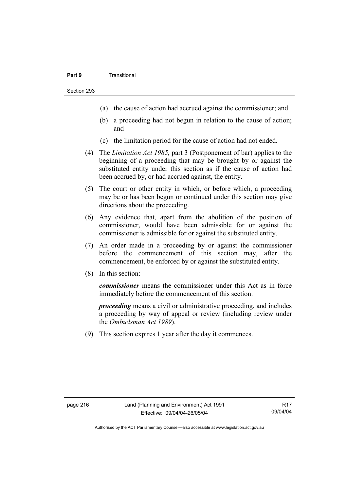#### **Part 9** Transitional

Section 293

- (a) the cause of action had accrued against the commissioner; and
- (b) a proceeding had not begun in relation to the cause of action; and
- (c) the limitation period for the cause of action had not ended.
- (4) The *Limitation Act 1985,* part 3 (Postponement of bar) applies to the beginning of a proceeding that may be brought by or against the substituted entity under this section as if the cause of action had been accrued by, or had accrued against, the entity.
- (5) The court or other entity in which, or before which, a proceeding may be or has been begun or continued under this section may give directions about the proceeding.
- (6) Any evidence that, apart from the abolition of the position of commissioner, would have been admissible for or against the commissioner is admissible for or against the substituted entity.
- (7) An order made in a proceeding by or against the commissioner before the commencement of this section may, after the commencement, be enforced by or against the substituted entity.
- (8) In this section:

*commissioner* means the commissioner under this Act as in force immediately before the commencement of this section.

*proceeding* means a civil or administrative proceeding, and includes a proceeding by way of appeal or review (including review under the *Ombudsman Act 1989*).

(9) This section expires 1 year after the day it commences.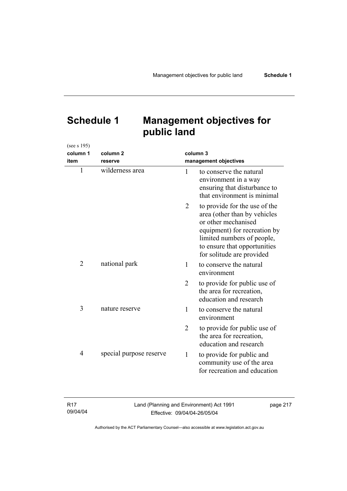# **Schedule 1 Management objectives for public land**

| (see s 195)    |                         |                       |                                                                                                                                                                                                                 |  |
|----------------|-------------------------|-----------------------|-----------------------------------------------------------------------------------------------------------------------------------------------------------------------------------------------------------------|--|
| column 1       | column <sub>2</sub>     |                       | column 3                                                                                                                                                                                                        |  |
| item           | reserve                 | management objectives |                                                                                                                                                                                                                 |  |
| $\mathbf{1}$   | wilderness area         | 1                     | to conserve the natural<br>environment in a way<br>ensuring that disturbance to<br>that environment is minimal                                                                                                  |  |
|                |                         | 2                     | to provide for the use of the<br>area (other than by vehicles<br>or other mechanised<br>equipment) for recreation by<br>limited numbers of people,<br>to ensure that opportunities<br>for solitude are provided |  |
| $\overline{2}$ | national park           | 1                     | to conserve the natural<br>environment                                                                                                                                                                          |  |
|                |                         | $\overline{2}$        | to provide for public use of<br>the area for recreation,<br>education and research                                                                                                                              |  |
| 3              | nature reserve          | 1                     | to conserve the natural<br>environment                                                                                                                                                                          |  |
|                |                         | $\overline{2}$        | to provide for public use of<br>the area for recreation,<br>education and research                                                                                                                              |  |
| 4              | special purpose reserve | 1                     | to provide for public and<br>community use of the area<br>for recreation and education                                                                                                                          |  |

| R <sub>17</sub> | Land (Planning and Environment) Act 1991 | page 217 |
|-----------------|------------------------------------------|----------|
| 09/04/04        | Effective: 09/04/04-26/05/04             |          |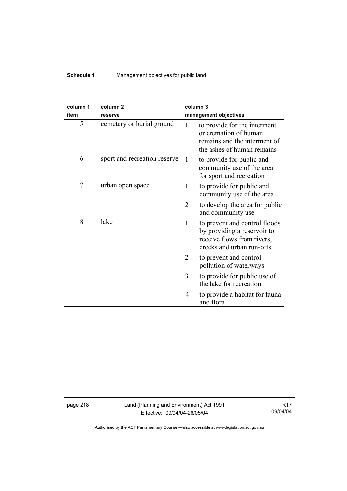## **Schedule 1** Management objectives for public land

| column 1<br>item | column <sub>2</sub><br>reserve |                | column 3<br>management objectives                                                                                       |
|------------------|--------------------------------|----------------|-------------------------------------------------------------------------------------------------------------------------|
| 5                | cemetery or burial ground      | 1              | to provide for the interment<br>or cremation of human<br>remains and the interment of<br>the ashes of human remains     |
| 6                | sport and recreation reserve   | $\overline{1}$ | to provide for public and<br>community use of the area<br>for sport and recreation                                      |
| $\overline{7}$   | urban open space               | 1              | to provide for public and<br>community use of the area                                                                  |
|                  |                                | 2              | to develop the area for public<br>and community use                                                                     |
| 8                | lake                           | $\mathbf{1}$   | to prevent and control floods<br>by providing a reservoir to<br>receive flows from rivers,<br>creeks and urban run-offs |
|                  |                                | 2              | to prevent and control<br>pollution of waterways                                                                        |
|                  |                                | 3              | to provide for public use of<br>the lake for recreation                                                                 |
|                  |                                | 4              | to provide a habitat for fauna<br>and flora                                                                             |

page 218 Land (Planning and Environment) Act 1991 Effective: 09/04/04-26/05/04

R17 09/04/04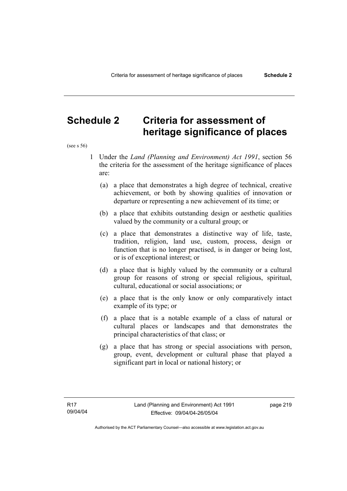## **Schedule 2 Criteria for assessment of heritage significance of places**

(see s 56)

- 1 Under the *Land (Planning and Environment) Act 1991*, section 56 the criteria for the assessment of the heritage significance of places are:
	- (a) a place that demonstrates a high degree of technical, creative achievement, or both by showing qualities of innovation or departure or representing a new achievement of its time; or
	- (b) a place that exhibits outstanding design or aesthetic qualities valued by the community or a cultural group; or
	- (c) a place that demonstrates a distinctive way of life, taste, tradition, religion, land use, custom, process, design or function that is no longer practised, is in danger or being lost, or is of exceptional interest; or
	- (d) a place that is highly valued by the community or a cultural group for reasons of strong or special religious, spiritual, cultural, educational or social associations; or
	- (e) a place that is the only know or only comparatively intact example of its type; or
	- (f) a place that is a notable example of a class of natural or cultural places or landscapes and that demonstrates the principal characteristics of that class; or
	- (g) a place that has strong or special associations with person, group, event, development or cultural phase that played a significant part in local or national history; or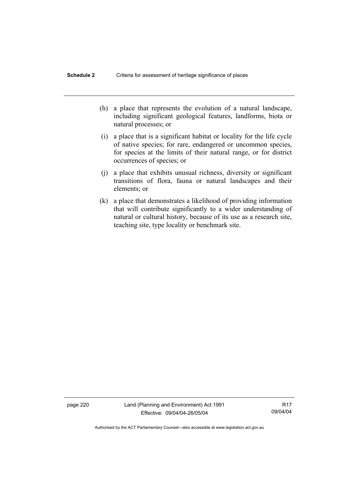- (h) a place that represents the evolution of a natural landscape, including significant geological features, landforms, biota or natural processes; or
- (i) a place that is a significant habitat or locality for the life cycle of native species; for rare, endangered or uncommon species, for species at the limits of their natural range, or for district occurrences of species; or
- (j) a place that exhibits unusual richness, diversity or significant transitions of flora, fauna or natural landscapes and their elements; or
- (k) a place that demonstrates a likelihood of providing information that will contribute significantly to a wider understanding of natural or cultural history, because of its use as a research site, teaching site, type locality or benchmark site.

page 220 Land (Planning and Environment) Act 1991 Effective: 09/04/04-26/05/04

R17 09/04/04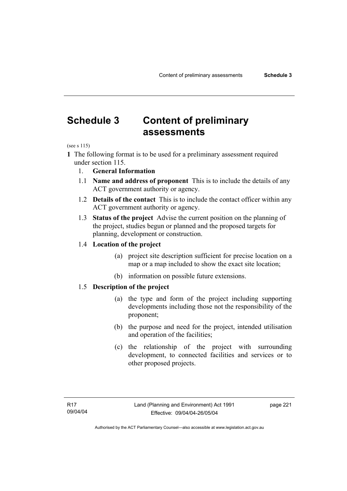## **Schedule 3 Content of preliminary assessments**

(see s 115)

**1** The following format is to be used for a preliminary assessment required under section 115.

- 1. **General Information**
- 1.1 **Name and address of proponent** This is to include the details of any ACT government authority or agency.
- 1.2 **Details of the contact** This is to include the contact officer within any ACT government authority or agency.
- 1.3 **Status of the project** Advise the current position on the planning of the project, studies begun or planned and the proposed targets for planning, development or construction.

### 1.4 **Location of the project**

- (a) project site description sufficient for precise location on a map or a map included to show the exact site location;
- (b) information on possible future extensions.

## 1.5 **Description of the project**

- (a) the type and form of the project including supporting developments including those not the responsibility of the proponent;
- (b) the purpose and need for the project, intended utilisation and operation of the facilities;
- (c) the relationship of the project with surrounding development, to connected facilities and services or to other proposed projects.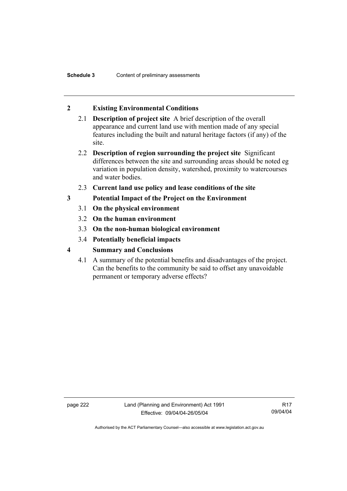## **2 Existing Environmental Conditions**

- 2.1 **Description of project site** A brief description of the overall appearance and current land use with mention made of any special features including the built and natural heritage factors (if any) of the site.
- 2.2 **Description of region surrounding the project site** Significant differences between the site and surrounding areas should be noted eg variation in population density, watershed, proximity to watercourses and water bodies.
- 2.3 **Current land use policy and lease conditions of the site**
- **3 Potential Impact of the Project on the Environment** 
	- 3.1 **On the physical environment**
	- 3.2 **On the human environment**
	- 3.3 **On the non-human biological environment**
	- 3.4 **Potentially beneficial impacts**
- **4 Summary and Conclusions** 
	- 4.1 A summary of the potential benefits and disadvantages of the project. Can the benefits to the community be said to offset any unavoidable permanent or temporary adverse effects?

page 222 Land (Planning and Environment) Act 1991 Effective: 09/04/04-26/05/04

R17 09/04/04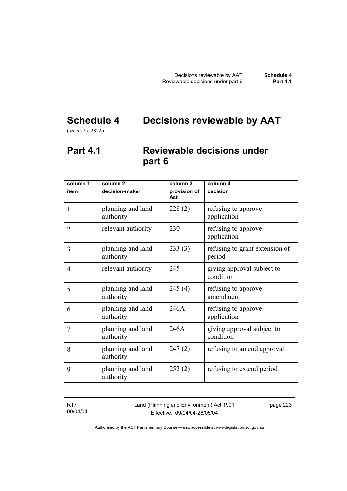# **Schedule 4 Decisions reviewable by AAT**

(see s 275, 282A)

## **Part 4.1 Reviewable decisions under part 6**

| column 1<br>item | column <sub>2</sub><br>decision-maker | column 3<br>provision of | column 4<br>decision                     |
|------------------|---------------------------------------|--------------------------|------------------------------------------|
|                  |                                       | Act                      |                                          |
| 1                | planning and land<br>authority        | 228(2)                   | refusing to approve<br>application       |
| $\overline{2}$   | relevant authority                    | 230                      | refusing to approve<br>application       |
| 3                | planning and land<br>authority        | 233(3)                   | refusing to grant extension of<br>period |
| $\overline{4}$   | relevant authority                    | 245                      | giving approval subject to<br>condition  |
| 5                | planning and land<br>authority        | 245(4)                   | refusing to approve<br>amendment         |
| 6                | planning and land<br>authority        | 246A                     | refusing to approve<br>application       |
| 7                | planning and land<br>authority        | 246A                     | giving approval subject to<br>condition  |
| 8                | planning and land<br>authority        | 247(2)                   | refusing to amend approval               |
| 9                | planning and land<br>authority        | 252(2)                   | refusing to extend period                |

R17 09/04/04 Land (Planning and Environment) Act 1991 Effective: 09/04/04-26/05/04

page 223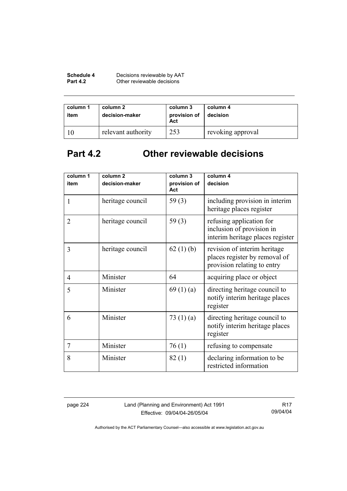| Schedule 4      | Decisions reviewable by AAT |
|-----------------|-----------------------------|
| <b>Part 4.2</b> | Other reviewable decisions  |

| column 1<br>item | column 2<br>decision-maker | column 3<br>provision of<br>Act | column 4<br>decision |
|------------------|----------------------------|---------------------------------|----------------------|
|                  | relevant authority         | 253                             | revoking approval    |

# **Part 4.2 Other reviewable decisions**

| column 1<br>item | column <sub>2</sub><br>decision-maker | column 3<br>provision of | column 4<br>decision                                                                         |
|------------------|---------------------------------------|--------------------------|----------------------------------------------------------------------------------------------|
|                  |                                       | Act                      |                                                                                              |
| 1                | heritage council                      | 59 $(3)$                 | including provision in interim<br>heritage places register                                   |
| $\overline{2}$   | heritage council                      | 59 $(3)$                 | refusing application for<br>inclusion of provision in<br>interim heritage places register    |
| 3                | heritage council                      | 62(1)(b)                 | revision of interim heritage<br>places register by removal of<br>provision relating to entry |
| $\overline{4}$   | Minister                              | 64                       | acquiring place or object                                                                    |
| 5                | Minister                              | 69(1)(a)                 | directing heritage council to<br>notify interim heritage places<br>register                  |
| 6                | Minister                              | 73 $(1)(a)$              | directing heritage council to<br>notify interim heritage places<br>register                  |
| $\overline{7}$   | Minister                              | 76(1)                    | refusing to compensate                                                                       |
| 8                | Minister                              | 82(1)                    | declaring information to be<br>restricted information                                        |

page 224 Land (Planning and Environment) Act 1991 Effective: 09/04/04-26/05/04

R17 09/04/04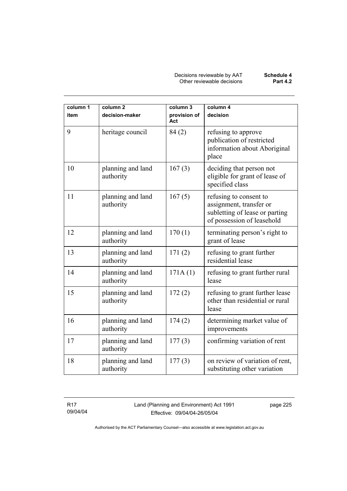Decisions reviewable by AAT **Schedule 4** Other reviewable decisions **Part 4.2** 

| column 1 | column <sub>2</sub>            | column 3            | column 4                                                                                                          |
|----------|--------------------------------|---------------------|-------------------------------------------------------------------------------------------------------------------|
| item     | decision-maker                 | provision of<br>Act | decision                                                                                                          |
| 9        | heritage council               | 84 (2)              | refusing to approve<br>publication of restricted<br>information about Aboriginal<br>place                         |
| 10       | planning and land<br>authority | 167(3)              | deciding that person not<br>eligible for grant of lease of<br>specified class                                     |
| 11       | planning and land<br>authority | 167(5)              | refusing to consent to<br>assignment, transfer or<br>subletting of lease or parting<br>of possession of leasehold |
| 12       | planning and land<br>authority | 170(1)              | terminating person's right to<br>grant of lease                                                                   |
| 13       | planning and land<br>authority | 171(2)              | refusing to grant further<br>residential lease                                                                    |
| 14       | planning and land<br>authority | 171A(1)             | refusing to grant further rural<br>lease                                                                          |
| 15       | planning and land<br>authority | 172(2)              | refusing to grant further lease<br>other than residential or rural<br>lease                                       |
| 16       | planning and land<br>authority | 174(2)              | determining market value of<br>improvements                                                                       |
| 17       | planning and land<br>authority | 177(3)              | confirming variation of rent                                                                                      |
| 18       | planning and land<br>authority | 177(3)              | on review of variation of rent,<br>substituting other variation                                                   |

R17 09/04/04 Land (Planning and Environment) Act 1991 Effective: 09/04/04-26/05/04

page 225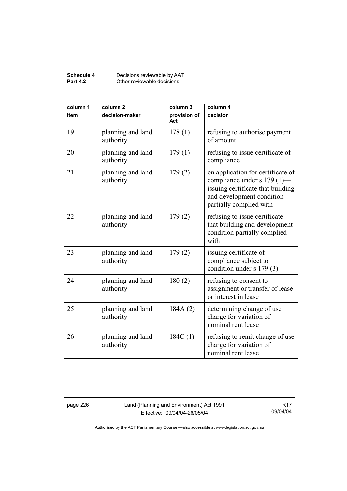#### **Schedule 4** Decisions reviewable by AAT **Part 4.2 Other reviewable decisions**

| column 1<br>item | column <sub>2</sub><br>decision-maker | column 3<br>provision of<br>Act | column 4<br>decision                                                                                                                                          |
|------------------|---------------------------------------|---------------------------------|---------------------------------------------------------------------------------------------------------------------------------------------------------------|
| 19               | planning and land<br>authority        | 178(1)                          | refusing to authorise payment<br>of amount                                                                                                                    |
| 20               | planning and land<br>authority        | 179(1)                          | refusing to issue certificate of<br>compliance                                                                                                                |
| 21               | planning and land<br>authority        | 179(2)                          | on application for certificate of<br>compliance under s 179 (1)-<br>issuing certificate that building<br>and development condition<br>partially complied with |
| 22               | planning and land<br>authority        | 179(2)                          | refusing to issue certificate<br>that building and development<br>condition partially complied<br>with                                                        |
| 23               | planning and land<br>authority        | 179(2)                          | issuing certificate of<br>compliance subject to<br>condition under s 179 (3)                                                                                  |
| 24               | planning and land<br>authority        | 180(2)                          | refusing to consent to<br>assignment or transfer of lease<br>or interest in lease                                                                             |
| 25               | planning and land<br>authority        | 184A(2)                         | determining change of use<br>charge for variation of<br>nominal rent lease                                                                                    |
| 26               | planning and land<br>authority        | 184C(1)                         | refusing to remit change of use<br>charge for variation of<br>nominal rent lease                                                                              |

page 226 Land (Planning and Environment) Act 1991 Effective: 09/04/04-26/05/04

R17 09/04/04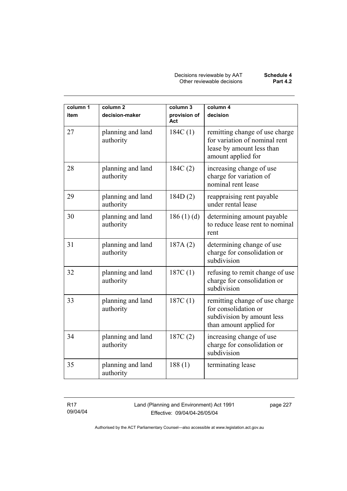Decisions reviewable by AAT **Schedule 4** Other reviewable decisions **Part 4.2** 

| column 1<br>item | column <sub>2</sub><br>decision-maker | column 3<br>provision of<br>Act | column 4<br>decision                                                                                               |
|------------------|---------------------------------------|---------------------------------|--------------------------------------------------------------------------------------------------------------------|
| 27               | planning and land<br>authority        | 184C(1)                         | remitting change of use charge<br>for variation of nominal rent<br>lease by amount less than<br>amount applied for |
| 28               | planning and land<br>authority        | 184C(2)                         | increasing change of use<br>charge for variation of<br>nominal rent lease                                          |
| 29               | planning and land<br>authority        | 184D(2)                         | reappraising rent payable<br>under rental lease                                                                    |
| 30               | planning and land<br>authority        | 186(1)(d)                       | determining amount payable<br>to reduce lease rent to nominal<br>rent                                              |
| 31               | planning and land<br>authority        | 187A(2)                         | determining change of use<br>charge for consolidation or<br>subdivision                                            |
| 32               | planning and land<br>authority        | 187C(1)                         | refusing to remit change of use<br>charge for consolidation or<br>subdivision                                      |
| 33               | planning and land<br>authority        | 187C(1)                         | remitting change of use charge<br>for consolidation or<br>subdivision by amount less<br>than amount applied for    |
| 34               | planning and land<br>authority        | 187C(2)                         | increasing change of use<br>charge for consolidation or<br>subdivision                                             |
| 35               | planning and land<br>authority        | 188(1)                          | terminating lease                                                                                                  |

R17 09/04/04 Land (Planning and Environment) Act 1991 Effective: 09/04/04-26/05/04

page 227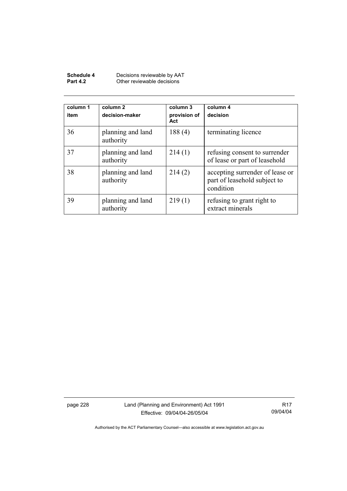| Schedule 4      | Decisions reviewable by AAT |
|-----------------|-----------------------------|
| <b>Part 4.2</b> | Other reviewable decisions  |

| column 1<br>item | column 2<br>decision-maker     | column 3<br>provision of<br>Act | column 4<br>decision                                                         |
|------------------|--------------------------------|---------------------------------|------------------------------------------------------------------------------|
| 36               | planning and land<br>authority | 188(4)                          | terminating licence                                                          |
| 37               | planning and land<br>authority | 214(1)                          | refusing consent to surrender<br>of lease or part of leasehold               |
| 38               | planning and land<br>authority | 214(2)                          | accepting surrender of lease or<br>part of leasehold subject to<br>condition |
| 39               | planning and land<br>authority | 219(1)                          | refusing to grant right to<br>extract minerals                               |

page 228 Land (Planning and Environment) Act 1991 Effective: 09/04/04-26/05/04

R17 09/04/04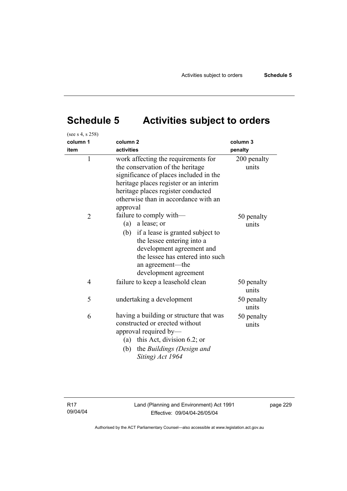# **Schedule 5 Activities subject to orders**

| (see s 4, s 258) |                                                                                                                                                                                                                                                       |                      |
|------------------|-------------------------------------------------------------------------------------------------------------------------------------------------------------------------------------------------------------------------------------------------------|----------------------|
| column 1<br>item | column <sub>2</sub><br>activities                                                                                                                                                                                                                     | column 3<br>penalty  |
| $\mathbf{1}$     | work affecting the requirements for<br>the conservation of the heritage<br>significance of places included in the<br>heritage places register or an interim<br>heritage places register conducted<br>otherwise than in accordance with an<br>approval | 200 penalty<br>units |
| $\overline{2}$   | failure to comply with-<br>(a) a lease; or<br>(b) if a lease is granted subject to<br>the lessee entering into a<br>development agreement and<br>the lessee has entered into such<br>an agreement—the<br>development agreement                        | 50 penalty<br>units  |
| $\overline{4}$   | failure to keep a leasehold clean                                                                                                                                                                                                                     | 50 penalty<br>units  |
| 5                | undertaking a development                                                                                                                                                                                                                             | 50 penalty<br>units  |
| 6                | having a building or structure that was<br>constructed or erected without<br>approval required by-<br>(a) this Act, division 6.2; or<br>the Buildings (Design and<br>(b)<br>Siting) Act 1964                                                          | 50 penalty<br>units  |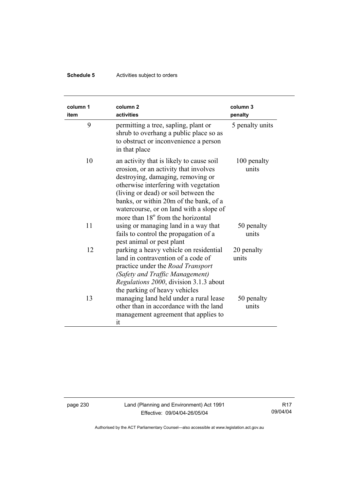## **Schedule 5** Activities subject to orders

| column 1<br>item | column <sub>2</sub><br>activities                                                                                                                                                                                                                                                                                                             | column 3<br>penalty  |
|------------------|-----------------------------------------------------------------------------------------------------------------------------------------------------------------------------------------------------------------------------------------------------------------------------------------------------------------------------------------------|----------------------|
| 9                | permitting a tree, sapling, plant or<br>shrub to overhang a public place so as<br>to obstruct or inconvenience a person<br>in that place                                                                                                                                                                                                      | 5 penalty units      |
| 10               | an activity that is likely to cause soil<br>erosion, or an activity that involves<br>destroying, damaging, removing or<br>otherwise interfering with vegetation<br>(living or dead) or soil between the<br>banks, or within 20m of the bank, of a<br>watercourse, or on land with a slope of<br>more than 18 <sup>°</sup> from the horizontal | 100 penalty<br>units |
| 11               | using or managing land in a way that<br>fails to control the propagation of a<br>pest animal or pest plant                                                                                                                                                                                                                                    | 50 penalty<br>units  |
| 12               | parking a heavy vehicle on residential<br>land in contravention of a code of<br>practice under the <i>Road Transport</i><br>(Safety and Traffic Management)<br>Regulations 2000, division 3.1.3 about<br>the parking of heavy vehicles                                                                                                        | 20 penalty<br>units  |
| 13               | managing land held under a rural lease<br>other than in accordance with the land<br>management agreement that applies to<br>it                                                                                                                                                                                                                | 50 penalty<br>units  |

page 230 Land (Planning and Environment) Act 1991 Effective: 09/04/04-26/05/04

R17 09/04/04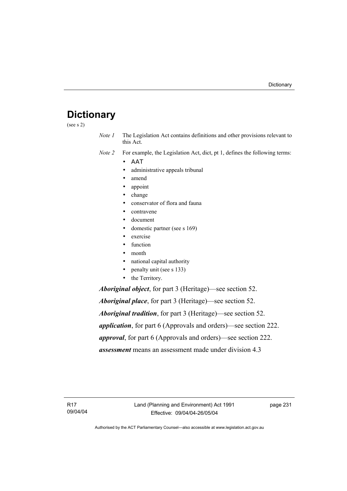## **Dictionary**

(see s 2)

*Note 1* The Legislation Act contains definitions and other provisions relevant to this Act.

*Note 2* For example, the Legislation Act, dict, pt 1, defines the following terms:

- ΑΑΤ
	- administrative appeals tribunal
	- amend
	- appoint
	- change
	- conservator of flora and fauna
	- contravene
	- document
	- domestic partner (see s 169)
	- exercise
	- function
- month
- national capital authority
- penalty unit (see s 133)
- the Territory.

*Aboriginal object*, for part 3 (Heritage)—see section 52.

*Aboriginal place*, for part 3 (Heritage)—see section 52. *Aboriginal tradition*, for part 3 (Heritage)—see section 52. *application*, for part 6 (Approvals and orders)—see section 222. *approval*, for part 6 (Approvals and orders)—see section 222. *assessment* means an assessment made under division 4.3

R17 09/04/04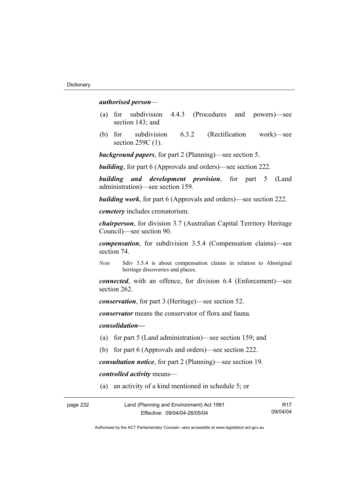### *authorised person*—

- (a) for subdivision 4.4.3 (Procedures and powers)—see section 143; and
- (b) for subdivision 6.3.2 (Rectification work)—see section 259C (1).

*background papers*, for part 2 (Planning)—see section 5.

*building*, for part 6 (Approvals and orders)—see section 222.

*building and development provision*, for part 5 (Land administration)—see section 159.

*building work*, for part 6 (Approvals and orders)—see section 222.

*cemetery* includes crematorium.

*chairperson*, for division 3.7 (Australian Capital Territory Heritage Council)—see section 90.

*compensation*, for subdivision 3.5.4 (Compensation claims)—see section 74.

*Note* Sdiv 3.5.4 is about compensation claims in relation to Aboriginal heritage discoveries and places.

*connected*, with an offence, for division 6.4 (Enforcement)—see section 262.

*conservation*, for part 3 (Heritage)—see section 52.

*conservator* means the conservator of flora and fauna*.*

*consolidation—*

- (a) for part 5 (Land administration)—see section 159; and
- (b) for part 6 (Approvals and orders)—see section 222.

*consultation notice*, for part 2 (Planning)—see section 19.

*controlled activity* means—

(a) an activity of a kind mentioned in schedule 5; or

| page 232 | Land (Planning and Environment) Act 1991 | R <sub>17</sub> |
|----------|------------------------------------------|-----------------|
|          | Effective: 09/04/04-26/05/04             | 09/04/04        |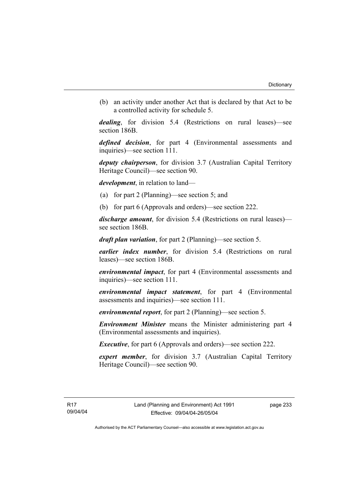(b) an activity under another Act that is declared by that Act to be a controlled activity for schedule 5.

*dealing*, for division 5.4 (Restrictions on rural leases)—see section 186B.

*defined decision*, for part 4 (Environmental assessments and inquiries)—see section 111.

*deputy chairperson*, for division 3.7 (Australian Capital Territory Heritage Council)—see section 90.

*development*, in relation to land—

- (a) for part 2 (Planning)—see section 5; and
- (b) for part 6 (Approvals and orders)—see section 222.

*discharge amount*, for division 5.4 (Restrictions on rural leases) see section 186B.

*draft plan variation*, for part 2 (Planning)—see section 5.

*earlier index number*, for division 5.4 (Restrictions on rural leases)—see section 186B.

*environmental impact*, for part 4 (Environmental assessments and inquiries)—see section 111.

*environmental impact statement*, for part 4 (Environmental assessments and inquiries)—see section 111.

*environmental report*, for part 2 (Planning)—see section 5.

*Environment Minister* means the Minister administering part 4 (Environmental assessments and inquiries).

*Executive*, for part 6 (Approvals and orders)—see section 222.

*expert member*, for division 3.7 (Australian Capital Territory Heritage Council)—see section 90.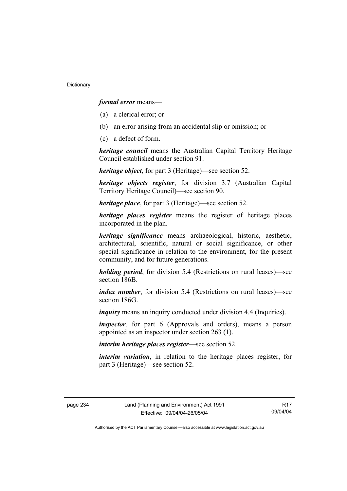*formal error* means—

- (a) a clerical error; or
- (b) an error arising from an accidental slip or omission; or
- (c) a defect of form.

*heritage council* means the Australian Capital Territory Heritage Council established under section 91.

*heritage object*, for part 3 (Heritage)—see section 52.

*heritage objects register*, for division 3.7 (Australian Capital Territory Heritage Council)—see section 90.

*heritage place*, for part 3 (Heritage)—see section 52.

*heritage places register* means the register of heritage places incorporated in the plan.

*heritage significance* means archaeological, historic, aesthetic, architectural, scientific, natural or social significance, or other special significance in relation to the environment, for the present community, and for future generations.

*holding period*, for division 5.4 (Restrictions on rural leases)—see section 186B.

*index number*, for division 5.4 (Restrictions on rural leases)—see section 186G

*inquiry* means an inquiry conducted under division 4.4 (Inquiries).

*inspector*, for part 6 (Approvals and orders), means a person appointed as an inspector under section 263 (1).

*interim heritage places register*—see section 52.

*interim variation*, in relation to the heritage places register, for part 3 (Heritage)—see section 52.

R17 09/04/04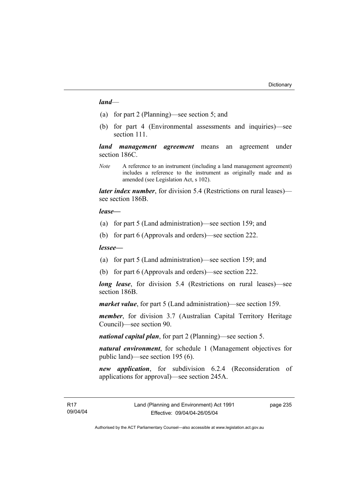#### *land*—

- (a) for part 2 (Planning)—see section 5; and
- (b) for part 4 (Environmental assessments and inquiries)—see section 111.

*land management agreement* means an agreement under section 186C.

*Note* A reference to an instrument (including a land management agreement) includes a reference to the instrument as originally made and as amended (see Legislation Act, s 102).

*later index number*, for division 5.4 (Restrictions on rural leases) see section 186B.

#### *lease—*

- (a) for part 5 (Land administration)—see section 159; and
- (b) for part 6 (Approvals and orders)—see section 222.

#### *lessee—*

- (a) for part 5 (Land administration)—see section 159; and
- (b) for part 6 (Approvals and orders)—see section 222.

*long lease*, for division 5.4 (Restrictions on rural leases)—see section 186B.

*market value*, for part 5 (Land administration)—see section 159.

*member*, for division 3.7 (Australian Capital Territory Heritage Council)—see section 90.

*national capital plan*, for part 2 (Planning)—see section 5.

*natural environment*, for schedule 1 (Management objectives for public land)—see section 195 (6).

*new application*, for subdivision 6.2.4 (Reconsideration of applications for approval)—see section 245A.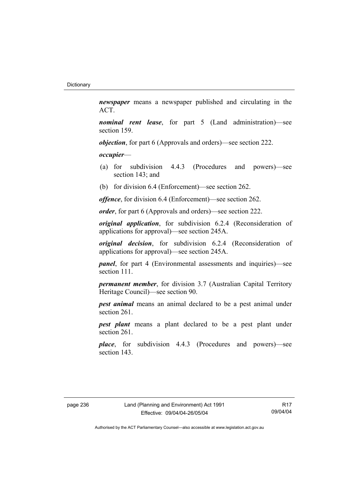*newspaper* means a newspaper published and circulating in the ACT.

*nominal rent lease*, for part 5 (Land administration)—see section 159.

*objection*, for part 6 (Approvals and orders)—see section 222.

*occupier*—

- (a) for subdivision 4.4.3 (Procedures and powers)—see section 143; and
- (b) for division 6.4 (Enforcement)—see section 262.

*offence*, for division 6.4 (Enforcement)—see section 262.

*order*, for part 6 (Approvals and orders)—see section 222.

*original application*, for subdivision 6.2.4 (Reconsideration of applications for approval)—see section 245A.

*original decision*, for subdivision 6.2.4 (Reconsideration of applications for approval)—see section 245A.

*panel*, for part 4 (Environmental assessments and inquiries)—see section 111.

*permanent member*, for division 3.7 (Australian Capital Territory Heritage Council)—see section 90.

*pest animal* means an animal declared to be a pest animal under section 261.

*pest plant* means a plant declared to be a pest plant under section 261.

*place*, for subdivision 4.4.3 (Procedures and powers)—see section 143.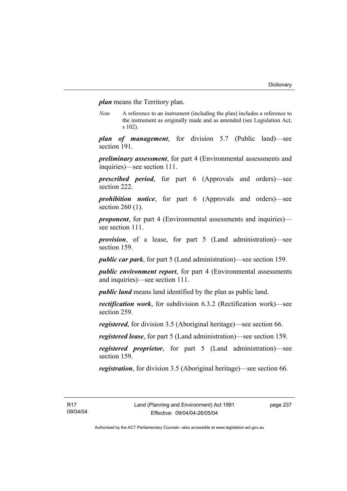*plan* means the Territory plan.

*Note* A reference to an instrument (including the plan) includes a reference to the instrument as originally made and as amended (see Legislation Act, s 102).

*plan of management*, for division 5.7 (Public land)—see section 191.

*preliminary assessment*, for part 4 (Environmental assessments and inquiries)—see section 111.

*prescribed period*, for part 6 (Approvals and orders)—see section 222.

*prohibition notice*, for part 6 (Approvals and orders)—see section 260 (1).

*proponent*, for part 4 (Environmental assessments and inquiries) see section 111.

*provision*, of a lease, for part 5 (Land administration)—see section 159.

*public car park*, for part 5 (Land administration)—see section 159.

*public environment report*, for part 4 (Environmental assessments and inquiries)—see section 111.

*public land* means land identified by the plan as public land.

*rectification work*, for subdivision 6.3.2 (Rectification work)—see section 259.

*registered*, for division 3.5 (Aboriginal heritage)—see section 66.

*registered lease*, for part 5 (Land administration)—see section 159.

*registered proprietor*, for part 5 (Land administration)—see section 159.

*registration*, for division 3.5 (Aboriginal heritage)—see section 66.

page 237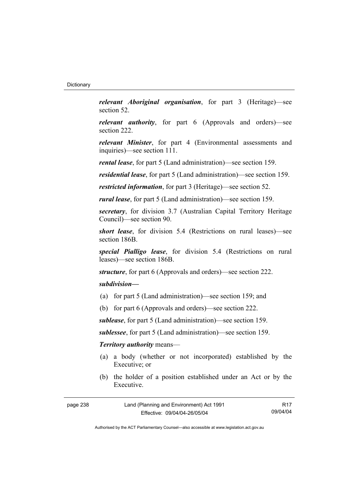*relevant Aboriginal organisation*, for part 3 (Heritage)—see section 52.

*relevant authority*, for part 6 (Approvals and orders)—see section 222.

*relevant Minister*, for part 4 (Environmental assessments and inquiries)—see section 111.

*rental lease*, for part 5 (Land administration)—see section 159.

*residential lease*, for part 5 (Land administration)—see section 159.

*restricted information*, for part 3 (Heritage)—see section 52.

*rural lease*, for part 5 (Land administration)—see section 159.

*secretary*, for division 3.7 (Australian Capital Territory Heritage Council)—see section 90.

*short lease*, for division 5.4 (Restrictions on rural leases)—see section 186B.

*special Pialligo lease*, for division 5.4 (Restrictions on rural leases)—see section 186B.

*structure*, for part 6 (Approvals and orders)—see section 222.

# *subdivision—*

- (a) for part 5 (Land administration)—see section 159; and
- (b) for part 6 (Approvals and orders)—see section 222.

*sublease*, for part 5 (Land administration)—see section 159.

*sublessee*, for part 5 (Land administration)—see section 159.

# *Territory authority* means—

- (a) a body (whether or not incorporated) established by the Executive; or
- (b) the holder of a position established under an Act or by the Executive.

| page 238 | Land (Planning and Environment) Act 1991 | R17      |
|----------|------------------------------------------|----------|
|          | Effective: 09/04/04-26/05/04             | 09/04/04 |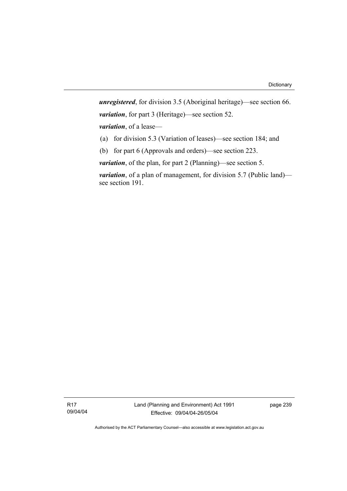*unregistered*, for division 3.5 (Aboriginal heritage)—see section 66. *variation*, for part 3 (Heritage)—see section 52. *variation*, of a lease— (a) for division 5.3 (Variation of leases)—see section 184; and

(b) for part 6 (Approvals and orders)—see section 223.

*variation*, of the plan, for part 2 (Planning)—see section 5.

*variation*, of a plan of management, for division 5.7 (Public land) see section 191.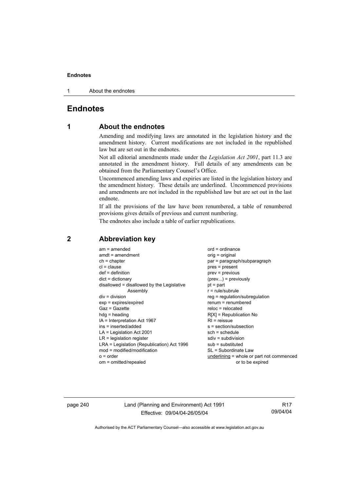1 About the endnotes

# **Endnotes**

# **1 About the endnotes**

Amending and modifying laws are annotated in the legislation history and the amendment history. Current modifications are not included in the republished law but are set out in the endnotes.

Not all editorial amendments made under the *Legislation Act 2001*, part 11.3 are annotated in the amendment history. Full details of any amendments can be obtained from the Parliamentary Counsel's Office.

Uncommenced amending laws and expiries are listed in the legislation history and the amendment history. These details are underlined. Uncommenced provisions and amendments are not included in the republished law but are set out in the last endnote.

If all the provisions of the law have been renumbered, a table of renumbered provisions gives details of previous and current numbering.

The endnotes also include a table of earlier republications.

| $am = amended$<br>$amdt = amendment$<br>$ch = chapter$<br>$cl = clause$<br>$def = definition$<br>$dict = dictionary$<br>disallowed = disallowed by the Legislative<br>Assembly<br>$div = division$<br>$exp = expires/expired$<br>$Gaz = Gazette$<br>$hda =$ heading<br>$IA = Interpretation Act 1967$<br>ins = inserted/added<br>$LA =$ Legislation Act 2001<br>$LR =$ legislation register<br>LRA = Legislation (Republication) Act 1996<br>$mod = modified/modification$<br>$o = order$ | $ord = ordinance$<br>orig = original<br>par = paragraph/subparagraph<br>$pres = present$<br>$prev = previous$<br>$(\text{prev})$ = previously<br>$pt = part$<br>$r = rule/subrule$<br>reg = regulation/subregulation<br>$renum = renumbered$<br>$reloc = relocated$<br>$R[X]$ = Republication No<br>$RI =$ reissue<br>s = section/subsection<br>$sch = schedule$<br>$sdiv = subdivision$<br>$sub =$ substituted<br>SL = Subordinate Law<br>underlining = whole or part not commenced |
|-------------------------------------------------------------------------------------------------------------------------------------------------------------------------------------------------------------------------------------------------------------------------------------------------------------------------------------------------------------------------------------------------------------------------------------------------------------------------------------------|--------------------------------------------------------------------------------------------------------------------------------------------------------------------------------------------------------------------------------------------------------------------------------------------------------------------------------------------------------------------------------------------------------------------------------------------------------------------------------------|
| om = omitted/repealed                                                                                                                                                                                                                                                                                                                                                                                                                                                                     | or to be expired                                                                                                                                                                                                                                                                                                                                                                                                                                                                     |
|                                                                                                                                                                                                                                                                                                                                                                                                                                                                                           |                                                                                                                                                                                                                                                                                                                                                                                                                                                                                      |

# **2 Abbreviation key**

page 240 Land (Planning and Environment) Act 1991 Effective: 09/04/04-26/05/04

R17 09/04/04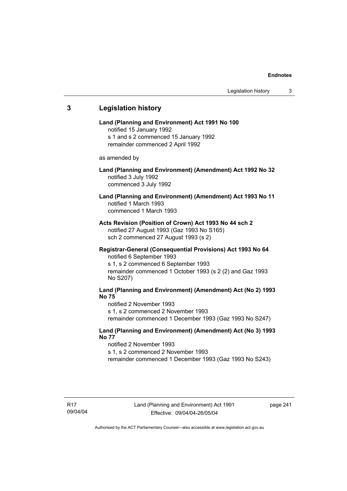# **3 Legislation history Land (Planning and Environment) Act 1991 No 100**  notified 15 January 1992 s 1 and s 2 commenced 15 January 1992 remainder commenced 2 April 1992 as amended by **Land (Planning and Environment) (Amendment) Act 1992 No 32**  notified 3 July 1992 commenced 3 July 1992 **Land (Planning and Environment) (Amendment) Act 1993 No 11**  notified 1 March 1993 commenced 1 March 1993 **Acts Revision (Position of Crown) Act 1993 No 44 sch 2**  notified 27 August 1993 (Gaz 1993 No S165) sch 2 commenced 27 August 1993 (s 2) **Registrar-General (Consequential Provisions) Act 1993 No 64**  notified 6 September 1993 s 1, s 2 commenced 6 September 1993 remainder commenced 1 October 1993 (s 2 (2) and Gaz 1993 No S207) **Land (Planning and Environment) (Amendment) Act (No 2) 1993 No 75**  notified 2 November 1993 s 1, s 2 commenced 2 November 1993 remainder commenced 1 December 1993 (Gaz 1993 No S247) **Land (Planning and Environment) (Amendment) Act (No 3) 1993 No 77**  notified 2 November 1993 s 1, s 2 commenced 2 November 1993 remainder commenced 1 December 1993 (Gaz 1993 No S243)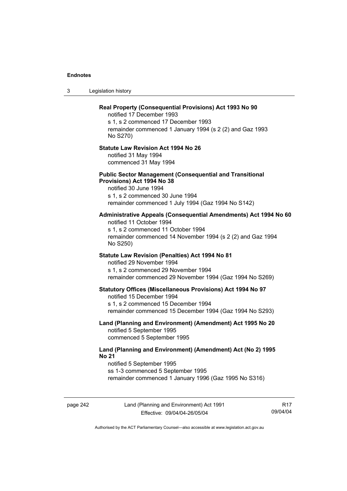3 Legislation history

# **Real Property (Consequential Provisions) Act 1993 No 90**  notified 17 December 1993 s 1, s 2 commenced 17 December 1993 remainder commenced 1 January 1994 (s 2 (2) and Gaz 1993 No S270) **Statute Law Revision Act 1994 No 26**  notified 31 May 1994 commenced 31 May 1994 **Public Sector Management (Consequential and Transitional Provisions) Act 1994 No 38**  notified 30 June 1994 s 1, s 2 commenced 30 June 1994 remainder commenced 1 July 1994 (Gaz 1994 No S142) **Administrative Appeals (Consequential Amendments) Act 1994 No 60**  notified 11 October 1994 s 1, s 2 commenced 11 October 1994 remainder commenced 14 November 1994 (s 2 (2) and Gaz 1994 No S250) **Statute Law Revision (Penalties) Act 1994 No 81**  notified 29 November 1994 s 1, s 2 commenced 29 November 1994 remainder commenced 29 November 1994 (Gaz 1994 No S269) **Statutory Offices (Miscellaneous Provisions) Act 1994 No 97**  notified 15 December 1994 s 1, s 2 commenced 15 December 1994 remainder commenced 15 December 1994 (Gaz 1994 No S293) **Land (Planning and Environment) (Amendment) Act 1995 No 20**  notified 5 September 1995 commenced 5 September 1995 **Land (Planning and Environment) (Amendment) Act (No 2) 1995 No 21**  notified 5 September 1995 ss 1-3 commenced 5 September 1995 remainder commenced 1 January 1996 (Gaz 1995 No S316)

page 242 Land (Planning and Environment) Act 1991 Effective: 09/04/04-26/05/04

R17 09/04/04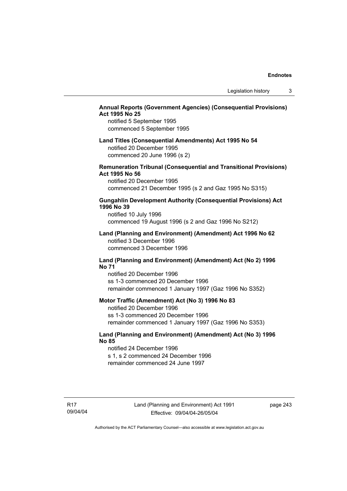# **Annual Reports (Government Agencies) (Consequential Provisions) Act 1995 No 25**

notified 5 September 1995 commenced 5 September 1995

# **Land Titles (Consequential Amendments) Act 1995 No 54**

notified 20 December 1995 commenced 20 June 1996 (s 2)

# **Remuneration Tribunal (Consequential and Transitional Provisions) Act 1995 No 56**

notified 20 December 1995 commenced 21 December 1995 (s 2 and Gaz 1995 No S315)

# **Gungahlin Development Authority (Consequential Provisions) Act 1996 No 39**

notified 10 July 1996 commenced 19 August 1996 (s 2 and Gaz 1996 No S212)

### **Land (Planning and Environment) (Amendment) Act 1996 No 62**  notified 3 December 1996 commenced 3 December 1996

### **Land (Planning and Environment) (Amendment) Act (No 2) 1996 No 71**

notified 20 December 1996 ss 1-3 commenced 20 December 1996 remainder commenced 1 January 1997 (Gaz 1996 No S352)

## **Motor Traffic (Amendment) Act (No 3) 1996 No 83**

notified 20 December 1996 ss 1-3 commenced 20 December 1996 remainder commenced 1 January 1997 (Gaz 1996 No S353)

# **Land (Planning and Environment) (Amendment) Act (No 3) 1996 No 85**

notified 24 December 1996 s 1, s 2 commenced 24 December 1996 remainder commenced 24 June 1997

R17 09/04/04 page 243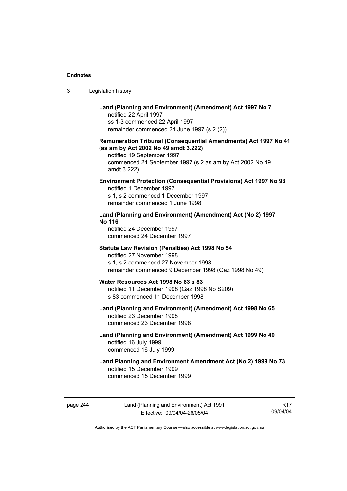| Legislation history<br>3 |  |
|--------------------------|--|
|--------------------------|--|

# **Land (Planning and Environment) (Amendment) Act 1997 No 7**

notified 22 April 1997 ss 1-3 commenced 22 April 1997 remainder commenced 24 June 1997 (s 2 (2))

# **Remuneration Tribunal (Consequential Amendments) Act 1997 No 41 (as am by Act 2002 No 49 amdt 3.222)**

notified 19 September 1997 commenced 24 September 1997 (s 2 as am by Act 2002 No 49 amdt 3.222)

# **Environment Protection (Consequential Provisions) Act 1997 No 93**

notified 1 December 1997 s 1, s 2 commenced 1 December 1997 remainder commenced 1 June 1998

# **Land (Planning and Environment) (Amendment) Act (No 2) 1997 No 116**

notified 24 December 1997 commenced 24 December 1997

### **Statute Law Revision (Penalties) Act 1998 No 54**

notified 27 November 1998 s 1, s 2 commenced 27 November 1998 remainder commenced 9 December 1998 (Gaz 1998 No 49)

# **Water Resources Act 1998 No 63 s 83**

notified 11 December 1998 (Gaz 1998 No S209) s 83 commenced 11 December 1998

### **Land (Planning and Environment) (Amendment) Act 1998 No 65**  notified 23 December 1998 commenced 23 December 1998

# **Land (Planning and Environment) (Amendment) Act 1999 No 40**  notified 16 July 1999 commenced 16 July 1999

# **Land Planning and Environment Amendment Act (No 2) 1999 No 73**  notified 15 December 1999 commenced 15 December 1999

page 244 Land (Planning and Environment) Act 1991 Effective: 09/04/04-26/05/04

R17 09/04/04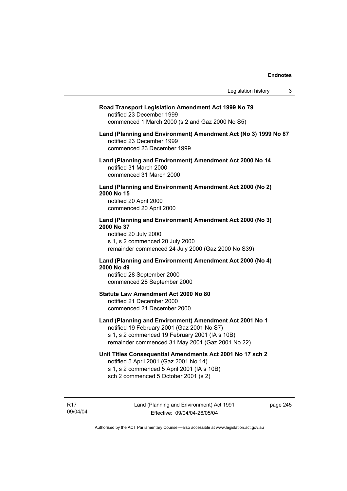#### **Road Transport Legislation Amendment Act 1999 No 79**

notified 23 December 1999 commenced 1 March 2000 (s 2 and Gaz 2000 No S5)

## **Land (Planning and Environment) Amendment Act (No 3) 1999 No 87**  notified 23 December 1999 commenced 23 December 1999

**Land (Planning and Environment) Amendment Act 2000 No 14**  notified 31 March 2000 commenced 31 March 2000

# **Land (Planning and Environment) Amendment Act 2000 (No 2) 2000 No 15**  notified 20 April 2000

commenced 20 April 2000

## **Land (Planning and Environment) Amendment Act 2000 (No 3) 2000 No 37**  notified 20 July 2000

s 1, s 2 commenced 20 July 2000 remainder commenced 24 July 2000 (Gaz 2000 No S39)

# **Land (Planning and Environment) Amendment Act 2000 (No 4) 2000 No 49**

notified 28 September 2000 commenced 28 September 2000

# **Statute Law Amendment Act 2000 No 80**

notified 21 December 2000 commenced 21 December 2000

# **Land (Planning and Environment) Amendment Act 2001 No 1**

notified 19 February 2001 (Gaz 2001 No S7) s 1, s 2 commenced 19 February 2001 (IA s 10B) remainder commenced 31 May 2001 (Gaz 2001 No 22)

# **Unit Titles Consequential Amendments Act 2001 No 17 sch 2**

notified 5 April 2001 (Gaz 2001 No 14) s 1, s 2 commenced 5 April 2001 (IA s 10B) sch 2 commenced 5 October 2001 (s 2)

R17 09/04/04 page 245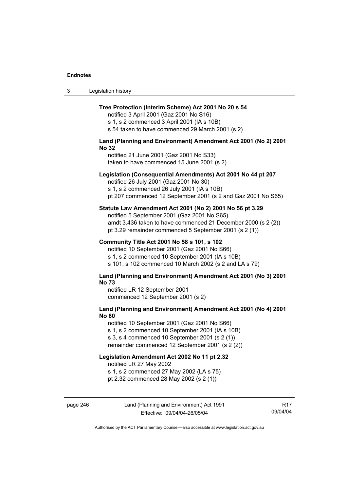# **Tree Protection (Interim Scheme) Act 2001 No 20 s 54**

notified 3 April 2001 (Gaz 2001 No S16) s 1, s 2 commenced 3 April 2001 (IA s 10B)

s 54 taken to have commenced 29 March 2001 (s 2)

### **Land (Planning and Environment) Amendment Act 2001 (No 2) 2001 No 32**

notified 21 June 2001 (Gaz 2001 No S33) taken to have commenced 15 June 2001 (s 2)

### **Legislation (Consequential Amendments) Act 2001 No 44 pt 207**

notified 26 July 2001 (Gaz 2001 No 30)

s 1, s 2 commenced 26 July 2001 (IA s 10B) pt 207 commenced 12 September 2001 (s 2 and Gaz 2001 No S65)

### **Statute Law Amendment Act 2001 (No 2) 2001 No 56 pt 3.29**

notified 5 September 2001 (Gaz 2001 No S65) amdt 3.436 taken to have commenced 21 December 2000 (s 2 (2)) pt 3.29 remainder commenced 5 September 2001 (s 2 (1))

### **Community Title Act 2001 No 58 s 101, s 102**

notified 10 September 2001 (Gaz 2001 No S66) s 1, s 2 commenced 10 September 2001 (IA s 10B) s 101, s 102 commenced 10 March 2002 (s 2 and LA s 79)

### **Land (Planning and Environment) Amendment Act 2001 (No 3) 2001 No 73**

notified LR 12 September 2001 commenced 12 September 2001 (s 2)

# **Land (Planning and Environment) Amendment Act 2001 (No 4) 2001 No 80**

notified 10 September 2001 (Gaz 2001 No S66)

s 1, s 2 commenced 10 September 2001 (IA s 10B)

s 3, s 4 commenced 10 September 2001 (s 2 (1))

remainder commenced 12 September 2001 (s 2 (2))

### **Legislation Amendment Act 2002 No 11 pt 2.32**

notified LR 27 May 2002

s 1, s 2 commenced 27 May 2002 (LA s 75)

pt 2.32 commenced 28 May 2002 (s 2 (1))

page 246 Land (Planning and Environment) Act 1991 Effective: 09/04/04-26/05/04

R17 09/04/04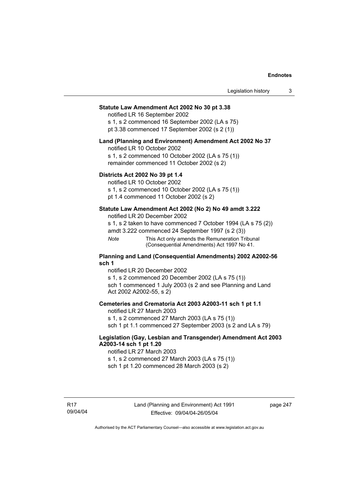# **Statute Law Amendment Act 2002 No 30 pt 3.38**

notified LR 16 September 2002

s 1, s 2 commenced 16 September 2002 (LA s 75) pt 3.38 commenced 17 September 2002 (s 2 (1))

#### **Land (Planning and Environment) Amendment Act 2002 No 37**

notified LR 10 October 2002

s 1, s 2 commenced 10 October 2002 (LA s 75 (1)) remainder commenced 11 October 2002 (s 2)

# **Districts Act 2002 No 39 pt 1.4**

notified LR 10 October 2002

s 1, s 2 commenced 10 October 2002 (LA s 75 (1))

pt 1.4 commenced 11 October 2002 (s 2)

# **Statute Law Amendment Act 2002 (No 2) No 49 amdt 3.222**

notified LR 20 December 2002

s 1, s 2 taken to have commenced 7 October 1994 (LA s 75 (2))

amdt 3.222 commenced 24 September 1997 (s 2 (3))

*Note* This Act only amends the Remuneration Tribunal (Consequential Amendments) Act 1997 No 41.

### **Planning and Land (Consequential Amendments) 2002 A2002-56 sch 1**

notified LR 20 December 2002 s 1, s 2 commenced 20 December 2002 (LA s 75 (1)) sch 1 commenced 1 July 2003 (s 2 and see Planning and Land Act 2002 A2002-55, s 2)

# **Cemeteries and Crematoria Act 2003 A2003-11 sch 1 pt 1.1**

notified LR 27 March 2003 s 1, s 2 commenced 27 March 2003 (LA s 75 (1)) sch 1 pt 1.1 commenced 27 September 2003 (s 2 and LA s 79)

# **Legislation (Gay, Lesbian and Transgender) Amendment Act 2003 A2003-14 sch 1 pt 1.20**

notified LR 27 March 2003 s 1, s 2 commenced 27 March 2003 (LA s 75 (1)) sch 1 pt 1.20 commenced 28 March 2003 (s 2)

page 247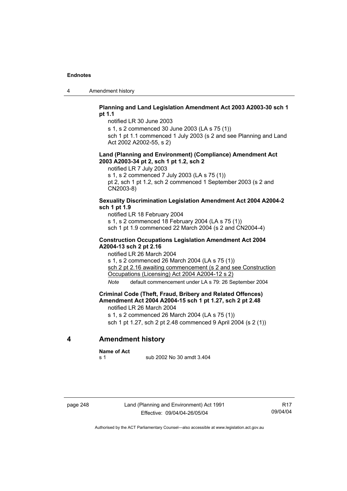4 Amendment history

# **Planning and Land Legislation Amendment Act 2003 A2003-30 sch 1 pt 1.1**

notified LR 30 June 2003

s 1, s 2 commenced 30 June 2003 (LA s 75 (1))

sch 1 pt 1.1 commenced 1 July 2003 (s 2 and see Planning and Land Act 2002 A2002-55, s 2)

### **Land (Planning and Environment) (Compliance) Amendment Act 2003 A2003-34 pt 2, sch 1 pt 1.2, sch 2**

notified LR 7 July 2003 s 1, s 2 commenced 7 July 2003 (LA s 75 (1)) pt 2, sch 1 pt 1.2, sch 2 commenced 1 September 2003 (s 2 and CN2003-8)

# **Sexuality Discrimination Legislation Amendment Act 2004 A2004-2 sch 1 pt 1.9**

notified LR 18 February 2004 s 1, s 2 commenced 18 February 2004 (LA s 75 (1)) sch 1 pt 1.9 commenced 22 March 2004 (s 2 and CN2004-4)

# **Construction Occupations Legislation Amendment Act 2004 A2004-13 sch 2 pt 2.16**

notified LR 26 March 2004 s 1, s 2 commenced 26 March 2004 (LA s 75 (1)) sch 2 pt 2.16 awaiting commencement (s 2 and see Construction Occupations (Licensing) Act 2004 A2004-12 s 2)

*Note* default commencement under LA s 79: 26 September 2004

# **Criminal Code (Theft, Fraud, Bribery and Related Offences) Amendment Act 2004 A2004-15 sch 1 pt 1.27, sch 2 pt 2.48**

notified LR 26 March 2004

s 1, s 2 commenced 26 March 2004 (LA s 75 (1))

sch 1 pt 1.27, sch 2 pt 2.48 commenced 9 April 2004 (s 2 (1))

# **4 Amendment history**

#### **Name of Act**

s 1 sub 2002 No 30 amdt 3.404

page 248 Land (Planning and Environment) Act 1991 Effective: 09/04/04-26/05/04

R17 09/04/04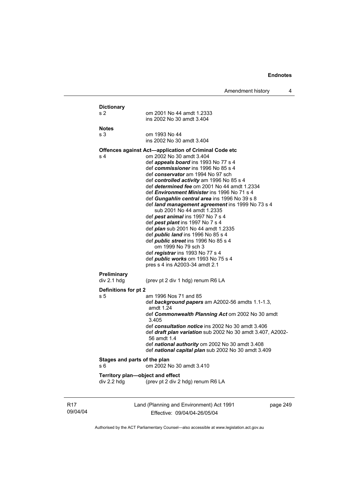| <b>Dictionary</b>            |                                                                                                  |
|------------------------------|--------------------------------------------------------------------------------------------------|
| s <sub>2</sub>               | om 2001 No 44 amdt 1.2333<br>ins 2002 No 30 amdt 3.404                                           |
| <b>Notes</b>                 |                                                                                                  |
| s <sub>3</sub>               | om 1993 No 44                                                                                    |
|                              | ins 2002 No 30 amdt 3.404                                                                        |
|                              | Offences against Act-application of Criminal Code etc                                            |
| s <sub>4</sub>               | om 2002 No 30 amdt 3.404                                                                         |
|                              | def appeals board ins 1993 No 77 s 4                                                             |
|                              | def commissioner ins 1996 No 85 s 4                                                              |
|                              | def conservator am 1994 No 97 sch                                                                |
|                              | def controlled activity am 1996 No 85 s 4<br>def <i>determined fee</i> om 2001 No 44 amdt 1.2334 |
|                              | def <i>Environment Minister</i> ins 1996 No 71 s 4                                               |
|                              | def Gungahlin central area ins 1996 No 39 s 8                                                    |
|                              | def <i>land management agreement</i> ins 1999 No 73 s 4                                          |
|                              | sub 2001 No 44 amdt 1.2335                                                                       |
|                              | def pest animal ins 1997 No 7 s 4                                                                |
|                              | def <i>pest plant</i> ins 1997 No 7 s 4                                                          |
|                              | def <i>plan</i> sub 2001 No 44 amdt 1.2335                                                       |
|                              | def <i>public land</i> ins 1996 No 85 s 4                                                        |
|                              | def <i>public</i> street ins 1996 No 85 s 4<br>om 1999 No 79 sch 3                               |
|                              | def registrar ins 1993 No 77 s 4                                                                 |
|                              | def <i>public</i> works om 1993 No 75 s 4                                                        |
|                              | pres s 4 ins A2003-34 amdt 2.1                                                                   |
| Preliminary                  |                                                                                                  |
| div 2.1 hdg                  | (prev pt 2 div 1 hdg) renum R6 LA                                                                |
| Definitions for pt 2         |                                                                                                  |
| s 5                          | am 1996 Nos 71 and 85                                                                            |
|                              | def background papers am A2002-56 amdts 1.1-1.3,                                                 |
|                              | amdt 1.24                                                                                        |
|                              | def Commonwealth Planning Act om 2002 No 30 amdt<br>3.405                                        |
|                              | def consultation notice ins 2002 No 30 amdt 3.406                                                |
|                              | def draft plan variation sub 2002 No 30 amdt 3.407, A2002-<br>56 amdt 1.4                        |
|                              | def national authority om 2002 No 30 amdt 3.408                                                  |
|                              | def national capital plan sub 2002 No 30 amdt 3.409                                              |
| Stages and parts of the plan |                                                                                                  |
| s 6                          | om 2002 No 30 amdt 3.410                                                                         |
|                              | Territory plan-object and effect                                                                 |
|                              |                                                                                                  |

R17 09/04/04 Land (Planning and Environment) Act 1991 Effective: 09/04/04-26/05/04

page 249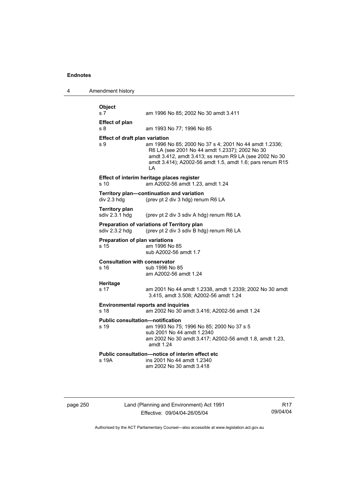4 Amendment history

| Object<br>s <sub>7</sub>                     | am 1996 No 85; 2002 No 30 amdt 3.411                                                                                                                                                                                                 |
|----------------------------------------------|--------------------------------------------------------------------------------------------------------------------------------------------------------------------------------------------------------------------------------------|
| <b>Effect of plan</b>                        |                                                                                                                                                                                                                                      |
| s 8                                          | am 1993 No 77; 1996 No 85                                                                                                                                                                                                            |
| <b>Effect of draft plan variation</b><br>s 9 | am 1996 No 85; 2000 No 37 s 4; 2001 No 44 amdt 1.2336;<br>R6 LA (see 2001 No 44 amdt 1.2337); 2002 No 30<br>amdt 3.412, amdt 3.413; ss renum R9 LA (see 2002 No 30<br>amdt 3.414); A2002-56 amdt 1.5, amdt 1.6; pars renum R15<br>LA |
| s 10                                         | Effect of interim heritage places register<br>am A2002-56 amdt 1.23, amdt 1.24                                                                                                                                                       |
| div 2.3 hdg                                  | Territory plan-continuation and variation<br>(prev pt 2 div 3 hdg) renum R6 LA                                                                                                                                                       |
| <b>Territory plan</b><br>sdiv 2.3.1 hdg      | (prev pt 2 div 3 sdiv A hdg) renum R6 LA                                                                                                                                                                                             |
| sdiv 2.3.2 hdg                               | Preparation of variations of Territory plan<br>(prev pt 2 div 3 sdiv B hdg) renum R6 LA                                                                                                                                              |
| Preparation of plan variations<br>s 15       | am 1996 No 85<br>sub A2002-56 amdt 1.7                                                                                                                                                                                               |
| <b>Consultation with conservator</b><br>s 16 | sub 1996 No 85<br>am A2002-56 amdt 1.24                                                                                                                                                                                              |
| Heritage<br>s 17                             | am 2001 No 44 amdt 1.2338, amdt 1.2339; 2002 No 30 amdt<br>3.415, amdt 3.508; A2002-56 amdt 1.24                                                                                                                                     |
| s 18                                         | <b>Environmental reports and inquiries</b><br>am 2002 No 30 amdt 3.416; A2002-56 amdt 1.24                                                                                                                                           |
| s 19                                         | <b>Public consultation-notification</b><br>am 1993 No 75; 1996 No 85; 2000 No 37 s 5<br>sub 2001 No 44 amdt 1.2340<br>am 2002 No 30 amdt 3.417; A2002-56 amdt 1.8, amdt 1.23,<br>amdt 1.24                                           |
| s 19A                                        | Public consultation-notice of interim effect etc<br>ins 2001 No 44 amdt 1.2340<br>am 2002 No 30 amdt 3.418                                                                                                                           |

page 250 Land (Planning and Environment) Act 1991 Effective: 09/04/04-26/05/04

R17 09/04/04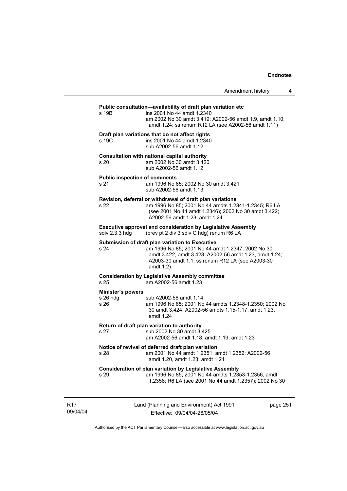# **Public consultation—availability of draft plan variation etc**

s 19B ins 2001 No 44 amdt 1.2340 am 2002 No 30 amdt 3.419; A2002-56 amdt 1.9, amdt 1.10, amdt 1.24; ss renum R12 LA (see A2002-56 amdt 1.11)

#### **Draft plan variations that do not affect rights**

s 19C ins 2001 No 44 amdt 1.2340 sub A2002-56 amdt 1.12

#### **Consultation with national capital authority**  s 20 am 2002 No 30 amdt 3.420

sub A2002-56 amdt 1.12

#### **Public inspection of comments**

s 21 am 1996 No 85; 2002 No 30 amdt 3.421 sub A2002-56 amdt 1.13

#### **Revision, deferral or withdrawal of draft plan variations**

s 22 am 1996 No 85; 2001 No 44 amdts 1.2341-1.2345; R6 LA (see 2001 No 44 amdt 1.2346); 2002 No 30 amdt 3.422; A2002-56 amdt 1.23, amdt 1.24

**Executive approval and consideration by Legislative Assembly sdiv 2.3.3 hdg** (prev pt 2 div 3 sdiv C hdg) renum R6 LA (prev pt 2 div 3 sdiv C hdg) renum R6 LA

#### **Submission of draft plan variation to Executive**

s 24 am 1996 No 85; 2001 No 44 amdt 1.2347; 2002 No 30 amdt 3.422, amdt 3.423; A2002-56 amdt 1.23, amdt 1.24; A2003-30 amdt 1.1; ss renum R12 LA (see A2003-30 amdt 1.2)

#### **Consideration by Legislative Assembly committee**  s 25 am A2002-56 amdt 1.23

#### **Minister's powers**

| s 26 hda | sub A2002-56 amdt 1.14                                 |
|----------|--------------------------------------------------------|
| s 26     | am 1996 No 85; 2001 No 44 amdts 1.2348-1.2350; 2002 No |
|          | 30 amdt 3.424; A2002-56 amdts 1.15-1.17, amdt 1.23,    |
|          | amdt 1.24                                              |

#### **Return of draft plan variation to authority**

s 27 sub 2002 No 30 amdt 3.425 am A2002-56 amdt 1.18, amdt 1.19, amdt 1.23

# **Notice of revival of deferred draft plan variation**

s 28 am 2001 No 44 amdt 1.2351, amdt 1.2352; A2002-56 amdt 1.20, amdt 1.23, amdt 1.24

#### **Consideration of plan variation by Legislative Assembly**

s 29 am 1996 No 85; 2001 No 44 amdts 1.2353-1.2356, amdt 1.2358; R6 LA (see 2001 No 44 amdt 1.2357); 2002 No 30

R17 09/04/04 Land (Planning and Environment) Act 1991 Effective: 09/04/04-26/05/04

page 251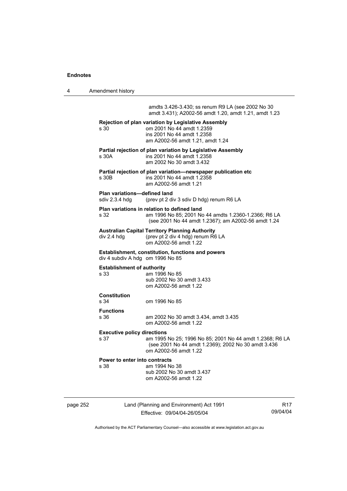4 Amendment history

amdts 3.426-3.430; ss renum R9 LA (see 2002 No 30 amdt 3.431); A2002-56 amdt 1.20, amdt 1.21, amdt 1.23

| s 30                                           | Rejection of plan variation by Legislative Assembly<br>om 2001 No 44 amdt 1.2359                                                                           |
|------------------------------------------------|------------------------------------------------------------------------------------------------------------------------------------------------------------|
|                                                | ins 2001 No 44 amdt 1.2358<br>am A2002-56 amdt 1.21, amdt 1.24                                                                                             |
| s 30A                                          | Partial rejection of plan variation by Legislative Assembly<br>ins 2001 No 44 amdt 1.2358<br>am 2002 No 30 amdt 3.432                                      |
| s 30B                                          | Partial rejection of plan variation-newspaper publication etc<br>ins 2001 No 44 amdt 1.2358<br>am A2002-56 amdt 1.21                                       |
| Plan variations-defined land<br>sdiv 2.3.4 hdg | (prev pt 2 div 3 sdiv D hdg) renum R6 LA                                                                                                                   |
| s 32                                           | Plan variations in relation to defined land<br>am 1996 No 85; 2001 No 44 amdts 1.2360-1.2366; R6 LA<br>(see 2001 No 44 amdt 1.2367); am A2002-56 amdt 1.24 |
| div 2.4 hdg                                    | <b>Australian Capital Territory Planning Authority</b><br>(prev pt 2 div 4 hdg) renum R6 LA<br>om A2002-56 amdt 1.22                                       |
| div 4 subdiv A hdg om 1996 No 85               | Establishment, constitution, functions and powers                                                                                                          |
| <b>Establishment of authority</b><br>s 33      | am 1996 No 85<br>sub 2002 No 30 amdt 3.433<br>om A2002-56 amdt 1.22                                                                                        |
| <b>Constitution</b><br>s 34                    | om 1996 No 85                                                                                                                                              |
| <b>Functions</b><br>s 36                       | am 2002 No 30 amdt 3.434, amdt 3.435<br>om A2002-56 amdt 1.22                                                                                              |
| <b>Executive policy directions</b><br>s 37     | am 1995 No 25; 1996 No 85; 2001 No 44 amdt 1.2368; R6 LA<br>(see 2001 No 44 amdt 1.2369); 2002 No 30 amdt 3.436<br>om A2002-56 amdt 1.22                   |
| Power to enter into contracts<br>s 38          | am 1994 No 38<br>sub 2002 No 30 amdt 3.437<br>om A2002-56 amdt 1.22                                                                                        |
|                                                |                                                                                                                                                            |

page 252 Land (Planning and Environment) Act 1991 Effective: 09/04/04-26/05/04

R17 09/04/04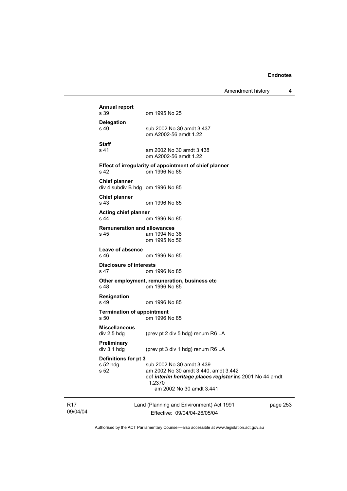Amendment history 4

|                             | <b>Annual report</b><br>s 39                                                                                                                                                                                                                  | om 1995 No 25                                                                                                                                                       |          |  |
|-----------------------------|-----------------------------------------------------------------------------------------------------------------------------------------------------------------------------------------------------------------------------------------------|---------------------------------------------------------------------------------------------------------------------------------------------------------------------|----------|--|
|                             | <b>Delegation</b><br>s 40                                                                                                                                                                                                                     | sub 2002 No 30 amdt 3.437<br>om A2002-56 amdt 1.22                                                                                                                  |          |  |
|                             | <b>Staff</b><br>s 41                                                                                                                                                                                                                          | am 2002 No 30 amdt 3.438<br>om A2002-56 amdt 1.22                                                                                                                   |          |  |
|                             | Effect of irregularity of appointment of chief planner<br>s 42<br>om 1996 No 85                                                                                                                                                               |                                                                                                                                                                     |          |  |
|                             | <b>Chief planner</b><br>div 4 subdiv B hdg om 1996 No 85                                                                                                                                                                                      |                                                                                                                                                                     |          |  |
|                             | <b>Chief planner</b><br>s 43                                                                                                                                                                                                                  | om 1996 No 85                                                                                                                                                       |          |  |
|                             | <b>Acting chief planner</b><br>s 44                                                                                                                                                                                                           | om 1996 No 85                                                                                                                                                       |          |  |
|                             | <b>Remuneration and allowances</b><br>s 45                                                                                                                                                                                                    | am 1994 No 38<br>om 1995 No 56                                                                                                                                      |          |  |
| Leave of absence<br>s 46    |                                                                                                                                                                                                                                               | om 1996 No 85                                                                                                                                                       |          |  |
|                             | <b>Disclosure of interests</b><br>om 1996 No 85<br>s 47<br>Other employment, remuneration, business etc<br>s 48<br>om 1996 No 85<br><b>Resignation</b><br>s 49<br>om 1996 No 85<br><b>Termination of appointment</b><br>s 50<br>om 1996 No 85 |                                                                                                                                                                     |          |  |
|                             |                                                                                                                                                                                                                                               |                                                                                                                                                                     |          |  |
|                             |                                                                                                                                                                                                                                               |                                                                                                                                                                     |          |  |
|                             |                                                                                                                                                                                                                                               |                                                                                                                                                                     |          |  |
|                             | <b>Miscellaneous</b><br>div 2.5 hdg                                                                                                                                                                                                           | (prev pt 2 div 5 hdg) renum R6 LA                                                                                                                                   |          |  |
|                             | Preliminary<br>div 3.1 hdg                                                                                                                                                                                                                    | (prev pt 3 div 1 hdg) renum R6 LA                                                                                                                                   |          |  |
|                             | Definitions for pt 3<br>s 52 hdg<br>s 52                                                                                                                                                                                                      | sub 2002 No 30 amdt 3.439<br>am 2002 No 30 amdt 3.440, amdt 3.442<br>def interim heritage places register ins 2001 No 44 amdt<br>1.2370<br>am 2002 No 30 amdt 3.441 |          |  |
| R <sub>17</sub><br>09/04/04 |                                                                                                                                                                                                                                               | Land (Planning and Environment) Act 1991<br>Effective: 09/04/04-26/05/04                                                                                            | page 253 |  |

Authorised by the ACT Parliamentary Counsel—also accessible at www.legislation.act.gov.au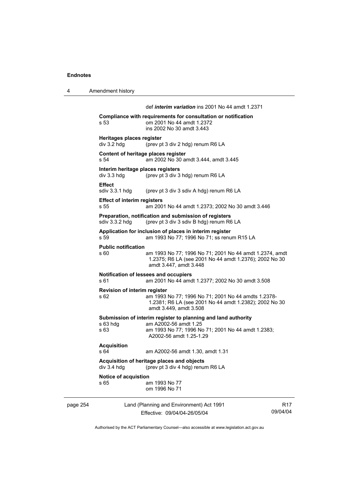4 Amendment history page 254 Land (Planning and Environment) Act 1991 09/04/04 def *interim variation* ins 2001 No 44 amdt 1.2371 **Compliance with requirements for consultation or notification**  s 53 om 2001 No 44 amdt 1.2372 ins 2002 No 30 amdt 3.443 **Heritages places register**  div 3.2 hdg (prev pt 3 div 2 hdg) renum R6 LA **Content of heritage places register**  s 54 am 2002 No 30 amdt 3.444, amdt 3.445 **Interim heritage places registers**  div 3.3 hdg (prev pt 3 div 3 hdg) renum R6 LA **Effect**  sdiv 3.3.1 hdg (prev pt 3 div 3 sdiv A hdg) renum R6 LA **Effect of interim registers**  s 55 am 2001 No 44 amdt 1.2373; 2002 No 30 amdt 3.446 **Preparation, notification and submission of registers**  sdiv 3.3.2 hdg (prev pt 3 div 3 sdiv B hdg) renum R6 LA **Application for inclusion of places in interim register**  s 59 am 1993 No 77; 1996 No 71; ss renum R15 LA **Public notification**  s 60 am 1993 No 77; 1996 No 71; 2001 No 44 amdt 1.2374, amdt 1.2375; R6 LA (see 2001 No 44 amdt 1.2376); 2002 No 30 amdt 3.447, amdt 3.448 **Notification of lessees and occupiers**  s 61 am 2001 No 44 amdt 1.2377; 2002 No 30 amdt 3.508 **Revision of interim register**  am 1993 No 77; 1996 No 71; 2001 No 44 amdts 1.2378-1.2381; R6 LA (see 2001 No 44 amdt 1.2382); 2002 No 30 amdt 3.449, amdt 3.508 **Submission of interim register to planning and land authority**  s 63 hdg am A2002-56 amdt 1.25 am 1993 No 77; 1996 No 71; 2001 No 44 amdt 1.2383; A2002-56 amdt 1.25-1.29 **Acquisition**  s 64 am A2002-56 amdt 1.30, amdt 1.31 **Acquisition of heritage places and objects**  (prev pt 3 div 4 hdg) renum R6 LA **Notice of acquistion**  s 65 am 1993 No 77 om 1996 No 71

Authorised by the ACT Parliamentary Counsel—also accessible at www.legislation.act.gov.au

R17

Effective: 09/04/04-26/05/04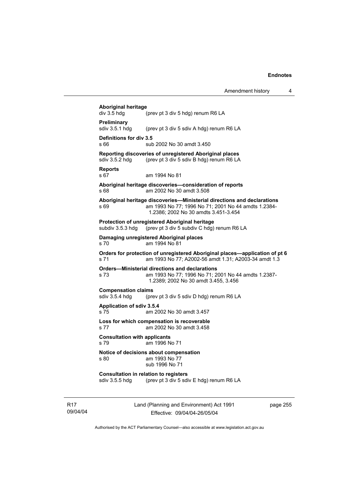|                             | <b>Aboriginal heritage</b><br>div 3.5 hdg    | (prev pt 3 div 5 hdg) renum R6 LA                                                                                                                                      |          |
|-----------------------------|----------------------------------------------|------------------------------------------------------------------------------------------------------------------------------------------------------------------------|----------|
|                             | Preliminary<br>sdiv 3.5.1 hdg                | (prev pt 3 div 5 sdiv A hdg) renum R6 LA                                                                                                                               |          |
|                             | Definitions for div 3.5<br>s 66              | sub 2002 No 30 amdt 3.450                                                                                                                                              |          |
|                             | sdiv 3.5.2 hdg                               | Reporting discoveries of unregistered Aboriginal places<br>(prev pt 3 div 5 sdiv B hdg) renum R6 LA                                                                    |          |
|                             | <b>Reports</b><br>s 67                       | am 1994 No 81                                                                                                                                                          |          |
|                             | s 68                                         | Aboriginal heritage discoveries-consideration of reports<br>am 2002 No 30 amdt 3.508                                                                                   |          |
|                             | s 69                                         | Aboriginal heritage discoveries—Ministerial directions and declarations<br>am 1993 No 77; 1996 No 71; 2001 No 44 amdts 1.2384-<br>1.2386; 2002 No 30 amdts 3.451-3.454 |          |
|                             | subdiv 3.5.3 hdg                             | Protection of unregistered Aboriginal heritage<br>(prev pt 3 div 5 subdiv C hdg) renum R6 LA                                                                           |          |
|                             | s 70                                         | Damaging unregistered Aboriginal places<br>am 1994 No 81                                                                                                               |          |
|                             | s 71                                         | Orders for protection of unregistered Aboriginal places—application of pt 6<br>am 1993 No 77; A2002-56 amdt 1.31; A2003-34 amdt 1.3                                    |          |
|                             | s 73                                         | <b>Orders-Ministerial directions and declarations</b><br>am 1993 No 77; 1996 No 71; 2001 No 44 amdts 1.2387-<br>1.2389; 2002 No 30 amdt 3.455, 3.456                   |          |
|                             | <b>Compensation claims</b><br>sdiv 3.5.4 hdg | (prev pt 3 div 5 sdiv D hdg) renum R6 LA                                                                                                                               |          |
|                             | Application of sdiv 3.5.4<br>s 75            | am 2002 No 30 amdt 3.457                                                                                                                                               |          |
|                             | s 77                                         | Loss for which compensation is recoverable<br>am 2002 No 30 amdt 3.458                                                                                                 |          |
|                             | <b>Consultation with applicants</b><br>s 79  | am 1996 No 71                                                                                                                                                          |          |
|                             | s 80                                         | Notice of decisions about compensation<br>am 1993 No 77<br>sub 1996 No 71                                                                                              |          |
|                             | sdiv 3.5.5 hdg                               | <b>Consultation in relation to registers</b><br>(prev pt 3 div 5 sdiv E hdg) renum R6 LA                                                                               |          |
| R <sub>17</sub><br>09/04/04 |                                              | Land (Planning and Environment) Act 1991<br>Effective: 09/04/04-26/05/04                                                                                               | page 255 |

Authorised by the ACT Parliamentary Counsel—also accessible at www.legislation.act.gov.au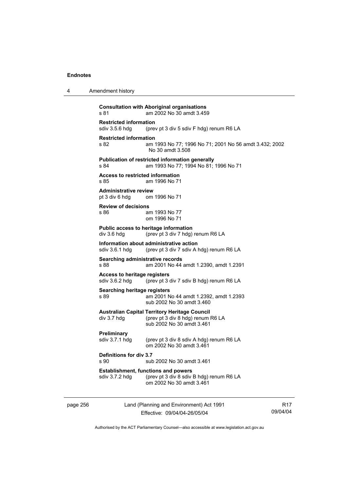| 4        | Amendment history                                            |                                                                                                                        |   |
|----------|--------------------------------------------------------------|------------------------------------------------------------------------------------------------------------------------|---|
|          | s 81                                                         | <b>Consultation with Aboriginal organisations</b><br>am 2002 No 30 amdt 3.459                                          |   |
|          | <b>Restricted information</b><br>sdiv 3.5.6 hdg              | (prev pt 3 div 5 sdiv F hdg) renum R6 LA                                                                               |   |
|          | <b>Restricted information</b><br>s 82                        | am 1993 No 77; 1996 No 71; 2001 No 56 amdt 3.432; 2002<br>No 30 amdt 3.508                                             |   |
|          | s 84                                                         | Publication of restricted information generally<br>am 1993 No 77; 1994 No 81; 1996 No 71                               |   |
|          | Access to restricted information<br>s 85                     | am 1996 No 71                                                                                                          |   |
|          | <b>Administrative review</b><br>pt 3 div 6 hdg               | om 1996 No 71                                                                                                          |   |
|          | <b>Review of decisions</b><br>s 86                           | am 1993 No 77<br>om 1996 No 71                                                                                         |   |
|          | Public access to heritage information<br>div 3.6 hdg         | (prev pt 3 div 7 hdg) renum R6 LA                                                                                      |   |
|          | Information about administrative action<br>sdiv 3.6.1 hdg    | (prev pt 3 div 7 sdiv A hdg) renum R6 LA                                                                               |   |
|          | Searching administrative records<br>s 88                     | am 2001 No 44 amdt 1.2390, amdt 1.2391                                                                                 |   |
|          | Access to heritage registers<br>sdiv 3.6.2 hdg               | (prev pt 3 div 7 sdiv B hdg) renum R6 LA                                                                               |   |
|          | Searching heritage registers<br>s 89                         | am 2001 No 44 amdt 1.2392, amdt 1.2393<br>sub 2002 No 30 amdt 3.460                                                    |   |
|          | div 3.7 hdg                                                  | <b>Australian Capital Territory Heritage Council</b><br>(prev pt 3 div 8 hdg) renum R6 LA<br>sub 2002 No 30 amdt 3.461 |   |
|          | Preliminary<br>sdiv 3.7.1 hdg                                | (prev pt 3 div 8 sdiv A hdg) renum R6 LA<br>om 2002 No 30 amdt 3.461                                                   |   |
|          | Definitions for div 3.7<br>s 90                              | sub 2002 No 30 amdt 3.461                                                                                              |   |
|          | <b>Establishment, functions and powers</b><br>sdiv 3.7.2 hdg | (prev pt 3 div 8 sdiv B hdg) renum R6 LA<br>om 2002 No 30 amdt 3.461                                                   |   |
| page 256 |                                                              | Land (Planning and Environment) Act 1991                                                                               | R |

Effective: 09/04/04-26/05/04

R17 09/04/04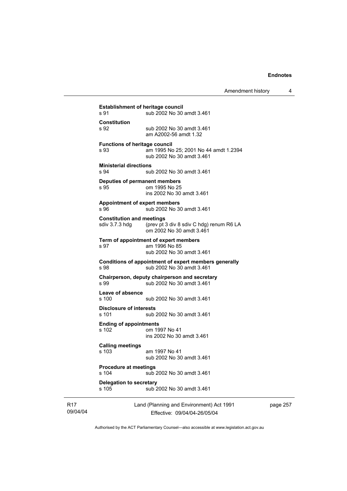|                 | <b>Establishment of heritage council</b><br>s 91   | sub 2002 No 30 amdt 3.461                                                           |
|-----------------|----------------------------------------------------|-------------------------------------------------------------------------------------|
|                 | Constitution<br>s 92                               | sub 2002 No 30 amdt 3.461<br>am A2002-56 amdt 1.32                                  |
|                 | <b>Functions of heritage council</b><br>s 93       | am 1995 No 25; 2001 No 44 amdt 1.2394<br>sub 2002 No 30 amdt 3.461                  |
|                 | <b>Ministerial directions</b><br>s 94              | sub 2002 No 30 amdt 3.461                                                           |
|                 | <b>Deputies of permanent members</b><br>s 95       | om 1995 No 25<br>ins 2002 No 30 amdt 3.461                                          |
|                 | <b>Appointment of expert members</b><br>s 96       | sub 2002 No 30 amdt 3.461                                                           |
|                 | <b>Constitution and meetings</b><br>sdiv 3.7.3 hdg | (prev pt 3 div 8 sdiv C hdg) renum R6 LA<br>om 2002 No 30 amdt 3.461                |
|                 | s 97                                               | Term of appointment of expert members<br>am 1996 No 85<br>sub 2002 No 30 amdt 3.461 |
|                 | s 98                                               | Conditions of appointment of expert members generally<br>sub 2002 No 30 amdt 3.461  |
|                 | s 99                                               | Chairperson, deputy chairperson and secretary<br>sub 2002 No 30 amdt 3.461          |
|                 | Leave of absence<br>s 100                          | sub 2002 No 30 amdt 3.461                                                           |
|                 | Disclosure of interests<br>s 101                   | sub 2002 No 30 amdt 3.461                                                           |
|                 | <b>Ending of appointments</b><br>s 102             | om 1997 No 41<br>ins 2002 No 30 amdt 3.461                                          |
|                 | <b>Calling meetings</b><br>s 103                   | am 1997 No 41<br>sub 2002 No 30 amdt 3.461                                          |
|                 | <b>Procedure at meetings</b><br>s 104              | sub 2002 No 30 amdt 3.461                                                           |
|                 | <b>Delegation to secretary</b><br>s 105            | sub 2002 No 30 amdt 3.461                                                           |
| R17<br>09/04/04 |                                                    | Land (Planning and Environment) Act 1991<br>Fffective: 09/04/04-26/05/04            |

Effective: 09/04/04-26/05/04

page 257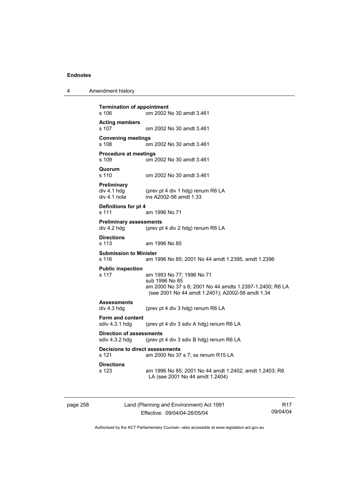4 Amendment history

```
Termination of appointment 
s 106 om 2002 No 30 amdt 3.461 
Acting members 
s 107 om 2002 No 30 amdt 3.461 
Convening meetings 
s 108 om 2002 No 30 amdt 3.461 
Procedure at meetings 
s 109 om 2002 No 30 amdt 3.461 
Quorum 
                 om 2002 No 30 amdt 3.461
Preliminary 
div 4.1 hdg (prev pt 4 div 1 hdg) renum R6 LA<br>div 4.1 note ins A2002-56 amdt 1.33
                 ins A2002-56 amdt 1.33
Definitions for pt 4 
s 111 am 1996 No 71 
Preliminary assessments<br>div 4.2 hdg (prev pt
                 (prev pt 4 div 2 hdg) renum R6 LA
Directions 
s 113 am 1996 No 85 
Submission to Minister 
s 116 am 1996 No 85; 2001 No 44 amdt 1.2395, amdt 1.2396 
Public inspection 
s 117 am 1993 No 77; 1996 No 71 
                  sub 1996 No 85 
                  am 2000 No 37 s 6; 2001 No 44 amdts 1.2397-1.2400; R6 LA 
                  (see 2001 No 44 amdt 1.2401); A2002-56 amdt 1.34 
Assessments 
div 4.3 hdg (prev pt 4 div 3 hdg) renum R6 LA 
Form and content 
sdiv 4.3.1 hdg (prev pt 4 div 3 sdiv A hdg) renum R6 LA 
Direction of assessments 
sdiv 4.3.2 hdg (prev pt 4 div 3 sdiv B hdg) renum R6 LA 
Decisions to direct assessments 
s 121 am 2000 No 37 s 7; ss renum R15 LA 
Directions 
s 123 am 1996 No 85; 2001 No 44 amdt 1.2402, amdt 1.2403; R6 
                  LA (see 2001 No 44 amdt 1.2404)
```
page 258 Land (Planning and Environment) Act 1991 Effective: 09/04/04-26/05/04

R17 09/04/04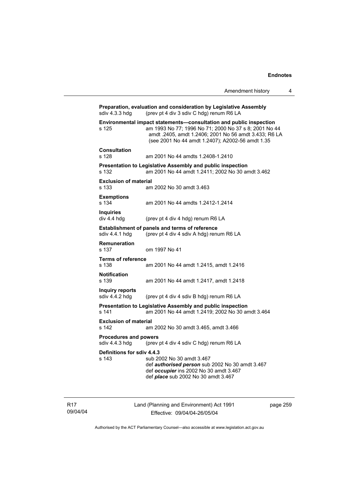|                                                | Amendment history                                                                                                                                                                                                                        | 4 |
|------------------------------------------------|------------------------------------------------------------------------------------------------------------------------------------------------------------------------------------------------------------------------------------------|---|
| sdiv 4.3.3 hdg                                 | Preparation, evaluation and consideration by Legislative Assembly<br>(prev pt 4 div 3 sdiv C hdg) renum R6 LA                                                                                                                            |   |
| s 125                                          | Environmental impact statements-consultation and public inspection<br>am 1993 No 77; 1996 No 71; 2000 No 37 s 8; 2001 No 44<br>amdt .2405, amdt 1.2406; 2001 No 56 amdt 3.433; R6 LA<br>(see 2001 No 44 amdt 1.2407); A2002-56 amdt 1.35 |   |
| <b>Consultation</b><br>s 128                   | am 2001 No 44 amdts 1.2408-1.2410                                                                                                                                                                                                        |   |
| s 132                                          | Presentation to Legislative Assembly and public inspection<br>am 2001 No 44 amdt 1.2411; 2002 No 30 amdt 3.462                                                                                                                           |   |
| <b>Exclusion of material</b><br>s 133          | am 2002 No 30 amdt 3.463                                                                                                                                                                                                                 |   |
| <b>Exemptions</b><br>s 134                     | am 2001 No 44 amdts 1.2412-1.2414                                                                                                                                                                                                        |   |
| <b>Inquiries</b><br>div 4.4 hdg                | (prev pt 4 div 4 hdg) renum R6 LA                                                                                                                                                                                                        |   |
| sdiv 4.4.1 hdg                                 | Establishment of panels and terms of reference<br>(prev pt 4 div 4 sdiv A hdg) renum R6 LA                                                                                                                                               |   |
| Remuneration<br>s 137                          | om 1997 No 41                                                                                                                                                                                                                            |   |
| <b>Terms of reference</b><br>s 138             | am 2001 No 44 amdt 1.2415, amdt 1.2416                                                                                                                                                                                                   |   |
| <b>Notification</b><br>s 139                   | am 2001 No 44 amdt 1.2417, amdt 1.2418                                                                                                                                                                                                   |   |
| Inquiry reports<br>sdiv 4.4.2 hdg              | (prev pt 4 div 4 sdiv B hdg) renum R6 LA                                                                                                                                                                                                 |   |
| s 141                                          | Presentation to Legislative Assembly and public inspection<br>am 2001 No 44 amdt 1.2419; 2002 No 30 amdt 3.464                                                                                                                           |   |
| <b>Exclusion of material</b><br>s 142          | am 2002 No 30 amdt 3.465, amdt 3.466                                                                                                                                                                                                     |   |
| <b>Procedures and powers</b><br>sdiv 4.4.3 hdg | (prev pt 4 div 4 sdiv C hdg) renum R6 LA                                                                                                                                                                                                 |   |
| Definitions for sdiv 4.4.3<br>s 143            | sub 2002 No 30 amdt 3.467<br>def authorised person sub 2002 No 30 amdt 3.467<br>def occupier ins 2002 No 30 amdt 3.467<br>def <i>place</i> sub 2002 No 30 amdt 3.467                                                                     |   |

R17 09/04/04 Land (Planning and Environment) Act 1991 Effective: 09/04/04-26/05/04

page 259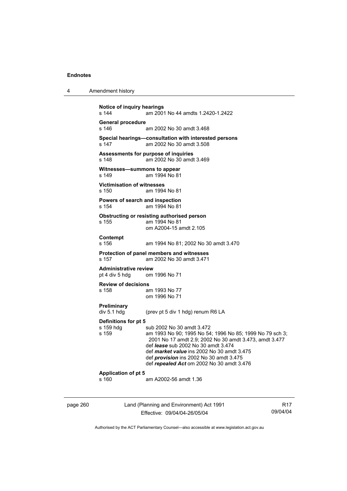| 4 | Amendment history |
|---|-------------------|
|---|-------------------|

```
Notice of inquiry hearings 
s 144 am 2001 No 44 amdts 1.2420-1.2422 
General procedure 
                 am 2002 No 30 amdt 3.468
Special hearings—consultation with interested persons 
s 147 am 2002 No 30 amdt 3.508 
Assessments for purpose of inquiries 
s 148 am 2002 No 30 amdt 3.469 
Witnesses—summons to appear<br>s 149 am 1994 No 81
                 am 1994 No 81
Victimisation of witnesses 
s 150 am 1994 No 81 
Powers of search and inspection 
s 154 am 1994 No 81 
Obstructing or resisting authorised person 
s 155 am 1994 No 81 
                  om A2004-15 amdt 2.105 
Contempt 
s 156 am 1994 No 81; 2002 No 30 amdt 3.470 
Protection of panel members and witnesses 
                 am 2002 No 30 amdt 3.471
Administrative review 
pt 4 div 5 hdg om 1996 No 71 
Review of decisions 
                 am 1993 No 77
                  om 1996 No 71 
Preliminary 
div 5.1 hdg (prev pt 5 div 1 hdg) renum R6 LA 
Definitions for pt 5 
s 159 hdg sub 2002 No 30 amdt 3.472
s 159 am 1993 No 90; 1995 No 54; 1996 No 85; 1999 No 79 sch 3; 
                  2001 No 17 amdt 2.9; 2002 No 30 amdt 3.473, amdt 3.477 
                  def lease sub 2002 No 30 amdt 3.474 
                  def market value ins 2002 No 30 amdt 3.475 
                  def provision ins 2002 No 30 amdt 3.475 
                  def repealed Act om 2002 No 30 amdt 3.476 
Application of pt 5 
s 160 am A2002-56 amdt 1.36
```
page 260 Land (Planning and Environment) Act 1991 Effective: 09/04/04-26/05/04

R17 09/04/04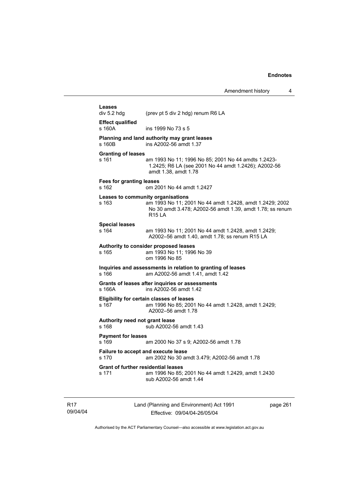| Leases<br>div 5.2 hdg                               | (prev pt 5 div 2 hdg) renum R6 LA                                                                                                      |
|-----------------------------------------------------|----------------------------------------------------------------------------------------------------------------------------------------|
| <b>Effect qualified</b><br>s 160A                   | ins 1999 No 73 s 5                                                                                                                     |
| s 160B                                              | Planning and land authority may grant leases<br>ins A2002-56 amdt 1.37                                                                 |
| <b>Granting of leases</b><br>s 161                  | am 1993 No 11; 1996 No 85; 2001 No 44 amdts 1.2423-<br>1.2425; R6 LA (see 2001 No 44 amdt 1.2426); A2002-56<br>amdt 1.38, amdt 1.78    |
| <b>Fees for granting leases</b><br>s 162            | om 2001 No 44 amdt 1.2427                                                                                                              |
| Leases to community organisations<br>s 163          | am 1993 No 11; 2001 No 44 amdt 1.2428, amdt 1.2429; 2002<br>No 30 amdt 3.478; A2002-56 amdt 1.39, amdt 1.78; ss renum<br><b>R15 LA</b> |
| <b>Special leases</b><br>s 164                      | am 1993 No 11; 2001 No 44 amdt 1.2428, amdt 1.2429;<br>A2002-56 amdt 1.40, amdt 1.78; ss renum R15 LA                                  |
| s 165                                               | Authority to consider proposed leases<br>am 1993 No 11; 1996 No 39<br>om 1996 No 85                                                    |
| s 166                                               | Inquiries and assessments in relation to granting of leases<br>am A2002-56 amdt 1.41, amdt 1.42                                        |
| s 166A                                              | Grants of leases after inquiries or assessments<br>ins A2002-56 amdt 1.42                                                              |
| s 167                                               | <b>Eligibility for certain classes of leases</b><br>am 1996 No 85; 2001 No 44 amdt 1.2428, amdt 1.2429;<br>A2002-56 amdt 1.78          |
| Authority need not grant lease<br>s 168             | sub A2002-56 amdt 1.43                                                                                                                 |
| <b>Payment for leases</b><br>s 169                  | am 2000 No 37 s 9; A2002-56 amdt 1.78                                                                                                  |
| Failure to accept and execute lease<br>s 170        | am 2002 No 30 amdt 3.479; A2002-56 amdt 1.78                                                                                           |
| <b>Grant of further residential leases</b><br>s 171 | am 1996 No 85; 2001 No 44 amdt 1.2429, amdt 1.2430<br>sub A2002-56 amdt 1.44                                                           |

R17 09/04/04 Land (Planning and Environment) Act 1991 Effective: 09/04/04-26/05/04

page 261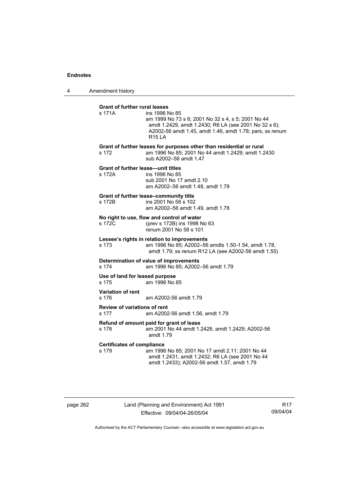4 Amendment history

| <b>Grant of further rural leases</b>         |                                                                                                                                                                                                            |
|----------------------------------------------|------------------------------------------------------------------------------------------------------------------------------------------------------------------------------------------------------------|
| s 171A                                       | ins 1996 No 85<br>am 1999 No 73 s 6; 2001 No 32 s 4, s 5; 2001 No 44<br>amdt 1.2429, amdt 1.2430; R6 LA (see 2001 No 32 s 6);<br>A2002-56 amdt 1.45, amdt 1.46, amdt 1.78; pars, ss renum<br><b>R15 LA</b> |
| s 172                                        | Grant of further leases for purposes other than residential or rural<br>am 1996 No 85; 2001 No 44 amdt 1.2429; amdt 1.2430<br>sub A2002-56 amdt 1.47                                                       |
| s 172A                                       | <b>Grant of further lease-unit titles</b><br>ins 1996 No 85<br>sub 2001 No 17 amdt 2.10<br>am A2002-56 amdt 1.48, amdt 1.78                                                                                |
| s 172B                                       | Grant of further lease-community title<br>ins 2001 No 58 s 102<br>am A2002-56 amdt 1.49, amdt 1.78                                                                                                         |
| s 172C                                       | No right to use, flow and control of water<br>(prev s 172B) ins 1998 No 63<br>renum 2001 No 58 s 101                                                                                                       |
| s 173                                        | Lessee's rights in relation to improvements<br>am 1996 No 85; A2002-56 amdts 1.50-1.54, amdt 1.78,<br>amdt 1.79; ss renum R12 LA (see A2002-56 amdt 1.55)                                                  |
| s 174                                        | Determination of value of improvements<br>am 1996 No 85; A2002-56 amdt 1.79                                                                                                                                |
| s 175                                        | Use of land for leased purpose<br>am 1996 No 85                                                                                                                                                            |
| Variation of rent<br>s 176                   | am A2002-56 amdt 1.79                                                                                                                                                                                      |
| <b>Review of variations of rent</b><br>s 177 | am A2002-56 amdt 1.56, amdt 1.79                                                                                                                                                                           |
| s 178                                        | Refund of amount paid for grant of lease<br>am 2001 No 44 amdt 1.2428, amdt 1.2429; A2002-56<br>amdt $1.79$                                                                                                |
| <b>Certificates of compliance</b><br>s 179   | am 1996 No 85; 2001 No 17 amdt 2.11; 2001 No 44<br>amdt 1.2431, amdt 1.2432; R6 LA (see 2001 No 44<br>amdt 1.2433); A2002-56 amdt 1.57, amdt 1.79                                                          |
|                                              |                                                                                                                                                                                                            |

page 262 Land (Planning and Environment) Act 1991 Effective: 09/04/04-26/05/04

R17 09/04/04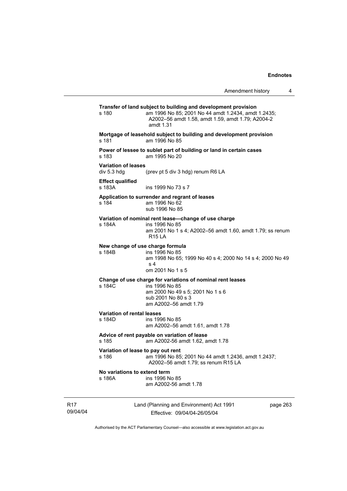|                                             | Amendment history<br>4                                                                                                                                                                  |  |
|---------------------------------------------|-----------------------------------------------------------------------------------------------------------------------------------------------------------------------------------------|--|
| s 180                                       | Transfer of land subject to building and development provision<br>am 1996 No 85; 2001 No 44 amdt 1.2434, amdt 1.2435;<br>A2002-56 amdt 1.58, amdt 1.59, amdt 1.79; A2004-2<br>amdt 1.31 |  |
| s 181                                       | Mortgage of leasehold subject to building and development provision<br>am 1996 No 85                                                                                                    |  |
| s 183                                       | Power of lessee to sublet part of building or land in certain cases<br>am 1995 No 20                                                                                                    |  |
| <b>Variation of leases</b><br>div 5.3 hdg   | (prev pt 5 div 3 hdg) renum R6 LA                                                                                                                                                       |  |
| <b>Effect qualified</b><br>s 183A           | ins 1999 No 73 s 7                                                                                                                                                                      |  |
| s 184                                       | Application to surrender and regrant of leases<br>am 1996 No 62<br>sub 1996 No 85                                                                                                       |  |
| s 184A                                      | Variation of nominal rent lease-change of use charge<br>ins 1996 No 85<br>am 2001 No 1 s 4; A2002-56 amdt 1.60, amdt 1.79; ss renum<br><b>R15 LA</b>                                    |  |
| New change of use charge formula<br>s 184B  | ins 1996 No 85<br>am 1998 No 65; 1999 No 40 s 4; 2000 No 14 s 4; 2000 No 49<br>s <sub>4</sub><br>om 2001 No 1 s 5                                                                       |  |
| s 184C                                      | Change of use charge for variations of nominal rent leases<br>ins 1996 No 85<br>am 2000 No 49 s 5; 2001 No 1 s 6<br>sub 2001 No 80 s 3<br>am A2002-56 amdt 1.79                         |  |
| <b>Variation of rental leases</b><br>s 184D | ins 1996 No 85<br>am A2002-56 amdt 1.61, amdt 1.78                                                                                                                                      |  |
| s 185                                       | Advice of rent payable on variation of lease<br>am A2002-56 amdt 1.62, amdt 1.78                                                                                                        |  |
| Variation of lease to pay out rent<br>s 186 | am 1996 No 85; 2001 No 44 amdt 1.2436, amdt 1.2437;<br>A2002-56 amdt 1.79; ss renum R15 LA                                                                                              |  |
| No variations to extend term<br>s 186A      | ins 1996 No 85<br>am A2002-56 amdt 1.78                                                                                                                                                 |  |
|                                             |                                                                                                                                                                                         |  |

R17 09/04/04 Land (Planning and Environment) Act 1991 Effective: 09/04/04-26/05/04

page 263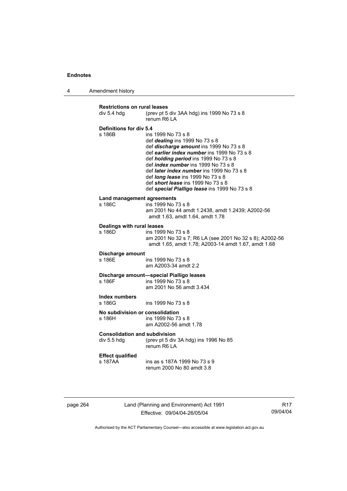4 Amendment history

| <b>Restrictions on rural leases</b>         | (prev pt 5 div 3AA hdg) ins 1999 No 73 s 8                                                                                                                                                                                                                                                                                                                                                                                          |
|---------------------------------------------|-------------------------------------------------------------------------------------------------------------------------------------------------------------------------------------------------------------------------------------------------------------------------------------------------------------------------------------------------------------------------------------------------------------------------------------|
| div 5.4 hdg                                 | renum R6 LA                                                                                                                                                                                                                                                                                                                                                                                                                         |
| Definitions for div 5.4<br>s 186B           | ins 1999 No 73 s 8<br>def <i>dealing</i> ins 1999 No 73 s 8<br>def discharge amount ins 1999 No 73 s 8<br>def earlier index number ins 1999 No 73 s 8<br>def <i>holding period</i> ins 1999 No 73 s 8<br>def index number ins 1999 No 73 s 8<br>def <i>later index number</i> ins 1999 No 73 s 8<br>def <i>long</i> lease ins 1999 No 73 s 8<br>def short lease ins 1999 No 73 s 8<br>def special Pialligo lease ins 1999 No 73 s 8 |
| <b>Land management agreements</b><br>s 186C | ins 1999 No 73 s 8<br>am 2001 No 44 amdt 1.2438, amdt 1.2439; A2002-56<br>amdt 1.63, amdt 1.64, amdt 1.78                                                                                                                                                                                                                                                                                                                           |
| Dealings with rural leases<br>s 186D        | ins 1999 No 73 s 8<br>am 2001 No 32 s 7; R6 LA (see 2001 No 32 s 8); A2002-56<br>amdt 1.65, amdt 1.78; A2003-14 amdt 1.67, amdt 1.68                                                                                                                                                                                                                                                                                                |
| Discharge amount                            | ins 1999 No 73 s 8                                                                                                                                                                                                                                                                                                                                                                                                                  |
| s 186E                                      | am A2003-34 amdt 2.2                                                                                                                                                                                                                                                                                                                                                                                                                |
| s 186F                                      | Discharge amount-special Pialligo leases<br>ins 1999 No 73 s 8<br>am 2001 No 56 amdt 3.434                                                                                                                                                                                                                                                                                                                                          |
| Index numbers<br>s 186G                     | ins 1999 No 73 s 8                                                                                                                                                                                                                                                                                                                                                                                                                  |
| No subdivision or consolidation             | ins 1999 No 73 s 8                                                                                                                                                                                                                                                                                                                                                                                                                  |
| s 186H                                      | am A2002-56 amdt 1.78                                                                                                                                                                                                                                                                                                                                                                                                               |
| <b>Consolidation and subdivision</b>        | (prev pt 5 div 3A hdg) ins 1996 No 85                                                                                                                                                                                                                                                                                                                                                                                               |
| div 5.5 hdg                                 | renum R6 LA                                                                                                                                                                                                                                                                                                                                                                                                                         |
| <b>Effect qualified</b>                     | ins as s 187A 1999 No 73 s 9                                                                                                                                                                                                                                                                                                                                                                                                        |
| s 187AA                                     | renum 2000 No 80 amdt 3.8                                                                                                                                                                                                                                                                                                                                                                                                           |

page 264 Land (Planning and Environment) Act 1991 Effective: 09/04/04-26/05/04

R17 09/04/04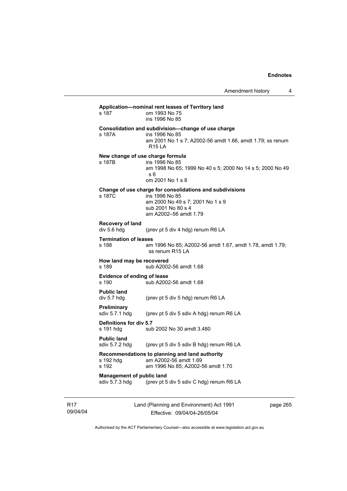| s 187                                              | Application-nominal rent leases of Territory land<br>om 1993 No 75<br>ins 1996 No 85                                                                          |
|----------------------------------------------------|---------------------------------------------------------------------------------------------------------------------------------------------------------------|
| s 187A                                             | Consolidation and subdivision-change of use charge<br>ins 1996 No 85<br>am 2001 No 1 s 7; A2002-56 amdt 1.66, amdt 1.79; ss renum<br><b>R15 LA</b>            |
| s 187B                                             | New change of use charge formula<br>ins 1996 No 85<br>am 1998 No 65; 1999 No 40 s 5; 2000 No 14 s 5; 2000 No 49<br>s 6<br>om 2001 No 1 s 8                    |
| s 187C                                             | Change of use charge for consolidations and subdivisions<br>ins 1996 No 85<br>am 2000 No 49 s 7; 2001 No 1 s 9<br>sub 2001 No 80 s 4<br>am A2002-56 amdt 1.79 |
| Recovery of land<br>div 5.6 hdg                    | (prev pt 5 div 4 hdg) renum R6 LA                                                                                                                             |
| <b>Termination of leases</b><br>s 188              | am 1996 No 85; A2002-56 amdt 1.67, amdt 1.78, amdt 1.79;<br>ss renum R15 LA                                                                                   |
| How land may be recovered<br>s 189                 | sub A2002-56 amdt 1.68                                                                                                                                        |
| Evidence of ending of lease<br>s 190               | sub A2002-56 amdt 1.68                                                                                                                                        |
| <b>Public land</b><br>div 5.7 hdg                  | (prev pt 5 div 5 hdg) renum R6 LA                                                                                                                             |
| Preliminary<br>sdiv 5.7.1 hdg                      | (prev pt 5 div 5 sdiv A hdg) renum R6 LA                                                                                                                      |
| Definitions for div 5.7<br>s 191 hdg               | sub 2002 No 30 amdt 3.480                                                                                                                                     |
| <b>Public land</b><br>sdiv $5.7.2$ hdg             | (prev pt 5 div 5 sdiv B hdg) renum R6 LA                                                                                                                      |
| s 192 hdg<br>s 192                                 | Recommendations to planning and land authority<br>am A2002-56 amdt 1.69<br>am 1996 No 85; A2002-56 amdt 1.70                                                  |
| <b>Management of public land</b><br>sdiv 5.7.3 hdg | (prev pt 5 div 5 sdiv C hdg) renum R6 LA                                                                                                                      |

R17 09/04/04 Land (Planning and Environment) Act 1991 Effective: 09/04/04-26/05/04

page 265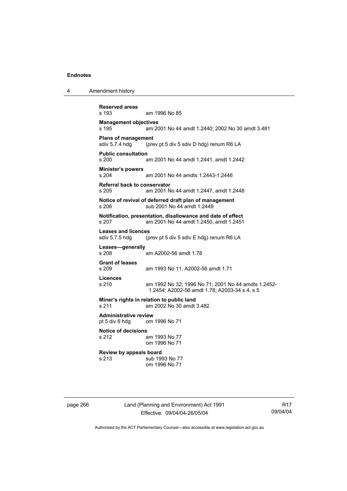# 4 Amendment history

**Reserved areas**  am 1996 No 85 **Management objectives**  s 195 am 2001 No 44 amdt 1.2440; 2002 No 30 amdt 3.481 **Plans of management**<br>sdiv 5.7.4 hdg (pre (prev pt 5 div 5 sdiv D hdg) renum R6 LA **Public consultation**  s 200 am 2001 No 44 amdt 1.2441, amdt 1.2442 **Minister's powers**  am 2001 No 44 amdts 1.2443-1.2446 **Referral back to conservator**  s 205 am 2001 No 44 amdt 1.2447, amdt 1.2448 **Notice of revival of deferred draft plan of management**  s 206 sub 2001 No 44 amdt 1.2449 **Notification, presentation, disallowance and date of effect**  s 207 am 2001 No 44 amdt 1.2450, amdt 1.2451 **Leases and licences**  sdiv 5.7.5 hdg (prev pt 5 div 5 sdiv E hdg) renum R6 LA **Leases—generally**  am A2002-56 amdt 1.78 **Grant of leases**  s 209 am 1993 No 11, A2002-56 amdt 1.71 **Licences**  s 210 am 1992 No 32; 1996 No 71; 2001 No 44 amdts 1.2452- 1.2454; A2002-56 amdt 1.78; A2003-34 s 4, s 5 **Miner's rights in relation to public land**  s 211 am 2002 No 30 amdt 3.482 **Administrative review**  pt 5 div 6 hdg om 1996 No 71 **Notice of decisions**  s 212 am 1993 No 77 om 1996 No 71 **Review by appeals board**  s 213 sub 1993 No 77 om 1996 No 71

page 266 Land (Planning and Environment) Act 1991 Effective: 09/04/04-26/05/04

R17 09/04/04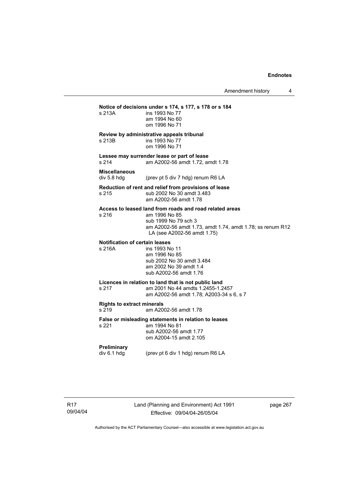# **Notice of decisions under s 174, s 177, s 178 or s 184**  s 213A ins 1993 No 77 am 1994 No 60 om 1996 No 71 **Review by administrative appeals tribunal**  s 213B ins 1993 No 77 om 1996 No 71 **Lessee may surrender lease or part of lease**  s 214 am A2002-56 amdt 1.72, amdt 1.78 **Miscellaneous**  div 5.8 hdg (prev pt 5 div 7 hdg) renum R6 LA **Reduction of rent and relief from provisions of lease**  s 215 sub 2002 No 30 amdt 3.483 am A2002-56 amdt 1.78 **Access to leased land from roads and road related areas**  s 216 am 1996 No 85 sub 1999 No 79 sch 3 am A2002-56 amdt 1.73, amdt 1.74, amdt 1.78; ss renum R12 LA (see A2002-56 amdt 1.75) **Notification of certain leases**  s 216A ins 1993 No 11 am 1996 No 85 sub 2002 No 30 amdt 3.484 am 2002 No 39 amdt 1.4 sub A2002-56 amdt 1.76 **Licences in relation to land that is not public land**  s 217 am 2001 No 44amdts 1.2455-1.2457 am A2002-56 amdt 1.78; A2003-34 s 6, s 7 **Rights to extract minerals**  s 219 am A2002-56 amdt 1.78 **False or misleading statements in relation to leases**  s 221 am 1994 No 81 sub A2002-56 amdt 1.77 om A2004-15 amdt 2.105 **Preliminary**  div 6.1 hdg (prev pt 6 div 1 hdg) renum R6 LA

page 267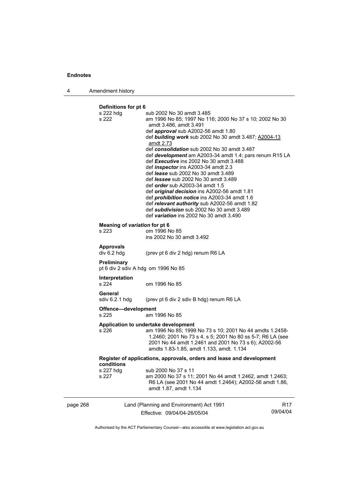page 268

| Δ | Amendment history |
|---|-------------------|
|   |                   |

# **Definitions for pt 6**

| s 222 hdg<br>s 222            | sub 2002 No 30 amdt 3.485<br>am 1996 No 85; 1997 No 116; 2000 No 37 s 10; 2002 No 30             |          |
|-------------------------------|--------------------------------------------------------------------------------------------------|----------|
|                               | amdt 3.486, amdt 3.491                                                                           |          |
|                               | def <i>approval</i> sub A2002-56 amdt 1.80                                                       |          |
|                               | def building work sub 2002 No 30 amdt 3.487; A2004-13                                            |          |
|                               | amdt 2.73                                                                                        |          |
|                               | def consolidation sub 2002 No 30 amdt 3.487                                                      |          |
|                               | def development am A2003-34 amdt 1.4; pars renum R15 LA                                          |          |
|                               | def Executive ins 2002 No 30 amdt 3.488                                                          |          |
|                               | def <i>inspector</i> ins A2003-34 amdt 2.3<br>def lease sub 2002 No 30 amdt 3.489                |          |
|                               | def <i>lessee</i> sub 2002 No 30 amdt 3.489                                                      |          |
|                               | def <i>order</i> sub A2003-34 amdt 1.5                                                           |          |
|                               | def <i>original decision</i> ins A2002-56 amdt 1.81                                              |          |
|                               | def prohibition notice ins A2003-34 amdt 1.6                                                     |          |
|                               | def relevant authority sub A2002-56 amdt 1.82                                                    |          |
|                               | def subdivision sub 2002 No 30 amdt 3.489                                                        |          |
|                               | def variation ins 2002 No 30 amdt 3.490                                                          |          |
| Meaning of variation for pt 6 |                                                                                                  |          |
| s 223                         | om 1996 No 85                                                                                    |          |
|                               | ins 2002 No 30 amdt 3.492                                                                        |          |
| <b>Approvals</b>              |                                                                                                  |          |
| div 6.2 hdg                   | (prev pt 6 div 2 hdg) renum R6 LA                                                                |          |
|                               |                                                                                                  |          |
| Preliminary                   | pt 6 div 2 sdiv A hdg om 1996 No 85                                                              |          |
| Interpretation                |                                                                                                  |          |
| s 224                         | om 1996 No 85                                                                                    |          |
| General                       |                                                                                                  |          |
| sdiv 6.2.1 hdg                | (prev pt 6 div 2 sdiv B hdg) renum R6 LA                                                         |          |
|                               |                                                                                                  |          |
| Offence-development<br>s 225  | am 1996 No 85                                                                                    |          |
|                               |                                                                                                  |          |
|                               | Application to undertake development                                                             |          |
| s 226                         | am 1996 No 85; 1999 No 73 s 10; 2001 No 44 amdts 1.2458-                                         |          |
|                               | 1.2460; 2001 No 73 s 4, s 5; 2001 No 80 ss 5-7; R6 LA (see                                       |          |
|                               | 2001 No 44 amdt 1.2461 and 2001 No 73 s 6); A2002-56<br>amdts 1.83-1.85, amdt 1.133, amdt. 1.134 |          |
|                               |                                                                                                  |          |
|                               | Register of applications, approvals, orders and lease and development                            |          |
| conditions                    |                                                                                                  |          |
| s 227 hdg<br>s 227            | sub 2000 No 37 s 11<br>am 2000 No 37 s 11; 2001 No 44 amdt 1.2462, amdt 1.2463;                  |          |
|                               | R6 LA (see 2001 No 44 amdt 1.2464); A2002-56 amdt 1.86,                                          |          |
|                               | amdt 1.87, amdt 1.134                                                                            |          |
|                               |                                                                                                  |          |
|                               | Land (Planning and Environment) Act 1991                                                         | R17      |
|                               | Effective: 09/04/04-26/05/04                                                                     | 09/04/04 |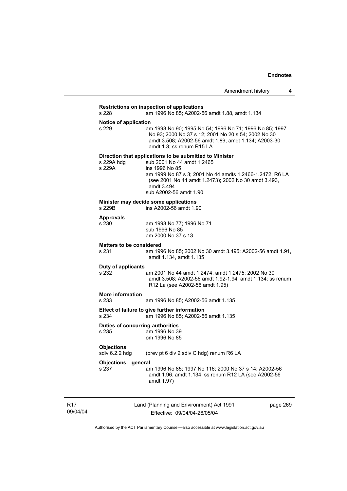# **Restrictions on inspection of applications**  s 228 am 1996 No 85; A2002-56 amdt 1.88, amdt 1.134 **Notice of application**<br>s 229 an am 1993 No 90; 1995 No 54; 1996 No 71; 1996 No 85; 1997 No 93; 2000 No 37 s 12; 2001 No 20 s 54; 2002 No 30 amdt 3.508; A2002-56 amdt 1.89, amdt 1.134; A2003-30 amdt 1.3; ss renum R15 LA **Direction that applications to be submitted to Minister**  s 229A hdg sub 2001 No 44 amdt 1.2465 s 229A ins 1996 No 85 am 1999 No 87 s 3; 2001 No 44 amdts 1.2466-1.2472; R6 LA (see 2001 No 44 amdt 1.2473); 2002 No 30 amdt 3.493, amdt 3.494 sub A2002-56 amdt 1.90 **Minister may decide some applications**<br>s 229B ins A2002-56 amdt 1.9 ins A2002-56 amdt 1.90 **Approvals**  s 230 am 1993 No 77; 1996 No 71 sub 1996 No 85 am 2000 No 37 s 13 **Matters to be considered**  s 231 am 1996 No 85; 2002 No 30 amdt 3.495; A2002-56 amdt 1.91, amdt 1.134, amdt 1.135 **Duty of applicants**  s 232 am 2001 No 44 amdt 1.2474, amdt 1.2475; 2002 No 30 amdt 3.508; A2002-56 amdt 1.92-1.94, amdt 1.134; ss renum R12 La (see A2002-56 amdt 1.95) **More information**  s 233 am 1996 No 85; A2002-56 amdt 1.135 **Effect of failure to give further information**  am 1996 No 85; A2002-56 amdt 1.135 **Duties of concurring authorities**  s 235 am 1996 No 39 om 1996 No 85 **Objections**  sdiv 6.2.2 hdg (prev pt 6 div 2 sdiv C hdg) renum R6 LA **Objections—general**  s 237 am 1996 No 85; 1997 No 116; 2000 No 37 s 14; A2002-56 amdt 1.96, amdt 1.134; ss renum R12 LA (see A2002-56 amdt 1.97)

R17 09/04/04 Land (Planning and Environment) Act 1991 Effective: 09/04/04-26/05/04

page 269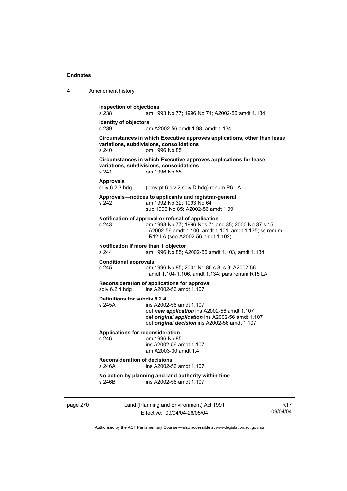| 4        | Amendment history                                                                                                                                                                                                     |
|----------|-----------------------------------------------------------------------------------------------------------------------------------------------------------------------------------------------------------------------|
|          | <b>Inspection of objections</b><br>s 238<br>am 1993 No 77; 1996 No 71; A2002-56 amdt 1.134                                                                                                                            |
|          | <b>Identity of objectors</b><br>s 239<br>am A2002-56 amdt 1.98, amdt 1.134                                                                                                                                            |
|          | Circumstances in which Executive approves applications, other than lease<br>variations, subdivisions, consolidations<br>s 240<br>om 1996 No 85                                                                        |
|          | Circumstances in which Executive approves applications for lease<br>variations, subdivisions, consolidations<br>s 241<br>om 1996 No 85                                                                                |
|          | <b>Approvals</b><br>sdiv 6.2.3 hdg<br>(prev pt 6 div 2 sdiv D hdg) renum R6 LA                                                                                                                                        |
|          | Approvals—notices to applicants and registrar-general<br>am 1992 No 32; 1993 No 64<br>s 242<br>sub 1996 No 85; A2002-56 amdt 1.99                                                                                     |
|          | Notification of approval or refusal of application<br>s 243<br>am 1993 No 77; 1996 Nos 71 and 85; 2000 No 37 s 15;<br>A2002-56 amdt 1.100, amdt 1.101, amdt 1.135; ss renum<br>R12 LA (see A2002-56 amdt 1.102)       |
|          | Notification if more than 1 objector<br>s 244<br>am 1996 No 85; A2002-56 amdt 1.103, amdt 1.134                                                                                                                       |
|          | <b>Conditional approvals</b><br>s 245<br>am 1996 No 85; 2001 No 80 s 8, s 9; A2002-56<br>amdt 1.104-1.106, amdt 1.134; pars renum R15 LA                                                                              |
|          | Reconsideration of applications for approval<br>sdiv 6.2.4 hdg<br>ins A2002-56 amdt 1.107                                                                                                                             |
|          | Definitions for subdiv 6.2.4<br>s 245A<br>ins A2002-56 amdt 1.107<br>def new application ins A2002-56 amdt 1.107<br>def original application ins A2002-56 amdt 1.107<br>def original decision ins A2002-56 amdt 1.107 |
|          | <b>Applications for reconsideration</b><br>s 246<br>om 1996 No 85<br>ins A2002-56 amdt 1.107<br>am A2003-30 amdt 1.4                                                                                                  |
|          | <b>Reconsideration of decisions</b><br>s 246A<br>ins A2002-56 amdt 1.107                                                                                                                                              |
|          | No action by planning and land authority within time<br>ins A2002-56 amdt 1.107<br>s 246B                                                                                                                             |
| page 270 | Land (Planning and Environment) Act 1991<br>R <sub>17</sub><br>09/04/04<br>Effective: 09/04/04-26/05/04                                                                                                               |

Authorised by the ACT Parliamentary Counsel—also accessible at www.legislation.act.gov.au

a.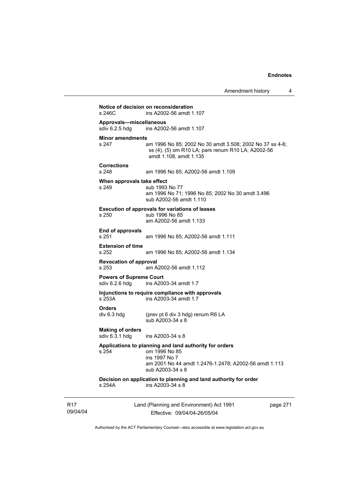| s 246C                                                 | ins A2002-56 amdt 1.107                                                              |
|--------------------------------------------------------|--------------------------------------------------------------------------------------|
| Approvals-miscellaneous<br>sdiv 6.2.5 hdg              | ins A2002-56 amdt 1.107                                                              |
| <b>Minor amendments</b><br>s 247                       | am 1996 No 85; 2002 No 30 amdt 3.508; 2002 No 37 ss 4-6;                             |
|                                                        | ss (4), (5) om R10 LA; pars renum R10 LA; A2002-56<br>amdt 1.108, amdt 1.135         |
| <b>Corrections</b><br>s 248                            | am 1996 No 85; A2002-56 amdt 1.109                                                   |
| When approvals take effect<br>s 249                    | sub 1993 No 77                                                                       |
|                                                        | am 1996 No 71; 1996 No 85; 2002 No 30 amdt 3.496<br>sub A2002-56 amdt 1.110          |
|                                                        | <b>Execution of approvals for variations of leases</b>                               |
| s 250                                                  | sub 1996 No 85<br>am A2002-56 amdt 1.133                                             |
| End of approvals<br>s 251                              | am 1996 No 85; A2002-56 amdt 1.111                                                   |
| <b>Extension of time</b><br>s 252                      | am 1996 No 85; A2002-56 amdt 1.134                                                   |
| <b>Revocation of approval</b><br>s 253                 | am A2002-56 amdt 1.112                                                               |
| <b>Powers of Supreme Court</b><br>sdiv 6.2.6 hdg       | ins A2003-34 amdt 1.7                                                                |
| s 253A                                                 | Injunctions to require compliance with approvals<br>ins A2003-34 amdt 1.7            |
| <b>Orders</b>                                          |                                                                                      |
| div 6.3 hdg                                            | (prev pt 6 div 3 hdg) renum R6 LA<br>sub A2003-34 s 8                                |
| <b>Making of orders</b><br>sdiv 6.3.1 hdg              | ins A2003-34 s 8                                                                     |
| Applications to planning and land authority for orders |                                                                                      |
| s 254                                                  | om 1996 No 85<br>ins 1997 No 7                                                       |
|                                                        | am 2001 No 44 amdt 1.2476-1.2478; A2002-56 amdt 1.113<br>sub A2003-34 s 8            |
| s 254A                                                 | Decision on application to planning and land authority for order<br>ins A2003-34 s 8 |

R17 09/04/04 Land (Planning and Environment) Act 1991 Effective: 09/04/04-26/05/04

page 271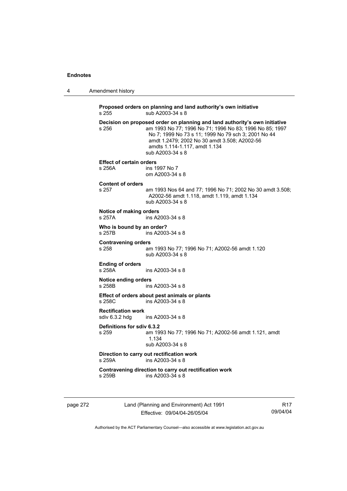|  | Amendment history |
|--|-------------------|
|--|-------------------|

**Proposed orders on planning and land authority's own initiative**  s 255 sub A2003-34 s 8 **Decision on proposed order on planning and land authority's own initiative**  s 256 am 1993 No 77; 1996 No 71; 1996 No 83; 1996 No 85; 1997 No 7; 1999 No 73 s 11; 1999 No 79 sch 3; 2001 No 44 amdt 1.2479; 2002 No 30 amdt 3.508; A2002-56 amdts 1.114-1.117, amdt 1.134 sub A2003-34 s 8 **Effect of certain orders**  s 256A ins 1997 No 7 om A2003-34 s 8 **Content of orders**  am 1993 Nos 64 and 77; 1996 No 71; 2002 No 30 amdt 3.508; A2002-56 amdt 1.118, amdt 1.119, amdt 1.134 sub A2003-34 s 8 **Notice of making orders**  s 257A ins A2003-34 s 8 **Who is bound by an order?**<br>s 257B ins A2003 ins A2003-34 s 8 **Contravening orders**  s 258 am 1993 No 77; 1996 No 71; A2002-56 amdt 1.120 sub A2003-34 s 8 **Ending of orders**  s 258A ins A2003-34 s 8 **Notice ending orders**  s 258B ins A2003-34 s 8 **Effect of orders about pest animals or plants**  s 258C ins A2003-34 s 8 **Rectification work**   $ins A2003-34 s 8$ **Definitions for sdiv 6.3.2**  s 259 am 1993 No 77; 1996 No 71; A2002-56 amdt 1.121, amdt 1.134 sub A2003-34 s 8 **Direction to carry out rectification work**  s 259A ins A2003-34 s 8 **Contravening direction to carry out rectification work**  s 259B ins A2003-34 s 8

page 272 Land (Planning and Environment) Act 1991 Effective: 09/04/04-26/05/04

R17 09/04/04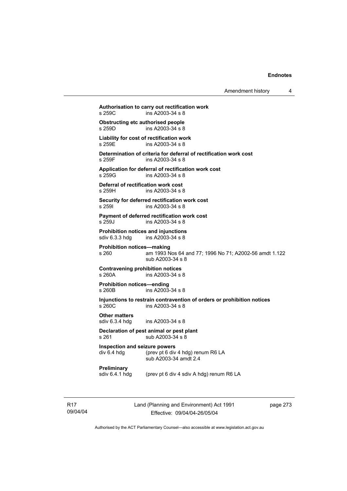Amendment history 4

**Authorisation to carry out rectification work**   $ins A2003-34 s 8$ **Obstructing etc authorised people**<br>s 259D ins A2003-34 s 8  $ins A2003-34 s 8$ **Liability for cost of rectification work**  s 259E ins A2003-34 s 8 **Determination of criteria for deferral of rectification work cost**  s 259F ins A2003-34 s 8 **Application for deferral of rectification work cost**  ins A2003-34 s 8 **Deferral of rectification work cost**  s 259H ins A2003-34 s 8 **Security for deferred rectification work cost**  s 259I ins A2003-34 s 8 **Payment of deferred rectification work cost**  s 259J ins A2003-34 s 8 **Prohibition notices and injunctions**  sdiv 6.3.3 hdg ins A2003-34 s 8 **Prohibition notices—making**  s 260 am 1993 Nos 64 and 77; 1996 No 71; A2002-56 amdt 1.122 sub A2003-34 s 8 **Contravening prohibition notices**  s 260A ins A2003-34 s 8 **Prohibition notices—ending**   $ins A2003 - 34 s 8$ **Injunctions to restrain contravention of orders or prohibition notices**  s 260C ins A2003-34 s 8 **Other matters**  sdiv 6.3.4 hdg ins A2003-34 s 8

#### **Declaration of pest animal or pest plant**  s 261 sub A2003-34 s 8

**Inspection and seizure powers**  div 6.4 hdg (prev pt 6 div 4 hdg) renum R6 LA sub A2003-34 amdt 2.4

**Preliminary** 

sdiv 6.4.1 hdg (prev pt 6 div 4 sdiv A hdg) renum R6 LA

R17 09/04/04 Land (Planning and Environment) Act 1991 Effective: 09/04/04-26/05/04

page 273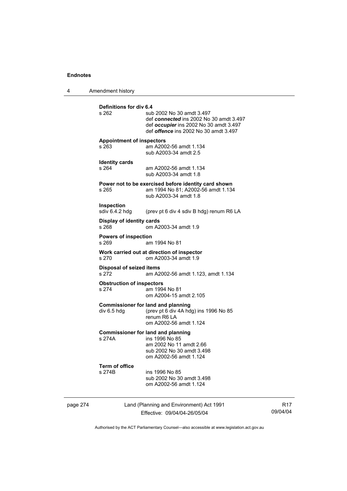4 Amendment history

|          | <b>Definitions for div 6.4</b><br>s 262                                                                                                                       | sub 2002 No 30 amdt 3.497<br>def connected ins 2002 No 30 amdt 3.497<br>def occupier ins 2002 No 30 amdt 3.497<br>def <i>offence</i> ins 2002 No 30 amdt 3.497 |  |
|----------|---------------------------------------------------------------------------------------------------------------------------------------------------------------|----------------------------------------------------------------------------------------------------------------------------------------------------------------|--|
|          | <b>Appointment of inspectors</b><br>s 263                                                                                                                     | am A2002-56 amdt 1.134<br>sub A2003-34 amdt 2.5                                                                                                                |  |
|          | <b>Identity cards</b><br>s264                                                                                                                                 | am A2002-56 amdt 1.134<br>sub A2003-34 amdt 1.8                                                                                                                |  |
|          | s 265                                                                                                                                                         | Power not to be exercised before identity card shown<br>am 1994 No 81; A2002-56 amdt 1.134<br>sub A2003-34 amdt 1.8                                            |  |
|          | Inspection<br>sdiv 6.4.2 hdg                                                                                                                                  | (prev pt 6 div 4 sdiv B hdg) renum R6 LA                                                                                                                       |  |
|          | Display of identity cards<br>s 268                                                                                                                            | om A2003-34 amdt 1.9                                                                                                                                           |  |
|          | <b>Powers of inspection</b><br>s 269                                                                                                                          | am 1994 No 81                                                                                                                                                  |  |
|          | Work carried out at direction of inspector<br>s 270<br>om A2003-34 amdt 1.9<br><b>Disposal of seized items</b><br>s 272<br>am A2002-56 amdt 1.123, amdt 1.134 |                                                                                                                                                                |  |
|          |                                                                                                                                                               |                                                                                                                                                                |  |
|          | <b>Obstruction of inspectors</b><br>s 274<br>am 1994 No 81<br>om A2004-15 amdt 2.105                                                                          |                                                                                                                                                                |  |
|          | div 6.5 hdg                                                                                                                                                   | <b>Commissioner for land and planning</b><br>(prev pt 6 div 4A hdg) ins 1996 No 85<br>renum R6 LA<br>om A2002-56 amdt 1.124                                    |  |
|          | s 274A                                                                                                                                                        | <b>Commissioner for land and planning</b><br>ins 1996 No 85<br>am 2002 No 11 amdt 2.66<br>sub 2002 No 30 amdt 3.498<br>om A2002-56 amdt 1.124                  |  |
|          | <b>Term of office</b><br>s 274B                                                                                                                               | ins 1996 No 85<br>sub 2002 No 30 amdt 3.498<br>om A2002-56 amdt 1.124                                                                                          |  |
| page 274 |                                                                                                                                                               | Land (Planning and Environment) Act 1991<br>Effective: 09/04/04-26/05/04                                                                                       |  |

R17 09/04/04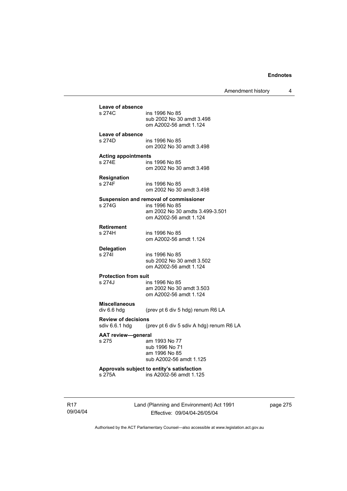Amendment history 4

| Leave of absence                     |                                                                          |
|--------------------------------------|--------------------------------------------------------------------------|
| s 274C                               | ins 1996 No 85<br>sub 2002 No 30 amdt 3.498<br>om A2002-56 amdt 1.124    |
| Leave of absence                     |                                                                          |
| s 274D                               | ins 1996 No 85<br>om 2002 No 30 amdt 3.498                               |
|                                      |                                                                          |
| <b>Acting appointments</b><br>s 274E | ins 1996 No 85                                                           |
|                                      | om 2002 No 30 amdt 3.498                                                 |
| <b>Resignation</b>                   |                                                                          |
| s 274F                               | ins 1996 No 85<br>om 2002 No 30 amdt 3.498                               |
|                                      | Suspension and removal of commissioner                                   |
| s 274G                               | ins 1996 No 85                                                           |
|                                      | am 2002 No 30 amdts 3.499-3.501<br>om A2002-56 amdt 1.124                |
|                                      |                                                                          |
| <b>Retirement</b><br>s 274H          | ins 1996 No 85                                                           |
|                                      | om A2002-56 amdt 1.124                                                   |
| <b>Delegation</b>                    |                                                                          |
| s 2741                               | ins 1996 No 85<br>sub 2002 No 30 amdt 3.502                              |
|                                      | om A2002-56 amdt 1.124                                                   |
| <b>Protection from suit</b>          |                                                                          |
| s 274J                               | ins 1996 No 85                                                           |
|                                      | am 2002 No 30 amdt 3.503<br>om A2002-56 amdt 1.124                       |
| <b>Miscellaneous</b>                 |                                                                          |
| div 6.6 hdg                          | (prev pt 6 div 5 hdg) renum R6 LA                                        |
| <b>Review of decisions</b>           |                                                                          |
| sdiv 6.6.1 hdg                       | (prev pt 6 div 5 sdiv A hdg) renum R6 LA                                 |
| <b>AAT review-general</b><br>s 275   |                                                                          |
|                                      | am 1993 No 77<br>sub 1996 No 71                                          |
|                                      | am 1996 No 85                                                            |
|                                      | sub A2002-56 amdt 1.125                                                  |
| s 275A                               | Approvals subject to entity's satisfaction<br>ins A2002-56 amdt 1.125    |
|                                      |                                                                          |
|                                      |                                                                          |
|                                      |                                                                          |
|                                      | Land (Planning and Environment) Act 1991<br>Effective: 09/04/04-26/05/04 |
|                                      |                                                                          |

page 275

Authorised by the ACT Parliamentary Counsel—also accessible at www.legislation.act.gov.au

R17 09/04/04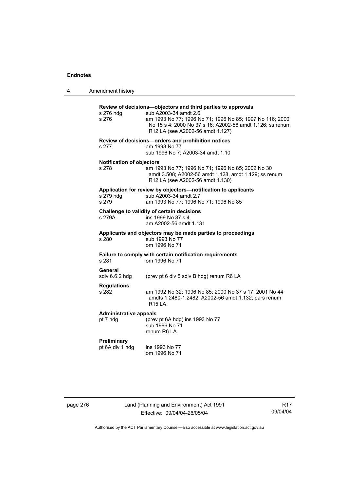4 Amendment history

| Amendment history                         |                                                                                                                                                                                                                                                    |
|-------------------------------------------|----------------------------------------------------------------------------------------------------------------------------------------------------------------------------------------------------------------------------------------------------|
| s 276 hdg<br>s 276                        | Review of decisions-objectors and third parties to approvals<br>sub A2003-34 amdt 2.6<br>am 1993 No 77; 1996 No 71; 1996 No 85; 1997 No 116; 2000<br>No 15 s 4; 2000 No 37 s 16; A2002-56 amdt 1.126; ss renum<br>R12 LA (see A2002-56 amdt 1.127) |
| s 277                                     | Review of decisions-orders and prohibition notices<br>am 1993 No 77<br>sub 1996 No 7; A2003-34 amdt 1.10                                                                                                                                           |
| <b>Notification of objectors</b><br>s 278 | am 1993 No 77; 1996 No 71; 1996 No 85; 2002 No 30<br>amdt 3.508; A2002-56 amdt 1.128, amdt 1.129; ss renum<br>R12 LA (see A2002-56 amdt 1.130)                                                                                                     |
| s 279 hdg<br>s 279                        | Application for review by objectors-notification to applicants<br>sub A2003-34 amdt 2.7<br>am 1993 No 77; 1996 No 71; 1996 No 85                                                                                                                   |
| s 279A                                    | Challenge to validity of certain decisions<br>ins 1999 No 87 s 4<br>am A2002-56 amdt 1.131                                                                                                                                                         |
| s 280                                     | Applicants and objectors may be made parties to proceedings<br>sub 1993 No 77<br>om 1996 No 71                                                                                                                                                     |
| s 281                                     | Failure to comply with certain notification requirements<br>om 1996 No 71                                                                                                                                                                          |
| General<br>sdiv 6.6.2 hdg                 | (prev pt 6 div 5 sdiv B hdg) renum R6 LA                                                                                                                                                                                                           |
| <b>Regulations</b><br>s 282               | am 1992 No 32; 1996 No 85; 2000 No 37 s 17; 2001 No 44<br>amdts 1.2480-1.2482; A2002-56 amdt 1.132; pars renum<br><b>R15 LA</b>                                                                                                                    |
| <b>Administrative appeals</b><br>pt 7 hdg | (prev pt 6A hdg) ins 1993 No 77<br>sub 1996 No 71<br>renum R6 LA                                                                                                                                                                                   |
| Preliminary<br>pt 6A div 1 hdg            | ins 1993 No 77<br>om 1996 No 71                                                                                                                                                                                                                    |
|                                           |                                                                                                                                                                                                                                                    |

page 276 Land (Planning and Environment) Act 1991 Effective: 09/04/04-26/05/04

R17 09/04/04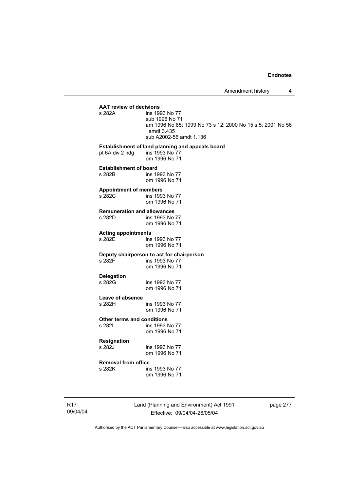# **AAT review of decisions**

ins 1993 No 77 sub 1996 No 71 am 1996 No 85; 1999 No 73 s 12; 2000 No 15 s 5; 2001 No 56 amdt 3.435 sub A2002-56 amdt 1.136

#### **Establishment of land planning and appeals board**

pt 6A div 2 hdg ins 1993 No 77 om 1996 No 71

# **Establishment of board**<br>s 282B ins 19

ins 1993 No 77 om 1996 No 71

#### **Appointment of members**

s 282C ins 1993 No 77 om 1996 No 71

#### **Remuneration and allowances**

| s 282D | ins 1993 No 77 |
|--------|----------------|
|        | om 1996 No 71  |

**Acting appointments** 

ins 1993 No 77 om 1996 No 71

# **Deputy chairperson to act for chairperson**

ins 1993 No 77 om 1996 No 71

ins 1993 No 77

**Delegation** 

om 1996 No 71

# **Leave of absence**

ins 1993 No 77 om 1996 No 71

#### **Other terms and conditions**

s 282I ins 1993 No 77 om 1996 No 71

# **Resignation**

ins 1993 No 77 om 1996 No 71

# **Removal from office**

ins 1993 No 77 om 1996 No 71

R17 09/04/04 Land (Planning and Environment) Act 1991 Effective: 09/04/04-26/05/04

page 277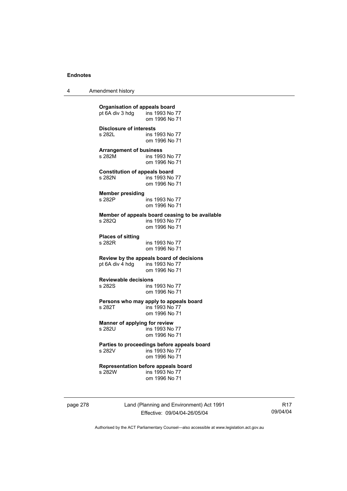4 Amendment history

**Organisation of appeals board**<br>
pt 6A div 3 hdg ins 1993 No 77  $pt\overline{6}A$  div 3 hdg om 1996 No 71 **Disclosure of interests**  ins 1993 No 77 om 1996 No 71 **Arrangement of business**  s 282M ins 1993 No 77 om 1996 No 71 **Constitution of appeals board**  s 282N ins 1993 No 77 om 1996 No 71 **Member presiding**  s 282P ins 1993 No 77 om 1996 No 71 **Member of appeals board ceasing to be available**  ins 1993 No 77 om 1996 No 71 **Places of sitting**  s 282R ins 1993 No 77 om 1996 No 71 **Review by the appeals board of decisions**  pt 6A div 4 hdg om 1996 No 71 **Reviewable decisions**  ins 1993 No 77 om 1996 No 71 **Persons who may apply to appeals board**  s 282T ins 1993 No 77 om 1996 No 71 **Manner of applying for review**  ins 1993 No 77 om 1996 No 71 **Parties to proceedings before appeals board**  ins 1993 No 77 om 1996 No 71 **Representation before appeals board**  ins 1993 No 77 om 1996 No 71

page 278 Land (Planning and Environment) Act 1991 Effective: 09/04/04-26/05/04

R17 09/04/04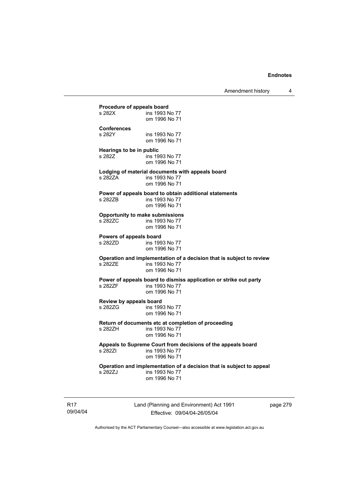**Procedure of appeals board**<br>s 282X **ins 1993** N ins 1993 No 77 om 1996 No 71 **Conferences**  ins 1993 No 77 om 1996 No 71 **Hearings to be in public**  s 282Z **ins 1993** No 77 om 1996 No 71 **Lodging of material documents with appeals board**  ins 1993 No 77 om 1996 No 71 **Power of appeals board to obtain additional statements**  s 282ZB ins 1993 No 77 om 1996 No 71 **Opportunity to make submissions**  ins 1993 No 77 om 1996 No 71 **Powers of appeals board**  s 282ZD ins 1993 No 77 om 1996 No 71 **Operation and implementation of a decision that is subject to review**  ins 1993 No 77 om 1996 No 71 **Power of appeals board to dismiss application or strike out party**  ins 1993 No 77 om 1996 No 71 **Review by appeals board**  s 282ZG ins 1993 No 77 om 1996 No 71 **Return of documents etc at completion of proceeding**  ins 1993 No 77 om 1996 No 71 **Appeals to Supreme Court from decisions of the appeals board**  ins 1993 No 77 om 1996 No 71 **Operation and implementation of a decision that is subject to appeal**  ins 1993 No 77 om 1996 No 71

R17 09/04/04 Land (Planning and Environment) Act 1991 Effective: 09/04/04-26/05/04

page 279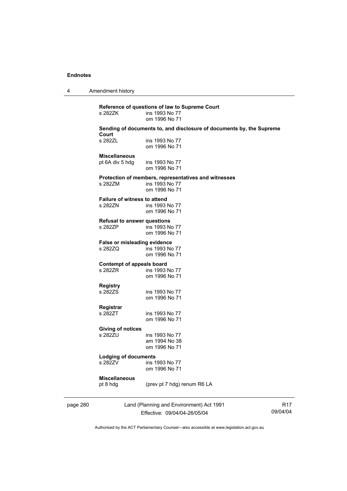4 Amendment history

| Sending of documents to, and disclosure of documents by, the Supreme<br>Court<br>s 282ZL<br>ins 1993 No 77<br>om 1996 No 71<br><b>Miscellaneous</b><br>pt 6A div 5 hdg<br>ins 1993 No 77<br>om 1996 No 71<br>Protection of members, representatives and witnesses<br>s 282ZM<br>ins 1993 No 77<br>om 1996 No 71<br><b>Failure of witness to attend</b><br>s 282ZN<br>ins 1993 No 77<br>om 1996 No 71<br><b>Refusal to answer questions</b><br>s 282ZP<br>ins 1993 No 77<br>om 1996 No 71<br>False or misleading evidence<br>s 282ZQ<br>ins 1993 No 77<br>om 1996 No 71<br><b>Contempt of appeals board</b><br>s 282ZR<br>ins 1993 No 77<br>om 1996 No 71<br><b>Registry</b><br>s 282ZS<br>ins 1993 No 77<br>om 1996 No 71<br>Registrar<br>s 282ZT<br>ins 1993 No 77<br>om 1996 No 71<br><b>Giving of notices</b><br>s 282ZU<br>ins 1993 No 77<br>am 1994 No 38<br>om 1996 No 71<br><b>Lodging of documents</b><br>s 282ZV<br>ins 1993 No 77<br>om 1996 No 71<br><b>Miscellaneous</b><br>pt 8 hdg<br>(prev pt 7 hdg) renum R6 LA |  |
|---------------------------------------------------------------------------------------------------------------------------------------------------------------------------------------------------------------------------------------------------------------------------------------------------------------------------------------------------------------------------------------------------------------------------------------------------------------------------------------------------------------------------------------------------------------------------------------------------------------------------------------------------------------------------------------------------------------------------------------------------------------------------------------------------------------------------------------------------------------------------------------------------------------------------------------------------------------------------------------------------------------------------------|--|
|                                                                                                                                                                                                                                                                                                                                                                                                                                                                                                                                                                                                                                                                                                                                                                                                                                                                                                                                                                                                                                 |  |
|                                                                                                                                                                                                                                                                                                                                                                                                                                                                                                                                                                                                                                                                                                                                                                                                                                                                                                                                                                                                                                 |  |
|                                                                                                                                                                                                                                                                                                                                                                                                                                                                                                                                                                                                                                                                                                                                                                                                                                                                                                                                                                                                                                 |  |
|                                                                                                                                                                                                                                                                                                                                                                                                                                                                                                                                                                                                                                                                                                                                                                                                                                                                                                                                                                                                                                 |  |
|                                                                                                                                                                                                                                                                                                                                                                                                                                                                                                                                                                                                                                                                                                                                                                                                                                                                                                                                                                                                                                 |  |
|                                                                                                                                                                                                                                                                                                                                                                                                                                                                                                                                                                                                                                                                                                                                                                                                                                                                                                                                                                                                                                 |  |
|                                                                                                                                                                                                                                                                                                                                                                                                                                                                                                                                                                                                                                                                                                                                                                                                                                                                                                                                                                                                                                 |  |
|                                                                                                                                                                                                                                                                                                                                                                                                                                                                                                                                                                                                                                                                                                                                                                                                                                                                                                                                                                                                                                 |  |
|                                                                                                                                                                                                                                                                                                                                                                                                                                                                                                                                                                                                                                                                                                                                                                                                                                                                                                                                                                                                                                 |  |
|                                                                                                                                                                                                                                                                                                                                                                                                                                                                                                                                                                                                                                                                                                                                                                                                                                                                                                                                                                                                                                 |  |
|                                                                                                                                                                                                                                                                                                                                                                                                                                                                                                                                                                                                                                                                                                                                                                                                                                                                                                                                                                                                                                 |  |
|                                                                                                                                                                                                                                                                                                                                                                                                                                                                                                                                                                                                                                                                                                                                                                                                                                                                                                                                                                                                                                 |  |
|                                                                                                                                                                                                                                                                                                                                                                                                                                                                                                                                                                                                                                                                                                                                                                                                                                                                                                                                                                                                                                 |  |
|                                                                                                                                                                                                                                                                                                                                                                                                                                                                                                                                                                                                                                                                                                                                                                                                                                                                                                                                                                                                                                 |  |
|                                                                                                                                                                                                                                                                                                                                                                                                                                                                                                                                                                                                                                                                                                                                                                                                                                                                                                                                                                                                                                 |  |
|                                                                                                                                                                                                                                                                                                                                                                                                                                                                                                                                                                                                                                                                                                                                                                                                                                                                                                                                                                                                                                 |  |
|                                                                                                                                                                                                                                                                                                                                                                                                                                                                                                                                                                                                                                                                                                                                                                                                                                                                                                                                                                                                                                 |  |
|                                                                                                                                                                                                                                                                                                                                                                                                                                                                                                                                                                                                                                                                                                                                                                                                                                                                                                                                                                                                                                 |  |
|                                                                                                                                                                                                                                                                                                                                                                                                                                                                                                                                                                                                                                                                                                                                                                                                                                                                                                                                                                                                                                 |  |
|                                                                                                                                                                                                                                                                                                                                                                                                                                                                                                                                                                                                                                                                                                                                                                                                                                                                                                                                                                                                                                 |  |
|                                                                                                                                                                                                                                                                                                                                                                                                                                                                                                                                                                                                                                                                                                                                                                                                                                                                                                                                                                                                                                 |  |
|                                                                                                                                                                                                                                                                                                                                                                                                                                                                                                                                                                                                                                                                                                                                                                                                                                                                                                                                                                                                                                 |  |
|                                                                                                                                                                                                                                                                                                                                                                                                                                                                                                                                                                                                                                                                                                                                                                                                                                                                                                                                                                                                                                 |  |
|                                                                                                                                                                                                                                                                                                                                                                                                                                                                                                                                                                                                                                                                                                                                                                                                                                                                                                                                                                                                                                 |  |
|                                                                                                                                                                                                                                                                                                                                                                                                                                                                                                                                                                                                                                                                                                                                                                                                                                                                                                                                                                                                                                 |  |
|                                                                                                                                                                                                                                                                                                                                                                                                                                                                                                                                                                                                                                                                                                                                                                                                                                                                                                                                                                                                                                 |  |
|                                                                                                                                                                                                                                                                                                                                                                                                                                                                                                                                                                                                                                                                                                                                                                                                                                                                                                                                                                                                                                 |  |
|                                                                                                                                                                                                                                                                                                                                                                                                                                                                                                                                                                                                                                                                                                                                                                                                                                                                                                                                                                                                                                 |  |
|                                                                                                                                                                                                                                                                                                                                                                                                                                                                                                                                                                                                                                                                                                                                                                                                                                                                                                                                                                                                                                 |  |
|                                                                                                                                                                                                                                                                                                                                                                                                                                                                                                                                                                                                                                                                                                                                                                                                                                                                                                                                                                                                                                 |  |
|                                                                                                                                                                                                                                                                                                                                                                                                                                                                                                                                                                                                                                                                                                                                                                                                                                                                                                                                                                                                                                 |  |
|                                                                                                                                                                                                                                                                                                                                                                                                                                                                                                                                                                                                                                                                                                                                                                                                                                                                                                                                                                                                                                 |  |

page 280

Effective: 09/04/04-26/05/04

09/04/04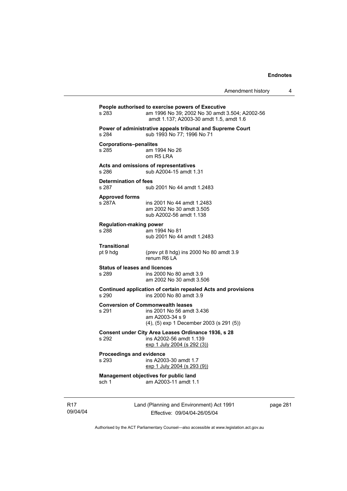| s 283                                         | People authorised to exercise powers of Executive<br>am 1996 No 39; 2002 No 30 amdt 3.504; A2002-56<br>amdt 1.137; A2003-30 amdt 1.5, amdt 1.6 |
|-----------------------------------------------|------------------------------------------------------------------------------------------------------------------------------------------------|
| s 284                                         | Power of administrative appeals tribunal and Supreme Court<br>sub 1993 No 77; 1996 No 71                                                       |
| <b>Corporations-penalites</b><br>s 285        | am 1994 No 26<br>om R5 LRA                                                                                                                     |
| s 286                                         | Acts and omissions of representatives<br>sub A2004-15 amdt 1.31                                                                                |
| <b>Determination of fees</b><br>s 287         | sub 2001 No 44 amdt 1.2483                                                                                                                     |
| <b>Approved forms</b><br>s 287A               | ins 2001 No 44 amdt 1.2483<br>am 2002 No 30 amdt 3.505<br>sub A2002-56 amdt 1.138                                                              |
| <b>Regulation-making power</b><br>s 288       | am 1994 No 81<br>sub 2001 No 44 amdt 1.2483                                                                                                    |
| Transitional<br>pt 9 hdg                      | (prev pt 8 hdg) ins 2000 No 80 amdt 3.9<br>renum R6   A                                                                                        |
| <b>Status of leases and licences</b><br>s 289 | ins 2000 No 80 amdt 3.9<br>am 2002 No 30 amdt 3.506                                                                                            |
| s 290                                         | Continued application of certain repealed Acts and provisions<br>ins 2000 No 80 amdt 3.9                                                       |
| s 291                                         | <b>Conversion of Commonwealth leases</b><br>ins 2001 No 56 amdt 3.436<br>am A2003-34 s 9<br>(4), (5) exp 1 December 2003 (s 291 (5))           |
| s 292                                         | Consent under City Area Leases Ordinance 1936, s 28<br>ins A2002-56 amdt 1.139<br><u>exp 1 July 2004 (s 292 (3))</u>                           |
| <b>Proceedings and evidence</b><br>s 293      | ins A2003-30 amdt 1.7<br>exp 1 July 2004 (s 293 (9))                                                                                           |
| sch 1                                         | Management objectives for public land<br>am A2003-11 amdt 1.1                                                                                  |
|                                               | Land (Planning and Environment) Act 1991<br>Effective: 09/04/04-26/05/04                                                                       |

page 281

Authorised by the ACT Parliamentary Counsel—also accessible at www.legislation.act.gov.au

R17 09/04/04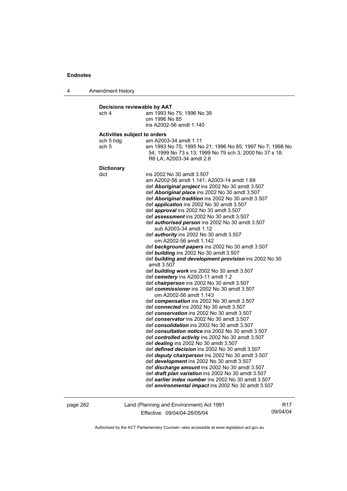4 Amendment history **Decisions reviewable by AAT**  sch 4 am 1993 No 75; 1996 No 39 om 1996 No 85 ins A2002-56 amdt 1.140 **Activities subject to orders**  sch 5 hdg am A2003-34 amdt 1.11 sch 5 am 1993 No 75; 1995 No 21; 1996 No 85; 1997 No 7; 1998 No 54; 1999 No 73 s 13; 1999 No 79 sch 3; 2000 No 37 s 18; R6 LA; A2003-34 amdt 2.8 **Dictionary**  dict ins 2002 No 30 amdt 3.507 am A2002-56 amdt 1.141; A2003-14 amdt 1.69 def *Aboriginal project* ins 2002 No 30 amdt 3.507 def *Aboriginal place* ins 2002 No 30 amdt 3.507 def *Aboriginal tradition* ins 2002 No 30 amdt 3.507 def *application* ins 2002 No 30 amdt 3.507 def *approval* ins 2002 No 30 amdt 3.507 def *assessment* ins 2002 No 30 amdt 3.507 def *authorised person* ins 2002 No 30 amdt 3.507 sub A2003-34 amdt 1.12 def *authority* ins 2002 No 30 amdt 3.507 om A2002-56 amdt 1.142 def *background papers* ins 2002 No 30 amdt 3.507 def *building* ins 2002 No 30 amdt 3.507 def *building and development provision* ins 2002 No 30 amdt 3.507 def *building work* ins 2002 No 30 amdt 3.507 def *cemetery* ins A2003-11 amdt 1.2 def *chairperson* ins 2002 No 30 amdt 3.507 def *commissioner* ins 2002 No 30 amdt 3.507 om A2002-56 amdt 1.143 def *compensation* ins 2002 No 30 amdt 3.507 def *connected* ins 2002 No 30 amdt 3.507 def *conservation* ins 2002 No 30 amdt 3.507 def *conservator* ins 2002 No 30 amdt 3.507 def *consolidation* ins 2002 No 30 amdt 3.507 def *consultation notice* ins 2002 No 30 amdt 3.507 def *controlled activity* ins 2002 No 30 amdt 3.507 def *dealing* ins 2002 No 30 amdt 3.507 def *defined decision* ins 2002 No 30 amdt 3.507 def *deputy chairperson* ins 2002 No 30 amdt 3.507 def *development* ins 2002 No 30 amdt 3.507 def *discharge amount* ins 2002 No 30 amdt 3.507 def *draft plan variation* ins 2002 No 30 amdt 3.507 def *earlier index number* ins 2002 No 30 amdt 3.507 def *environmental impact* ins 2002 No 30 amdt 3.507

page 282 Land (Planning and Environment) Act 1991 Effective: 09/04/04-26/05/04

R17 09/04/04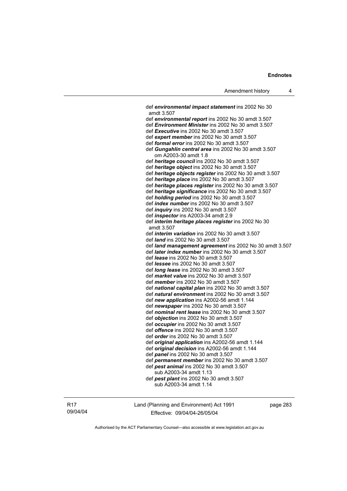def *environmental impact statement* ins 2002 No 30 amdt 3.507 def *environmental report* ins 2002 No 30 amdt 3.507 def *Environment Minister* ins 2002 No 30 amdt 3.507 def *Executive* ins 2002 No 30 amdt 3.507 def *expert member* ins 2002 No 30 amdt 3.507 def *formal error* ins 2002 No 30 amdt 3.507 def *Gungahlin central area* ins 2002 No 30 amdt 3.507 om A2003-30 amdt 1.8 def *heritage council* ins 2002 No 30 amdt 3.507 def *heritage object* ins 2002 No 30 amdt 3.507 def *heritage objects register* ins 2002 No 30 amdt 3.507 def *heritage place* ins 2002 No 30 amdt 3.507 def *heritage places register* ins 2002 No 30 amdt 3.507 def *heritage significance* ins 2002 No 30 amdt 3.507 def *holding period* ins 2002 No 30 amdt 3.507 def *index number* ins 2002 No 30 amdt 3.507 def *inquiry* ins 2002 No 30 amdt 3.507 def *inspector* ins A2003-34 amdt 2.9 def *interim heritage places register* ins 2002 No 30 amdt 3.507 def *interim variation* ins 2002 No 30 amdt 3.507 def *land* ins 2002 No 30 amdt 3.507 def *land management agreement* ins 2002 No 30 amdt 3.507 def *later index number* ins 2002 No 30 amdt 3.507 def *lease* ins 2002 No 30 amdt 3.507 def *lessee* ins 2002 No 30 amdt 3.507 def *long lease* ins 2002 No 30 amdt 3.507 def *market value* ins 2002 No 30 amdt 3.507 def *member* ins 2002 No 30 amdt 3.507 def *national capital plan* ins 2002 No 30 amdt 3.507 def *natural environment* ins 2002 No 30 amdt 3.507 def *new application* ins A2002-56 amdt 1.144 def *newspaper* ins 2002 No 30 amdt 3.507 def *nominal rent lease* ins 2002 No 30 amdt 3.507 def *objection* ins 2002 No 30 amdt 3.507 def *occupier* ins 2002 No 30 amdt 3.507 def *offence* ins 2002 No 30 amdt 3.507 def *order* ins 2002 No 30 amdt 3.507 def *original application* ins A2002-56 amdt 1.144 def *original decision* ins A2002-56 amdt 1.144 def *panel* ins 2002 No 30 amdt 3.507 def *permanent member* ins 2002 No 30 amdt 3.507 def *pest animal* ins 2002 No 30 amdt 3.507 sub A2003-34 amdt 1.13 def *pest plant* ins 2002 No 30 amdt 3.507 sub A2003-34 amdt 1.14

R17 09/04/04 Land (Planning and Environment) Act 1991 Effective: 09/04/04-26/05/04

page 283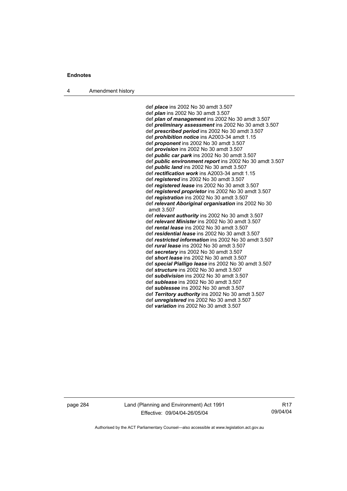4 Amendment history

 def *place* ins 2002 No 30 amdt 3.507 def *plan* ins 2002 No 30 amdt 3.507 def *plan of management* ins 2002 No 30 amdt 3.507 def *preliminary assessment* ins 2002 No 30 amdt 3.507 def *prescribed period* ins 2002 No 30 amdt 3.507 def *prohibition notice* ins A2003-34 amdt 1.15 def *proponent* ins 2002 No 30 amdt 3.507 def *provision* ins 2002 No 30 amdt 3.507 def *public car park* ins 2002 No 30 amdt 3.507 def *public environment report* ins 2002 No 30 amdt 3.507 def *public land* ins 2002 No 30 amdt 3.507 def *rectification work* ins A2003-34 amdt 1.15 def *registered* ins 2002 No 30 amdt 3.507 def *registered lease* ins 2002 No 30 amdt 3.507 def *registered proprietor* ins 2002 No 30 amdt 3.507 def *registration* ins 2002 No 30 amdt 3.507 def *relevant Aboriginal organisation* ins 2002 No 30 amdt 3.507 def *relevant authority* ins 2002 No 30 amdt 3.507 def *relevant Minister* ins 2002 No 30 amdt 3.507 def *rental lease* ins 2002 No 30 amdt 3.507 def *residential lease* ins 2002 No 30 amdt 3.507 def *restricted information* ins 2002 No 30 amdt 3.507 def *rural lease* ins 2002 No 30 amdt 3.507 def *secretary* ins 2002 No 30 amdt 3.507 def *short lease* ins 2002 No 30 amdt 3.507 def *special Pialligo lease* ins 2002 No 30 amdt 3.507 def *structure* ins 2002 No 30 amdt 3.507 def *subdivision* ins 2002 No 30 amdt 3.507 def *sublease* ins 2002 No 30 amdt 3.507 def *sublessee* ins 2002 No 30 amdt 3.507 def *Territory authority* ins 2002 No 30 amdt 3.507 def *unregistered* ins 2002 No 30 amdt 3.507 def *variation* ins 2002 No 30 amdt 3.507

page 284 Land (Planning and Environment) Act 1991 Effective: 09/04/04-26/05/04

R17 09/04/04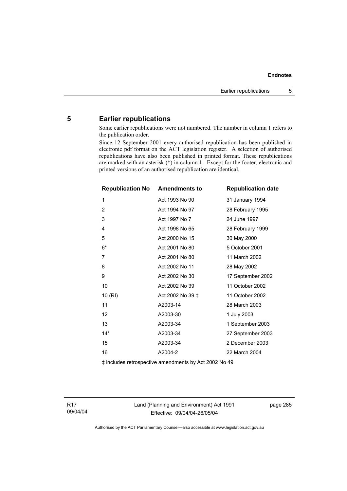# **5 Earlier republications**

Some earlier republications were not numbered. The number in column 1 refers to the publication order.

Since 12 September 2001 every authorised republication has been published in electronic pdf format on the ACT legislation register. A selection of authorised republications have also been published in printed format. These republications are marked with an asterisk (\*) in column 1. Except for the footer, electronic and printed versions of an authorised republication are identical.

| <b>Republication No Amendments to</b> |                  | <b>Republication date</b> |
|---------------------------------------|------------------|---------------------------|
| 1                                     | Act 1993 No 90   | 31 January 1994           |
| 2                                     | Act 1994 No 97   | 28 February 1995          |
| 3                                     | Act 1997 No 7    | 24 June 1997              |
| 4                                     | Act 1998 No 65   | 28 February 1999          |
| 5                                     | Act 2000 No 15   | 30 May 2000               |
| $6*$                                  | Act 2001 No 80   | 5 October 2001            |
| 7                                     | Act 2001 No 80   | 11 March 2002             |
| 8                                     | Act 2002 No 11   | 28 May 2002               |
| 9                                     | Act 2002 No 30   | 17 September 2002         |
| 10                                    | Act 2002 No 39   | 11 October 2002           |
| 10 (RI)                               | Act 2002 No 39 ‡ | 11 October 2002           |
| 11                                    | A2003-14         | 28 March 2003             |
| 12                                    | A2003-30         | 1 July 2003               |
| 13                                    | A2003-34         | 1 September 2003          |
| $14*$                                 | A2003-34         | 27 September 2003         |
| 15                                    | A2003-34         | 2 December 2003           |
| 16                                    | A2004-2          | 22 March 2004             |

‡ includes retrospective amendments by Act 2002 No 49

R17 09/04/04 Land (Planning and Environment) Act 1991 Effective: 09/04/04-26/05/04

page 285